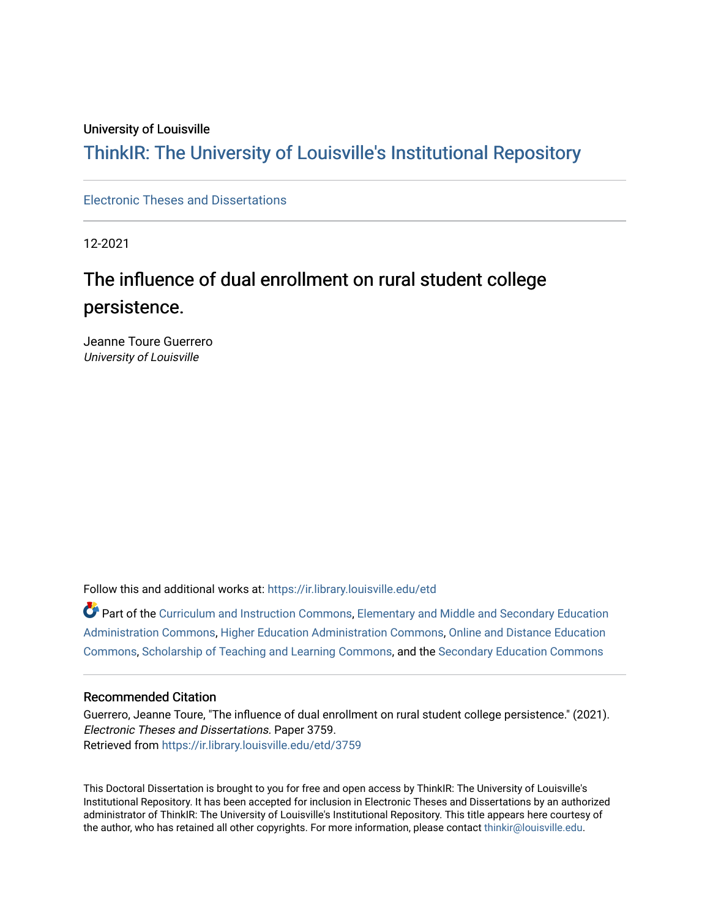# University of Louisville

# ThinkIR: The Univ[ersity of Louisville's Institutional Reposit](https://ir.library.louisville.edu/)ory

# [Electronic Theses and Dissertations](https://ir.library.louisville.edu/etd)

12-2021

# The influence of dual enrollment on rural student college persistence.

Jeanne Toure Guerrero University of Louisville

Follow this and additional works at: [https://ir.library.louisville.edu/etd](https://ir.library.louisville.edu/etd?utm_source=ir.library.louisville.edu%2Fetd%2F3759&utm_medium=PDF&utm_campaign=PDFCoverPages) 

Part of the [Curriculum and Instruction Commons,](https://network.bepress.com/hgg/discipline/786?utm_source=ir.library.louisville.edu%2Fetd%2F3759&utm_medium=PDF&utm_campaign=PDFCoverPages) [Elementary and Middle and Secondary Education](https://network.bepress.com/hgg/discipline/790?utm_source=ir.library.louisville.edu%2Fetd%2F3759&utm_medium=PDF&utm_campaign=PDFCoverPages) [Administration Commons,](https://network.bepress.com/hgg/discipline/790?utm_source=ir.library.louisville.edu%2Fetd%2F3759&utm_medium=PDF&utm_campaign=PDFCoverPages) [Higher Education Administration Commons,](https://network.bepress.com/hgg/discipline/791?utm_source=ir.library.louisville.edu%2Fetd%2F3759&utm_medium=PDF&utm_campaign=PDFCoverPages) [Online and Distance Education](https://network.bepress.com/hgg/discipline/1296?utm_source=ir.library.louisville.edu%2Fetd%2F3759&utm_medium=PDF&utm_campaign=PDFCoverPages)  [Commons](https://network.bepress.com/hgg/discipline/1296?utm_source=ir.library.louisville.edu%2Fetd%2F3759&utm_medium=PDF&utm_campaign=PDFCoverPages), [Scholarship of Teaching and Learning Commons](https://network.bepress.com/hgg/discipline/1328?utm_source=ir.library.louisville.edu%2Fetd%2F3759&utm_medium=PDF&utm_campaign=PDFCoverPages), and the [Secondary Education Commons](https://network.bepress.com/hgg/discipline/1382?utm_source=ir.library.louisville.edu%2Fetd%2F3759&utm_medium=PDF&utm_campaign=PDFCoverPages) 

#### Recommended Citation

Guerrero, Jeanne Toure, "The influence of dual enrollment on rural student college persistence." (2021). Electronic Theses and Dissertations. Paper 3759. Retrieved from [https://ir.library.louisville.edu/etd/3759](https://ir.library.louisville.edu/etd/3759?utm_source=ir.library.louisville.edu%2Fetd%2F3759&utm_medium=PDF&utm_campaign=PDFCoverPages) 

This Doctoral Dissertation is brought to you for free and open access by ThinkIR: The University of Louisville's Institutional Repository. It has been accepted for inclusion in Electronic Theses and Dissertations by an authorized administrator of ThinkIR: The University of Louisville's Institutional Repository. This title appears here courtesy of the author, who has retained all other copyrights. For more information, please contact [thinkir@louisville.edu.](mailto:thinkir@louisville.edu)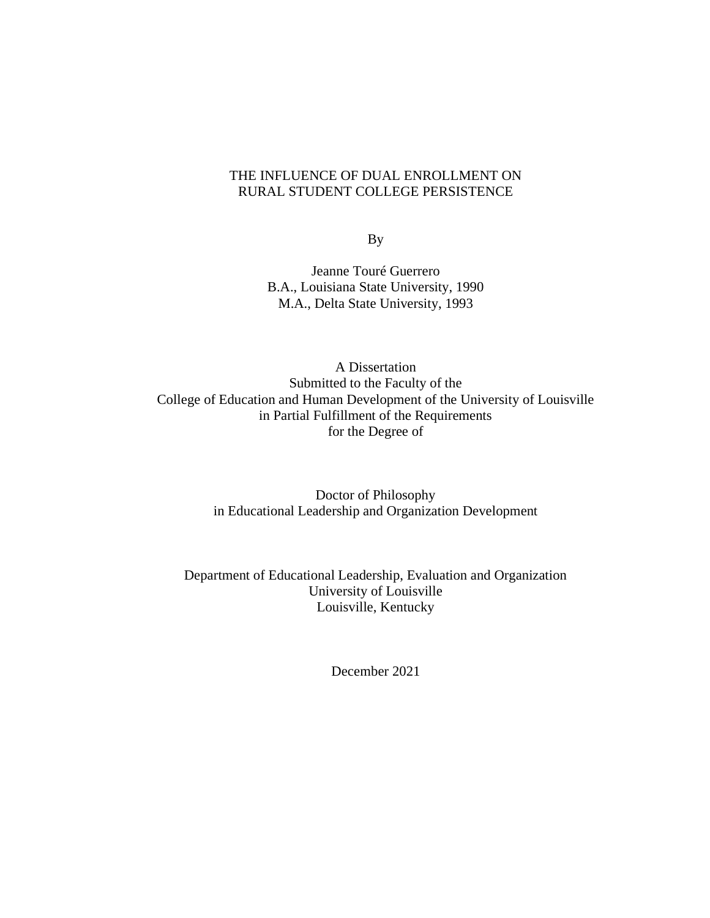# THE INFLUENCE OF DUAL ENROLLMENT ON RURAL STUDENT COLLEGE PERSISTENCE

By

Jeanne Touré Guerrero B.A., Louisiana State University, 1990 M.A., Delta State University, 1993

A Dissertation Submitted to the Faculty of the College of Education and Human Development of the University of Louisville in Partial Fulfillment of the Requirements for the Degree of

> Doctor of Philosophy in Educational Leadership and Organization Development

Department of Educational Leadership, Evaluation and Organization University of Louisville Louisville, Kentucky

December 2021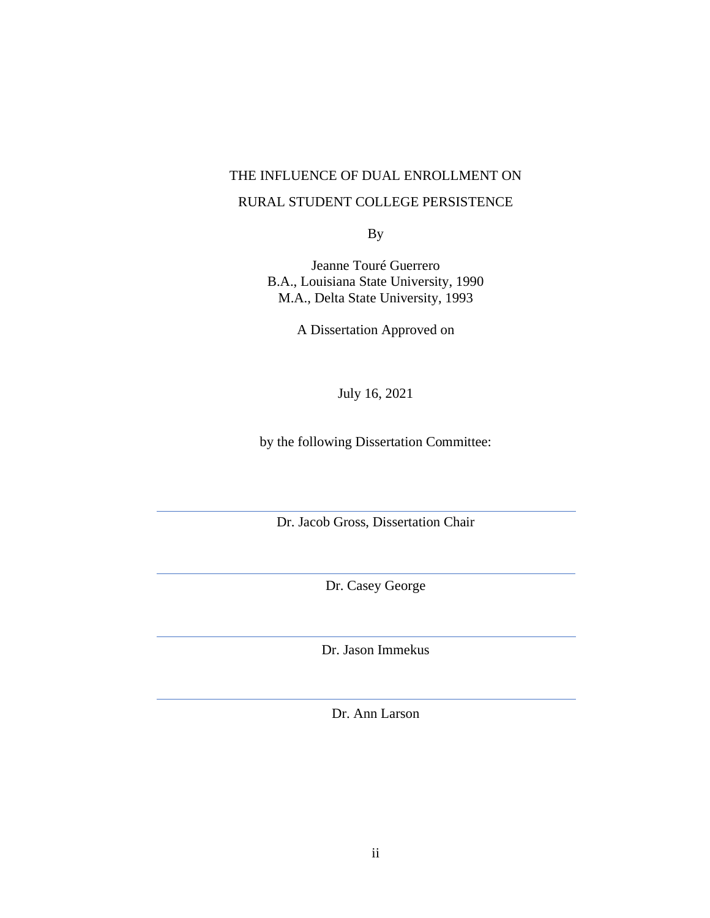# THE INFLUENCE OF DUAL ENROLLMENT ON RURAL STUDENT COLLEGE PERSISTENCE

By

Jeanne Touré Guerrero B.A., Louisiana State University, 1990 M.A., Delta State University, 1993

A Dissertation Approved on

July 16, 2021

by the following Dissertation Committee:

Dr. Jacob Gross, Dissertation Chair

Dr. Casey George

Dr. Jason Immekus

Dr. Ann Larson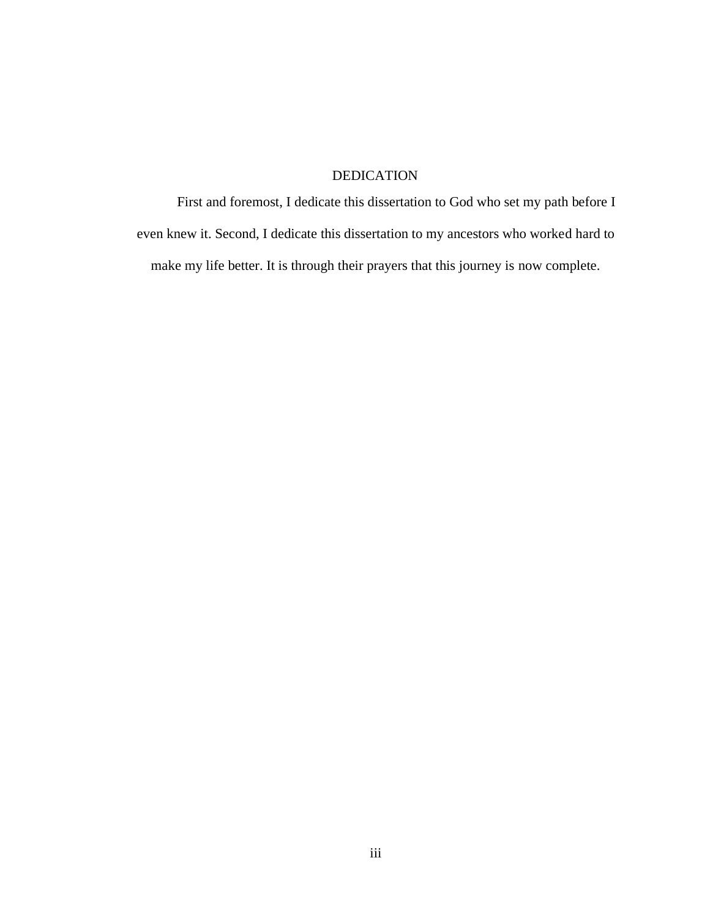# DEDICATION

First and foremost, I dedicate this dissertation to God who set my path before I even knew it. Second, I dedicate this dissertation to my ancestors who worked hard to make my life better. It is through their prayers that this journey is now complete.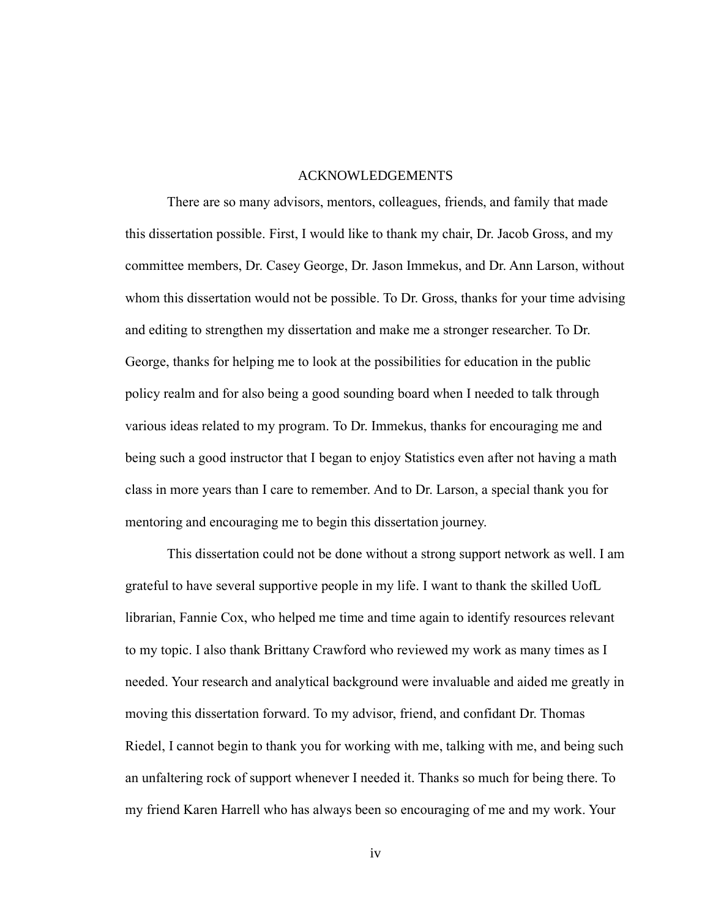#### ACKNOWLEDGEMENTS

There are so many advisors, mentors, colleagues, friends, and family that made this dissertation possible. First, I would like to thank my chair, Dr. Jacob Gross, and my committee members, Dr. Casey George, Dr. Jason Immekus, and Dr. Ann Larson, without whom this dissertation would not be possible. To Dr. Gross, thanks for your time advising and editing to strengthen my dissertation and make me a stronger researcher. To Dr. George, thanks for helping me to look at the possibilities for education in the public policy realm and for also being a good sounding board when I needed to talk through various ideas related to my program. To Dr. Immekus, thanks for encouraging me and being such a good instructor that I began to enjoy Statistics even after not having a math class in more years than I care to remember. And to Dr. Larson, a special thank you for mentoring and encouraging me to begin this dissertation journey.

This dissertation could not be done without a strong support network as well. I am grateful to have several supportive people in my life. I want to thank the skilled UofL librarian, Fannie Cox, who helped me time and time again to identify resources relevant to my topic. I also thank Brittany Crawford who reviewed my work as many times as I needed. Your research and analytical background were invaluable and aided me greatly in moving this dissertation forward. To my advisor, friend, and confidant Dr. Thomas Riedel, I cannot begin to thank you for working with me, talking with me, and being such an unfaltering rock of support whenever I needed it. Thanks so much for being there. To my friend Karen Harrell who has always been so encouraging of me and my work. Your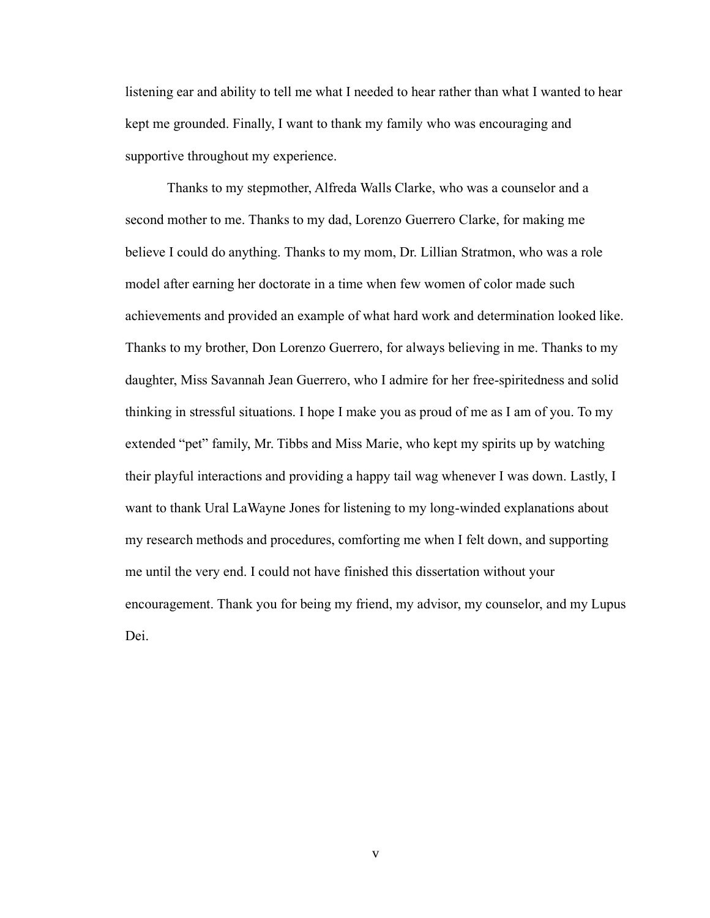listening ear and ability to tell me what I needed to hear rather than what I wanted to hear kept me grounded. Finally, I want to thank my family who was encouraging and supportive throughout my experience.

Thanks to my stepmother, Alfreda Walls Clarke, who was a counselor and a second mother to me. Thanks to my dad, Lorenzo Guerrero Clarke, for making me believe I could do anything. Thanks to my mom, Dr. Lillian Stratmon, who was a role model after earning her doctorate in a time when few women of color made such achievements and provided an example of what hard work and determination looked like. Thanks to my brother, Don Lorenzo Guerrero, for always believing in me. Thanks to my daughter, Miss Savannah Jean Guerrero, who I admire for her free-spiritedness and solid thinking in stressful situations. I hope I make you as proud of me as I am of you. To my extended "pet" family, Mr. Tibbs and Miss Marie, who kept my spirits up by watching their playful interactions and providing a happy tail wag whenever I was down. Lastly, I want to thank Ural LaWayne Jones for listening to my long-winded explanations about my research methods and procedures, comforting me when I felt down, and supporting me until the very end. I could not have finished this dissertation without your encouragement. Thank you for being my friend, my advisor, my counselor, and my Lupus Dei.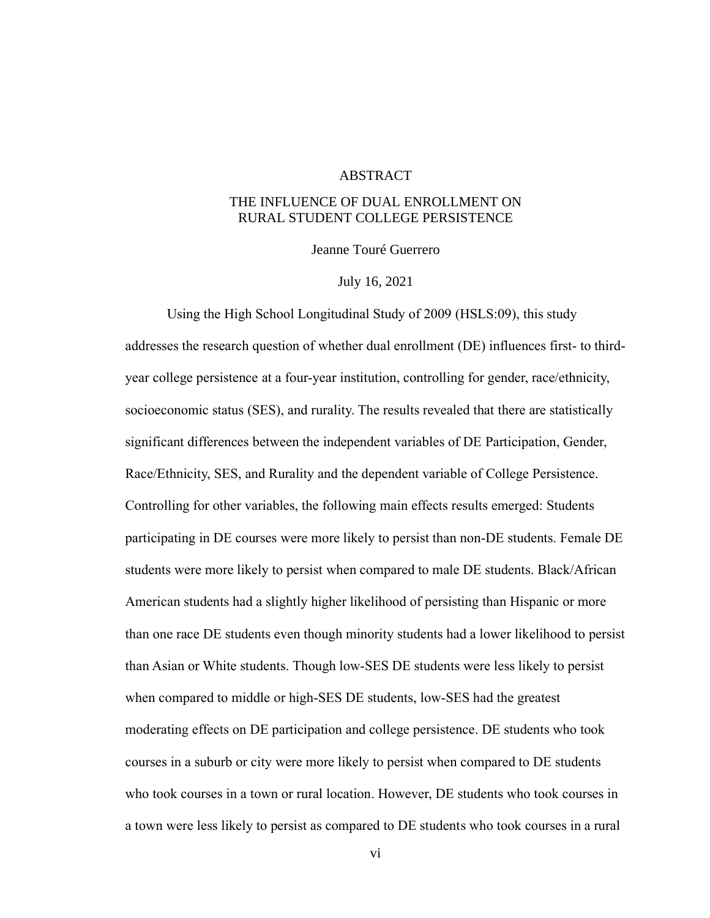#### ABSTRACT

# THE INFLUENCE OF DUAL ENROLLMENT ON RURAL STUDENT COLLEGE PERSISTENCE

Jeanne Touré Guerrero

#### July 16, 2021

Using the High School Longitudinal Study of 2009 (HSLS:09), this study addresses the research question of whether dual enrollment (DE) influences first- to thirdyear college persistence at a four-year institution, controlling for gender, race/ethnicity, socioeconomic status (SES), and rurality. The results revealed that there are statistically significant differences between the independent variables of DE Participation, Gender, Race/Ethnicity, SES, and Rurality and the dependent variable of College Persistence. Controlling for other variables, the following main effects results emerged: Students participating in DE courses were more likely to persist than non-DE students. Female DE students were more likely to persist when compared to male DE students. Black/African American students had a slightly higher likelihood of persisting than Hispanic or more than one race DE students even though minority students had a lower likelihood to persist than Asian or White students. Though low-SES DE students were less likely to persist when compared to middle or high-SES DE students, low-SES had the greatest moderating effects on DE participation and college persistence. DE students who took courses in a suburb or city were more likely to persist when compared to DE students who took courses in a town or rural location. However, DE students who took courses in a town were less likely to persist as compared to DE students who took courses in a rural

vi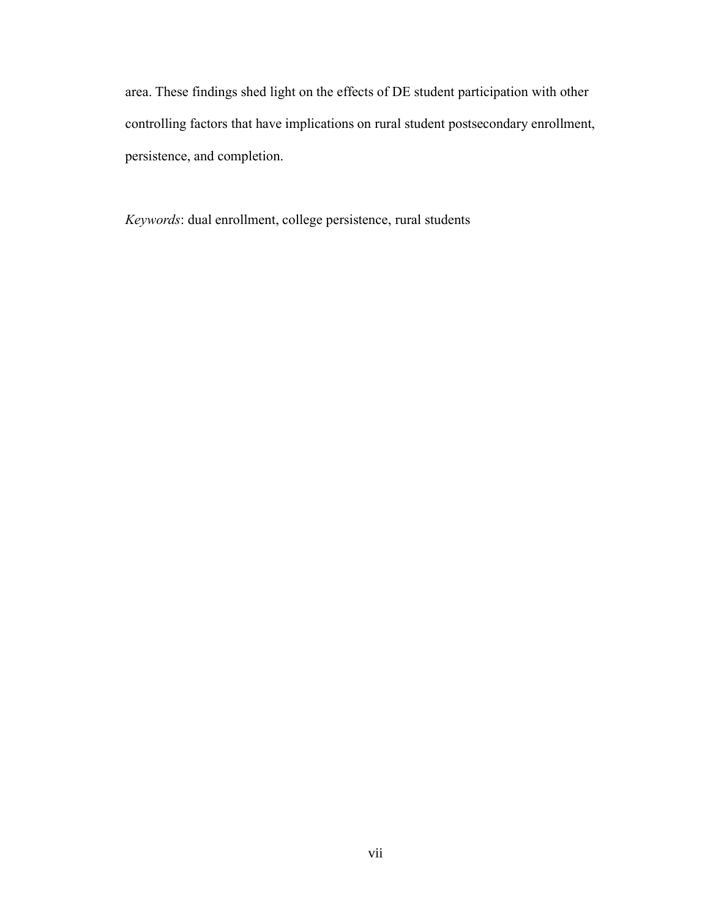area. These findings shed light on the effects of DE student participation with other controlling factors that have implications on rural student postsecondary enrollment, persistence, and completion.

*Keywords*: dual enrollment, college persistence, rural students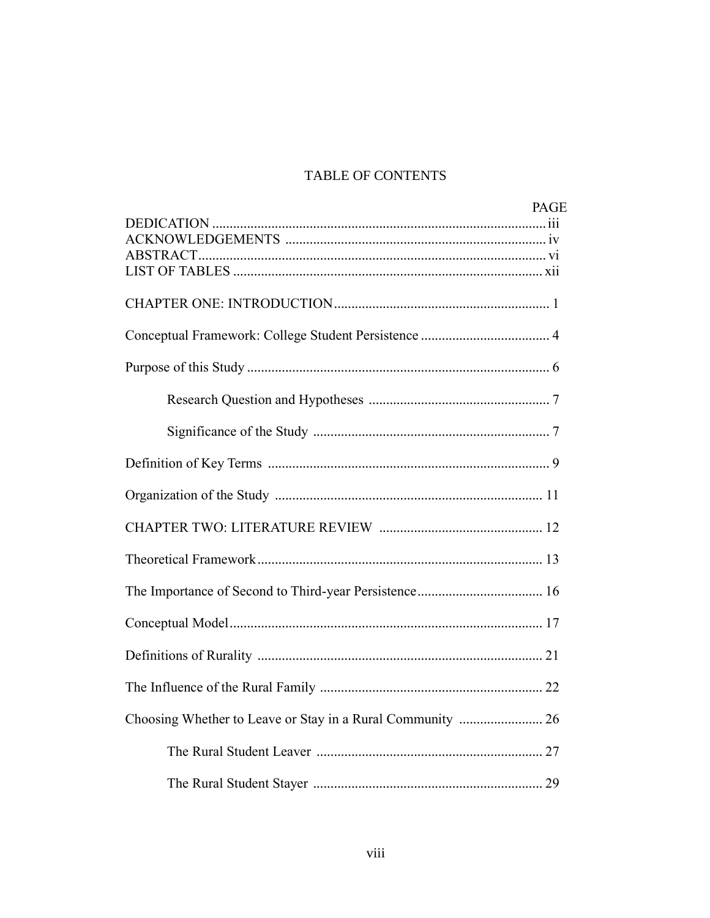# TABLE OF CONTENTS

| <b>PAGE</b> |
|-------------|
|             |
|             |
|             |
|             |
|             |
|             |
|             |
|             |
|             |
|             |
|             |
|             |
|             |
|             |
|             |
|             |
|             |
|             |
|             |
|             |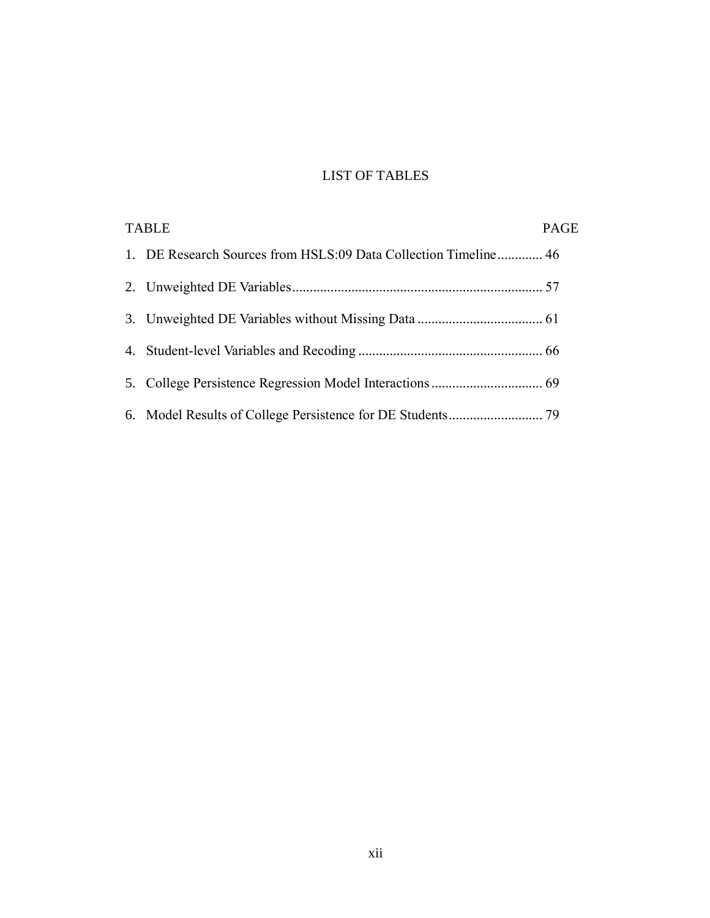# LIST OF TABLES

| <b>TABLE</b> |                                                                 | <b>PAGE</b> |
|--------------|-----------------------------------------------------------------|-------------|
|              | 1. DE Research Sources from HSLS:09 Data Collection Timeline 46 |             |
|              |                                                                 |             |
|              |                                                                 |             |
|              |                                                                 |             |
|              |                                                                 |             |
|              |                                                                 |             |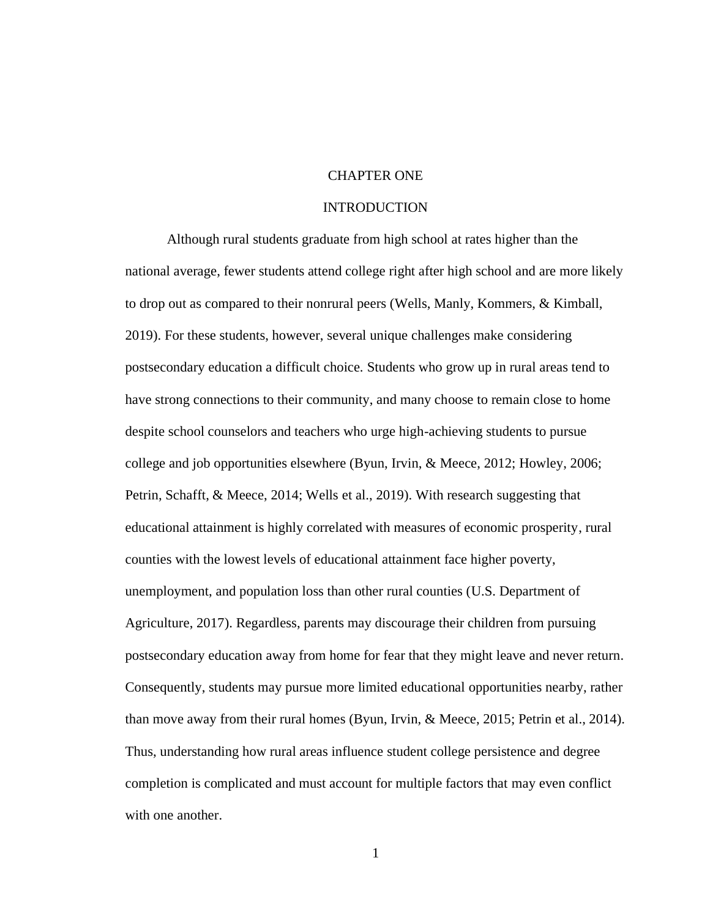# CHAPTER ONE

### INTRODUCTION

Although rural students graduate from high school at rates higher than the national average, fewer students attend college right after high school and are more likely to drop out as compared to their nonrural peers (Wells, Manly, Kommers, & Kimball, 2019). For these students, however, several unique challenges make considering postsecondary education a difficult choice. Students who grow up in rural areas tend to have strong connections to their community, and many choose to remain close to home despite school counselors and teachers who urge high-achieving students to pursue college and job opportunities elsewhere (Byun, Irvin, & Meece, 2012; Howley, 2006; Petrin, Schafft, & Meece, 2014; Wells et al., 2019). With research suggesting that educational attainment is highly correlated with measures of economic prosperity, rural counties with the lowest levels of educational attainment face higher poverty, unemployment, and population loss than other rural counties (U.S. Department of Agriculture, 2017). Regardless, parents may discourage their children from pursuing postsecondary education away from home for fear that they might leave and never return. Consequently, students may pursue more limited educational opportunities nearby, rather than move away from their rural homes (Byun, Irvin, & Meece, 2015; Petrin et al., 2014). Thus, understanding how rural areas influence student college persistence and degree completion is complicated and must account for multiple factors that may even conflict with one another.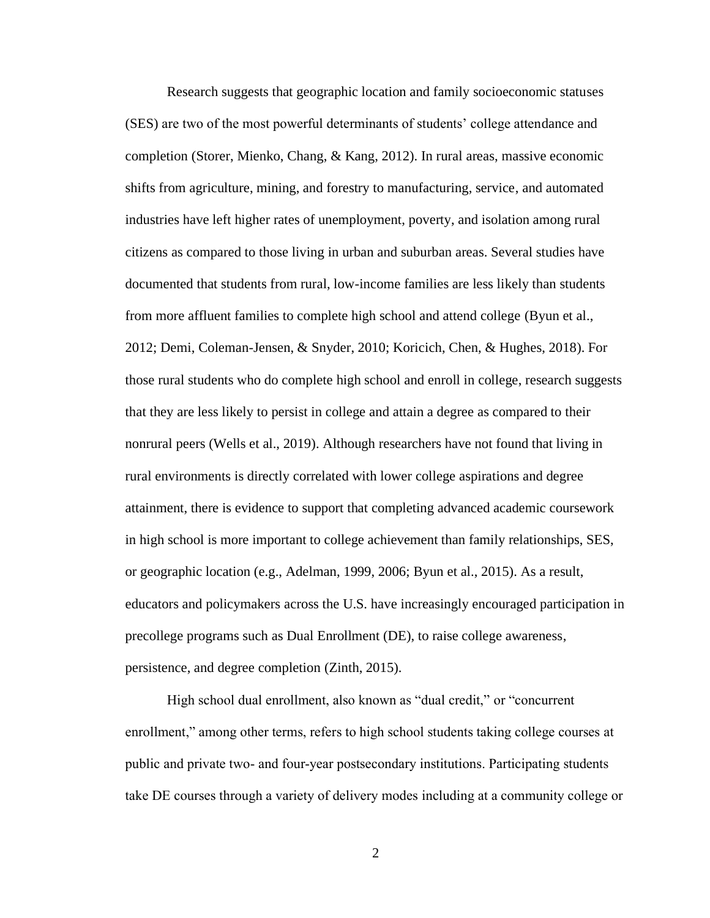Research suggests that geographic location and family socioeconomic statuses (SES) are two of the most powerful determinants of students' college attendance and completion (Storer, Mienko, Chang, & Kang, 2012). In rural areas, massive economic shifts from agriculture, mining, and forestry to manufacturing, service, and automated industries have left higher rates of unemployment, poverty, and isolation among rural citizens as compared to those living in urban and suburban areas. Several studies have documented that students from rural, low-income families are less likely than students from more affluent families to complete high school and attend college (Byun et al., 2012; Demi, Coleman-Jensen, & Snyder, 2010; Koricich, Chen, & Hughes, 2018). For those rural students who do complete high school and enroll in college, research suggests that they are less likely to persist in college and attain a degree as compared to their nonrural peers (Wells et al., 2019). Although researchers have not found that living in rural environments is directly correlated with lower college aspirations and degree attainment, there is evidence to support that completing advanced academic coursework in high school is more important to college achievement than family relationships, SES, or geographic location (e.g., Adelman, 1999, 2006; Byun et al., 2015). As a result, educators and policymakers across the U.S. have increasingly encouraged participation in precollege programs such as Dual Enrollment (DE), to raise college awareness, persistence, and degree completion (Zinth, 2015).

High school dual enrollment, also known as "dual credit," or "concurrent enrollment," among other terms, refers to high school students taking college courses at public and private two- and four-year postsecondary institutions. Participating students take DE courses through a variety of delivery modes including at a community college or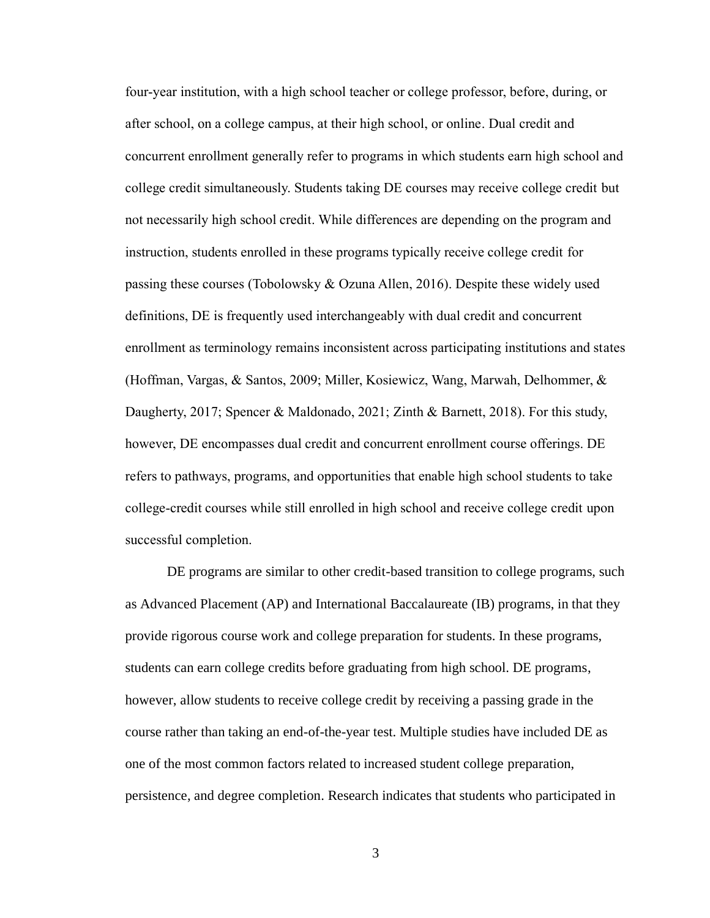four-year institution, with a high school teacher or college professor, before, during, or after school, on a college campus, at their high school, or online. Dual credit and concurrent enrollment generally refer to programs in which students earn high school and college credit simultaneously. Students taking DE courses may receive college credit but not necessarily high school credit. While differences are depending on the program and instruction, students enrolled in these programs typically receive college credit for passing these courses (Tobolowsky & Ozuna Allen, 2016). Despite these widely used definitions, DE is frequently used interchangeably with dual credit and concurrent enrollment as terminology remains inconsistent across participating institutions and states (Hoffman, Vargas, & Santos, 2009; Miller, Kosiewicz, Wang, Marwah, Delhommer, & Daugherty, 2017; Spencer & Maldonado, 2021; Zinth & Barnett, 2018). For this study, however, DE encompasses dual credit and concurrent enrollment course offerings. DE refers to pathways, programs, and opportunities that enable high school students to take college-credit courses while still enrolled in high school and receive college credit upon successful completion.

DE programs are similar to other credit-based transition to college programs, such as Advanced Placement (AP) and International Baccalaureate (IB) programs, in that they provide rigorous course work and college preparation for students. In these programs, students can earn college credits before graduating from high school. DE programs, however, allow students to receive college credit by receiving a passing grade in the course rather than taking an end-of-the-year test. Multiple studies have included DE as one of the most common factors related to increased student college preparation, persistence, and degree completion. Research indicates that students who participated in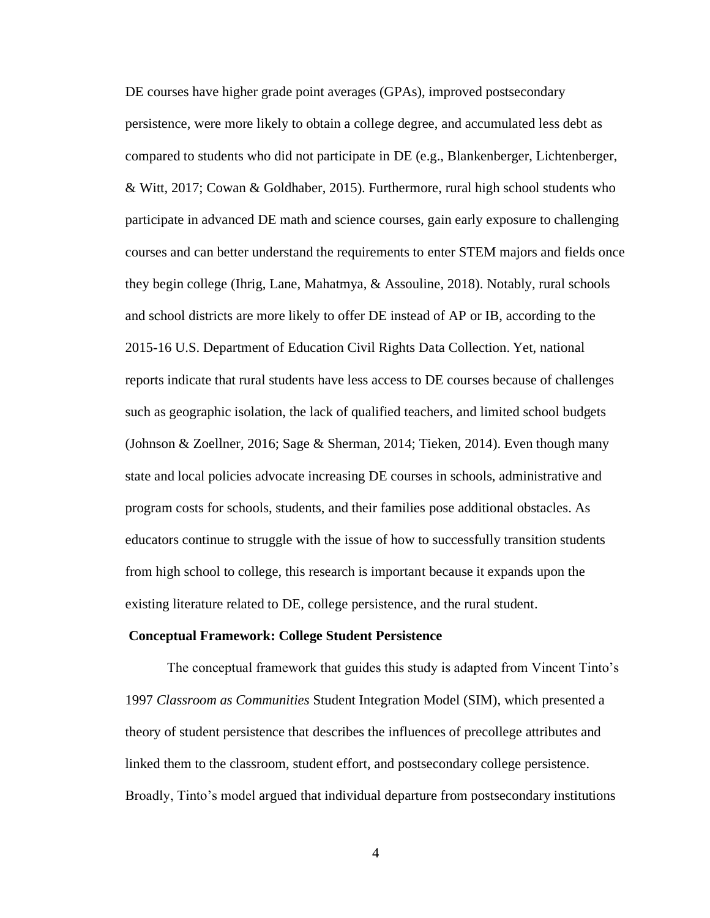DE courses have higher grade point averages (GPAs), improved postsecondary persistence, were more likely to obtain a college degree, and accumulated less debt as compared to students who did not participate in DE (e.g., Blankenberger, Lichtenberger, & Witt, 2017; Cowan & Goldhaber, 2015). Furthermore, rural high school students who participate in advanced DE math and science courses, gain early exposure to challenging courses and can better understand the requirements to enter STEM majors and fields once they begin college (Ihrig, Lane, Mahatmya, & Assouline, 2018). Notably, rural schools and school districts are more likely to offer DE instead of AP or IB, according to the 2015-16 U.S. Department of Education Civil Rights Data Collection. Yet, national reports indicate that rural students have less access to DE courses because of challenges such as geographic isolation, the lack of qualified teachers, and limited school budgets (Johnson & Zoellner, 2016; Sage & Sherman, 2014; Tieken, 2014). Even though many state and local policies advocate increasing DE courses in schools, administrative and program costs for schools, students, and their families pose additional obstacles. As educators continue to struggle with the issue of how to successfully transition students from high school to college, this research is important because it expands upon the existing literature related to DE, college persistence, and the rural student.

#### **Conceptual Framework: College Student Persistence**

The conceptual framework that guides this study is adapted from Vincent Tinto's 1997 *Classroom as Communities* Student Integration Model (SIM), which presented a theory of student persistence that describes the influences of precollege attributes and linked them to the classroom, student effort, and postsecondary college persistence. Broadly, Tinto's model argued that individual departure from postsecondary institutions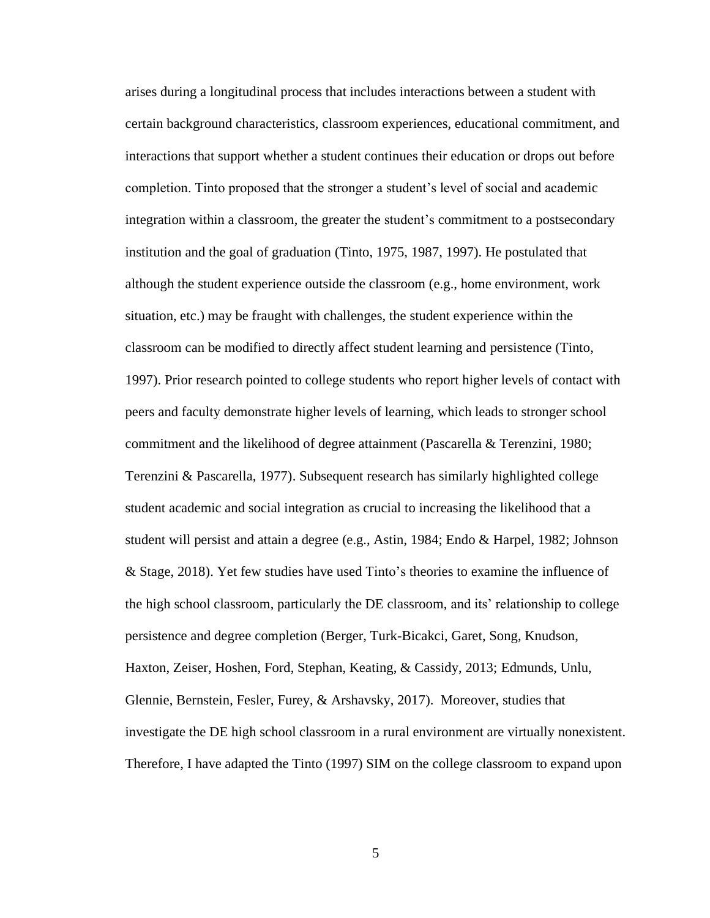arises during a longitudinal process that includes interactions between a student with certain background characteristics, classroom experiences, educational commitment, and interactions that support whether a student continues their education or drops out before completion. Tinto proposed that the stronger a student's level of social and academic integration within a classroom, the greater the student's commitment to a postsecondary institution and the goal of graduation (Tinto, 1975, 1987, 1997). He postulated that although the student experience outside the classroom (e.g., home environment, work situation, etc.) may be fraught with challenges, the student experience within the classroom can be modified to directly affect student learning and persistence (Tinto, 1997). Prior research pointed to college students who report higher levels of contact with peers and faculty demonstrate higher levels of learning, which leads to stronger school commitment and the likelihood of degree attainment (Pascarella & Terenzini, 1980; Terenzini & Pascarella, 1977). Subsequent research has similarly highlighted college student academic and social integration as crucial to increasing the likelihood that a student will persist and attain a degree (e.g., Astin, 1984; Endo & Harpel, 1982; Johnson & Stage, 2018). Yet few studies have used Tinto's theories to examine the influence of the high school classroom, particularly the DE classroom, and its' relationship to college persistence and degree completion (Berger, Turk-Bicakci, Garet, Song, Knudson, Haxton, Zeiser, Hoshen, Ford, Stephan, Keating, & Cassidy, 2013; Edmunds, Unlu, Glennie, Bernstein, Fesler, Furey, & Arshavsky, 2017). Moreover, studies that investigate the DE high school classroom in a rural environment are virtually nonexistent. Therefore, I have adapted the Tinto (1997) SIM on the college classroom to expand upon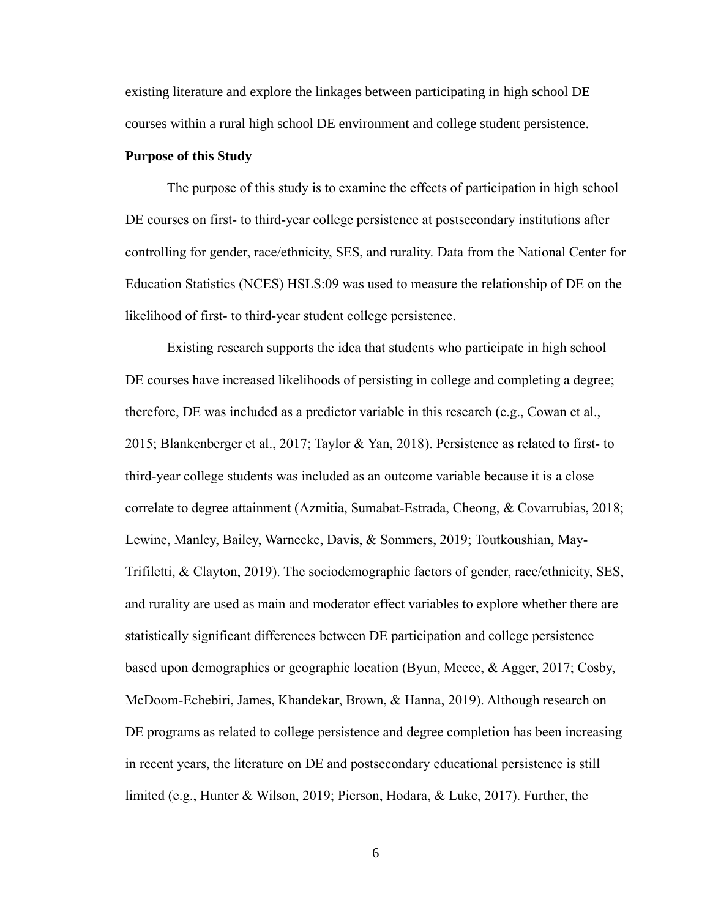existing literature and explore the linkages between participating in high school DE courses within a rural high school DE environment and college student persistence.

#### **Purpose of this Study**

The purpose of this study is to examine the effects of participation in high school DE courses on first- to third-year college persistence at postsecondary institutions after controlling for gender, race/ethnicity, SES, and rurality. Data from the National Center for Education Statistics (NCES) HSLS:09 was used to measure the relationship of DE on the likelihood of first- to third-year student college persistence.

Existing research supports the idea that students who participate in high school DE courses have increased likelihoods of persisting in college and completing a degree; therefore, DE was included as a predictor variable in this research (e.g., Cowan et al., 2015; Blankenberger et al., 2017; Taylor & Yan, 2018). Persistence as related to first- to third-year college students was included as an outcome variable because it is a close correlate to degree attainment (Azmitia, Sumabat-Estrada, Cheong, & Covarrubias, 2018; Lewine, Manley, Bailey, Warnecke, Davis, & Sommers, 2019; Toutkoushian, May-Trifiletti, & Clayton, 2019). The sociodemographic factors of gender, race/ethnicity, SES, and rurality are used as main and moderator effect variables to explore whether there are statistically significant differences between DE participation and college persistence based upon demographics or geographic location (Byun, Meece, & Agger, 2017; Cosby, McDoom-Echebiri, James, Khandekar, Brown, & Hanna, 2019). Although research on DE programs as related to college persistence and degree completion has been increasing in recent years, the literature on DE and postsecondary educational persistence is still limited (e.g., Hunter & Wilson, 2019; Pierson, Hodara, & Luke, 2017). Further, the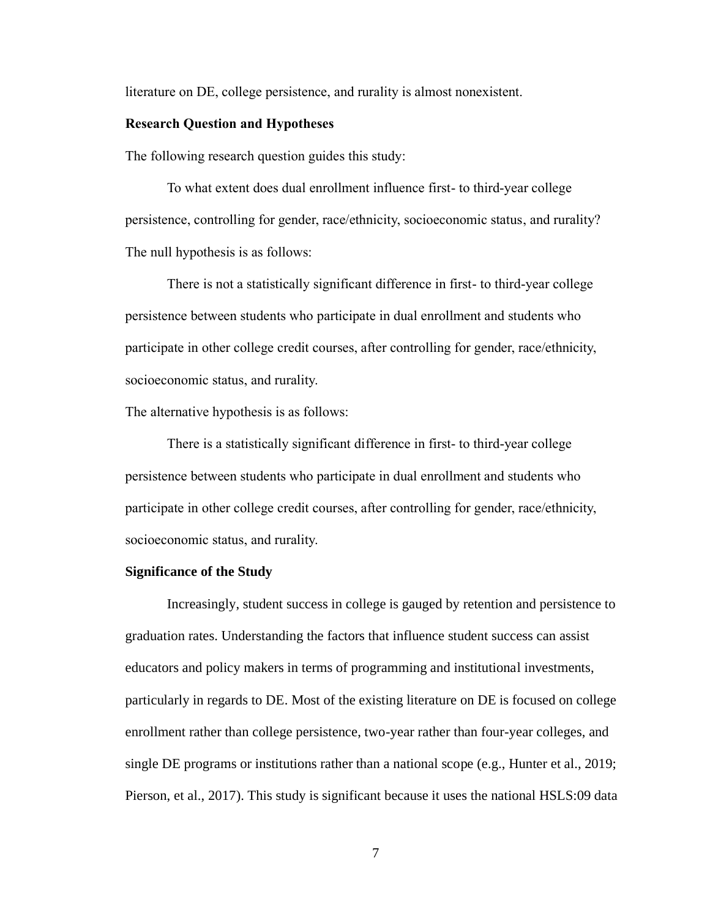literature on DE, college persistence, and rurality is almost nonexistent.

### **Research Question and Hypotheses**

The following research question guides this study:

To what extent does dual enrollment influence first- to third-year college persistence, controlling for gender, race/ethnicity, socioeconomic status, and rurality? The null hypothesis is as follows:

There is not a statistically significant difference in first- to third-year college persistence between students who participate in dual enrollment and students who participate in other college credit courses, after controlling for gender, race/ethnicity, socioeconomic status, and rurality.

The alternative hypothesis is as follows:

There is a statistically significant difference in first- to third-year college persistence between students who participate in dual enrollment and students who participate in other college credit courses, after controlling for gender, race/ethnicity, socioeconomic status, and rurality.

#### **Significance of the Study**

Increasingly, student success in college is gauged by retention and persistence to graduation rates. Understanding the factors that influence student success can assist educators and policy makers in terms of programming and institutional investments, particularly in regards to DE. Most of the existing literature on DE is focused on college enrollment rather than college persistence, two-year rather than four-year colleges, and single DE programs or institutions rather than a national scope (e.g., Hunter et al., 2019; Pierson, et al., 2017). This study is significant because it uses the national HSLS:09 data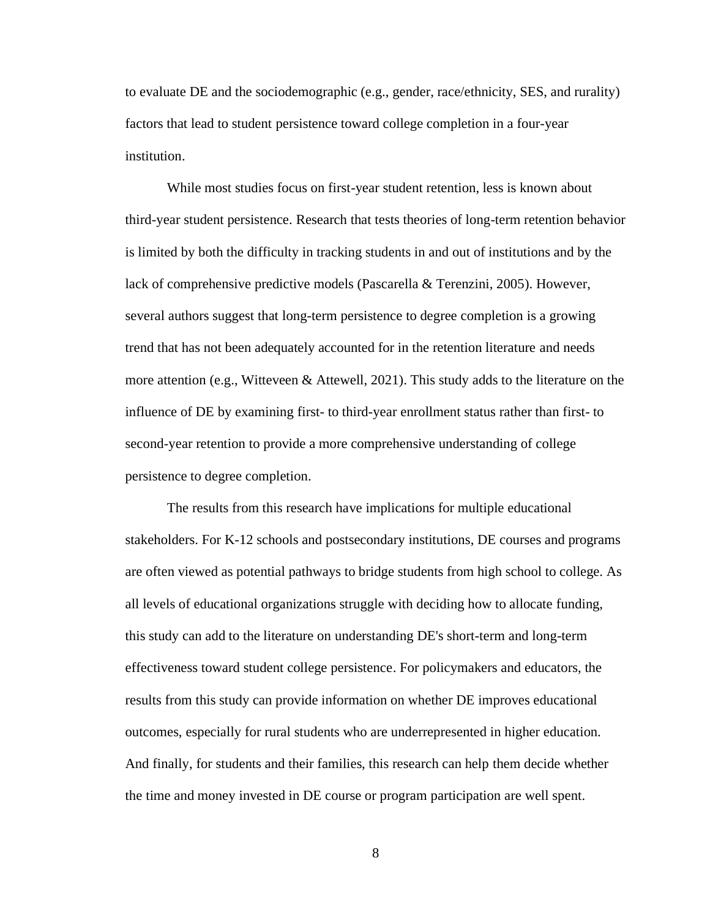to evaluate DE and the sociodemographic (e.g., gender, race/ethnicity, SES, and rurality) factors that lead to student persistence toward college completion in a four-year institution.

While most studies focus on first-year student retention, less is known about third-year student persistence. Research that tests theories of long-term retention behavior is limited by both the difficulty in tracking students in and out of institutions and by the lack of comprehensive predictive models (Pascarella & Terenzini, 2005). However, several authors suggest that long-term persistence to degree completion is a growing trend that has not been adequately accounted for in the retention literature and needs more attention (e.g., Witteveen & Attewell, 2021). This study adds to the literature on the influence of DE by examining first- to third-year enrollment status rather than first- to second-year retention to provide a more comprehensive understanding of college persistence to degree completion.

The results from this research have implications for multiple educational stakeholders. For K-12 schools and postsecondary institutions, DE courses and programs are often viewed as potential pathways to bridge students from high school to college. As all levels of educational organizations struggle with deciding how to allocate funding, this study can add to the literature on understanding DE's short-term and long-term effectiveness toward student college persistence. For policymakers and educators, the results from this study can provide information on whether DE improves educational outcomes, especially for rural students who are underrepresented in higher education. And finally, for students and their families, this research can help them decide whether the time and money invested in DE course or program participation are well spent.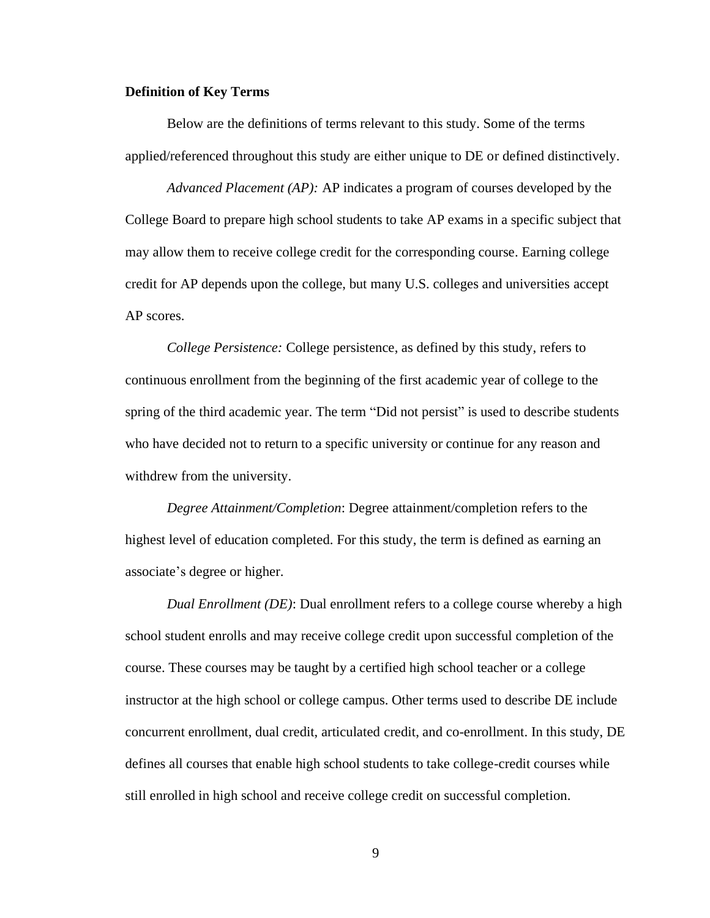#### **Definition of Key Terms**

Below are the definitions of terms relevant to this study. Some of the terms applied/referenced throughout this study are either unique to DE or defined distinctively.

*Advanced Placement (AP):* AP indicates a program of courses developed by the College Board to prepare high school students to take AP exams in a specific subject that may allow them to receive college credit for the corresponding course. Earning college credit for AP depends upon the college, but many U.S. colleges and universities accept AP scores.

*College Persistence:* College persistence, as defined by this study, refers to continuous enrollment from the beginning of the first academic year of college to the spring of the third academic year. The term "Did not persist" is used to describe students who have decided not to return to a specific university or continue for any reason and withdrew from the university.

*Degree Attainment/Completion*: Degree attainment/completion refers to the highest level of education completed. For this study, the term is defined as earning an associate's degree or higher.

*Dual Enrollment (DE)*: Dual enrollment refers to a college course whereby a high school student enrolls and may receive college credit upon successful completion of the course. These courses may be taught by a certified high school teacher or a college instructor at the high school or college campus. Other terms used to describe DE include concurrent enrollment, dual credit, articulated credit, and co-enrollment. In this study, DE defines all courses that enable high school students to take college-credit courses while still enrolled in high school and receive college credit on successful completion.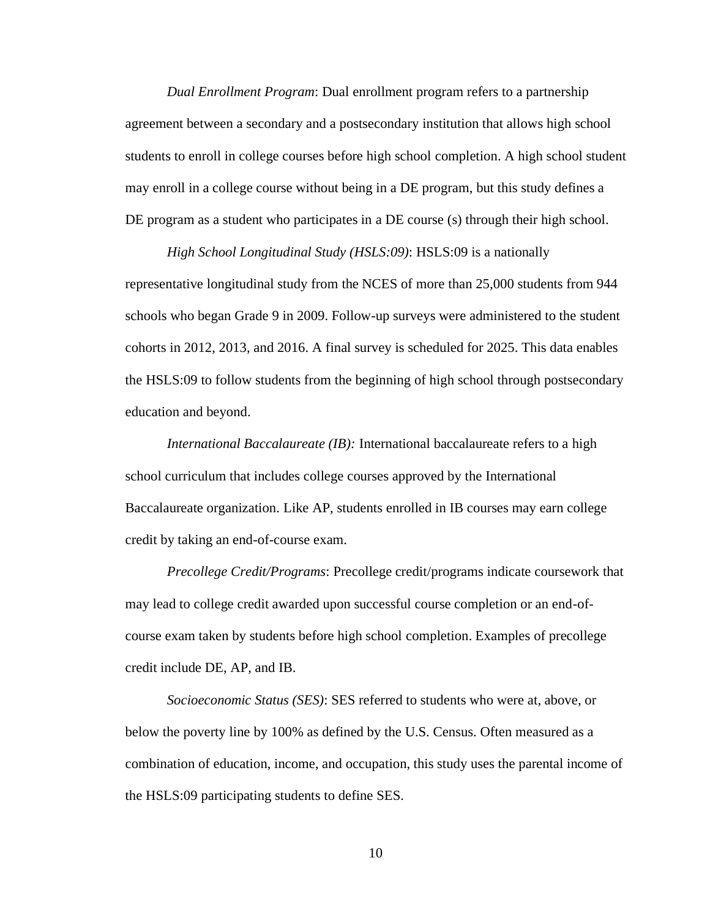*Dual Enrollment Program*: Dual enrollment program refers to a partnership agreement between a secondary and a postsecondary institution that allows high school students to enroll in college courses before high school completion. A high school student may enroll in a college course without being in a DE program, but this study defines a DE program as a student who participates in a DE course (s) through their high school.

*High School Longitudinal Study (HSLS:09)*: HSLS:09 is a nationally representative longitudinal study from the NCES of more than 25,000 students from 944 schools who began Grade 9 in 2009. Follow-up surveys were administered to the student cohorts in 2012, 2013, and 2016. A final survey is scheduled for 2025. This data enables the HSLS:09 to follow students from the beginning of high school through postsecondary education and beyond.

*International Baccalaureate (IB):* International baccalaureate refers to a high school curriculum that includes college courses approved by the International Baccalaureate organization. Like AP, students enrolled in IB courses may earn college credit by taking an end-of-course exam.

*Precollege Credit/Programs*: Precollege credit/programs indicate coursework that may lead to college credit awarded upon successful course completion or an end-ofcourse exam taken by students before high school completion. Examples of precollege credit include DE, AP, and IB.

*Socioeconomic Status (SES)*: SES referred to students who were at, above, or below the poverty line by 100% as defined by the U.S. Census. Often measured as a combination of education, income, and occupation, this study uses the parental income of the HSLS:09 participating students to define SES.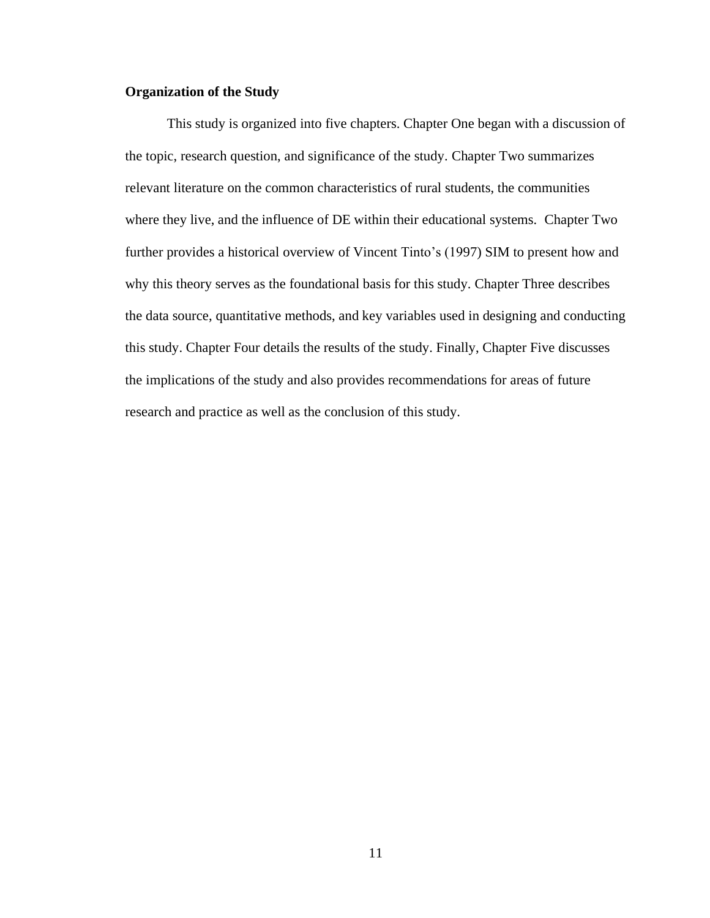# **Organization of the Study**

This study is organized into five chapters. Chapter One began with a discussion of the topic, research question, and significance of the study. Chapter Two summarizes relevant literature on the common characteristics of rural students, the communities where they live, and the influence of DE within their educational systems. Chapter Two further provides a historical overview of Vincent Tinto's (1997) SIM to present how and why this theory serves as the foundational basis for this study. Chapter Three describes the data source, quantitative methods, and key variables used in designing and conducting this study. Chapter Four details the results of the study. Finally, Chapter Five discusses the implications of the study and also provides recommendations for areas of future research and practice as well as the conclusion of this study.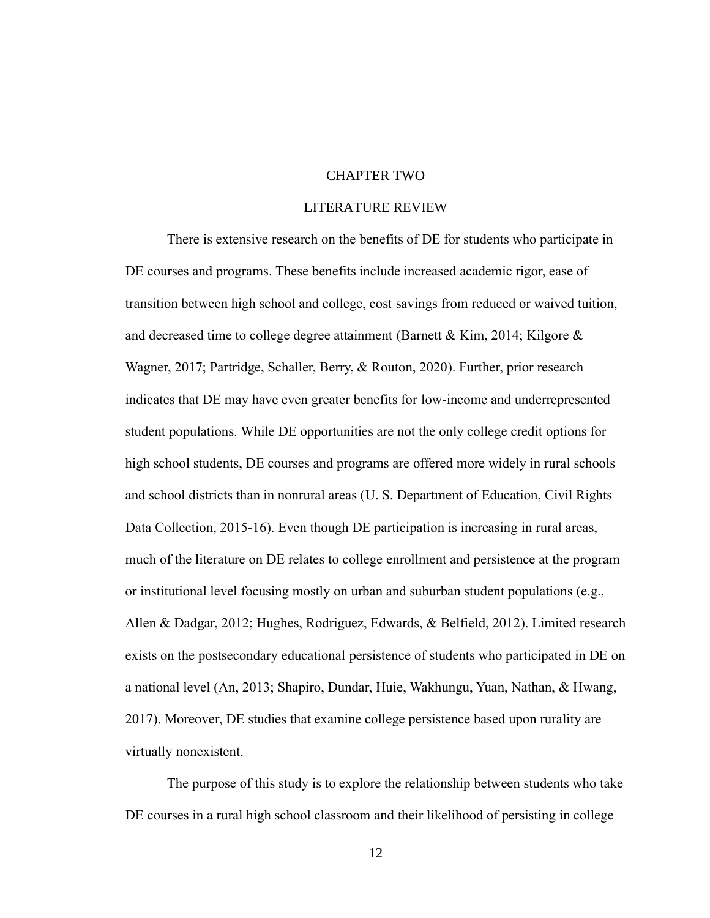# CHAPTER TWO

### LITERATURE REVIEW

There is extensive research on the benefits of DE for students who participate in DE courses and programs. These benefits include increased academic rigor, ease of transition between high school and college, cost savings from reduced or waived tuition, and decreased time to college degree attainment (Barnett & Kim, 2014; Kilgore  $\&$ Wagner, 2017; Partridge, Schaller, Berry, & Routon, 2020). Further, prior research indicates that DE may have even greater benefits for low-income and underrepresented student populations. While DE opportunities are not the only college credit options for high school students, DE courses and programs are offered more widely in rural schools and school districts than in nonrural areas (U. S. Department of Education, Civil Rights Data Collection, 2015-16). Even though DE participation is increasing in rural areas, much of the literature on DE relates to college enrollment and persistence at the program or institutional level focusing mostly on urban and suburban student populations (e.g., Allen & Dadgar, 2012; Hughes, Rodriguez, Edwards, & Belfield, 2012). Limited research exists on the postsecondary educational persistence of students who participated in DE on a national level (An, 2013; Shapiro, Dundar, Huie, Wakhungu, Yuan, Nathan, & Hwang, 2017). Moreover, DE studies that examine college persistence based upon rurality are virtually nonexistent.

The purpose of this study is to explore the relationship between students who take DE courses in a rural high school classroom and their likelihood of persisting in college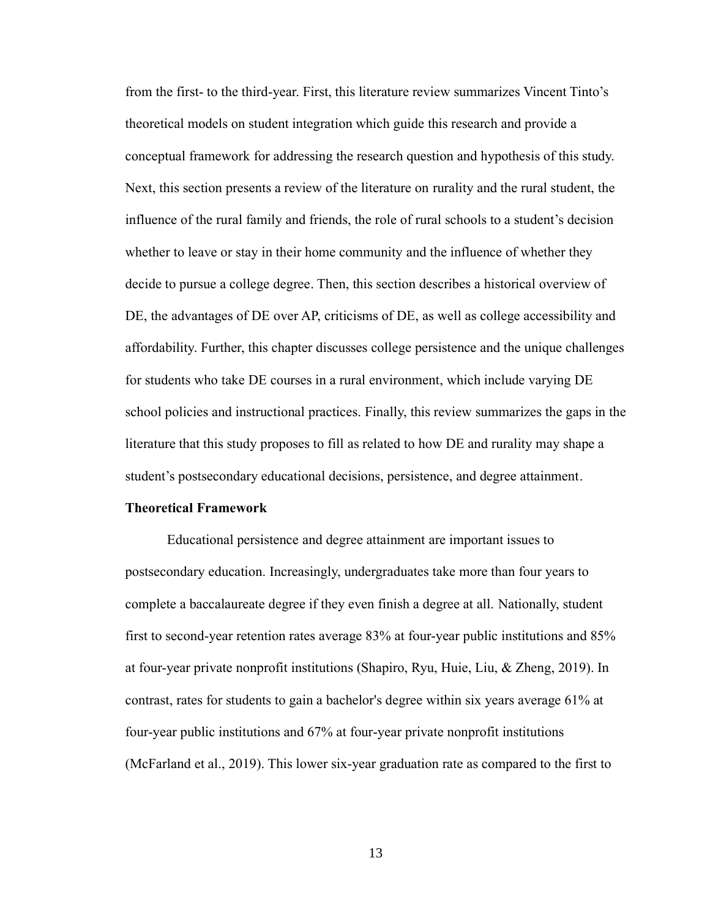from the first- to the third-year. First, this literature review summarizes Vincent Tinto's theoretical models on student integration which guide this research and provide a conceptual framework for addressing the research question and hypothesis of this study. Next, this section presents a review of the literature on rurality and the rural student, the influence of the rural family and friends, the role of rural schools to a student's decision whether to leave or stay in their home community and the influence of whether they decide to pursue a college degree. Then, this section describes a historical overview of DE, the advantages of DE over AP, criticisms of DE, as well as college accessibility and affordability. Further, this chapter discusses college persistence and the unique challenges for students who take DE courses in a rural environment, which include varying DE school policies and instructional practices. Finally, this review summarizes the gaps in the literature that this study proposes to fill as related to how DE and rurality may shape a student's postsecondary educational decisions, persistence, and degree attainment.

#### **Theoretical Framework**

Educational persistence and degree attainment are important issues to postsecondary education. Increasingly, undergraduates take more than four years to complete a baccalaureate degree if they even finish a degree at all. Nationally, student first to second-year retention rates average 83% at four-year public institutions and 85% at four-year private nonprofit institutions (Shapiro, Ryu, Huie, Liu, & Zheng, 2019). In contrast, rates for students to gain a bachelor's degree within six years average 61% at four-year public institutions and 67% at four-year private nonprofit institutions (McFarland et al., 2019). This lower six-year graduation rate as compared to the first to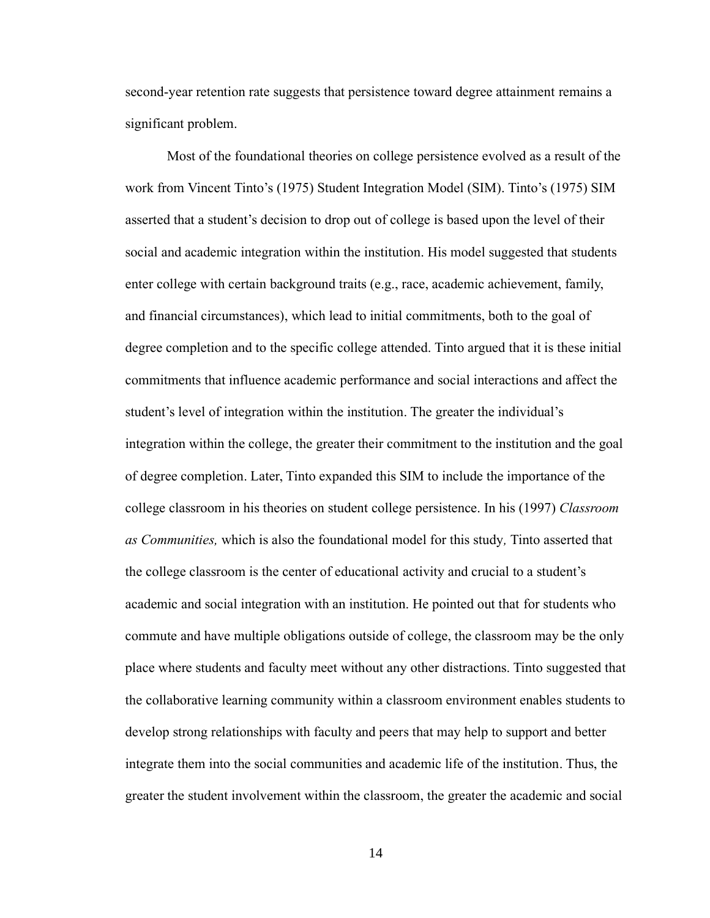second-year retention rate suggests that persistence toward degree attainment remains a significant problem.

Most of the foundational theories on college persistence evolved as a result of the work from Vincent Tinto's (1975) Student Integration Model (SIM). Tinto's (1975) SIM asserted that a student's decision to drop out of college is based upon the level of their social and academic integration within the institution. His model suggested that students enter college with certain background traits (e.g., race, academic achievement, family, and financial circumstances), which lead to initial commitments, both to the goal of degree completion and to the specific college attended. Tinto argued that it is these initial commitments that influence academic performance and social interactions and affect the student's level of integration within the institution. The greater the individual's integration within the college, the greater their commitment to the institution and the goal of degree completion. Later, Tinto expanded this SIM to include the importance of the college classroom in his theories on student college persistence. In his (1997) *Classroom as Communities,* which is also the foundational model for this study*,* Tinto asserted that the college classroom is the center of educational activity and crucial to a student's academic and social integration with an institution. He pointed out that for students who commute and have multiple obligations outside of college, the classroom may be the only place where students and faculty meet without any other distractions. Tinto suggested that the collaborative learning community within a classroom environment enables students to develop strong relationships with faculty and peers that may help to support and better integrate them into the social communities and academic life of the institution. Thus, the greater the student involvement within the classroom, the greater the academic and social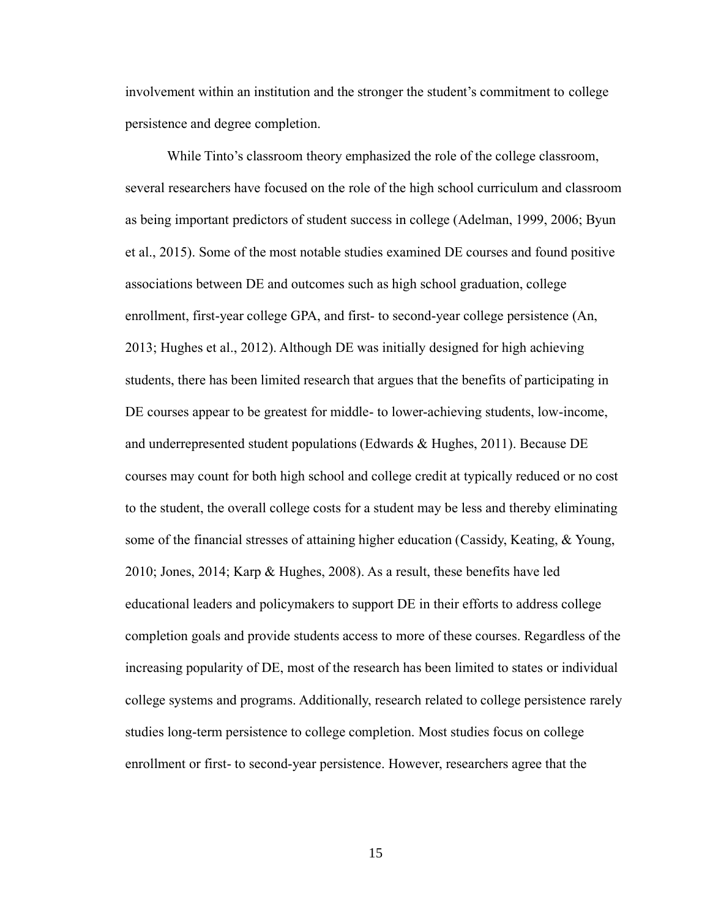involvement within an institution and the stronger the student's commitment to college persistence and degree completion.

While Tinto's classroom theory emphasized the role of the college classroom, several researchers have focused on the role of the high school curriculum and classroom as being important predictors of student success in college (Adelman, 1999, 2006; Byun et al., 2015). Some of the most notable studies examined DE courses and found positive associations between DE and outcomes such as high school graduation, college enrollment, first-year college GPA, and first- to second-year college persistence (An, 2013; Hughes et al., 2012). Although DE was initially designed for high achieving students, there has been limited research that argues that the benefits of participating in DE courses appear to be greatest for middle- to lower-achieving students, low-income, and underrepresented student populations (Edwards & Hughes, 2011). Because DE courses may count for both high school and college credit at typically reduced or no cost to the student, the overall college costs for a student may be less and thereby eliminating some of the financial stresses of attaining higher education (Cassidy, Keating, & Young, 2010; Jones, 2014; Karp & Hughes, 2008). As a result, these benefits have led educational leaders and policymakers to support DE in their efforts to address college completion goals and provide students access to more of these courses. Regardless of the increasing popularity of DE, most of the research has been limited to states or individual college systems and programs. Additionally, research related to college persistence rarely studies long-term persistence to college completion. Most studies focus on college enrollment or first- to second-year persistence. However, researchers agree that the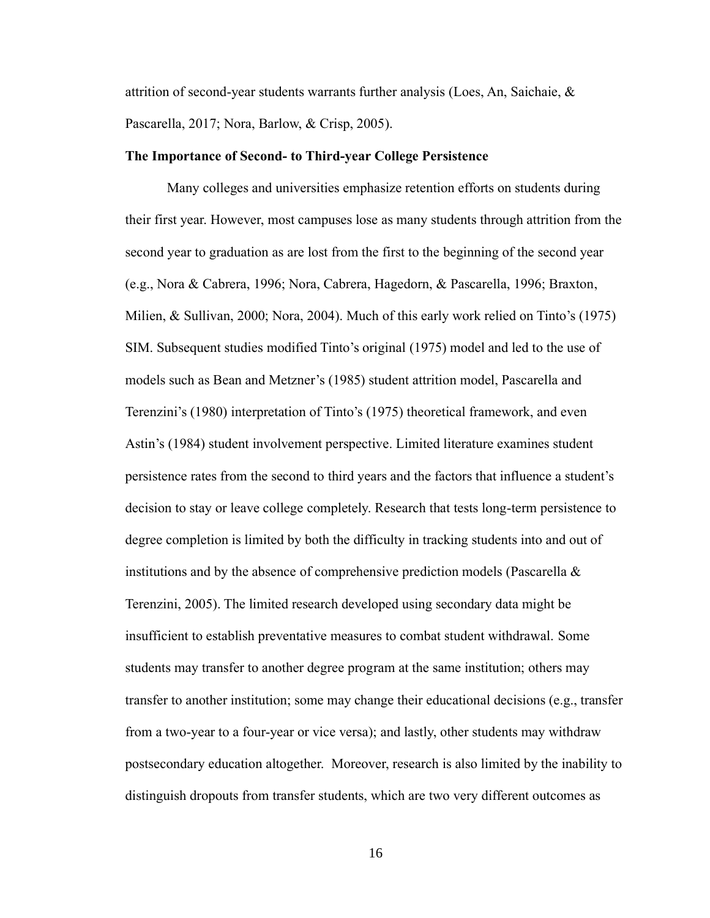attrition of second-year students warrants further analysis (Loes, An, Saichaie, & Pascarella, 2017; Nora, Barlow, & Crisp, 2005).

#### **The Importance of Second- to Third-year College Persistence**

Many colleges and universities emphasize retention efforts on students during their first year. However, most campuses lose as many students through attrition from the second year to graduation as are lost from the first to the beginning of the second year (e.g., Nora & Cabrera, 1996; Nora, Cabrera, Hagedorn, & Pascarella, 1996; Braxton, Milien, & Sullivan, 2000; Nora, 2004). Much of this early work relied on Tinto's (1975) SIM. Subsequent studies modified Tinto's original (1975) model and led to the use of models such as Bean and Metzner's (1985) student attrition model, Pascarella and Terenzini's (1980) interpretation of Tinto's (1975) theoretical framework, and even Astin's (1984) student involvement perspective. Limited literature examines student persistence rates from the second to third years and the factors that influence a student's decision to stay or leave college completely. Research that tests long-term persistence to degree completion is limited by both the difficulty in tracking students into and out of institutions and by the absence of comprehensive prediction models (Pascarella  $\&$ Terenzini, 2005). The limited research developed using secondary data might be insufficient to establish preventative measures to combat student withdrawal. Some students may transfer to another degree program at the same institution; others may transfer to another institution; some may change their educational decisions (e.g., transfer from a two-year to a four-year or vice versa); and lastly, other students may withdraw postsecondary education altogether. Moreover, research is also limited by the inability to distinguish dropouts from transfer students, which are two very different outcomes as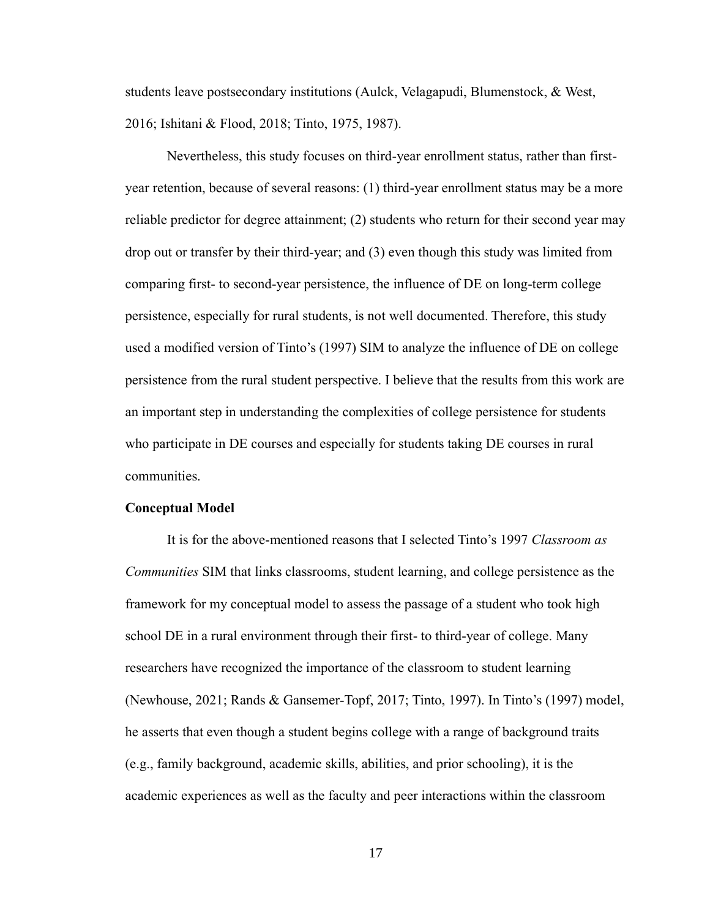students leave postsecondary institutions (Aulck, Velagapudi, Blumenstock, & West, 2016; Ishitani & Flood, 2018; Tinto, 1975, 1987).

Nevertheless, this study focuses on third-year enrollment status, rather than firstyear retention, because of several reasons: (1) third-year enrollment status may be a more reliable predictor for degree attainment; (2) students who return for their second year may drop out or transfer by their third-year; and (3) even though this study was limited from comparing first- to second-year persistence, the influence of DE on long-term college persistence, especially for rural students, is not well documented. Therefore, this study used a modified version of Tinto's (1997) SIM to analyze the influence of DE on college persistence from the rural student perspective. I believe that the results from this work are an important step in understanding the complexities of college persistence for students who participate in DE courses and especially for students taking DE courses in rural communities.

#### **Conceptual Model**

It is for the above-mentioned reasons that I selected Tinto's 1997 *Classroom as Communities* SIM that links classrooms, student learning, and college persistence as the framework for my conceptual model to assess the passage of a student who took high school DE in a rural environment through their first- to third-year of college. Many researchers have recognized the importance of the classroom to student learning (Newhouse, 2021; Rands & Gansemer-Topf, 2017; Tinto, 1997). In Tinto's (1997) model, he asserts that even though a student begins college with a range of background traits (e.g., family background, academic skills, abilities, and prior schooling), it is the academic experiences as well as the faculty and peer interactions within the classroom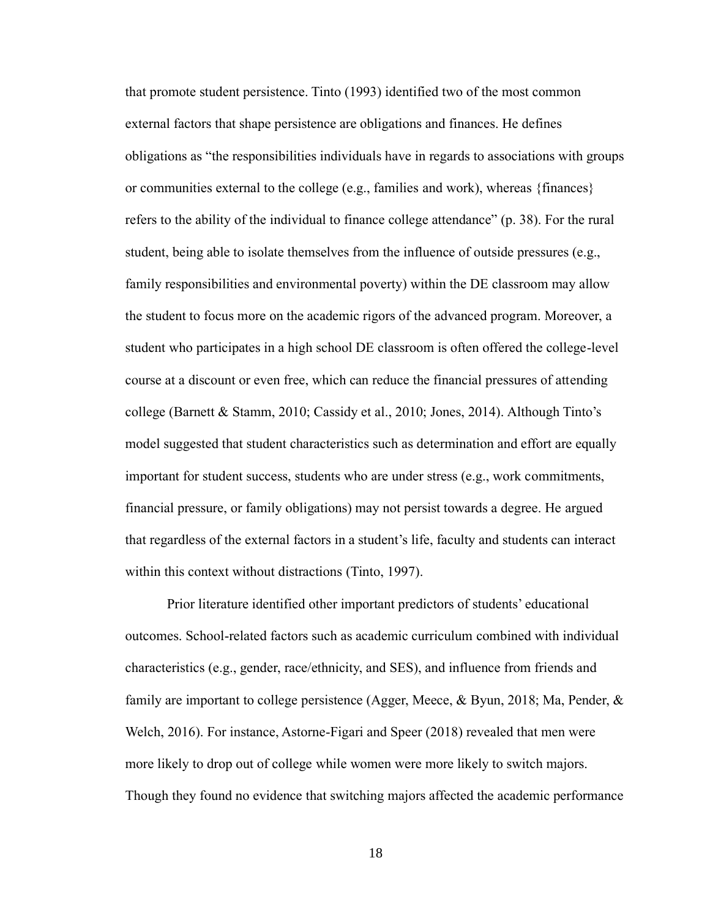that promote student persistence. Tinto (1993) identified two of the most common external factors that shape persistence are obligations and finances. He defines obligations as "the responsibilities individuals have in regards to associations with groups or communities external to the college (e.g., families and work), whereas {finances} refers to the ability of the individual to finance college attendance" (p. 38). For the rural student, being able to isolate themselves from the influence of outside pressures (e.g., family responsibilities and environmental poverty) within the DE classroom may allow the student to focus more on the academic rigors of the advanced program. Moreover, a student who participates in a high school DE classroom is often offered the college-level course at a discount or even free, which can reduce the financial pressures of attending college (Barnett & Stamm, 2010; Cassidy et al., 2010; Jones, 2014). Although Tinto's model suggested that student characteristics such as determination and effort are equally important for student success, students who are under stress (e.g., work commitments, financial pressure, or family obligations) may not persist towards a degree. He argued that regardless of the external factors in a student's life, faculty and students can interact within this context without distractions (Tinto, 1997).

Prior literature identified other important predictors of students' educational outcomes. School-related factors such as academic curriculum combined with individual characteristics (e.g., gender, race/ethnicity, and SES), and influence from friends and family are important to college persistence (Agger, Meece, & Byun, 2018; Ma, Pender, & Welch, 2016). For instance, Astorne-Figari and Speer (2018) revealed that men were more likely to drop out of college while women were more likely to switch majors. Though they found no evidence that switching majors affected the academic performance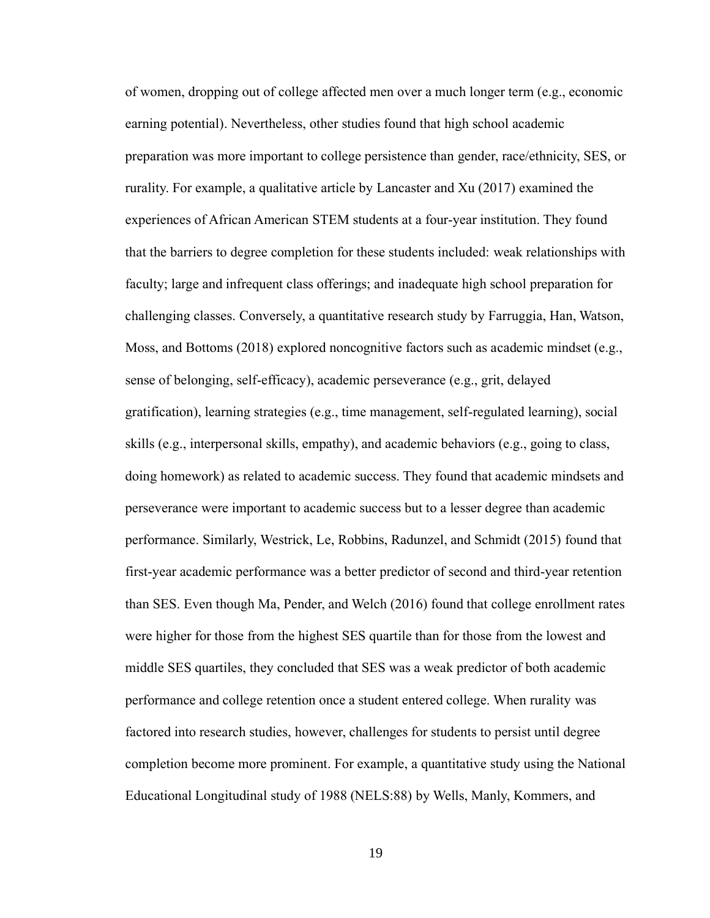of women, dropping out of college affected men over a much longer term (e.g., economic earning potential). Nevertheless, other studies found that high school academic preparation was more important to college persistence than gender, race/ethnicity, SES, or rurality. For example, a qualitative article by Lancaster and Xu (2017) examined the experiences of African American STEM students at a four-year institution. They found that the barriers to degree completion for these students included: weak relationships with faculty; large and infrequent class offerings; and inadequate high school preparation for challenging classes. Conversely, a quantitative research study by Farruggia, Han, Watson, Moss, and Bottoms (2018) explored noncognitive factors such as academic mindset (e.g., sense of belonging, self-efficacy), academic perseverance (e.g., grit, delayed gratification), learning strategies (e.g., time management, self-regulated learning), social skills (e.g., interpersonal skills, empathy), and academic behaviors (e.g., going to class, doing homework) as related to academic success. They found that academic mindsets and perseverance were important to academic success but to a lesser degree than academic performance. Similarly, Westrick, Le, Robbins, Radunzel, and Schmidt (2015) found that first-year academic performance was a better predictor of second and third-year retention than SES. Even though Ma, Pender, and Welch (2016) found that college enrollment rates were higher for those from the highest SES quartile than for those from the lowest and middle SES quartiles, they concluded that SES was a weak predictor of both academic performance and college retention once a student entered college. When rurality was factored into research studies, however, challenges for students to persist until degree completion become more prominent. For example, a quantitative study using the National Educational Longitudinal study of 1988 (NELS:88) by Wells, Manly, Kommers, and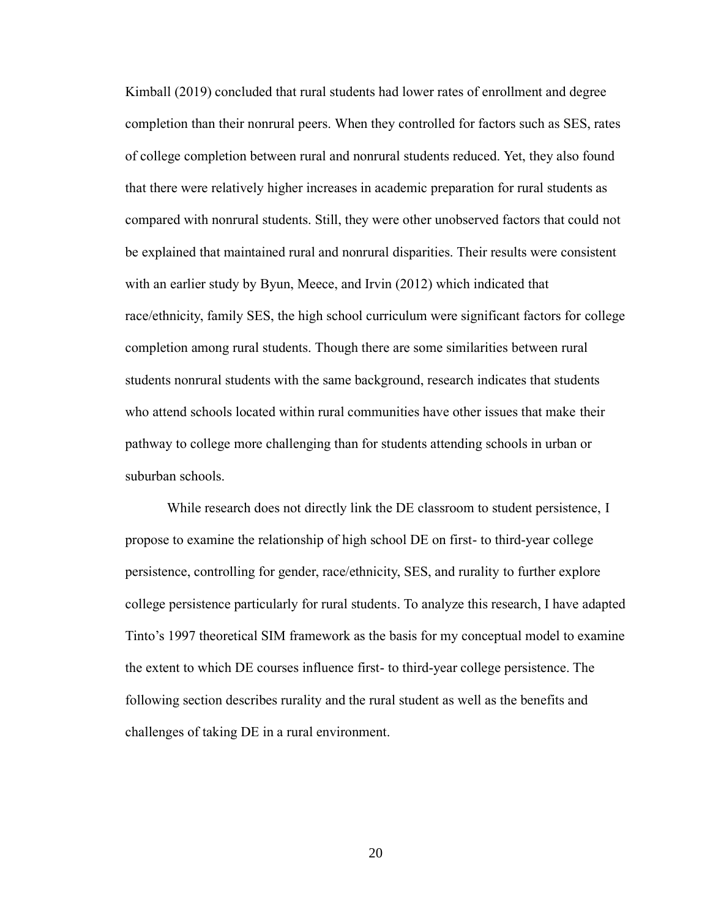Kimball (2019) concluded that rural students had lower rates of enrollment and degree completion than their nonrural peers. When they controlled for factors such as SES, rates of college completion between rural and nonrural students reduced. Yet, they also found that there were relatively higher increases in academic preparation for rural students as compared with nonrural students. Still, they were other unobserved factors that could not be explained that maintained rural and nonrural disparities. Their results were consistent with an earlier study by Byun, Meece, and Irvin (2012) which indicated that race/ethnicity, family SES, the high school curriculum were significant factors for college completion among rural students. Though there are some similarities between rural students nonrural students with the same background, research indicates that students who attend schools located within rural communities have other issues that make their pathway to college more challenging than for students attending schools in urban or suburban schools.

While research does not directly link the DE classroom to student persistence, I propose to examine the relationship of high school DE on first- to third-year college persistence, controlling for gender, race/ethnicity, SES, and rurality to further explore college persistence particularly for rural students. To analyze this research, I have adapted Tinto's 1997 theoretical SIM framework as the basis for my conceptual model to examine the extent to which DE courses influence first- to third-year college persistence. The following section describes rurality and the rural student as well as the benefits and challenges of taking DE in a rural environment.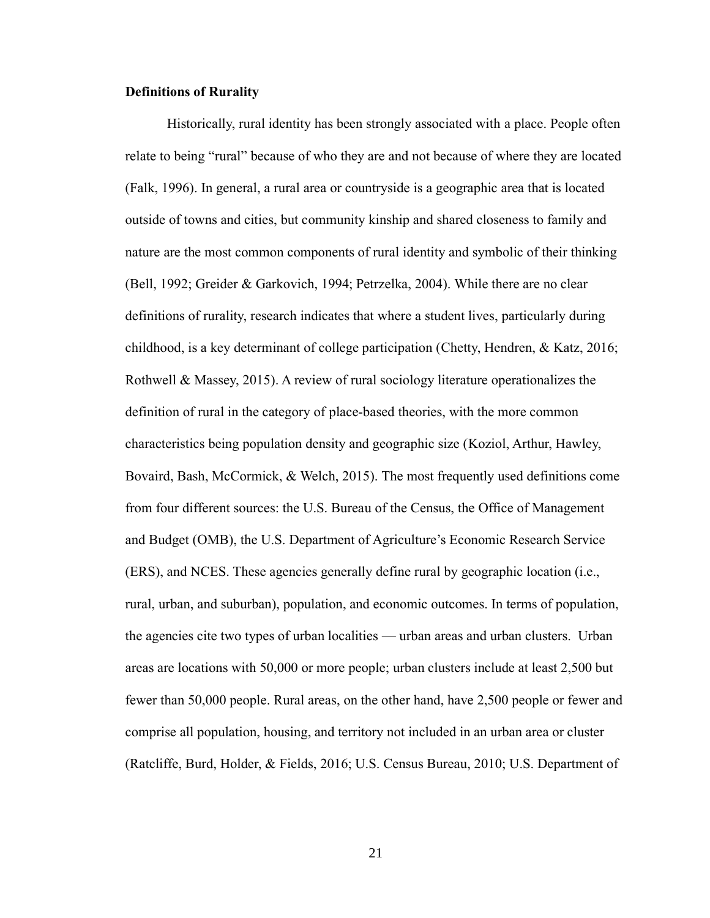# **Definitions of Rurality**

Historically, rural identity has been strongly associated with a place. People often relate to being "rural" because of who they are and not because of where they are located (Falk, 1996). In general, a rural area or countryside is a geographic area that is located outside of towns and cities, but community kinship and shared closeness to family and nature are the most common components of rural identity and symbolic of their thinking (Bell, 1992; Greider & Garkovich, 1994; Petrzelka, 2004). While there are no clear definitions of rurality, research indicates that where a student lives, particularly during childhood, is a key determinant of college participation (Chetty, Hendren, & Katz, 2016; Rothwell & Massey, 2015). A review of rural sociology literature operationalizes the definition of rural in the category of place-based theories, with the more common characteristics being population density and geographic size (Koziol, Arthur, Hawley, Bovaird, Bash, McCormick, & Welch, 2015). The most frequently used definitions come from four different sources: the U.S. Bureau of the Census, the Office of Management and Budget (OMB), the U.S. Department of Agriculture's Economic Research Service (ERS), and NCES. These agencies generally define rural by geographic location (i.e., rural, urban, and suburban), population, and economic outcomes. In terms of population, the agencies cite two types of urban localities — urban areas and urban clusters. Urban areas are locations with 50,000 or more people; urban clusters include at least 2,500 but fewer than 50,000 people. Rural areas, on the other hand, have 2,500 people or fewer and comprise all population, housing, and territory not included in an urban area or cluster (Ratcliffe, Burd, Holder, & Fields, 2016; U.S. Census Bureau, 2010; U.S. Department of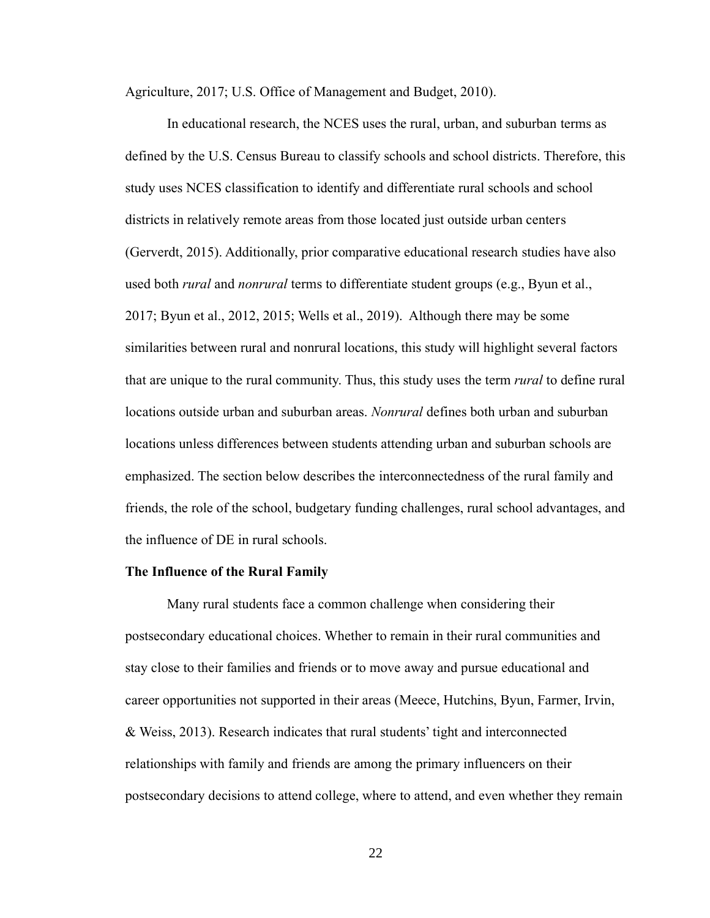Agriculture, 2017; U.S. Office of Management and Budget, 2010).

In educational research, the NCES uses the rural, urban, and suburban terms as defined by the U.S. Census Bureau to classify schools and school districts. Therefore, this study uses NCES classification to identify and differentiate rural schools and school districts in relatively remote areas from those located just outside urban centers (Gerverdt, 2015). Additionally, prior comparative educational research studies have also used both *rural* and *nonrural* terms to differentiate student groups (e.g., Byun et al., 2017; Byun et al., 2012, 2015; Wells et al., 2019). Although there may be some similarities between rural and nonrural locations, this study will highlight several factors that are unique to the rural community. Thus, this study uses the term *rural* to define rural locations outside urban and suburban areas. *Nonrural* defines both urban and suburban locations unless differences between students attending urban and suburban schools are emphasized. The section below describes the interconnectedness of the rural family and friends, the role of the school, budgetary funding challenges, rural school advantages, and the influence of DE in rural schools.

#### **The Influence of the Rural Family**

Many rural students face a common challenge when considering their postsecondary educational choices. Whether to remain in their rural communities and stay close to their families and friends or to move away and pursue educational and career opportunities not supported in their areas (Meece, Hutchins, Byun, Farmer, Irvin, & Weiss, 2013). Research indicates that rural students' tight and interconnected relationships with family and friends are among the primary influencers on their postsecondary decisions to attend college, where to attend, and even whether they remain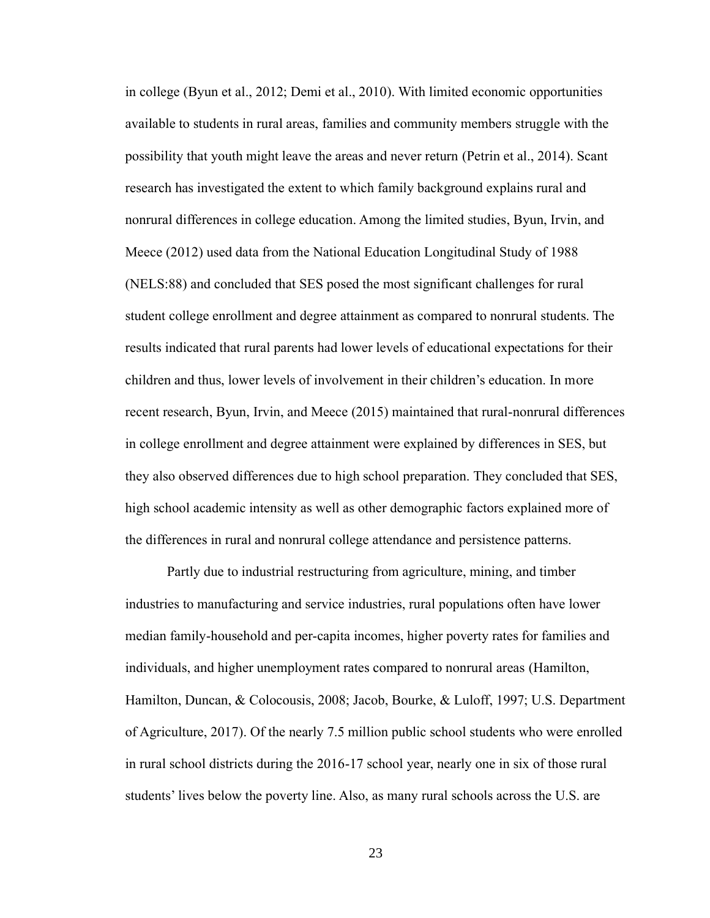in college (Byun et al., 2012; Demi et al., 2010). With limited economic opportunities available to students in rural areas, families and community members struggle with the possibility that youth might leave the areas and never return (Petrin et al., 2014). Scant research has investigated the extent to which family background explains rural and nonrural differences in college education. Among the limited studies, Byun, Irvin, and Meece (2012) used data from the National Education Longitudinal Study of 1988 (NELS:88) and concluded that SES posed the most significant challenges for rural student college enrollment and degree attainment as compared to nonrural students. The results indicated that rural parents had lower levels of educational expectations for their children and thus, lower levels of involvement in their children's education. In more recent research, Byun, Irvin, and Meece (2015) maintained that rural-nonrural differences in college enrollment and degree attainment were explained by differences in SES, but they also observed differences due to high school preparation. They concluded that SES, high school academic intensity as well as other demographic factors explained more of the differences in rural and nonrural college attendance and persistence patterns.

Partly due to industrial restructuring from agriculture, mining, and timber industries to manufacturing and service industries, rural populations often have lower median family-household and per-capita incomes, higher poverty rates for families and individuals, and higher unemployment rates compared to nonrural areas (Hamilton, Hamilton, Duncan, & Colocousis, 2008; Jacob, Bourke, & Luloff, 1997; U.S. Department of Agriculture, 2017). Of the nearly 7.5 million public school students who were enrolled in rural school districts during the 2016-17 school year, nearly one in six of those rural students' lives below the poverty line. Also, as many rural schools across the U.S. are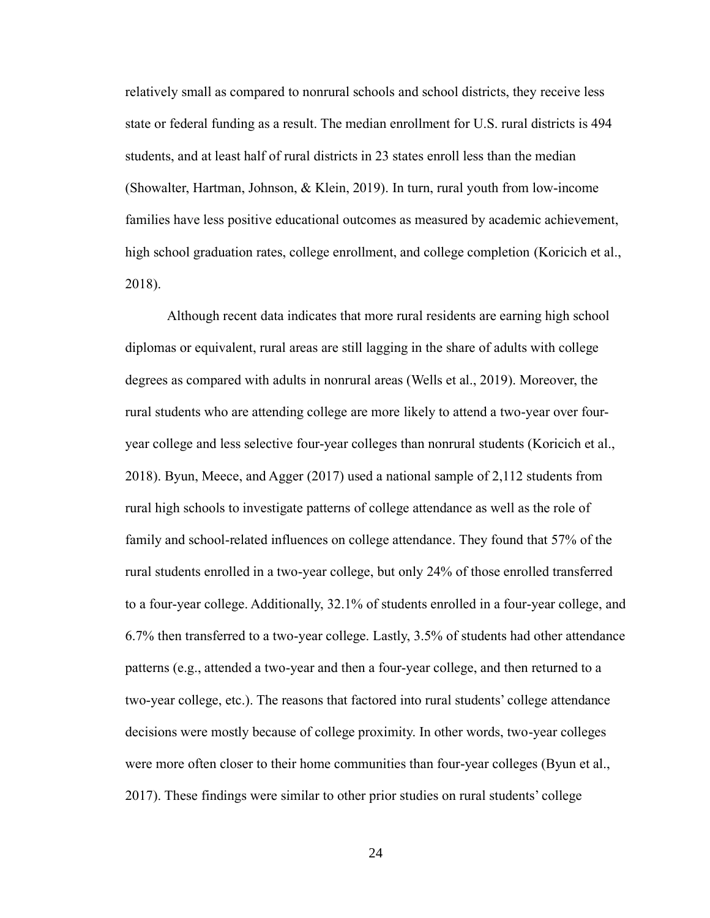relatively small as compared to nonrural schools and school districts, they receive less state or federal funding as a result. The median enrollment for U.S. rural districts is 494 students, and at least half of rural districts in 23 states enroll less than the median (Showalter, Hartman, Johnson, & Klein, 2019). In turn, rural youth from low-income families have less positive educational outcomes as measured by academic achievement, high school graduation rates, college enrollment, and college completion (Koricich et al., 2018).

Although recent data indicates that more rural residents are earning high school diplomas or equivalent, rural areas are still lagging in the share of adults with college degrees as compared with adults in nonrural areas (Wells et al., 2019). Moreover, the rural students who are attending college are more likely to attend a two-year over fouryear college and less selective four-year colleges than nonrural students (Koricich et al., 2018). Byun, Meece, and Agger (2017) used a national sample of 2,112 students from rural high schools to investigate patterns of college attendance as well as the role of family and school-related influences on college attendance. They found that 57% of the rural students enrolled in a two-year college, but only 24% of those enrolled transferred to a four-year college. Additionally, 32.1% of students enrolled in a four-year college, and 6.7% then transferred to a two-year college. Lastly, 3.5% of students had other attendance patterns (e.g., attended a two-year and then a four-year college, and then returned to a two-year college, etc.). The reasons that factored into rural students' college attendance decisions were mostly because of college proximity. In other words, two-year colleges were more often closer to their home communities than four-year colleges (Byun et al., 2017). These findings were similar to other prior studies on rural students' college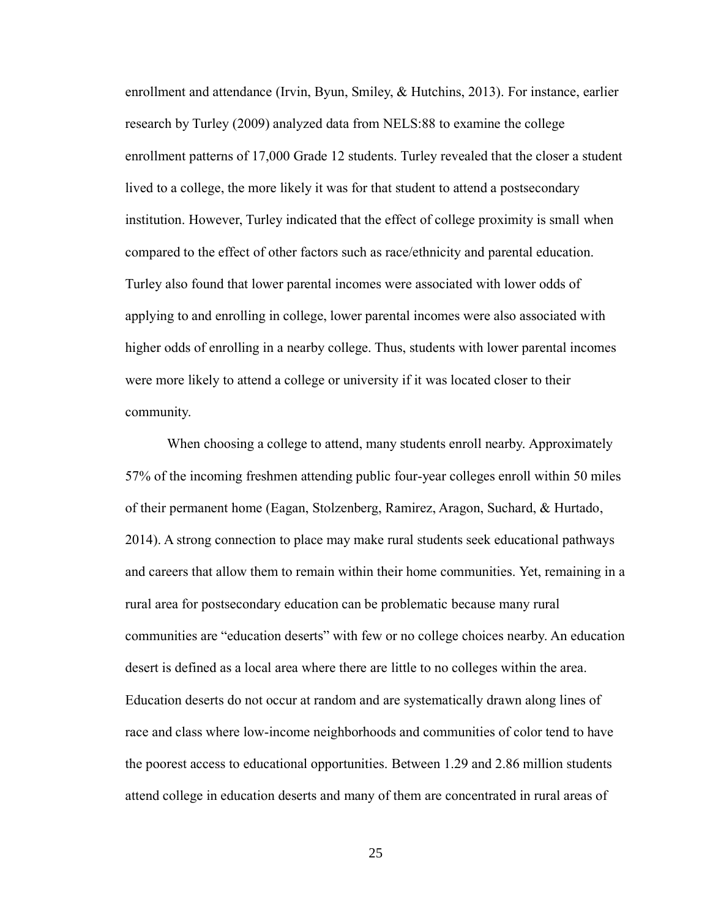enrollment and attendance (Irvin, Byun, Smiley, & Hutchins, 2013). For instance, earlier research by Turley (2009) analyzed data from NELS:88 to examine the college enrollment patterns of 17,000 Grade 12 students. Turley revealed that the closer a student lived to a college, the more likely it was for that student to attend a postsecondary institution. However, Turley indicated that the effect of college proximity is small when compared to the effect of other factors such as race/ethnicity and parental education. Turley also found that lower parental incomes were associated with lower odds of applying to and enrolling in college, lower parental incomes were also associated with higher odds of enrolling in a nearby college. Thus, students with lower parental incomes were more likely to attend a college or university if it was located closer to their community.

When choosing a college to attend, many students enroll nearby. Approximately 57% of the incoming freshmen attending public four-year colleges enroll within 50 miles of their permanent home (Eagan, Stolzenberg, Ramirez, Aragon, Suchard, & Hurtado, 2014). A strong connection to place may make rural students seek educational pathways and careers that allow them to remain within their home communities. Yet, remaining in a rural area for postsecondary education can be problematic because many rural communities are "education deserts" with few or no college choices nearby. An education desert is defined as a local area where there are little to no colleges within the area. Education deserts do not occur at random and are systematically drawn along lines of race and class where low-income neighborhoods and communities of color tend to have the poorest access to educational opportunities. Between 1.29 and 2.86 million students attend college in education deserts and many of them are concentrated in rural areas of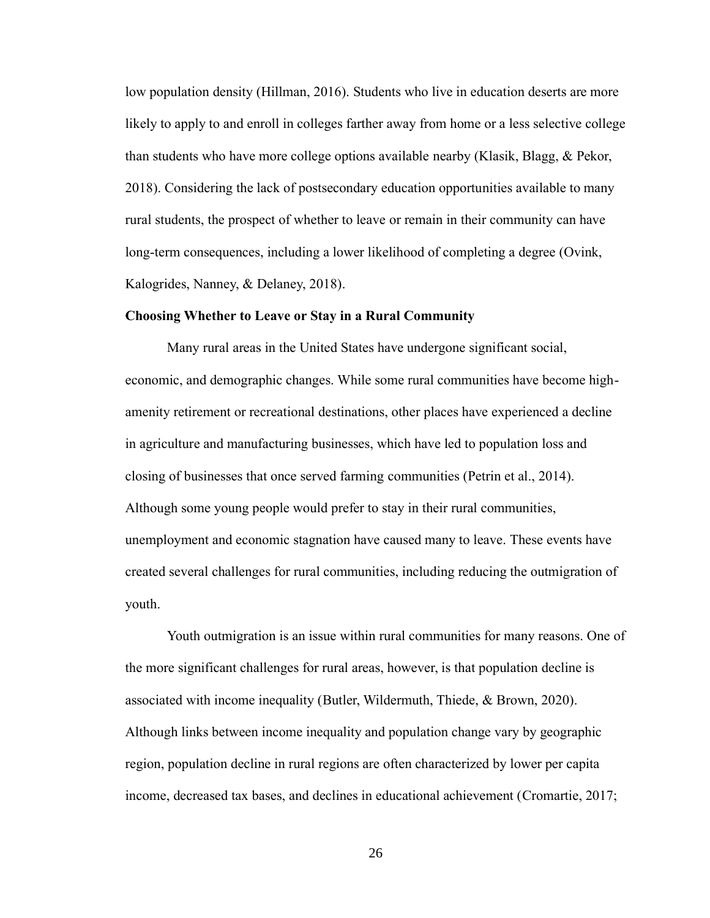low population density (Hillman, 2016). Students who live in education deserts are more likely to apply to and enroll in colleges farther away from home or a less selective college than students who have more college options available nearby (Klasik, Blagg, & Pekor, 2018). Considering the lack of postsecondary education opportunities available to many rural students, the prospect of whether to leave or remain in their community can have long-term consequences, including a lower likelihood of completing a degree (Ovink, Kalogrides, Nanney, & Delaney, 2018).

## **Choosing Whether to Leave or Stay in a Rural Community**

Many rural areas in the United States have undergone significant social, economic, and demographic changes. While some rural communities have become highamenity retirement or recreational destinations, other places have experienced a decline in agriculture and manufacturing businesses, which have led to population loss and closing of businesses that once served farming communities (Petrin et al., 2014). Although some young people would prefer to stay in their rural communities, unemployment and economic stagnation have caused many to leave. These events have created several challenges for rural communities, including reducing the outmigration of youth.

Youth outmigration is an issue within rural communities for many reasons. One of the more significant challenges for rural areas, however, is that population decline is associated with income inequality (Butler, Wildermuth, Thiede, & Brown, 2020). Although links between income inequality and population change vary by geographic region, population decline in rural regions are often characterized by lower per capita income, decreased tax bases, and declines in educational achievement (Cromartie, 2017;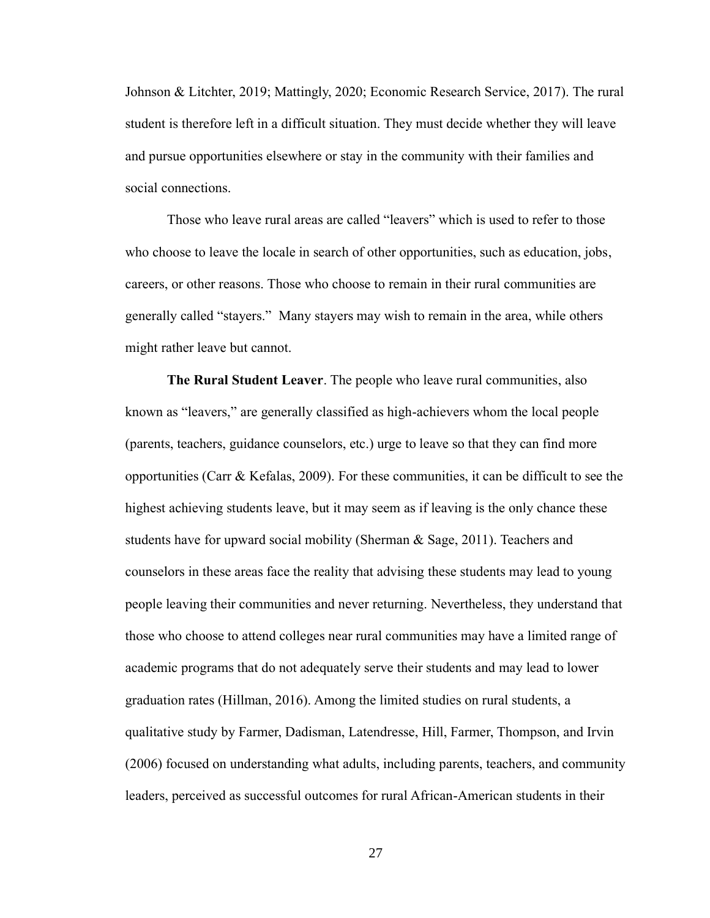Johnson & Litchter, 2019; Mattingly, 2020; Economic Research Service, 2017). The rural student is therefore left in a difficult situation. They must decide whether they will leave and pursue opportunities elsewhere or stay in the community with their families and social connections.

Those who leave rural areas are called "leavers" which is used to refer to those who choose to leave the locale in search of other opportunities, such as education, jobs, careers, or other reasons. Those who choose to remain in their rural communities are generally called "stayers." Many stayers may wish to remain in the area, while others might rather leave but cannot.

**The Rural Student Leaver**. The people who leave rural communities, also known as "leavers," are generally classified as high-achievers whom the local people (parents, teachers, guidance counselors, etc.) urge to leave so that they can find more opportunities (Carr & Kefalas, 2009). For these communities, it can be difficult to see the highest achieving students leave, but it may seem as if leaving is the only chance these students have for upward social mobility (Sherman & Sage, 2011). Teachers and counselors in these areas face the reality that advising these students may lead to young people leaving their communities and never returning. Nevertheless, they understand that those who choose to attend colleges near rural communities may have a limited range of academic programs that do not adequately serve their students and may lead to lower graduation rates (Hillman, 2016). Among the limited studies on rural students, a qualitative study by Farmer, Dadisman, Latendresse, Hill, Farmer, Thompson, and Irvin (2006) focused on understanding what adults, including parents, teachers, and community leaders, perceived as successful outcomes for rural African-American students in their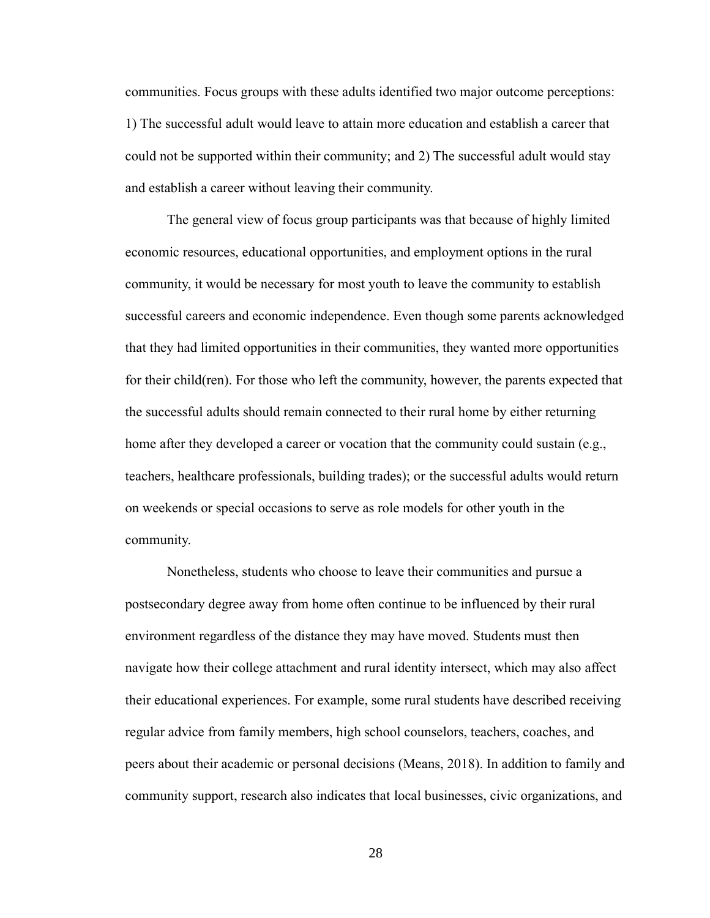communities. Focus groups with these adults identified two major outcome perceptions: 1) The successful adult would leave to attain more education and establish a career that could not be supported within their community; and 2) The successful adult would stay and establish a career without leaving their community.

The general view of focus group participants was that because of highly limited economic resources, educational opportunities, and employment options in the rural community, it would be necessary for most youth to leave the community to establish successful careers and economic independence. Even though some parents acknowledged that they had limited opportunities in their communities, they wanted more opportunities for their child(ren). For those who left the community, however, the parents expected that the successful adults should remain connected to their rural home by either returning home after they developed a career or vocation that the community could sustain (e.g., teachers, healthcare professionals, building trades); or the successful adults would return on weekends or special occasions to serve as role models for other youth in the community.

Nonetheless, students who choose to leave their communities and pursue a postsecondary degree away from home often continue to be influenced by their rural environment regardless of the distance they may have moved. Students must then navigate how their college attachment and rural identity intersect, which may also affect their educational experiences. For example, some rural students have described receiving regular advice from family members, high school counselors, teachers, coaches, and peers about their academic or personal decisions (Means, 2018). In addition to family and community support, research also indicates that local businesses, civic organizations, and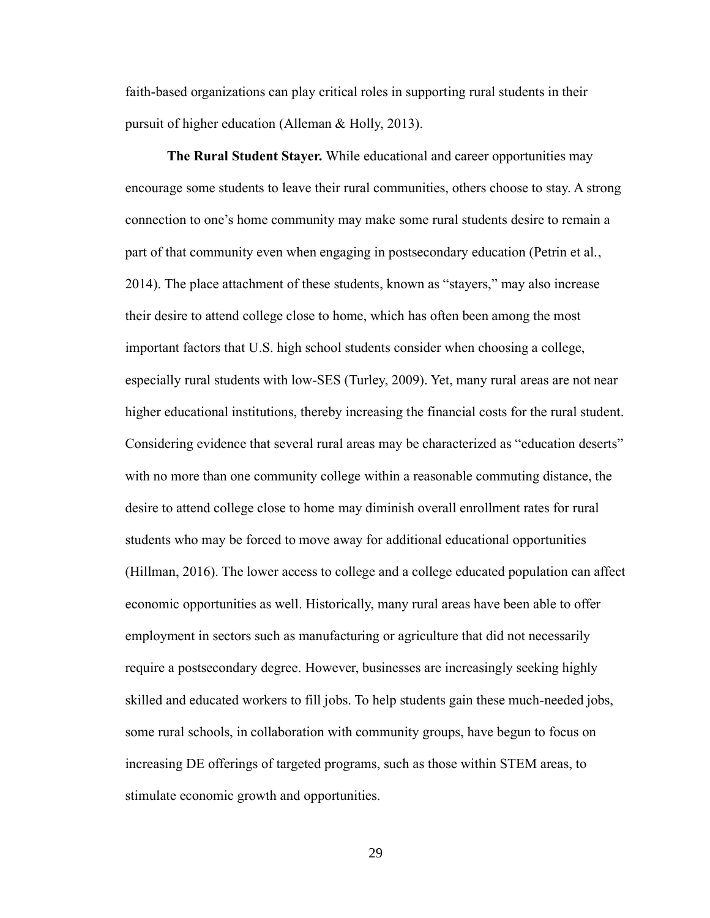faith-based organizations can play critical roles in supporting rural students in their pursuit of higher education (Alleman & Holly, 2013).

**The Rural Student Stayer.** While educational and career opportunities may encourage some students to leave their rural communities, others choose to stay. A strong connection to one's home community may make some rural students desire to remain a part of that community even when engaging in postsecondary education (Petrin et al., 2014). The place attachment of these students, known as "stayers," may also increase their desire to attend college close to home, which has often been among the most important factors that U.S. high school students consider when choosing a college, especially rural students with low-SES (Turley, 2009). Yet, many rural areas are not near higher educational institutions, thereby increasing the financial costs for the rural student. Considering evidence that several rural areas may be characterized as "education deserts" with no more than one community college within a reasonable commuting distance, the desire to attend college close to home may diminish overall enrollment rates for rural students who may be forced to move away for additional educational opportunities (Hillman, 2016). The lower access to college and a college educated population can affect economic opportunities as well. Historically, many rural areas have been able to offer employment in sectors such as manufacturing or agriculture that did not necessarily require a postsecondary degree. However, businesses are increasingly seeking highly skilled and educated workers to fill jobs. To help students gain these much-needed jobs, some rural schools, in collaboration with community groups, have begun to focus on increasing DE offerings of targeted programs, such as those within STEM areas, to stimulate economic growth and opportunities.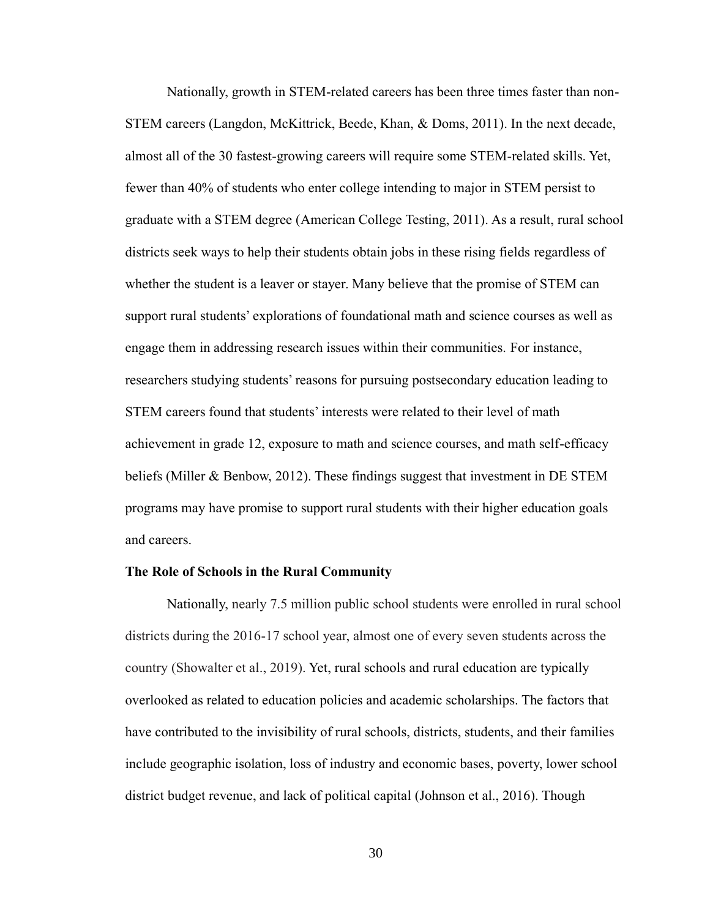Nationally, growth in STEM-related careers has been three times faster than non-STEM careers (Langdon, McKittrick, Beede, Khan, & Doms, 2011). In the next decade, almost all of the 30 fastest-growing careers will require some STEM-related skills. Yet, fewer than 40% of students who enter college intending to major in STEM persist to graduate with a STEM degree (American College Testing, 2011). As a result, rural school districts seek ways to help their students obtain jobs in these rising fields regardless of whether the student is a leaver or stayer. Many believe that the promise of STEM can support rural students' explorations of foundational math and science courses as well as engage them in addressing research issues within their communities. For instance, researchers studying students' reasons for pursuing postsecondary education leading to STEM careers found that students' interests were related to their level of math achievement in grade 12, exposure to math and science courses, and math self-efficacy beliefs (Miller & Benbow, 2012). These findings suggest that investment in DE STEM programs may have promise to support rural students with their higher education goals and careers.

#### **The Role of Schools in the Rural Community**

Nationally, nearly 7.5 million public school students were enrolled in rural school districts during the 2016-17 school year, almost one of every seven students across the country (Showalter et al., 2019). Yet, rural schools and rural education are typically overlooked as related to education policies and academic scholarships. The factors that have contributed to the invisibility of rural schools, districts, students, and their families include geographic isolation, loss of industry and economic bases, poverty, lower school district budget revenue, and lack of political capital (Johnson et al., 2016). Though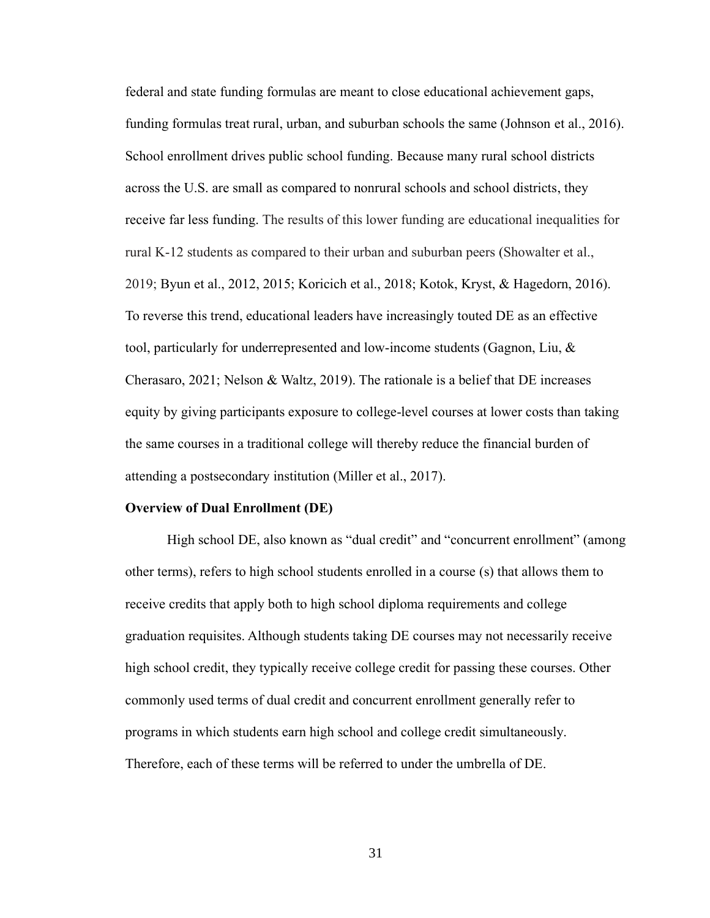federal and state funding formulas are meant to close educational achievement gaps, funding formulas treat rural, urban, and suburban schools the same (Johnson et al., 2016). School enrollment drives public school funding. Because many rural school districts across the U.S. are small as compared to nonrural schools and school districts, they receive far less funding. The results of this lower funding are educational inequalities for rural K-12 students as compared to their urban and suburban peers (Showalter et al., 2019; Byun et al., 2012, 2015; Koricich et al., 2018; Kotok, Kryst, & Hagedorn, 2016). To reverse this trend, educational leaders have increasingly touted DE as an effective tool, particularly for underrepresented and low-income students (Gagnon, Liu, & Cherasaro, 2021; Nelson & Waltz, 2019). The rationale is a belief that DE increases equity by giving participants exposure to college-level courses at lower costs than taking the same courses in a traditional college will thereby reduce the financial burden of attending a postsecondary institution (Miller et al., 2017).

#### **Overview of Dual Enrollment (DE)**

High school DE, also known as "dual credit" and "concurrent enrollment" (among other terms), refers to high school students enrolled in a course (s) that allows them to receive credits that apply both to high school diploma requirements and college graduation requisites. Although students taking DE courses may not necessarily receive high school credit, they typically receive college credit for passing these courses. Other commonly used terms of dual credit and concurrent enrollment generally refer to programs in which students earn high school and college credit simultaneously. Therefore, each of these terms will be referred to under the umbrella of DE.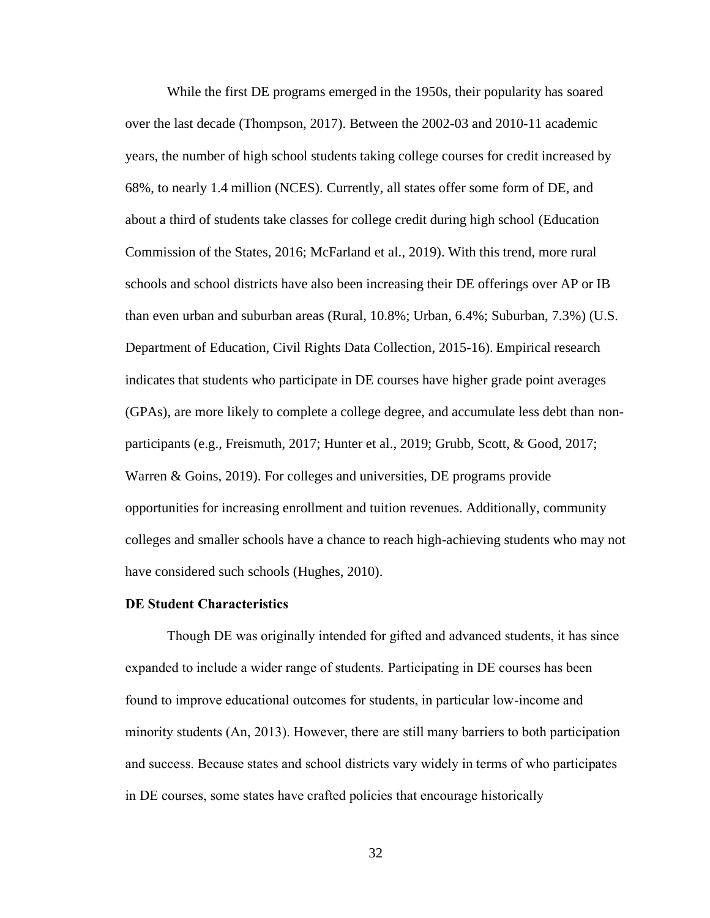While the first DE programs emerged in the 1950s, their popularity has soared over the last decade (Thompson, 2017). Between the 2002-03 and 2010-11 academic years, the number of high school students taking college courses for credit increased by 68%, to nearly 1.4 million (NCES). Currently, all states offer some form of DE, and about a third of students take classes for college credit during high school (Education Commission of the States, 2016; McFarland et al., 2019). With this trend, more rural schools and school districts have also been increasing their DE offerings over AP or IB than even urban and suburban areas (Rural, 10.8%; Urban, 6.4%; Suburban, 7.3%) (U.S. Department of Education, Civil Rights Data Collection, 2015-16). Empirical research indicates that students who participate in DE courses have higher grade point averages (GPAs), are more likely to complete a college degree, and accumulate less debt than nonparticipants (e.g., Freismuth, 2017; Hunter et al., 2019; Grubb, Scott, & Good, 2017; Warren & Goins, 2019). For colleges and universities, DE programs provide opportunities for increasing enrollment and tuition revenues. Additionally, community colleges and smaller schools have a chance to reach high-achieving students who may not have considered such schools (Hughes, 2010).

#### **DE Student Characteristics**

Though DE was originally intended for gifted and advanced students, it has since expanded to include a wider range of students. Participating in DE courses has been found to improve educational outcomes for students, in particular low-income and minority students (An, 2013). However, there are still many barriers to both participation and success. Because states and school districts vary widely in terms of who participates in DE courses, some states have crafted policies that encourage historically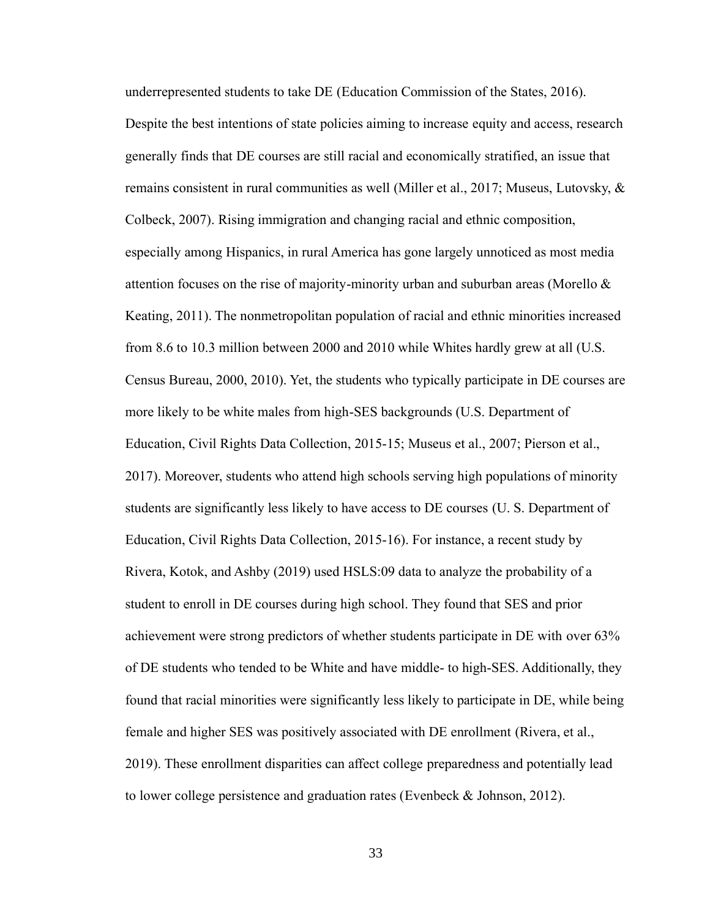underrepresented students to take DE (Education Commission of the States, 2016). Despite the best intentions of state policies aiming to increase equity and access, research generally finds that DE courses are still racial and economically stratified, an issue that remains consistent in rural communities as well (Miller et al., 2017; Museus, Lutovsky,  $\&$ Colbeck, 2007). Rising immigration and changing racial and ethnic composition, especially among Hispanics, in rural America has gone largely unnoticed as most media attention focuses on the rise of majority-minority urban and suburban areas (Morello  $\&$ Keating, 2011). The nonmetropolitan population of racial and ethnic minorities increased from 8.6 to 10.3 million between 2000 and 2010 while Whites hardly grew at all (U.S. Census Bureau, 2000, 2010). Yet, the students who typically participate in DE courses are more likely to be white males from high-SES backgrounds (U.S. Department of Education, Civil Rights Data Collection, 2015-15; Museus et al., 2007; Pierson et al., 2017). Moreover, students who attend high schools serving high populations of minority students are significantly less likely to have access to DE courses (U. S. Department of Education, Civil Rights Data Collection, 2015-16). For instance, a recent study by Rivera, Kotok, and Ashby (2019) used HSLS:09 data to analyze the probability of a student to enroll in DE courses during high school. They found that SES and prior achievement were strong predictors of whether students participate in DE with over 63% of DE students who tended to be White and have middle- to high-SES. Additionally, they found that racial minorities were significantly less likely to participate in DE, while being female and higher SES was positively associated with DE enrollment (Rivera, et al., 2019). These enrollment disparities can affect college preparedness and potentially lead to lower college persistence and graduation rates (Evenbeck & Johnson, 2012).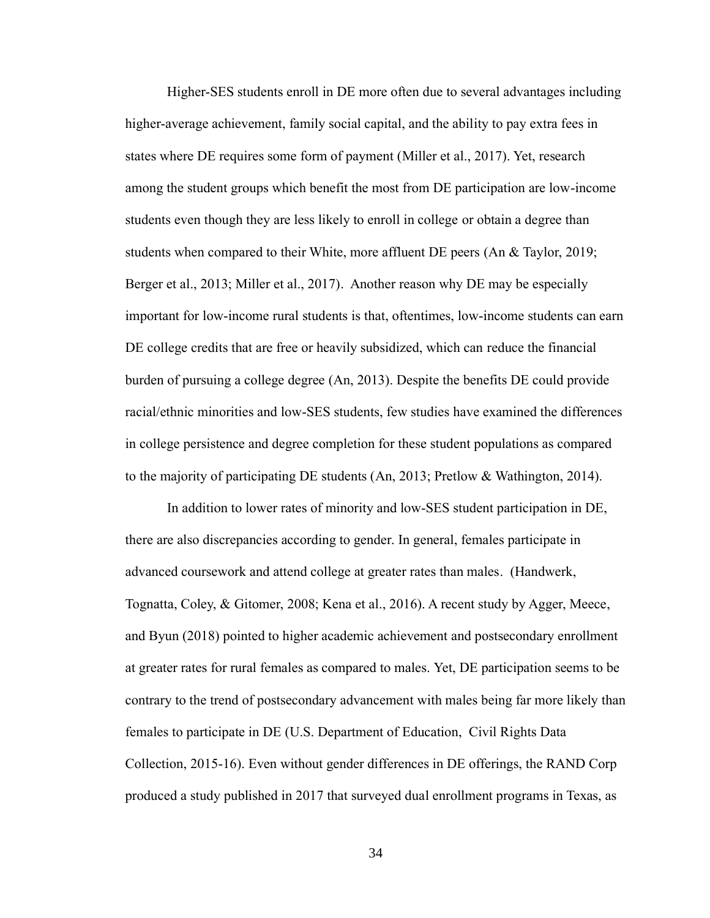Higher-SES students enroll in DE more often due to several advantages including higher-average achievement, family social capital, and the ability to pay extra fees in states where DE requires some form of payment (Miller et al., 2017). Yet, research among the student groups which benefit the most from DE participation are low-income students even though they are less likely to enroll in college or obtain a degree than students when compared to their White, more affluent DE peers (An & Taylor, 2019; Berger et al., 2013; Miller et al., 2017). Another reason why DE may be especially important for low-income rural students is that, oftentimes, low-income students can earn DE college credits that are free or heavily subsidized, which can reduce the financial burden of pursuing a college degree (An, 2013). Despite the benefits DE could provide racial/ethnic minorities and low-SES students, few studies have examined the differences in college persistence and degree completion for these student populations as compared to the majority of participating DE students (An, 2013; Pretlow & Wathington, 2014).

In addition to lower rates of minority and low-SES student participation in DE, there are also discrepancies according to gender. In general, females participate in advanced coursework and attend college at greater rates than males. (Handwerk, Tognatta, Coley, & Gitomer, 2008; Kena et al., 2016). A recent study by Agger, Meece, and Byun (2018) pointed to higher academic achievement and postsecondary enrollment at greater rates for rural females as compared to males. Yet, DE participation seems to be contrary to the trend of postsecondary advancement with males being far more likely than females to participate in DE (U.S. Department of Education, Civil Rights Data Collection, 2015-16). Even without gender differences in DE offerings, the RAND Corp produced a study published in 2017 that surveyed dual enrollment programs in Texas, as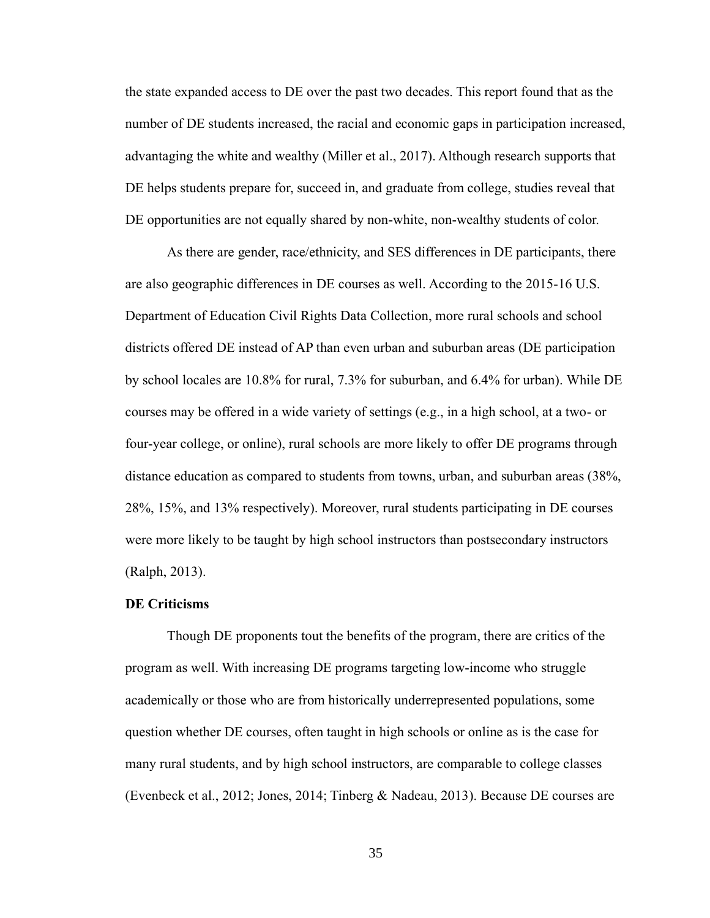the state expanded access to DE over the past two decades. This report found that as the number of DE students increased, the racial and economic gaps in participation increased, advantaging the white and wealthy (Miller et al., 2017). Although research supports that DE helps students prepare for, succeed in, and graduate from college, studies reveal that DE opportunities are not equally shared by non-white, non-wealthy students of color.

As there are gender, race/ethnicity, and SES differences in DE participants, there are also geographic differences in DE courses as well. According to the 2015-16 U.S. Department of Education Civil Rights Data Collection, more rural schools and school districts offered DE instead of AP than even urban and suburban areas (DE participation by school locales are 10.8% for rural, 7.3% for suburban, and 6.4% for urban). While DE courses may be offered in a wide variety of settings (e.g., in a high school, at a two- or four-year college, or online), rural schools are more likely to offer DE programs through distance education as compared to students from towns, urban, and suburban areas (38%, 28%, 15%, and 13% respectively). Moreover, rural students participating in DE courses were more likely to be taught by high school instructors than postsecondary instructors (Ralph, 2013).

## **DE Criticisms**

Though DE proponents tout the benefits of the program, there are critics of the program as well. With increasing DE programs targeting low-income who struggle academically or those who are from historically underrepresented populations, some question whether DE courses, often taught in high schools or online as is the case for many rural students, and by high school instructors, are comparable to college classes (Evenbeck et al., 2012; Jones, 2014; Tinberg & Nadeau, 2013). Because DE courses are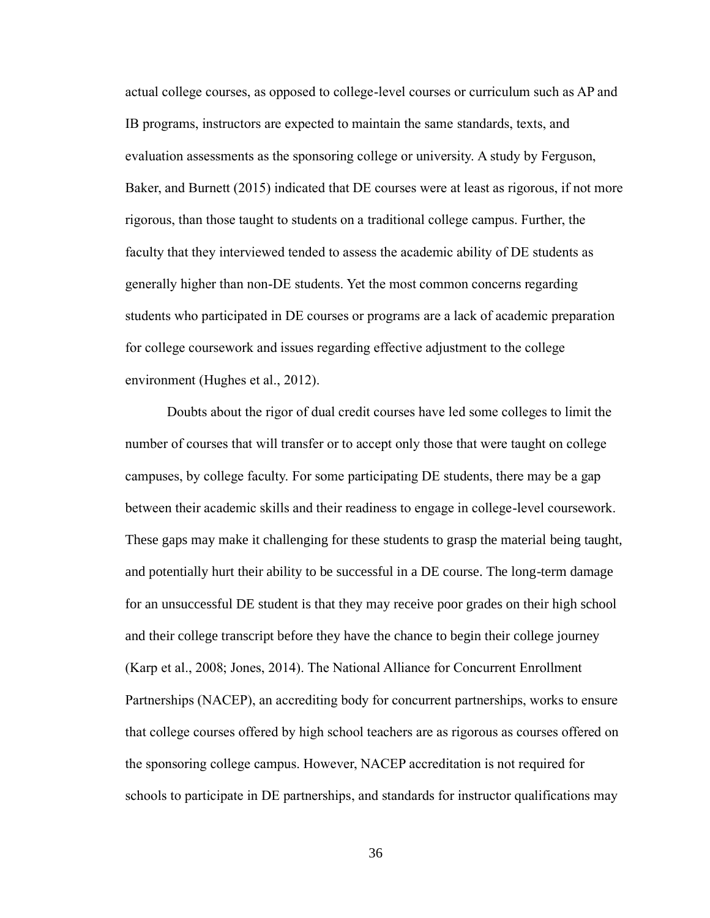actual college courses, as opposed to college-level courses or curriculum such as AP and IB programs, instructors are expected to maintain the same standards, texts, and evaluation assessments as the sponsoring college or university. A study by Ferguson, Baker, and Burnett (2015) indicated that DE courses were at least as rigorous, if not more rigorous, than those taught to students on a traditional college campus. Further, the faculty that they interviewed tended to assess the academic ability of DE students as generally higher than non-DE students. Yet the most common concerns regarding students who participated in DE courses or programs are a lack of academic preparation for college coursework and issues regarding effective adjustment to the college environment (Hughes et al., 2012).

Doubts about the rigor of dual credit courses have led some colleges to limit the number of courses that will transfer or to accept only those that were taught on college campuses, by college faculty. For some participating DE students, there may be a gap between their academic skills and their readiness to engage in college-level coursework. These gaps may make it challenging for these students to grasp the material being taught, and potentially hurt their ability to be successful in a DE course. The long-term damage for an unsuccessful DE student is that they may receive poor grades on their high school and their college transcript before they have the chance to begin their college journey (Karp et al., 2008; Jones, 2014). The National Alliance for Concurrent Enrollment Partnerships (NACEP), an accrediting body for concurrent partnerships, works to ensure that college courses offered by high school teachers are as rigorous as courses offered on the sponsoring college campus. However, NACEP accreditation is not required for schools to participate in DE partnerships, and standards for instructor qualifications may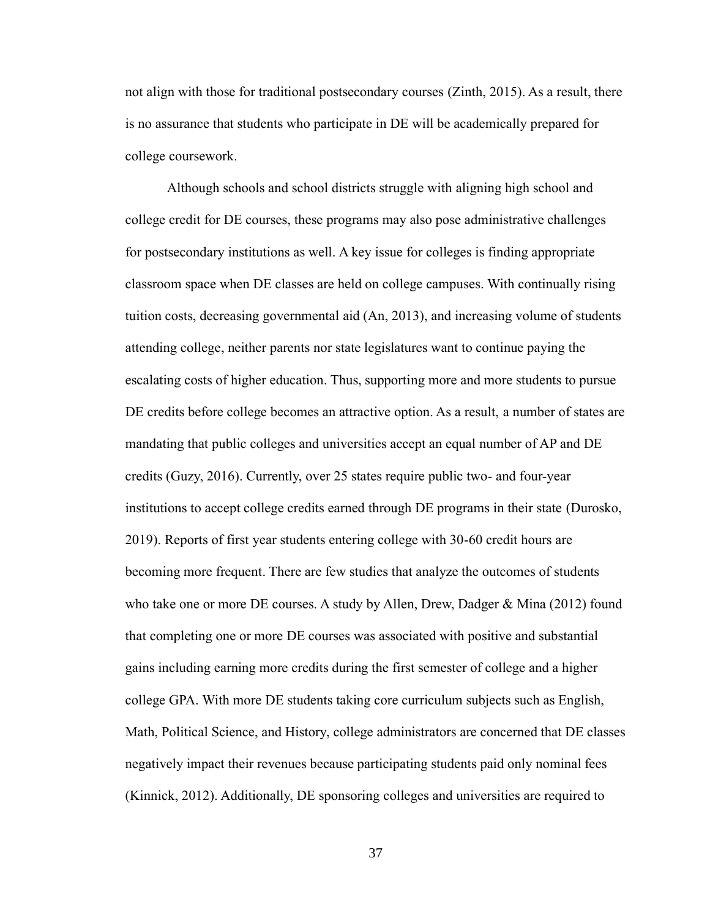not align with those for traditional postsecondary courses (Zinth, 2015). As a result, there is no assurance that students who participate in DE will be academically prepared for college coursework.

Although schools and school districts struggle with aligning high school and college credit for DE courses, these programs may also pose administrative challenges for postsecondary institutions as well. A key issue for colleges is finding appropriate classroom space when DE classes are held on college campuses. With continually rising tuition costs, decreasing governmental aid (An, 2013), and increasing volume of students attending college, neither parents nor state legislatures want to continue paying the escalating costs of higher education. Thus, supporting more and more students to pursue DE credits before college becomes an attractive option. As a result, a number of states are mandating that public colleges and universities accept an equal number of AP and DE credits (Guzy, 2016). Currently, over 25 states require public two- and four-year institutions to accept college credits earned through DE programs in their state (Durosko, 2019). Reports of first year students entering college with 30-60 credit hours are becoming more frequent. There are few studies that analyze the outcomes of students who take one or more DE courses. A study by Allen, Drew, Dadger & Mina (2012) found that completing one or more DE courses was associated with positive and substantial gains including earning more credits during the first semester of college and a higher college GPA. With more DE students taking core curriculum subjects such as English, Math, Political Science, and History, college administrators are concerned that DE classes negatively impact their revenues because participating students paid only nominal fees (Kinnick, 2012). Additionally, DE sponsoring colleges and universities are required to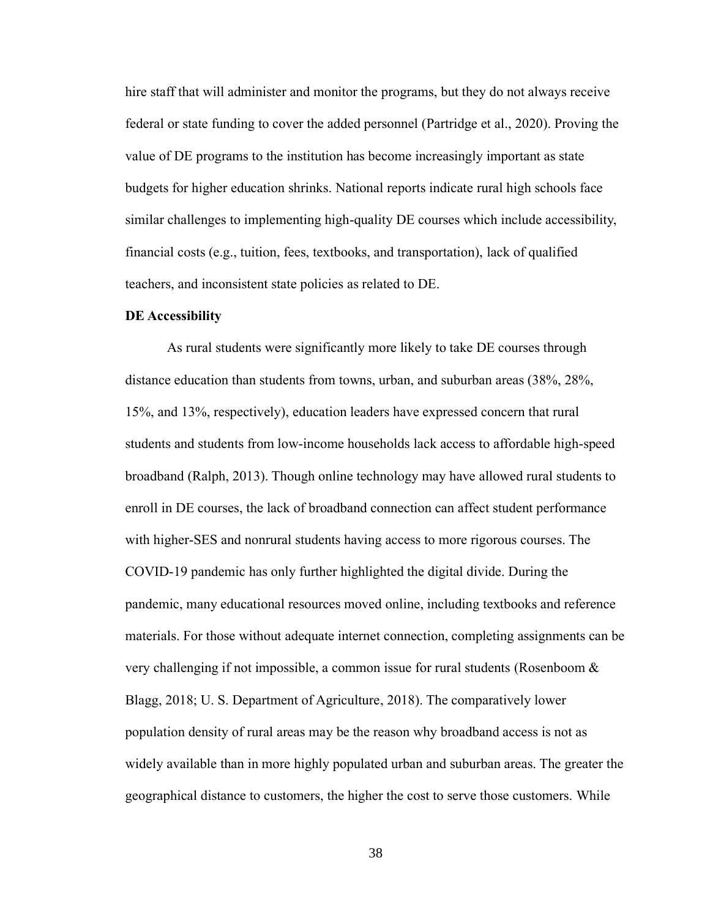hire staff that will administer and monitor the programs, but they do not always receive federal or state funding to cover the added personnel (Partridge et al., 2020). Proving the value of DE programs to the institution has become increasingly important as state budgets for higher education shrinks. National reports indicate rural high schools face similar challenges to implementing high-quality DE courses which include accessibility, financial costs (e.g., tuition, fees, textbooks, and transportation), lack of qualified teachers, and inconsistent state policies as related to DE.

## **DE Accessibility**

As rural students were significantly more likely to take DE courses through distance education than students from towns, urban, and suburban areas (38%, 28%, 15%, and 13%, respectively), education leaders have expressed concern that rural students and students from low-income households lack access to affordable high-speed broadband (Ralph, 2013). Though online technology may have allowed rural students to enroll in DE courses, the lack of broadband connection can affect student performance with higher-SES and nonrural students having access to more rigorous courses. The COVID-19 pandemic has only further highlighted the digital divide. During the pandemic, many educational resources moved online, including textbooks and reference materials. For those without adequate internet connection, completing assignments can be very challenging if not impossible, a common issue for rural students (Rosenboom & Blagg, 2018; U. S. Department of Agriculture, 2018). The comparatively lower population density of rural areas may be the reason why broadband access is not as widely available than in more highly populated urban and suburban areas. The greater the geographical distance to customers, the higher the cost to serve those customers. While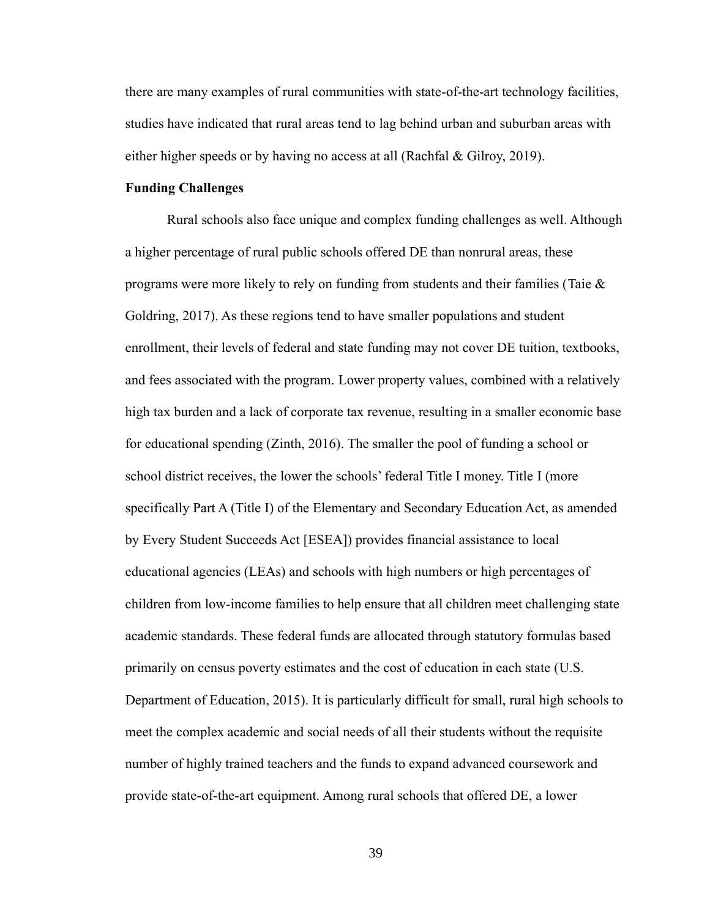there are many examples of rural communities with state-of-the-art technology facilities, studies have indicated that rural areas tend to lag behind urban and suburban areas with either higher speeds or by having no access at all (Rachfal & Gilroy, 2019).

### **Funding Challenges**

Rural schools also face unique and complex funding challenges as well. Although a higher percentage of rural public schools offered DE than nonrural areas, these programs were more likely to rely on funding from students and their families (Taie  $\&$ Goldring, 2017). As these regions tend to have smaller populations and student enrollment, their levels of federal and state funding may not cover DE tuition, textbooks, and fees associated with the program. Lower property values, combined with a relatively high tax burden and a lack of corporate tax revenue, resulting in a smaller economic base for educational spending (Zinth, 2016). The smaller the pool of funding a school or school district receives, the lower the schools' federal Title I money. Title I (more specifically Part A (Title I) of the Elementary and Secondary Education Act, as amended by Every Student Succeeds Act [ESEA]) provides financial assistance to local educational agencies (LEAs) and schools with high numbers or high percentages of children from low-income families to help ensure that all children meet challenging state academic standards. These federal funds are allocated through statutory formulas based primarily on census poverty estimates and the cost of education in each state (U.S. Department of Education, 2015). It is particularly difficult for small, rural high schools to meet the complex academic and social needs of all their students without the requisite number of highly trained teachers and the funds to expand advanced coursework and provide state-of-the-art equipment. Among rural schools that offered DE, a lower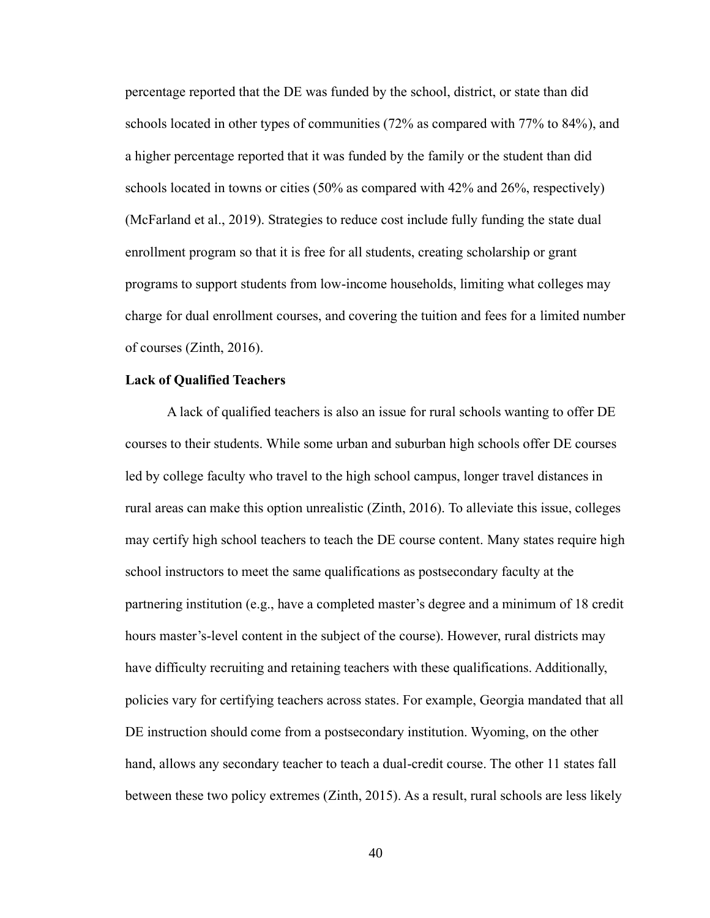percentage reported that the DE was funded by the school, district, or state than did schools located in other types of communities (72% as compared with 77% to 84%), and a higher percentage reported that it was funded by the family or the student than did schools located in towns or cities  $(50\%$  as compared with 42% and 26%, respectively) (McFarland et al., 2019). Strategies to reduce cost include fully funding the state dual enrollment program so that it is free for all students, creating scholarship or grant programs to support students from low-income households, limiting what colleges may charge for dual enrollment courses, and covering the tuition and fees for a limited number of courses (Zinth, 2016).

## **Lack of Qualified Teachers**

A lack of qualified teachers is also an issue for rural schools wanting to offer DE courses to their students. While some urban and suburban high schools offer DE courses led by college faculty who travel to the high school campus, longer travel distances in rural areas can make this option unrealistic (Zinth, 2016). To alleviate this issue, colleges may certify high school teachers to teach the DE course content. Many states require high school instructors to meet the same qualifications as postsecondary faculty at the partnering institution (e.g., have a completed master's degree and a minimum of 18 credit hours master's-level content in the subject of the course). However, rural districts may have difficulty recruiting and retaining teachers with these qualifications. Additionally, policies vary for certifying teachers across states. For example, Georgia mandated that all DE instruction should come from a postsecondary institution. Wyoming, on the other hand, allows any secondary teacher to teach a dual-credit course. The other 11 states fall between these two policy extremes (Zinth, 2015). As a result, rural schools are less likely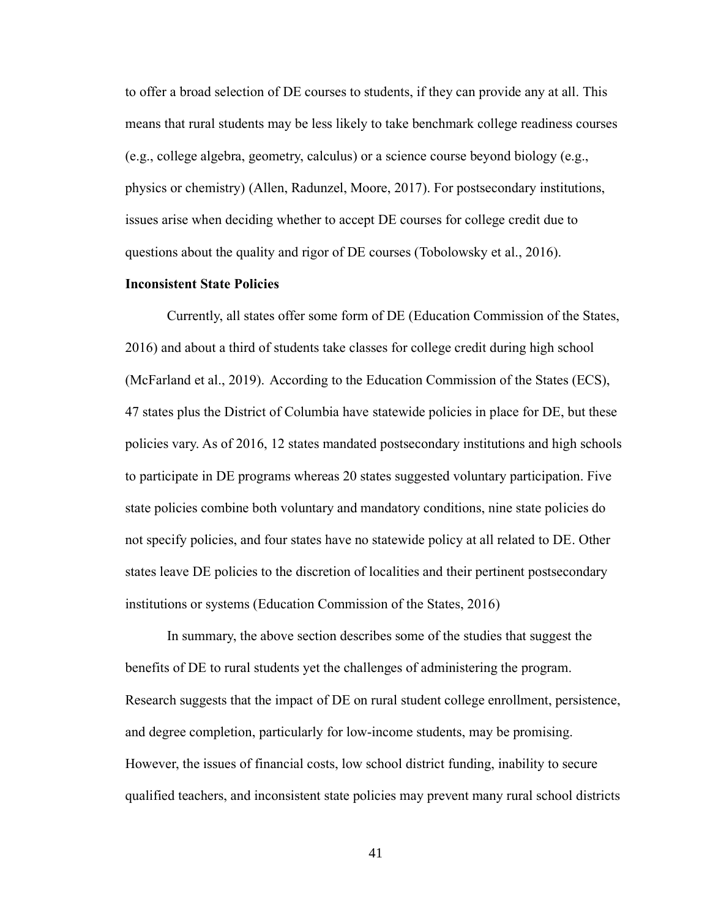to offer a broad selection of DE courses to students, if they can provide any at all. This means that rural students may be less likely to take benchmark college readiness courses (e.g., college algebra, geometry, calculus) or a science course beyond biology (e.g., physics or chemistry) (Allen, Radunzel, Moore, 2017). For postsecondary institutions, issues arise when deciding whether to accept DE courses for college credit due to questions about the quality and rigor of DE courses (Tobolowsky et al., 2016).

## **Inconsistent State Policies**

Currently, all states offer some form of DE (Education Commission of the States, 2016) and about a third of students take classes for college credit during high school (McFarland et al., 2019). According to the Education Commission of the States (ECS), 47 states plus the District of Columbia have statewide policies in place for DE, but these policies vary. As of 2016, 12 states mandated postsecondary institutions and high schools to participate in DE programs whereas 20 states suggested voluntary participation. Five state policies combine both voluntary and mandatory conditions, nine state policies do not specify policies, and four states have no statewide policy at all related to DE. Other states leave DE policies to the discretion of localities and their pertinent postsecondary institutions or systems (Education Commission of the States, 2016)

In summary, the above section describes some of the studies that suggest the benefits of DE to rural students yet the challenges of administering the program. Research suggests that the impact of DE on rural student college enrollment, persistence, and degree completion, particularly for low-income students, may be promising. However, the issues of financial costs, low school district funding, inability to secure qualified teachers, and inconsistent state policies may prevent many rural school districts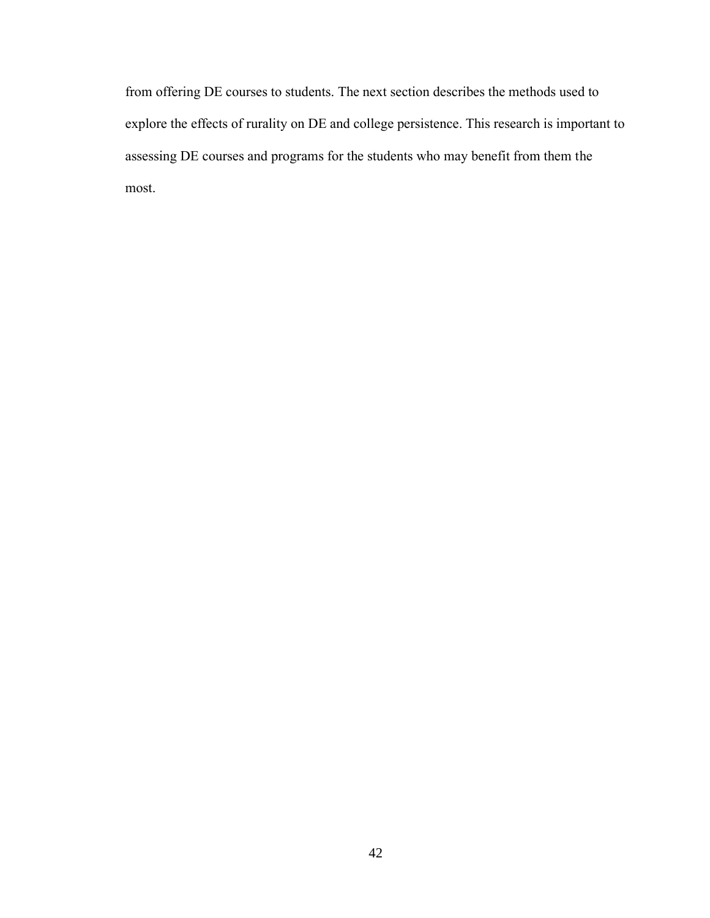from offering DE courses to students. The next section describes the methods used to explore the effects of rurality on DE and college persistence. This research is important to assessing DE courses and programs for the students who may benefit from them the most.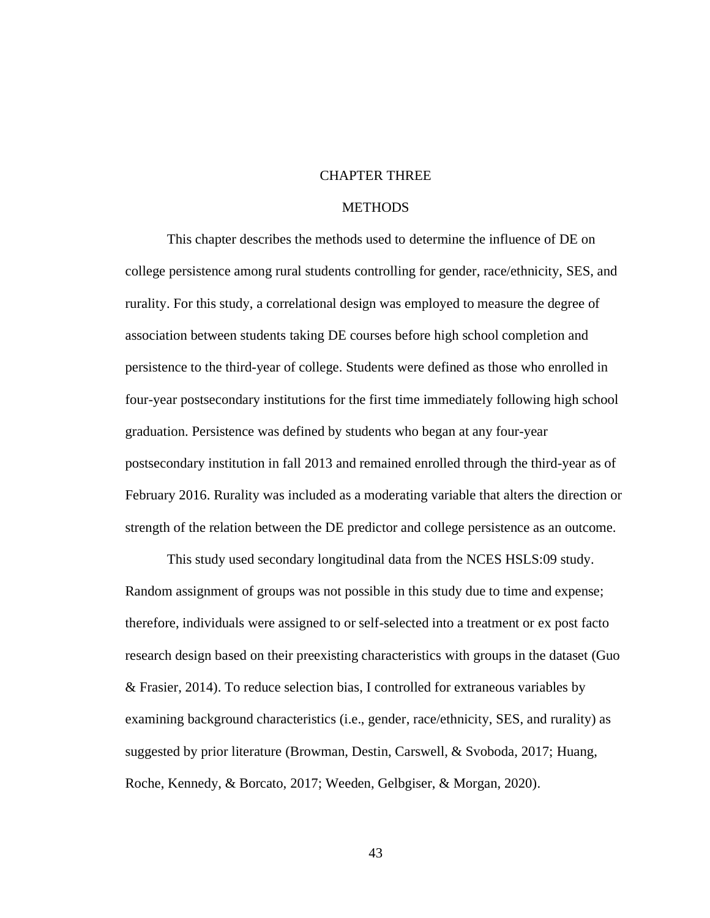# CHAPTER THREE

# **METHODS**

This chapter describes the methods used to determine the influence of DE on college persistence among rural students controlling for gender, race/ethnicity, SES, and rurality. For this study, a correlational design was employed to measure the degree of association between students taking DE courses before high school completion and persistence to the third-year of college. Students were defined as those who enrolled in four-year postsecondary institutions for the first time immediately following high school graduation. Persistence was defined by students who began at any four-year postsecondary institution in fall 2013 and remained enrolled through the third-year as of February 2016. Rurality was included as a moderating variable that alters the direction or strength of the relation between the DE predictor and college persistence as an outcome.

This study used secondary longitudinal data from the NCES HSLS:09 study. Random assignment of groups was not possible in this study due to time and expense; therefore, individuals were assigned to or self-selected into a treatment or ex post facto research design based on their preexisting characteristics with groups in the dataset (Guo & Frasier, 2014). To reduce selection bias, I controlled for extraneous variables by examining background characteristics (i.e., gender, race/ethnicity, SES, and rurality) as suggested by prior literature (Browman, Destin, Carswell, & Svoboda, 2017; Huang, Roche, Kennedy, & Borcato, 2017; Weeden, Gelbgiser, & Morgan, 2020).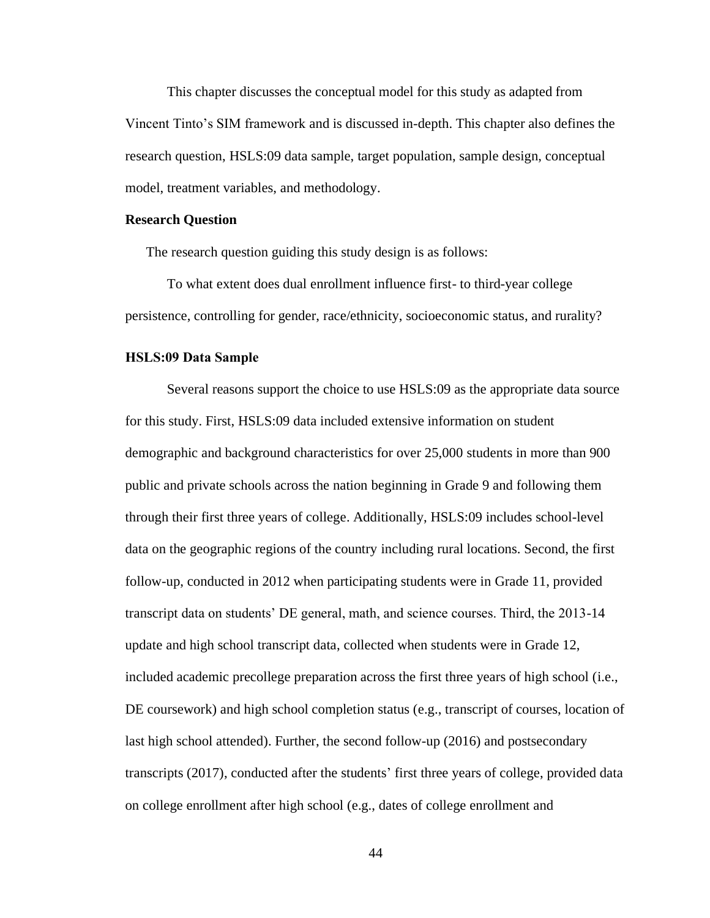This chapter discusses the conceptual model for this study as adapted from Vincent Tinto's SIM framework and is discussed in-depth. This chapter also defines the research question, HSLS:09 data sample, target population, sample design, conceptual model, treatment variables, and methodology.

#### **Research Question**

The research question guiding this study design is as follows:

To what extent does dual enrollment influence first- to third-year college persistence, controlling for gender, race/ethnicity, socioeconomic status, and rurality?

## **HSLS:09 Data Sample**

Several reasons support the choice to use HSLS:09 as the appropriate data source for this study. First, HSLS:09 data included extensive information on student demographic and background characteristics for over 25,000 students in more than 900 public and private schools across the nation beginning in Grade 9 and following them through their first three years of college. Additionally, HSLS:09 includes school-level data on the geographic regions of the country including rural locations. Second, the first follow-up, conducted in 2012 when participating students were in Grade 11, provided transcript data on students' DE general, math, and science courses. Third, the 2013-14 update and high school transcript data, collected when students were in Grade 12, included academic precollege preparation across the first three years of high school (i.e., DE coursework) and high school completion status (e.g., transcript of courses, location of last high school attended). Further, the second follow-up (2016) and postsecondary transcripts (2017), conducted after the students' first three years of college, provided data on college enrollment after high school (e.g., dates of college enrollment and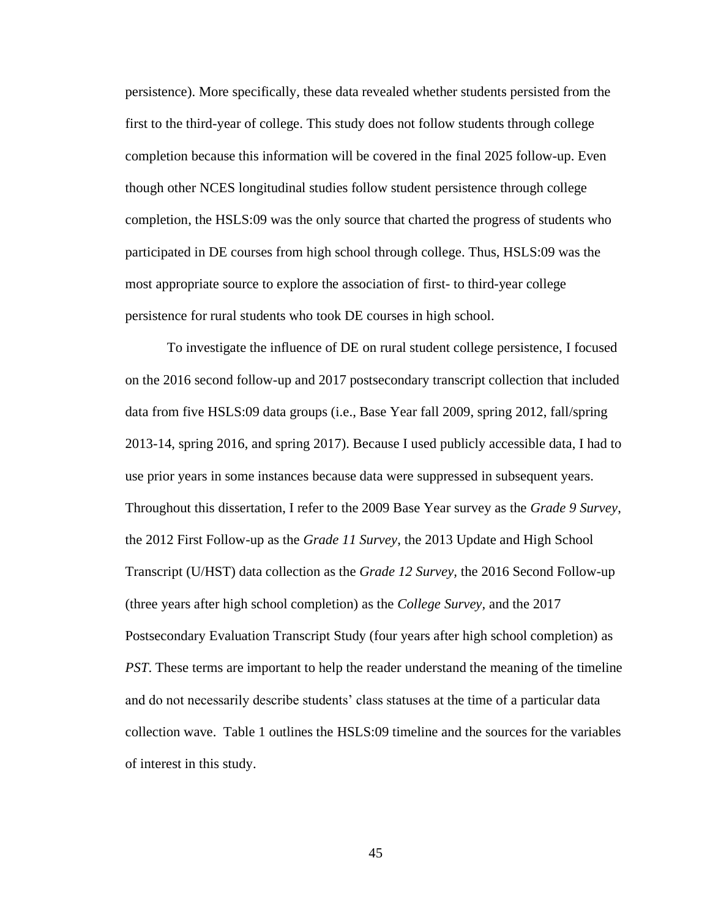persistence). More specifically, these data revealed whether students persisted from the first to the third-year of college. This study does not follow students through college completion because this information will be covered in the final 2025 follow-up. Even though other NCES longitudinal studies follow student persistence through college completion, the HSLS:09 was the only source that charted the progress of students who participated in DE courses from high school through college. Thus, HSLS:09 was the most appropriate source to explore the association of first- to third-year college persistence for rural students who took DE courses in high school.

To investigate the influence of DE on rural student college persistence, I focused on the 2016 second follow-up and 2017 postsecondary transcript collection that included data from five HSLS:09 data groups (i.e., Base Year fall 2009, spring 2012, fall/spring 2013-14, spring 2016, and spring 2017). Because I used publicly accessible data, I had to use prior years in some instances because data were suppressed in subsequent years. Throughout this dissertation, I refer to the 2009 Base Year survey as the *Grade 9 Survey*, the 2012 First Follow-up as the *Grade 11 Survey*, the 2013 Update and High School Transcript (U/HST) data collection as the *Grade 12 Survey,* the 2016 Second Follow-up (three years after high school completion) as the *College Survey,* and the 2017 Postsecondary Evaluation Transcript Study (four years after high school completion) as *PST*. These terms are important to help the reader understand the meaning of the timeline and do not necessarily describe students' class statuses at the time of a particular data collection wave. Table 1 outlines the HSLS:09 timeline and the sources for the variables of interest in this study.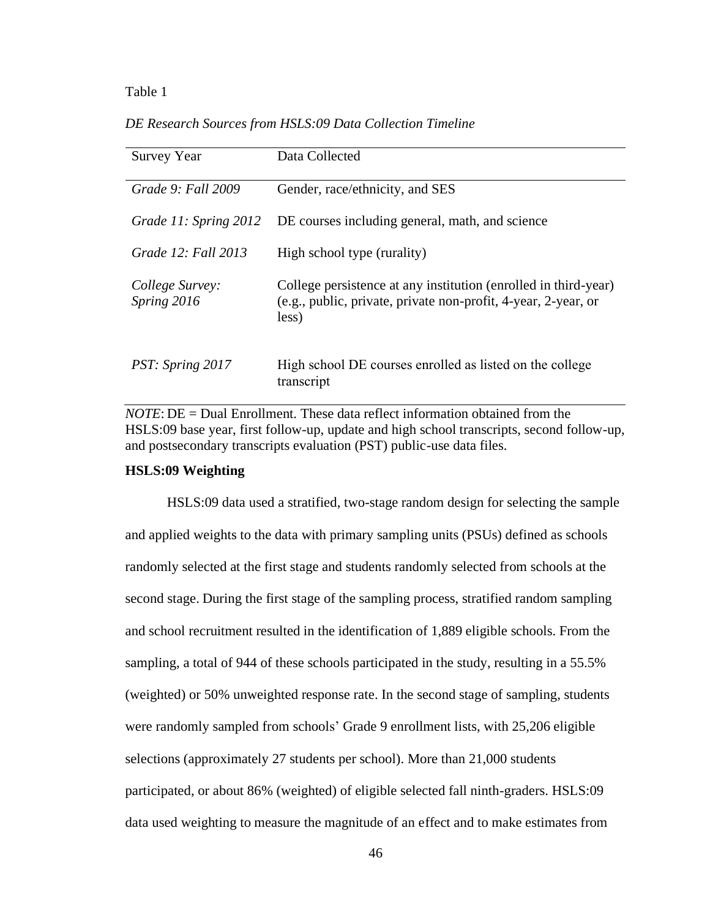#### Table 1

*DE Research Sources from HSLS:09 Data Collection Timeline*

| <b>Survey Year</b>             | Data Collected                                                                                                                             |
|--------------------------------|--------------------------------------------------------------------------------------------------------------------------------------------|
| Grade 9: Fall 2009             | Gender, race/ethnicity, and SES                                                                                                            |
| Grade 11: Spring 2012          | DE courses including general, math, and science                                                                                            |
| Grade 12: Fall 2013            | High school type (rurality)                                                                                                                |
| College Survey:<br>Spring 2016 | College persistence at any institution (enrolled in third-year)<br>(e.g., public, private, private non-profit, 4-year, 2-year, or<br>less) |
| PST: Spring 2017               | High school DE courses enrolled as listed on the college<br>transcript                                                                     |

*NOTE*: DE = Dual Enrollment. These data reflect information obtained from the HSLS:09 base year, first follow-up, update and high school transcripts, second follow-up, and postsecondary transcripts evaluation (PST) public-use data files.

## **HSLS:09 Weighting**

HSLS:09 data used a stratified, two-stage random design for selecting the sample and applied weights to the data with primary sampling units (PSUs) defined as schools randomly selected at the first stage and students randomly selected from schools at the second stage. During the first stage of the sampling process, stratified random sampling and school recruitment resulted in the identification of 1,889 eligible schools. From the sampling, a total of 944 of these schools participated in the study, resulting in a 55.5% (weighted) or 50% unweighted response rate. In the second stage of sampling, students were randomly sampled from schools' Grade 9 enrollment lists, with 25,206 eligible selections (approximately 27 students per school). More than 21,000 students participated, or about 86% (weighted) of eligible selected fall ninth-graders. HSLS:09 data used weighting to measure the magnitude of an effect and to make estimates from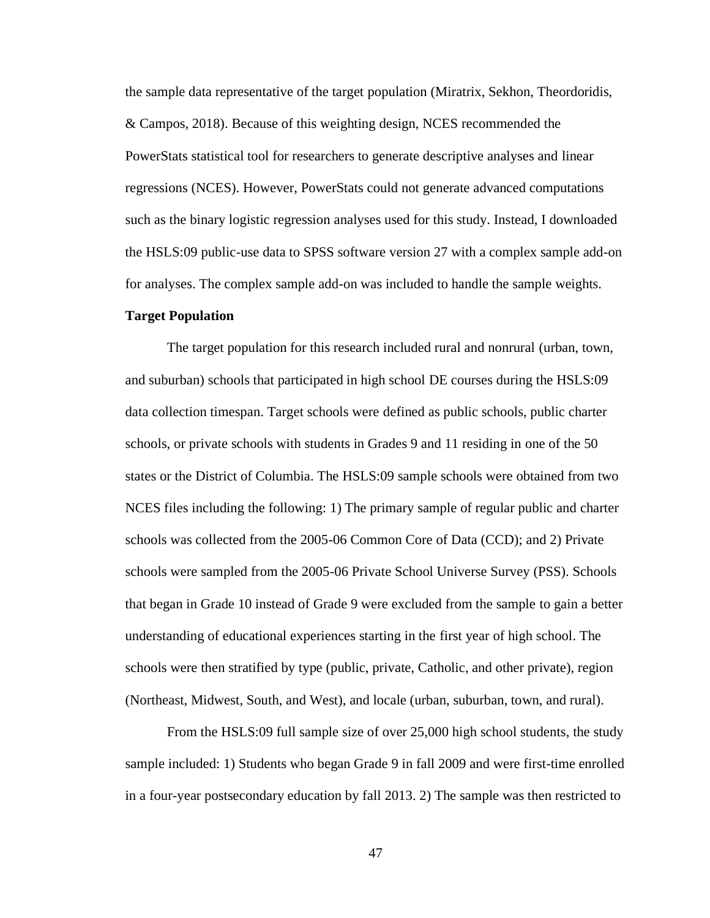the sample data representative of the target population (Miratrix, Sekhon, Theordoridis, & Campos, 2018). Because of this weighting design, NCES recommended the PowerStats statistical tool for researchers to generate descriptive analyses and linear regressions (NCES). However, PowerStats could not generate advanced computations such as the binary logistic regression analyses used for this study. Instead, I downloaded the HSLS:09 public-use data to SPSS software version 27 with a complex sample add-on for analyses. The complex sample add-on was included to handle the sample weights.

## **Target Population**

The target population for this research included rural and nonrural (urban, town, and suburban) schools that participated in high school DE courses during the HSLS:09 data collection timespan. Target schools were defined as public schools, public charter schools, or private schools with students in Grades 9 and 11 residing in one of the 50 states or the District of Columbia. The HSLS:09 sample schools were obtained from two NCES files including the following: 1) The primary sample of regular public and charter schools was collected from the 2005-06 Common Core of Data (CCD); and 2) Private schools were sampled from the 2005-06 Private School Universe Survey (PSS). Schools that began in Grade 10 instead of Grade 9 were excluded from the sample to gain a better understanding of educational experiences starting in the first year of high school. The schools were then stratified by type (public, private, Catholic, and other private), region (Northeast, Midwest, South, and West), and locale (urban, suburban, town, and rural).

From the HSLS:09 full sample size of over 25,000 high school students, the study sample included: 1) Students who began Grade 9 in fall 2009 and were first-time enrolled in a four-year postsecondary education by fall 2013. 2) The sample was then restricted to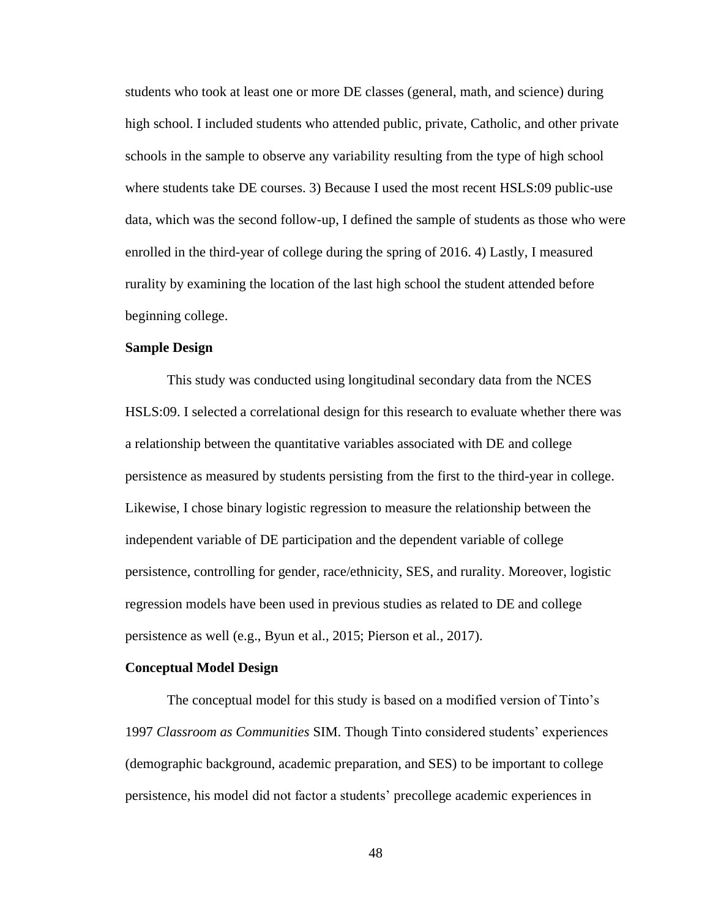students who took at least one or more DE classes (general, math, and science) during high school. I included students who attended public, private, Catholic, and other private schools in the sample to observe any variability resulting from the type of high school where students take DE courses. 3) Because I used the most recent HSLS:09 public-use data, which was the second follow-up, I defined the sample of students as those who were enrolled in the third-year of college during the spring of 2016. 4) Lastly, I measured rurality by examining the location of the last high school the student attended before beginning college.

## **Sample Design**

This study was conducted using longitudinal secondary data from the NCES HSLS:09. I selected a correlational design for this research to evaluate whether there was a relationship between the quantitative variables associated with DE and college persistence as measured by students persisting from the first to the third-year in college. Likewise, I chose binary logistic regression to measure the relationship between the independent variable of DE participation and the dependent variable of college persistence, controlling for gender, race/ethnicity, SES, and rurality. Moreover, logistic regression models have been used in previous studies as related to DE and college persistence as well (e.g., Byun et al., 2015; Pierson et al., 2017).

## **Conceptual Model Design**

The conceptual model for this study is based on a modified version of Tinto's 1997 *Classroom as Communities* SIM. Though Tinto considered students' experiences (demographic background, academic preparation, and SES) to be important to college persistence, his model did not factor a students' precollege academic experiences in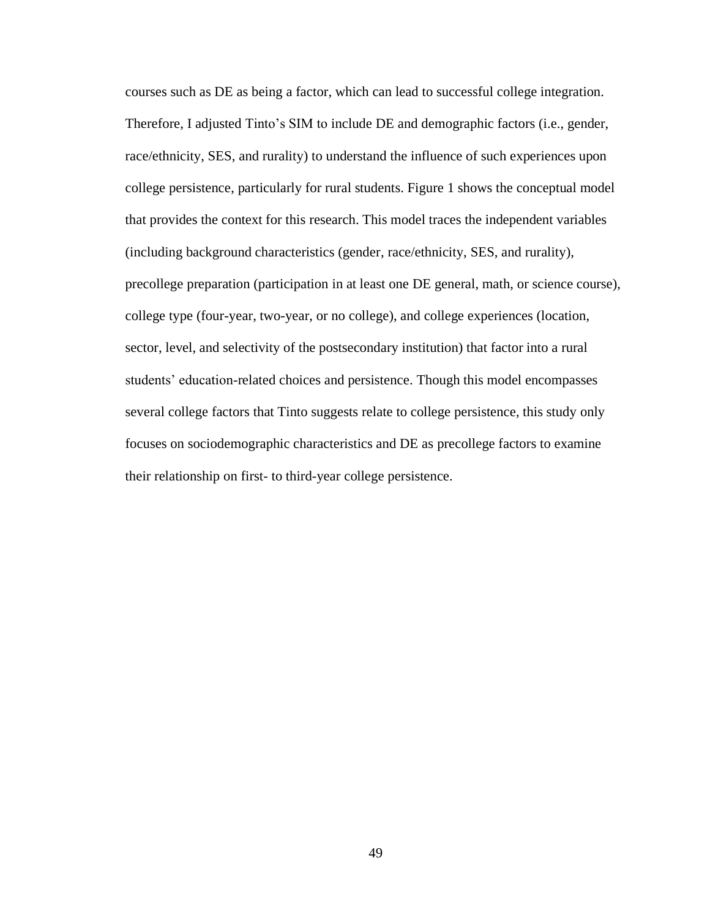courses such as DE as being a factor, which can lead to successful college integration. Therefore, I adjusted Tinto's SIM to include DE and demographic factors (i.e., gender, race/ethnicity, SES, and rurality) to understand the influence of such experiences upon college persistence, particularly for rural students. Figure 1 shows the conceptual model that provides the context for this research. This model traces the independent variables (including background characteristics (gender, race/ethnicity, SES, and rurality), precollege preparation (participation in at least one DE general, math, or science course), college type (four-year, two-year, or no college), and college experiences (location, sector, level, and selectivity of the postsecondary institution) that factor into a rural students' education-related choices and persistence. Though this model encompasses several college factors that Tinto suggests relate to college persistence, this study only focuses on sociodemographic characteristics and DE as precollege factors to examine their relationship on first- to third-year college persistence.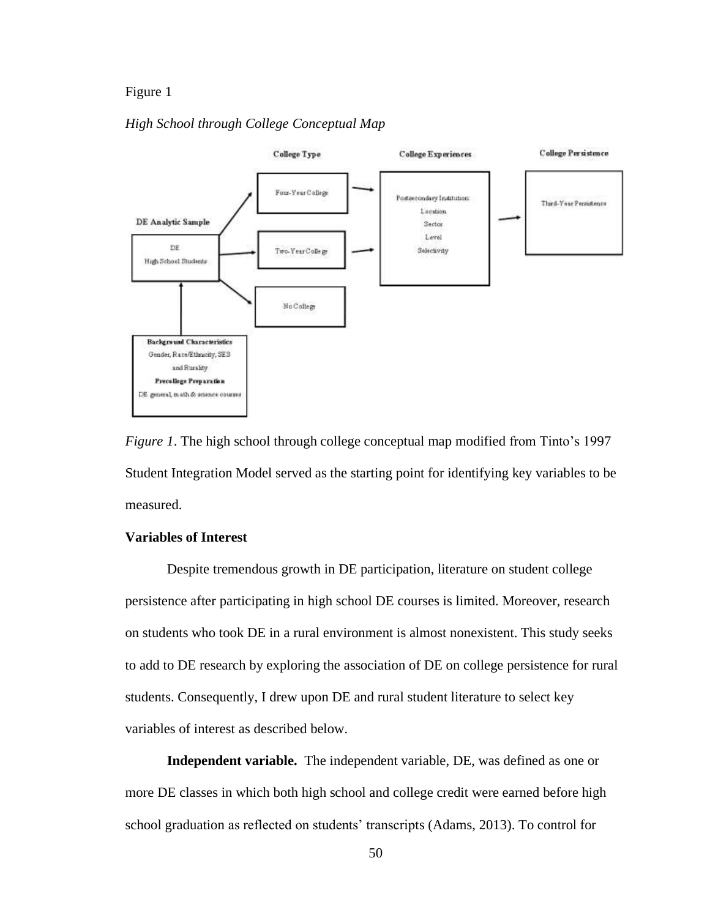# Figure 1

# *High School through College Conceptual Map*



*Figure 1*. The high school through college conceptual map modified from Tinto's 1997 Student Integration Model served as the starting point for identifying key variables to be measured.

# **Variables of Interest**

Despite tremendous growth in DE participation, literature on student college persistence after participating in high school DE courses is limited. Moreover, research on students who took DE in a rural environment is almost nonexistent. This study seeks to add to DE research by exploring the association of DE on college persistence for rural students. Consequently, I drew upon DE and rural student literature to select key variables of interest as described below.

**Independent variable.** The independent variable, DE, was defined as one or more DE classes in which both high school and college credit were earned before high school graduation as reflected on students' transcripts (Adams, 2013). To control for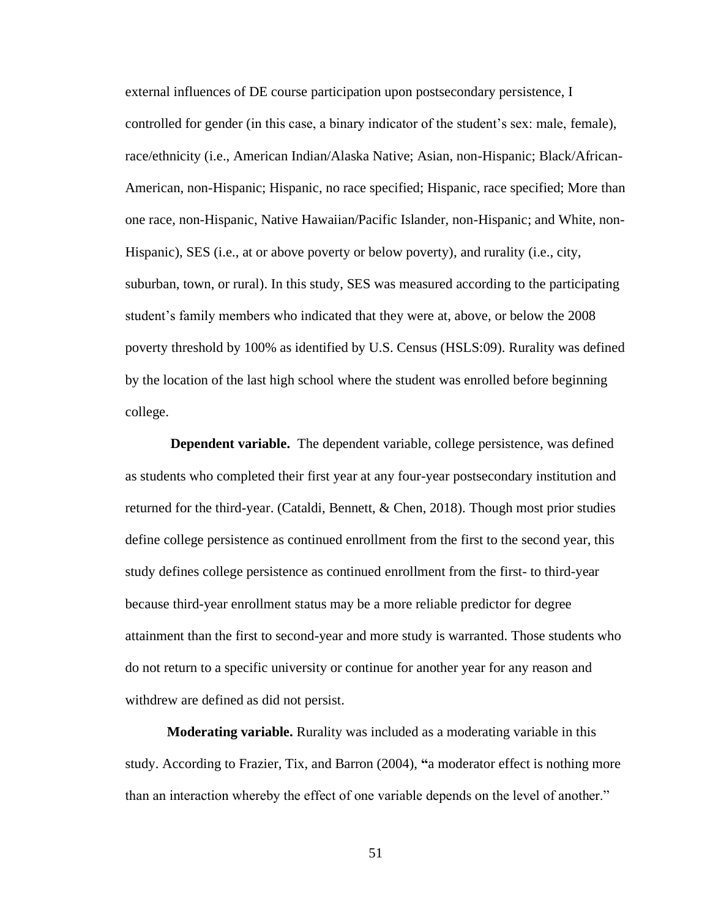external influences of DE course participation upon postsecondary persistence, I controlled for gender (in this case, a binary indicator of the student's sex: male, female), race/ethnicity (i.e., American Indian/Alaska Native; Asian, non-Hispanic; Black/African-American, non-Hispanic; Hispanic, no race specified; Hispanic, race specified; More than one race, non-Hispanic, Native Hawaiian/Pacific Islander, non-Hispanic; and White, non-Hispanic), SES (i.e., at or above poverty or below poverty), and rurality (i.e., city, suburban, town, or rural). In this study, SES was measured according to the participating student's family members who indicated that they were at, above, or below the 2008 poverty threshold by 100% as identified by U.S. Census (HSLS:09). Rurality was defined by the location of the last high school where the student was enrolled before beginning college.

**Dependent variable.** The dependent variable, college persistence, was defined as students who completed their first year at any four-year postsecondary institution and returned for the third-year. (Cataldi, Bennett, & Chen, 2018). Though most prior studies define college persistence as continued enrollment from the first to the second year, this study defines college persistence as continued enrollment from the first- to third-year because third-year enrollment status may be a more reliable predictor for degree attainment than the first to second-year and more study is warranted. Those students who do not return to a specific university or continue for another year for any reason and withdrew are defined as did not persist.

**Moderating variable.** Rurality was included as a moderating variable in this study. According to Frazier, Tix, and Barron (2004), **"**a moderator effect is nothing more than an interaction whereby the effect of one variable depends on the level of another."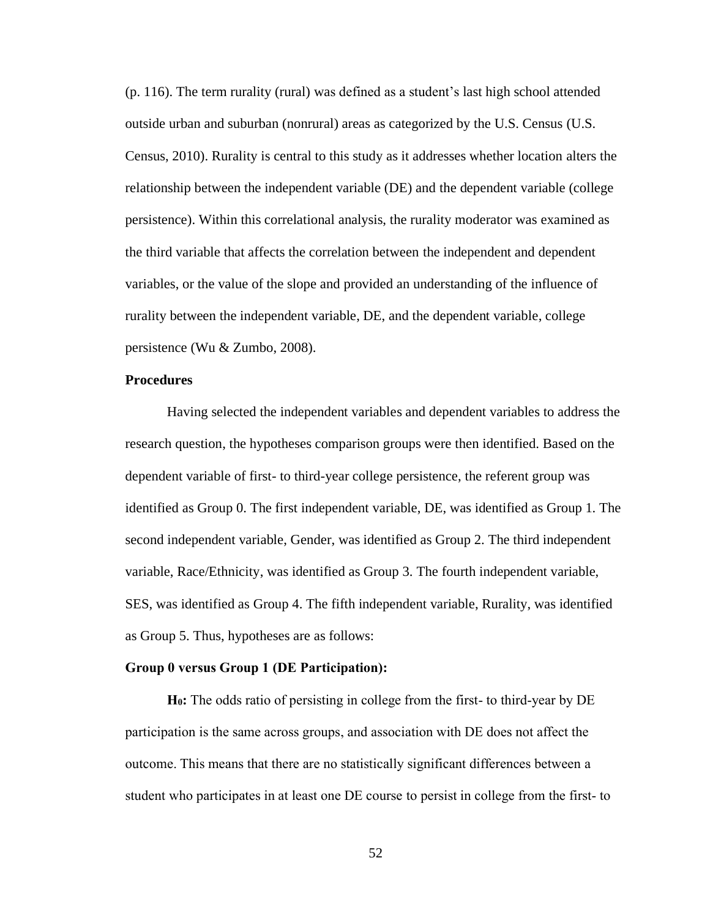(p. 116). The term rurality (rural) was defined as a student's last high school attended outside urban and suburban (nonrural) areas as categorized by the U.S. Census (U.S. Census, 2010). Rurality is central to this study as it addresses whether location alters the relationship between the independent variable (DE) and the dependent variable (college persistence). Within this [correlational](https://en.wikipedia.org/wiki/Correlation) analysis, the rurality moderator was examined as the third variable that affects the correlation between the independent and dependent variables, or the value of the slope and provided an understanding of the influence of rurality between the independent variable, DE, and the dependent variable, college persistence (Wu & Zumbo, 2008).

## **Procedures**

Having selected the independent variables and dependent variables to address the research question, the hypotheses comparison groups were then identified. Based on the dependent variable of first- to third-year college persistence, the referent group was identified as Group 0. The first independent variable, DE, was identified as Group 1. The second independent variable, Gender, was identified as Group 2. The third independent variable, Race/Ethnicity, was identified as Group 3. The fourth independent variable, SES, was identified as Group 4. The fifth independent variable, Rurality, was identified as Group 5. Thus, hypotheses are as follows:

## **Group 0 versus Group 1 (DE Participation):**

**H0:** The odds ratio of persisting in college from the first- to third-year by DE participation is the same across groups, and association with DE does not affect the outcome. This means that there are no statistically significant differences between a student who participates in at least one DE course to persist in college from the first- to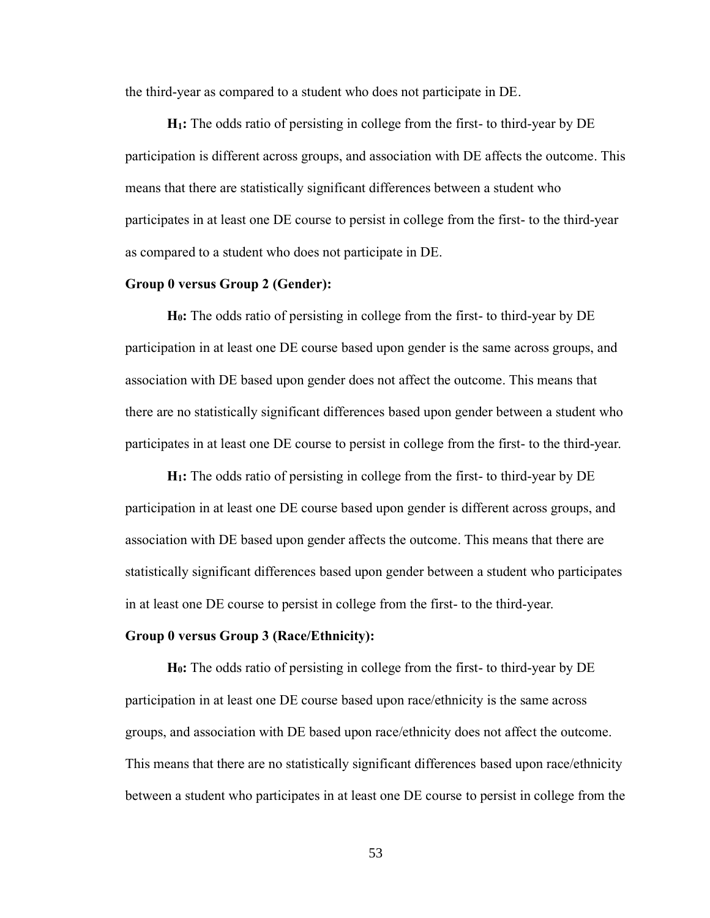the third-year as compared to a student who does not participate in DE.

**H1:** The odds ratio of persisting in college from the first- to third-year by DE participation is different across groups, and association with DE affects the outcome. This means that there are statistically significant differences between a student who participates in at least one DE course to persist in college from the first- to the third-year as compared to a student who does not participate in DE.

### **Group 0 versus Group 2 (Gender):**

**H0:** The odds ratio of persisting in college from the first- to third-year by DE participation in at least one DE course based upon gender is the same across groups, and association with DE based upon gender does not affect the outcome. This means that there are no statistically significant differences based upon gender between a student who participates in at least one DE course to persist in college from the first- to the third-year.

**H1:** The odds ratio of persisting in college from the first- to third-year by DE participation in at least one DE course based upon gender is different across groups, and association with DE based upon gender affects the outcome. This means that there are statistically significant differences based upon gender between a student who participates in at least one DE course to persist in college from the first- to the third-year.

### **Group 0 versus Group 3 (Race/Ethnicity):**

**H0:** The odds ratio of persisting in college from the first- to third-year by DE participation in at least one DE course based upon race/ethnicity is the same across groups, and association with DE based upon race/ethnicity does not affect the outcome. This means that there are no statistically significant differences based upon race/ethnicity between a student who participates in at least one DE course to persist in college from the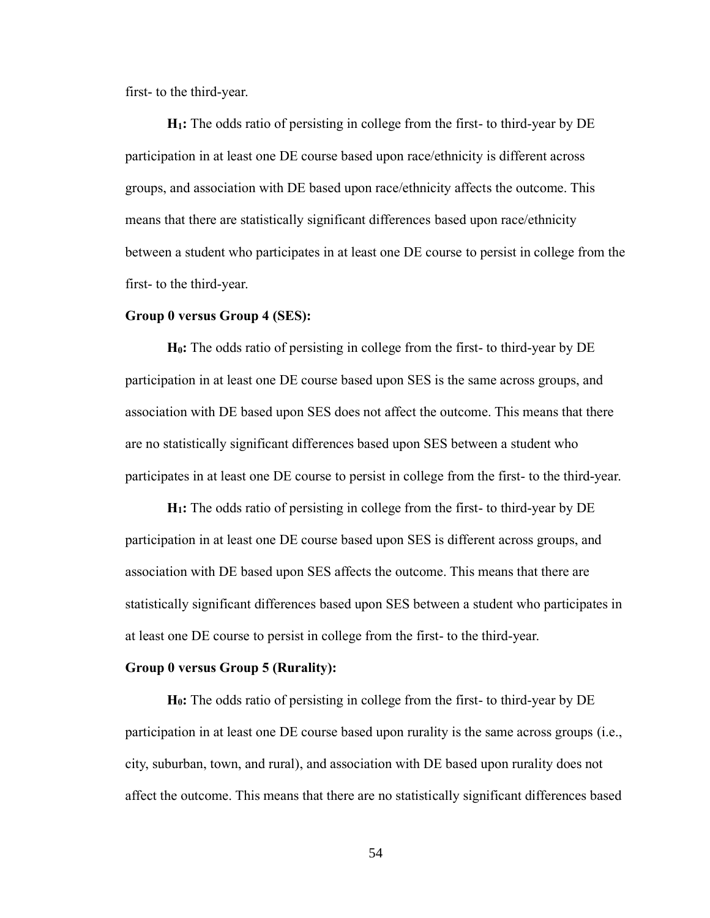first- to the third-year.

**H1:** The odds ratio of persisting in college from the first- to third-year by DE participation in at least one DE course based upon race/ethnicity is different across groups, and association with DE based upon race/ethnicity affects the outcome. This means that there are statistically significant differences based upon race/ethnicity between a student who participates in at least one DE course to persist in college from the first- to the third-year.

## **Group 0 versus Group 4 (SES):**

**H0:** The odds ratio of persisting in college from the first- to third-year by DE participation in at least one DE course based upon SES is the same across groups, and association with DE based upon SES does not affect the outcome. This means that there are no statistically significant differences based upon SES between a student who participates in at least one DE course to persist in college from the first- to the third-year.

**H1:** The odds ratio of persisting in college from the first- to third-year by DE participation in at least one DE course based upon SES is different across groups, and association with DE based upon SES affects the outcome. This means that there are statistically significant differences based upon SES between a student who participates in at least one DE course to persist in college from the first- to the third-year.

# **Group 0 versus Group 5 (Rurality):**

**H0:** The odds ratio of persisting in college from the first- to third-year by DE participation in at least one DE course based upon rurality is the same across groups (i.e., city, suburban, town, and rural), and association with DE based upon rurality does not affect the outcome. This means that there are no statistically significant differences based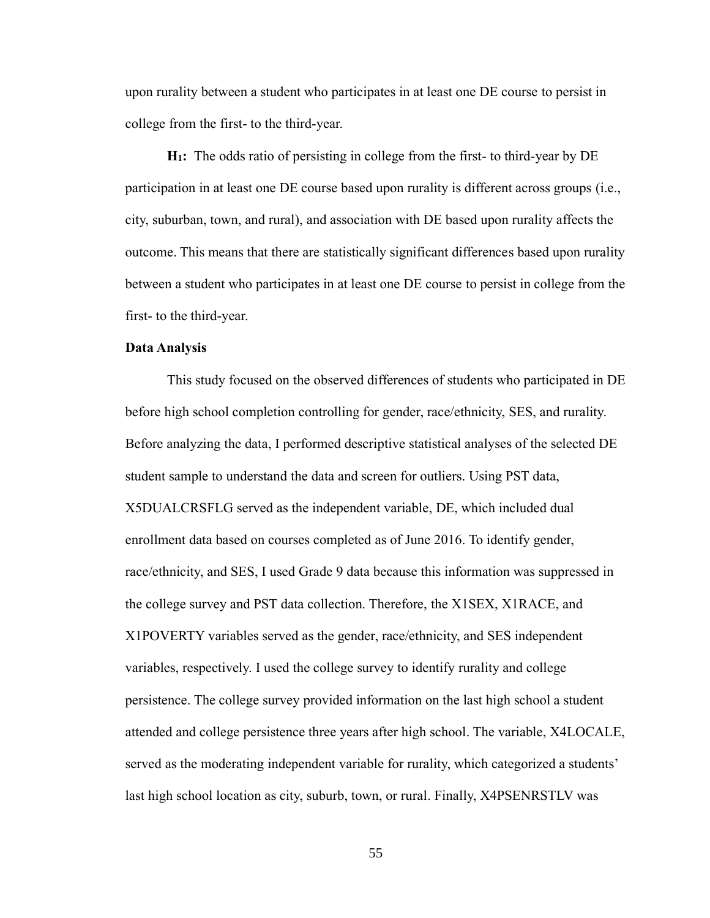upon rurality between a student who participates in at least one DE course to persist in college from the first- to the third-year.

**H1:** The odds ratio of persisting in college from the first- to third-year by DE participation in at least one DE course based upon rurality is different across groups (i.e., city, suburban, town, and rural), and association with DE based upon rurality affects the outcome. This means that there are statistically significant differences based upon rurality between a student who participates in at least one DE course to persist in college from the first- to the third-year.

### **Data Analysis**

This study focused on the observed differences of students who participated in DE before high school completion controlling for gender, race/ethnicity, SES, and rurality. Before analyzing the data, I performed descriptive statistical analyses of the selected DE student sample to understand the data and screen for outliers. Using PST data, X5DUALCRSFLG served as the independent variable, DE, which included dual enrollment data based on courses completed as of June 2016. To identify gender, race/ethnicity, and SES, I used Grade 9 data because this information was suppressed in the college survey and PST data collection. Therefore, the X1SEX, X1RACE, and X1POVERTY variables served as the gender, race/ethnicity, and SES independent variables, respectively. I used the college survey to identify rurality and college persistence. The college survey provided information on the last high school a student attended and college persistence three years after high school. The variable, X4LOCALE, served as the moderating independent variable for rurality, which categorized a students' last high school location as city, suburb, town, or rural. Finally, X4PSENRSTLV was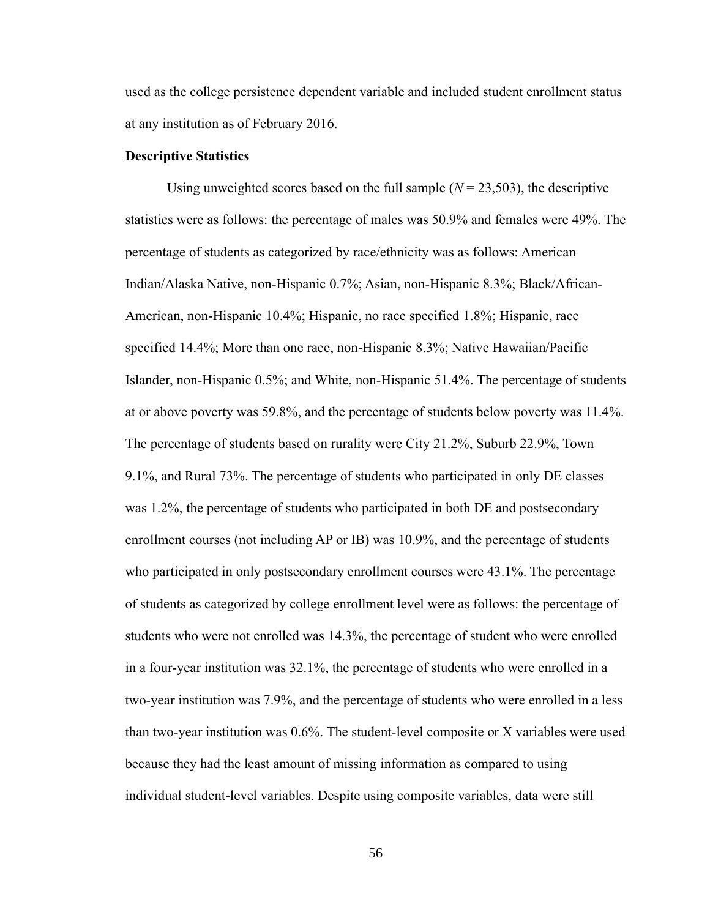used as the college persistence dependent variable and included student enrollment status at any institution as of February 2016.

## **Descriptive Statistics**

Using unweighted scores based on the full sample  $(N = 23,503)$ , the descriptive statistics were as follows: the percentage of males was 50.9% and females were 49%. The percentage of students as categorized by race/ethnicity was as follows: American Indian/Alaska Native, non-Hispanic 0.7%; Asian, non-Hispanic 8.3%; Black/African-American, non-Hispanic 10.4%; Hispanic, no race specified 1.8%; Hispanic, race specified 14.4%; More than one race, non-Hispanic 8.3%; Native Hawaiian/Pacific Islander, non-Hispanic 0.5%; and White, non-Hispanic 51.4%. The percentage of students at or above poverty was 59.8%, and the percentage of students below poverty was 11.4%. The percentage of students based on rurality were City 21.2%, Suburb 22.9%, Town 9.1%, and Rural 73%. The percentage of students who participated in only DE classes was 1.2%, the percentage of students who participated in both DE and postsecondary enrollment courses (not including AP or IB) was 10.9%, and the percentage of students who participated in only postsecondary enrollment courses were 43.1%. The percentage of students as categorized by college enrollment level were as follows: the percentage of students who were not enrolled was 14.3%, the percentage of student who were enrolled in a four-year institution was 32.1%, the percentage of students who were enrolled in a two-year institution was 7.9%, and the percentage of students who were enrolled in a less than two-year institution was 0.6%. The student-level composite or X variables were used because they had the least amount of missing information as compared to using individual student-level variables. Despite using composite variables, data were still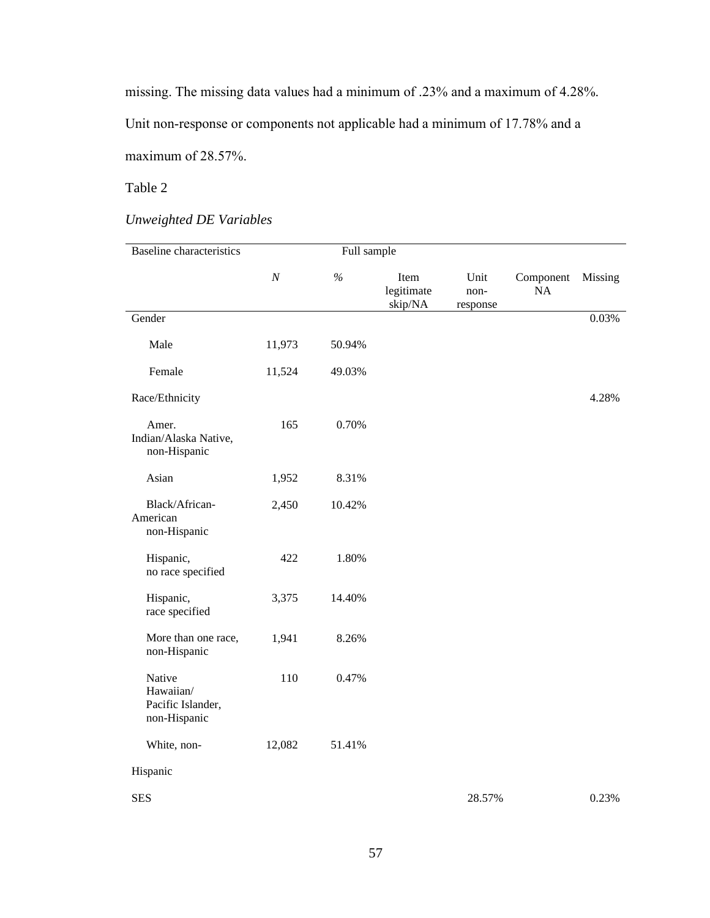missing. The missing data values had a minimum of .23% and a maximum of 4.28%.

Unit non-response or components not applicable had a minimum of 17.78% and a

maximum of 28.57%.

# Table 2

# *Unweighted DE Variables*

| <b>Baseline</b> characteristics                          | Full sample      |        |                               |                          |                 |         |
|----------------------------------------------------------|------------------|--------|-------------------------------|--------------------------|-----------------|---------|
|                                                          | $\boldsymbol{N}$ | $\%$   | Item<br>legitimate<br>skip/NA | Unit<br>non-<br>response | Component<br>NA | Missing |
| Gender                                                   |                  |        |                               |                          |                 | 0.03%   |
| Male                                                     | 11,973           | 50.94% |                               |                          |                 |         |
| Female                                                   | 11,524           | 49.03% |                               |                          |                 |         |
| Race/Ethnicity                                           |                  |        |                               |                          |                 | 4.28%   |
| Amer.<br>Indian/Alaska Native,<br>non-Hispanic           | 165              | 0.70%  |                               |                          |                 |         |
| Asian                                                    | 1,952            | 8.31%  |                               |                          |                 |         |
| Black/African-<br>American<br>non-Hispanic               | 2,450            | 10.42% |                               |                          |                 |         |
| Hispanic,<br>no race specified                           | 422              | 1.80%  |                               |                          |                 |         |
| Hispanic,<br>race specified                              | 3,375            | 14.40% |                               |                          |                 |         |
| More than one race,<br>non-Hispanic                      | 1,941            | 8.26%  |                               |                          |                 |         |
| Native<br>Hawaiian/<br>Pacific Islander,<br>non-Hispanic | 110              | 0.47%  |                               |                          |                 |         |
| White, non-                                              | 12,082           | 51.41% |                               |                          |                 |         |
| Hispanic                                                 |                  |        |                               |                          |                 |         |
| <b>SES</b>                                               |                  |        |                               | 28.57%                   |                 | 0.23%   |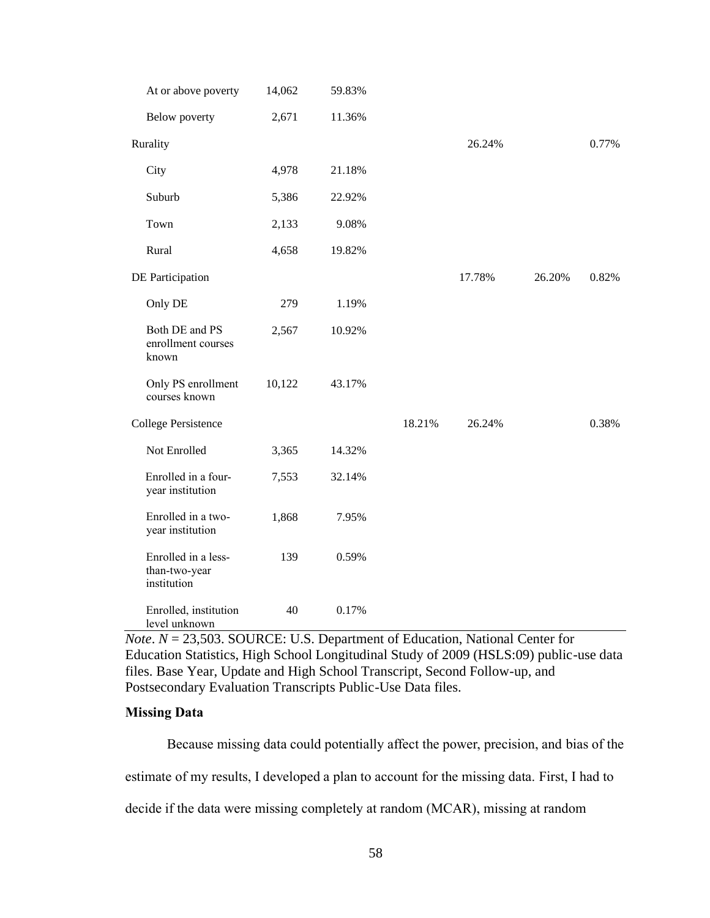| At or above poverty                                 | 14,062 | 59.83% |        |        |        |       |
|-----------------------------------------------------|--------|--------|--------|--------|--------|-------|
| Below poverty                                       | 2,671  | 11.36% |        |        |        |       |
| Rurality                                            |        |        |        | 26.24% |        | 0.77% |
| City                                                | 4,978  | 21.18% |        |        |        |       |
| Suburb                                              | 5,386  | 22.92% |        |        |        |       |
| Town                                                | 2,133  | 9.08%  |        |        |        |       |
| Rural                                               | 4,658  | 19.82% |        |        |        |       |
| DE Participation                                    |        |        |        | 17.78% | 26.20% | 0.82% |
| Only DE                                             | 279    | 1.19%  |        |        |        |       |
| Both DE and PS<br>enrollment courses<br>known       | 2,567  | 10.92% |        |        |        |       |
| Only PS enrollment<br>courses known                 | 10,122 | 43.17% |        |        |        |       |
| <b>College Persistence</b>                          |        |        | 18.21% | 26.24% |        | 0.38% |
| Not Enrolled                                        | 3,365  | 14.32% |        |        |        |       |
| Enrolled in a four-<br>year institution             | 7,553  | 32.14% |        |        |        |       |
| Enrolled in a two-<br>year institution              | 1,868  | 7.95%  |        |        |        |       |
| Enrolled in a less-<br>than-two-year<br>institution | 139    | 0.59%  |        |        |        |       |
| Enrolled, institution<br>level unknown              | 40     | 0.17%  |        |        |        |       |

*Note*. *N* = 23,503. SOURCE: U.S. Department of Education, National Center for Education Statistics, High School Longitudinal Study of 2009 (HSLS:09) public-use data files. Base Year, Update and High School Transcript, Second Follow-up, and Postsecondary Evaluation Transcripts Public-Use Data files.

# **Missing Data**

Because missing data could potentially affect the power, precision, and bias of the estimate of my results, I developed a plan to account for the missing data. First, I had to decide if the data were missing completely at random (MCAR), missing at random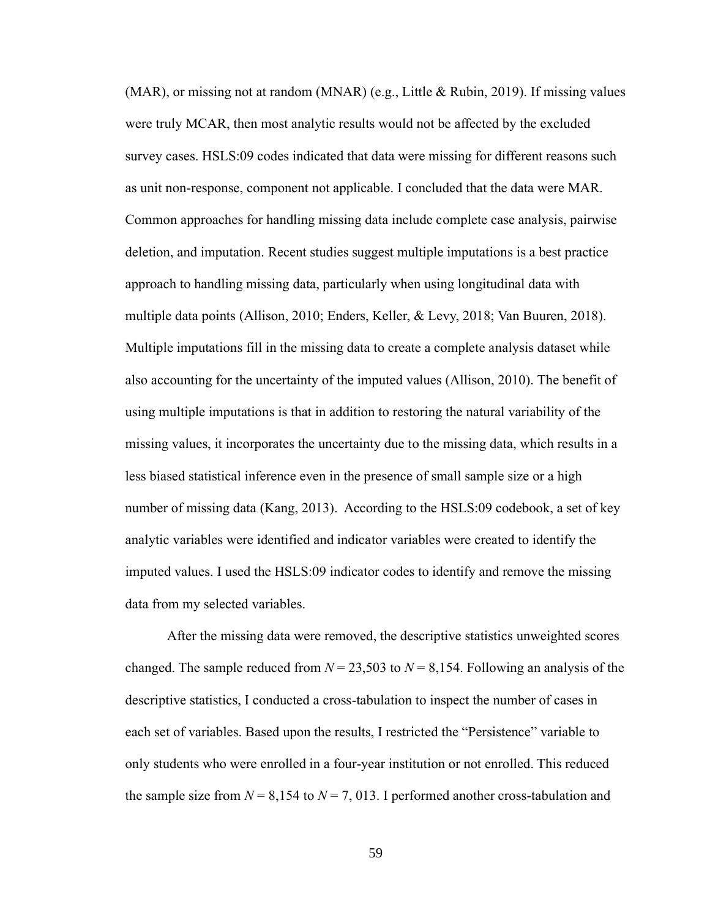(MAR), or missing not at random (MNAR) (e.g., Little & Rubin, 2019). If missing values were truly MCAR, then most analytic results would not be affected by the excluded survey cases. HSLS:09 codes indicated that data were missing for different reasons such as unit non-response, component not applicable. I concluded that the data were MAR. Common approaches for handling missing data include complete case analysis, pairwise deletion, and imputation. Recent studies suggest multiple imputations is a best practice approach to handling missing data, particularly when using longitudinal data with multiple data points (Allison, 2010; Enders, Keller, & Levy, 2018; Van Buuren, 2018). Multiple imputations fill in the missing data to create a complete analysis dataset while also accounting for the uncertainty of the imputed values (Allison, 2010). The benefit of using multiple imputations is that in addition to restoring the natural variability of the missing values, it incorporates the uncertainty due to the missing data, which results in a less biased statistical inference even in the presence of small sample size or a high number of missing data (Kang, 2013). According to the HSLS:09 codebook, a set of key analytic variables were identified and indicator variables were created to identify the imputed values. I used the HSLS:09 indicator codes to identify and remove the missing data from my selected variables.

After the missing data were removed, the descriptive statistics unweighted scores changed. The sample reduced from  $N = 23,503$  to  $N = 8,154$ . Following an analysis of the descriptive statistics, I conducted a cross-tabulation to inspect the number of cases in each set of variables. Based upon the results, I restricted the "Persistence" variable to only students who were enrolled in a four-year institution or not enrolled. This reduced the sample size from  $N = 8,154$  to  $N = 7,013$ . I performed another cross-tabulation and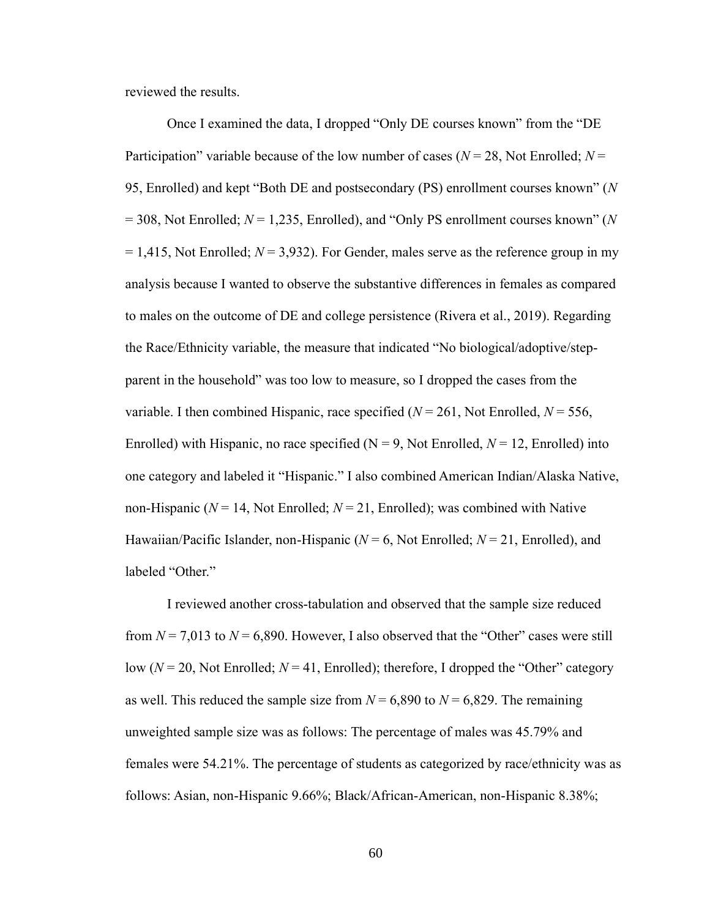reviewed the results.

Once I examined the data, I dropped "Only DE courses known" from the "DE Participation" variable because of the low number of cases (*N* = 28, Not Enrolled; *N* = 95, Enrolled) and kept "Both DE and postsecondary (PS) enrollment courses known" (*N* = 308, Not Enrolled; *N* = 1,235, Enrolled), and "Only PS enrollment courses known" (*N*  $= 1,415$ , Not Enrolled;  $N = 3,932$ ). For Gender, males serve as the reference group in my analysis because I wanted to observe the substantive differences in females as compared to males on the outcome of DE and college persistence (Rivera et al., 2019). Regarding the Race/Ethnicity variable, the measure that indicated "No biological/adoptive/stepparent in the household" was too low to measure, so I dropped the cases from the variable. I then combined Hispanic, race specified  $(N = 261)$ , Not Enrolled,  $N = 556$ , Enrolled) with Hispanic, no race specified  $(N = 9)$ , Not Enrolled,  $N = 12$ , Enrolled) into one category and labeled it "Hispanic." I also combined American Indian/Alaska Native, non-Hispanic ( $N = 14$ , Not Enrolled;  $N = 21$ , Enrolled); was combined with Native Hawaiian/Pacific Islander, non-Hispanic ( $N = 6$ , Not Enrolled;  $N = 21$ , Enrolled), and labeled "Other."

I reviewed another cross-tabulation and observed that the sample size reduced from  $N = 7,013$  to  $N = 6,890$ . However, I also observed that the "Other" cases were still low (*N* = 20, Not Enrolled; *N* = 41, Enrolled); therefore, I dropped the "Other" category as well. This reduced the sample size from  $N = 6,890$  to  $N = 6,829$ . The remaining unweighted sample size was as follows: The percentage of males was 45.79% and females were 54.21%. The percentage of students as categorized by race/ethnicity was as follows: Asian, non-Hispanic 9.66%; Black/African-American, non-Hispanic 8.38%;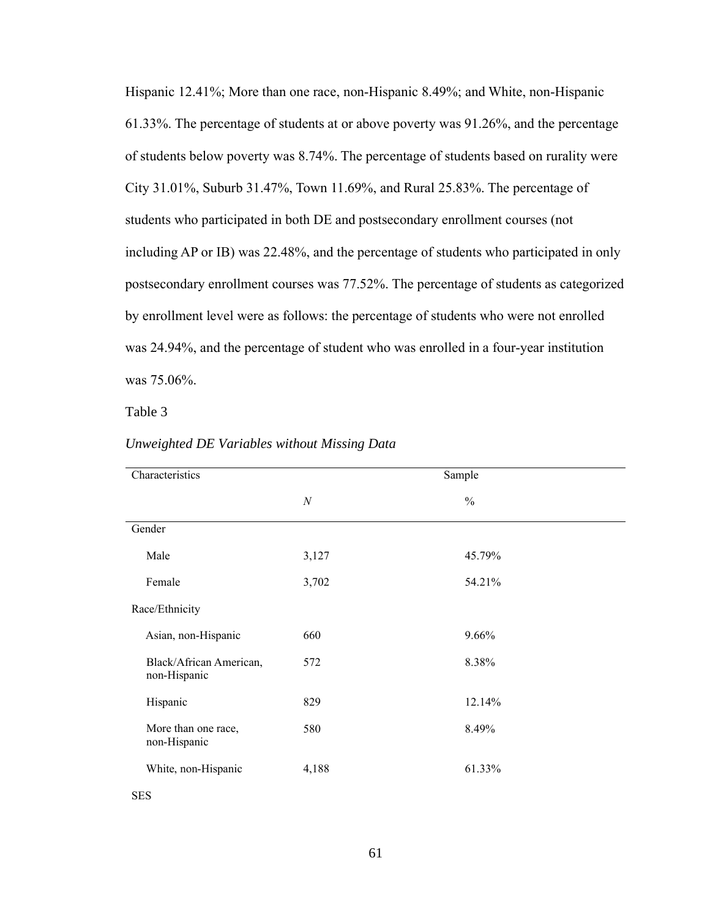Hispanic 12.41%; More than one race, non-Hispanic 8.49%; and White, non-Hispanic 61.33%. The percentage of students at or above poverty was 91.26%, and the percentage of students below poverty was 8.74%. The percentage of students based on rurality were City 31.01%, Suburb 31.47%, Town 11.69%, and Rural 25.83%. The percentage of students who participated in both DE and postsecondary enrollment courses (not including AP or IB) was 22.48%, and the percentage of students who participated in only postsecondary enrollment courses was 77.52%. The percentage of students as categorized by enrollment level were as follows: the percentage of students who were not enrolled was 24.94%, and the percentage of student who was enrolled in a four-year institution was 75.06%.

Table 3

| Characteristics                         |       | Sample        |
|-----------------------------------------|-------|---------------|
|                                         | N     | $\frac{0}{0}$ |
| Gender                                  |       |               |
| Male                                    | 3,127 | 45.79%        |
| Female                                  | 3,702 | 54.21%        |
| Race/Ethnicity                          |       |               |
| Asian, non-Hispanic                     | 660   | 9.66%         |
| Black/African American,<br>non-Hispanic | 572   | 8.38%         |
| Hispanic                                | 829   | 12.14%        |
| More than one race,<br>non-Hispanic     | 580   | 8.49%         |
| White, non-Hispanic                     | 4,188 | 61.33%        |

#### *Unweighted DE Variables without Missing Data*

SES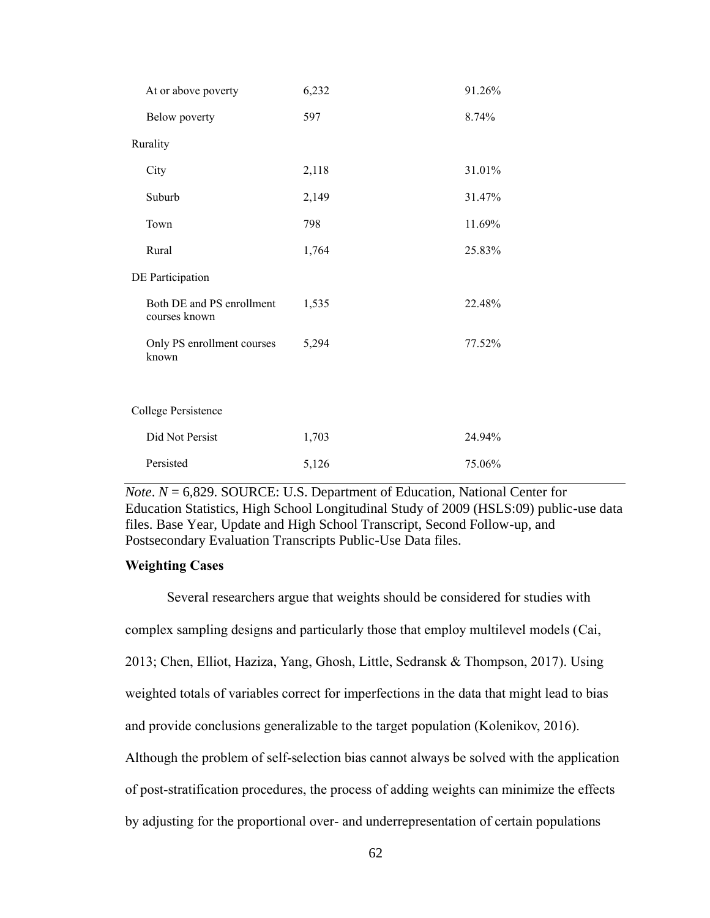| At or above poverty                        | 6,232 | 91.26% |
|--------------------------------------------|-------|--------|
| Below poverty                              | 597   | 8.74%  |
| Rurality                                   |       |        |
| City                                       | 2,118 | 31.01% |
| Suburb                                     | 2,149 | 31.47% |
| Town                                       | 798   | 11.69% |
| Rural                                      | 1,764 | 25.83% |
| DE Participation                           |       |        |
| Both DE and PS enrollment<br>courses known | 1,535 | 22.48% |
| Only PS enrollment courses<br>known        | 5,294 | 77.52% |
|                                            |       |        |
| College Persistence                        |       |        |
| Did Not Persist                            | 1,703 | 24.94% |
| Persisted                                  | 5,126 | 75.06% |

*Note*. *N* = 6,829. SOURCE: U.S. Department of Education, National Center for Education Statistics, High School Longitudinal Study of 2009 (HSLS:09) public-use data files. Base Year, Update and High School Transcript, Second Follow-up, and Postsecondary Evaluation Transcripts Public-Use Data files.

#### **Weighting Cases**

Several researchers argue that weights should be considered for studies with complex sampling designs and particularly those that employ multilevel models (Cai, 2013; Chen, Elliot, Haziza, Yang, Ghosh, Little, Sedransk & Thompson, 2017). Using weighted totals of variables correct for imperfections in the data that might lead to bias and provide conclusions generalizable to the target population (Kolenikov, 2016). Although the problem of self-selection bias cannot always be solved with the application of post-stratification procedures, the process of adding weights can minimize the effects by adjusting for the proportional over- and underrepresentation of certain populations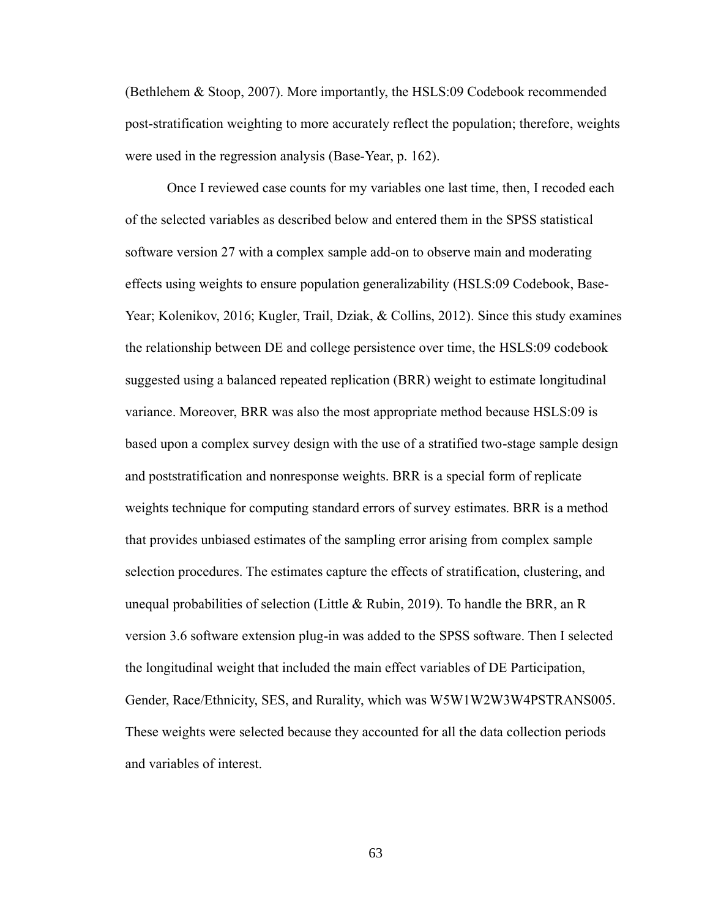(Bethlehem & Stoop, 2007). More importantly, the HSLS:09 Codebook recommended post-stratification weighting to more accurately reflect the population; therefore, weights were used in the regression analysis (Base-Year, p. 162).

Once I reviewed case counts for my variables one last time, then, I recoded each of the selected variables as described below and entered them in the SPSS statistical software version 27 with a complex sample add-on to observe main and moderating effects using weights to ensure population generalizability (HSLS:09 Codebook, Base-Year; Kolenikov, 2016; Kugler, Trail, Dziak, & Collins, 2012). Since this study examines the relationship between DE and college persistence over time, the HSLS:09 codebook suggested using a balanced repeated replication (BRR) weight to estimate longitudinal variance. Moreover, BRR was also the most appropriate method because HSLS:09 is based upon a complex survey design with the use of a stratified two-stage sample design and poststratification and nonresponse weights. BRR is a special form of replicate weights technique for computing standard errors of survey estimates. BRR is a method that provides unbiased estimates of the sampling error arising from complex [sample](javascript:sampleThat() selection procedures. The estimates capture the effects of stratification, clustering, and unequal probabilities of selection (Little & Rubin, 2019). To handle the BRR, an R version 3.6 software extension plug-in was added to the SPSS software. Then I selected the longitudinal weight that included the main effect variables of DE Participation, Gender, Race/Ethnicity, SES, and Rurality, which was W5W1W2W3W4PSTRANS005. These weights were selected because they accounted for all the data collection periods and variables of interest.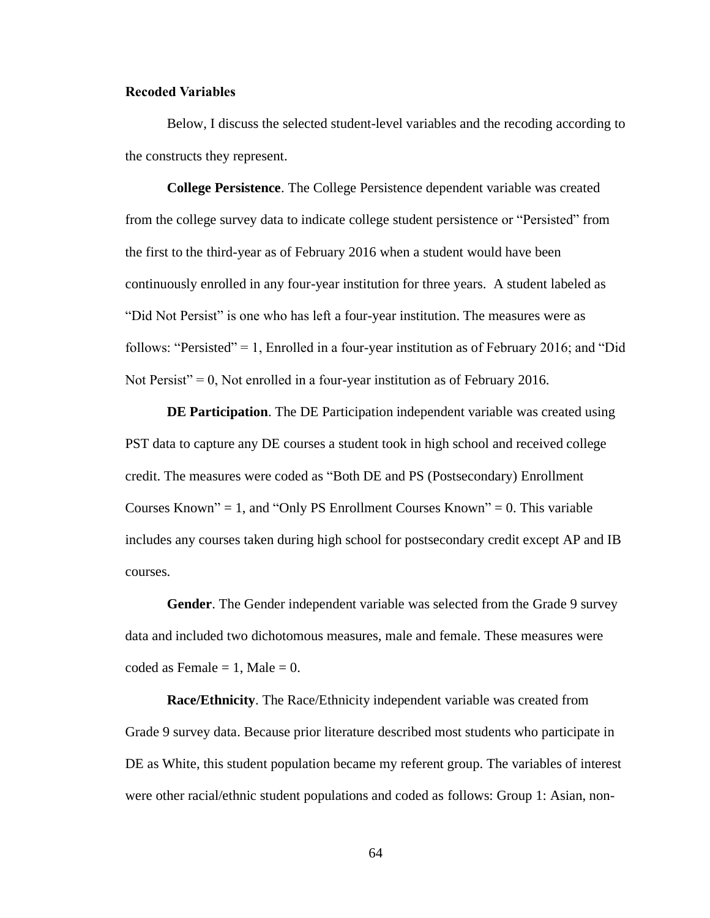#### **Recoded Variables**

Below, I discuss the selected student-level variables and the recoding according to the constructs they represent.

**College Persistence**. The College Persistence dependent variable was created from the college survey data to indicate college student persistence or "Persisted" from the first to the third-year as of February 2016 when a student would have been continuously enrolled in any four-year institution for three years. A student labeled as "Did Not Persist" is one who has left a four-year institution. The measures were as follows: "Persisted" = 1, Enrolled in a four-year institution as of February 2016; and "Did" Not Persist" =  $0$ , Not enrolled in a four-year institution as of February 2016.

**DE Participation**. The DE Participation independent variable was created using PST data to capture any DE courses a student took in high school and received college credit. The measures were coded as "Both DE and PS (Postsecondary) Enrollment Courses Known" = 1, and "Only PS Enrollment Courses Known" = 0. This variable includes any courses taken during high school for postsecondary credit except AP and IB courses.

**Gender**. The Gender independent variable was selected from the Grade 9 survey data and included two dichotomous measures, male and female. These measures were coded as Female  $= 1$ , Male  $= 0$ .

**Race/Ethnicity**. The Race/Ethnicity independent variable was created from Grade 9 survey data. Because prior literature described most students who participate in DE as White, this student population became my referent group. The variables of interest were other racial/ethnic student populations and coded as follows: Group 1: Asian, non-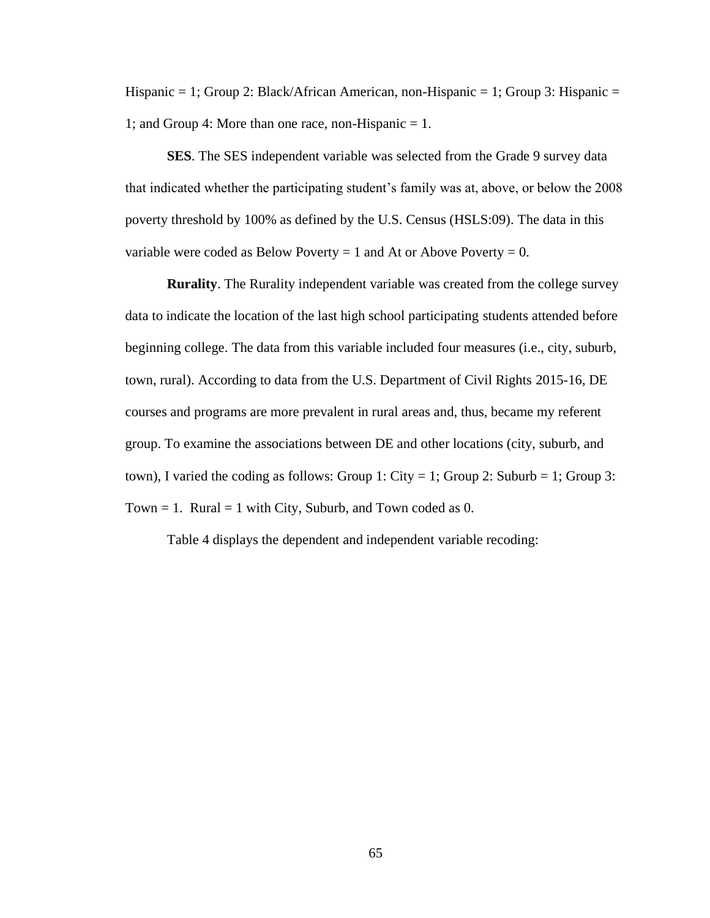Hispanic = 1; Group 2: Black/African American, non-Hispanic = 1; Group 3: Hispanic = 1; and Group 4: More than one race, non-Hispanic = 1.

**SES**. The SES independent variable was selected from the Grade 9 survey data that indicated whether the participating student's family was at, above, or below the 2008 poverty threshold by 100% as defined by the U.S. Census (HSLS:09). The data in this variable were coded as Below Poverty  $= 1$  and At or Above Poverty  $= 0$ .

**Rurality**. The Rurality independent variable was created from the college survey data to indicate the location of the last high school participating students attended before beginning college. The data from this variable included four measures (i.e., city, suburb, town, rural). According to data from the U.S. Department of Civil Rights 2015-16, DE courses and programs are more prevalent in rural areas and, thus, became my referent group. To examine the associations between DE and other locations (city, suburb, and town), I varied the coding as follows: Group 1: City = 1; Group 2: Suburb = 1; Group 3: Town  $= 1$ . Rural  $= 1$  with City, Suburb, and Town coded as 0.

Table 4 displays the dependent and independent variable recoding: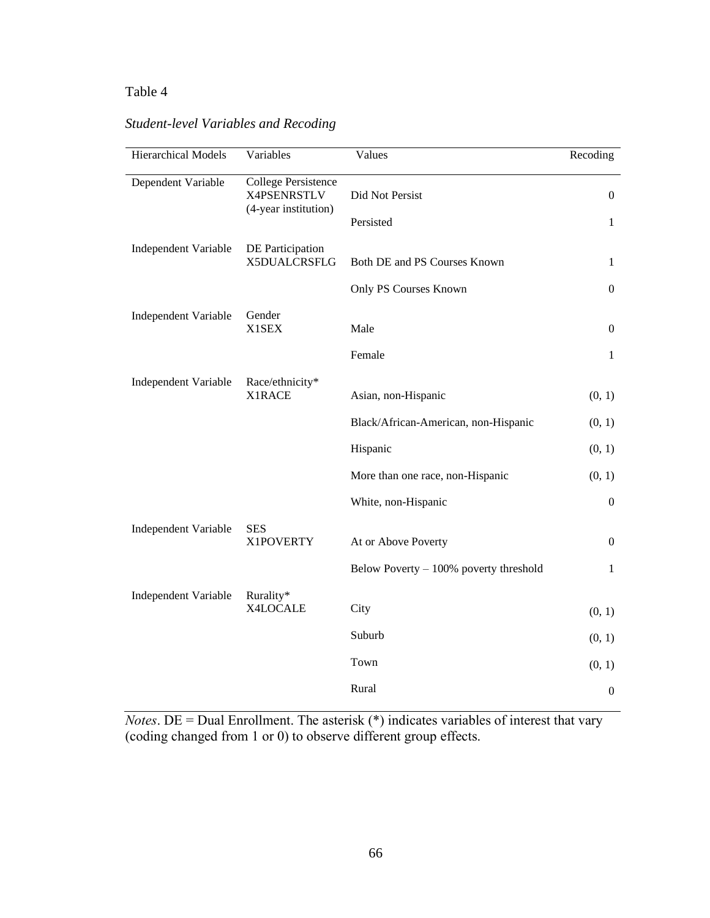## Table 4

## *Student-level Variables and Recoding*

| Hierarchical Models         | Variables                                 | Values                                  | Recoding         |
|-----------------------------|-------------------------------------------|-----------------------------------------|------------------|
| Dependent Variable          | <b>College Persistence</b><br>X4PSENRSTLV | Did Not Persist                         | $\theta$         |
|                             | (4-year institution)                      | Persisted                               | 1                |
| <b>Independent Variable</b> | DE Participation<br>X5DUALCRSFLG          | Both DE and PS Courses Known            | 1                |
|                             |                                           | Only PS Courses Known                   | $\boldsymbol{0}$ |
| Independent Variable        | Gender<br>X1SEX                           | Male                                    | $\theta$         |
|                             |                                           | Female                                  | 1                |
| <b>Independent Variable</b> | Race/ethnicity*<br>X1RACE                 | Asian, non-Hispanic                     | (0, 1)           |
|                             |                                           | Black/African-American, non-Hispanic    | (0, 1)           |
|                             |                                           | Hispanic                                | (0, 1)           |
|                             |                                           | More than one race, non-Hispanic        | (0, 1)           |
|                             |                                           | White, non-Hispanic                     | $\theta$         |
| <b>Independent Variable</b> | <b>SES</b><br>X1POVERTY                   | At or Above Poverty                     | $\theta$         |
|                             |                                           | Below Poverty $-100%$ poverty threshold | 1                |
| Independent Variable        | Rurality*<br>X4LOCALE                     | City                                    | (0, 1)           |
|                             |                                           | Suburb                                  | (0, 1)           |
|                             |                                           | Town                                    | (0, 1)           |
|                             |                                           | Rural                                   | $\boldsymbol{0}$ |

*Notes*. DE = Dual Enrollment. The asterisk (\*) indicates variables of interest that vary (coding changed from 1 or 0) to observe different group effects.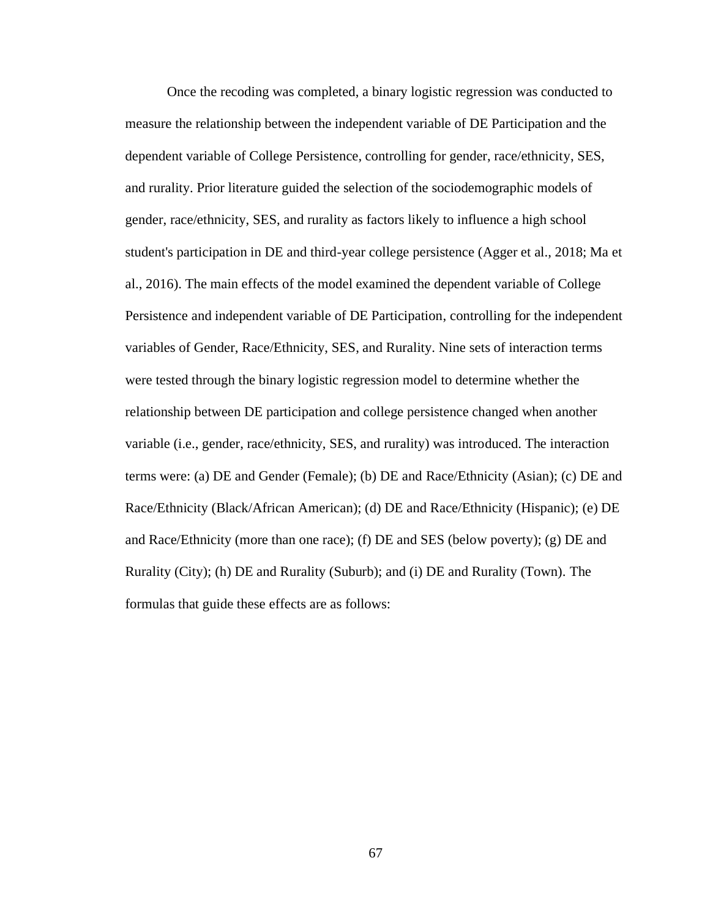Once the recoding was completed, a binary logistic regression was conducted to measure the relationship between the independent variable of DE Participation and the dependent variable of College Persistence, controlling for gender, race/ethnicity, SES, and rurality. Prior literature guided the selection of the sociodemographic models of gender, race/ethnicity, SES, and rurality as factors likely to influence a high school student's participation in DE and third-year college persistence (Agger et al., 2018; Ma et al., 2016). The main effects of the model examined the dependent variable of College Persistence and independent variable of DE Participation, controlling for the independent variables of Gender, Race/Ethnicity, SES, and Rurality. Nine sets of interaction terms were tested through the binary logistic regression model to determine whether the relationship between DE participation and college persistence changed when another variable (i.e., gender, race/ethnicity, SES, and rurality) was introduced. The interaction terms were: (a) DE and Gender (Female); (b) DE and Race/Ethnicity (Asian); (c) DE and Race/Ethnicity (Black/African American); (d) DE and Race/Ethnicity (Hispanic); (e) DE and Race/Ethnicity (more than one race); (f) DE and SES (below poverty); (g) DE and Rurality (City); (h) DE and Rurality (Suburb); and (i) DE and Rurality (Town). The formulas that guide these effects are as follows: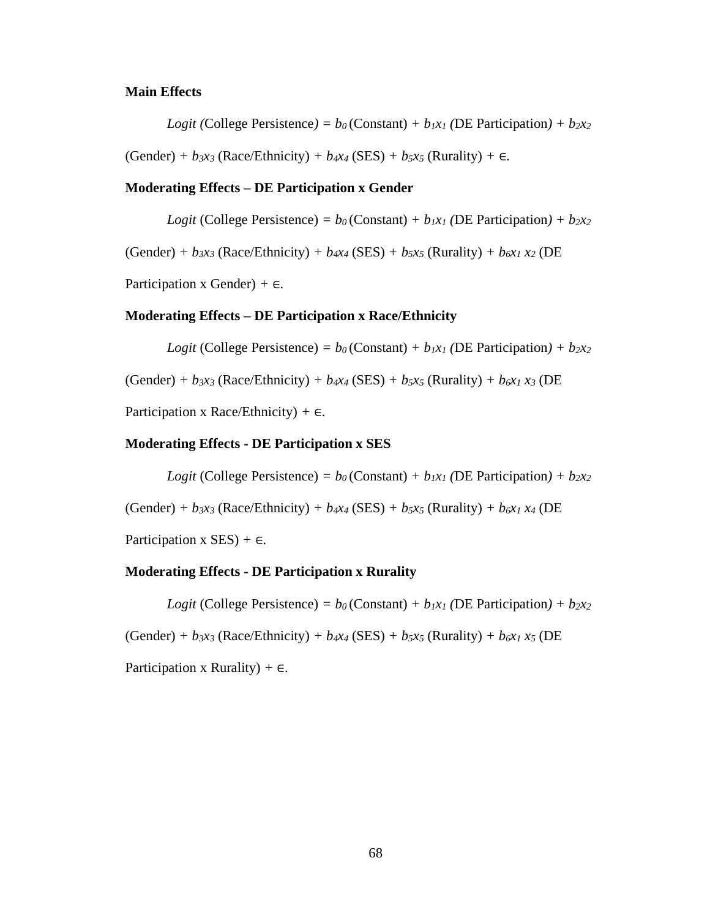#### **Main Effects**

*Logit* (College Persistence) =  $b_0$  (Constant) +  $b_1x_1$  (DE Participation) +  $b_2x_2$ 

 $(Gender) + b_3x_3$  (Race/Ethnicity)  $+ b_4x_4$  (SES)  $+ b_5x_5$  (Rurality)  $+ \epsilon$ .

#### **Moderating Effects – DE Participation x Gender**

*Logit* (College Persistence) =  $b_0$  (Constant) +  $b_1x_1$  (DE Participation) +  $b_2x_2$ 

 $(Gender) + b_3x_3$  (Race/Ethnicity)  $+ b_4x_4$  (SES)  $+ b_5x_5$  (Rurality)  $+ b_6x_1x_2$  (DE)

Participation x Gender) *+* ∈*.* 

#### **Moderating Effects – DE Participation x Race/Ethnicity**

*Logit* (College Persistence) =  $b_0$  (Constant) +  $b_1x_1$  (DE Participation) +  $b_2x_2$ 

 $(Gender) + b_3x_3 (Race/Ethnicity) + b_4x_4 (SES) + b_5x_5 (Rurality) + b_6x_1x_3 (DE)$ 

Participation x Race/Ethnicity) *+* ∈*.* 

#### **Moderating Effects - DE Participation x SES**

*Logit* (College Persistence) =  $b_0$  (Constant) +  $b_1x_1$  (DE Participation) +  $b_2x_2$ 

 $(Gender) + b_3x_3$  (Race/Ethnicity)  $+ b_4x_4$  (SES)  $+ b_5x_5$  (Rurality)  $+ b_6x_1x_4$  (DE)

Participation x SES) *+* ∈*.* 

#### **Moderating Effects - DE Participation x Rurality**

*Logit* (College Persistence) =  $b_0$  (Constant) +  $b_1x_1$  (DE Participation) +  $b_2x_2$ 

 $(Gender) + b_3x_3$  (Race/Ethnicity)  $+ b_4x_4$  (SES)  $+ b_5x_5$  (Rurality)  $+ b_6x_1x_5$  (DE

Participation x Rurality) *+* ∈*.*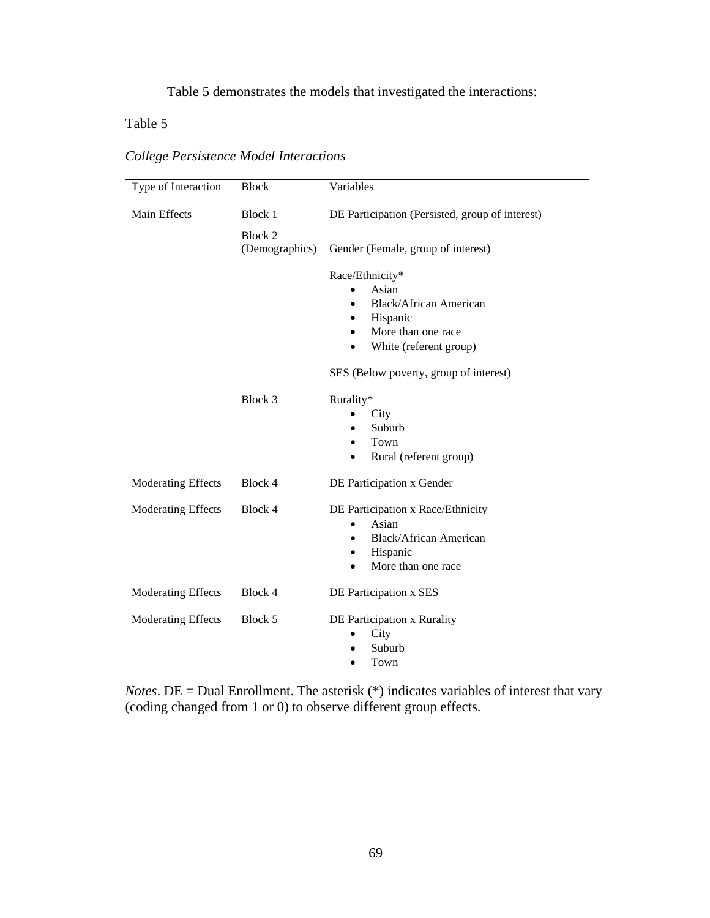## Table 5 demonstrates the models that investigated the interactions:

## Table 5

| Type of Interaction       | <b>Block</b>              | Variables                                       |
|---------------------------|---------------------------|-------------------------------------------------|
| Main Effects              | <b>Block 1</b>            | DE Participation (Persisted, group of interest) |
|                           | Block 2<br>(Demographics) | Gender (Female, group of interest)              |
|                           |                           | Race/Ethnicity*                                 |
|                           |                           | Asian                                           |
|                           |                           | <b>Black/African American</b><br>$\bullet$      |
|                           |                           | Hispanic<br>$\bullet$                           |
|                           |                           | More than one race<br>$\bullet$                 |
|                           |                           | White (referent group)<br>$\bullet$             |
|                           |                           | SES (Below poverty, group of interest)          |
|                           | Block 3                   | Rurality*                                       |
|                           |                           | City                                            |
|                           |                           | Suburb                                          |
|                           |                           | Town                                            |
|                           |                           | Rural (referent group)<br>٠                     |
| Moderating Effects        | Block 4                   | DE Participation x Gender                       |
| <b>Moderating Effects</b> | Block 4                   | DE Participation x Race/Ethnicity               |
|                           |                           | Asian                                           |
|                           |                           | <b>Black/African American</b><br>٠              |
|                           |                           | Hispanic<br>٠                                   |
|                           |                           | More than one race                              |
| <b>Moderating Effects</b> | Block 4                   | DE Participation x SES                          |
| <b>Moderating Effects</b> | Block 5                   | DE Participation x Rurality                     |
|                           |                           | City                                            |
|                           |                           | Suburb                                          |
|                           |                           | Town                                            |

*College Persistence Model Interactions*

*Notes*. DE = Dual Enrollment. The asterisk (\*) indicates variables of interest that vary (coding changed from 1 or 0) to observe different group effects.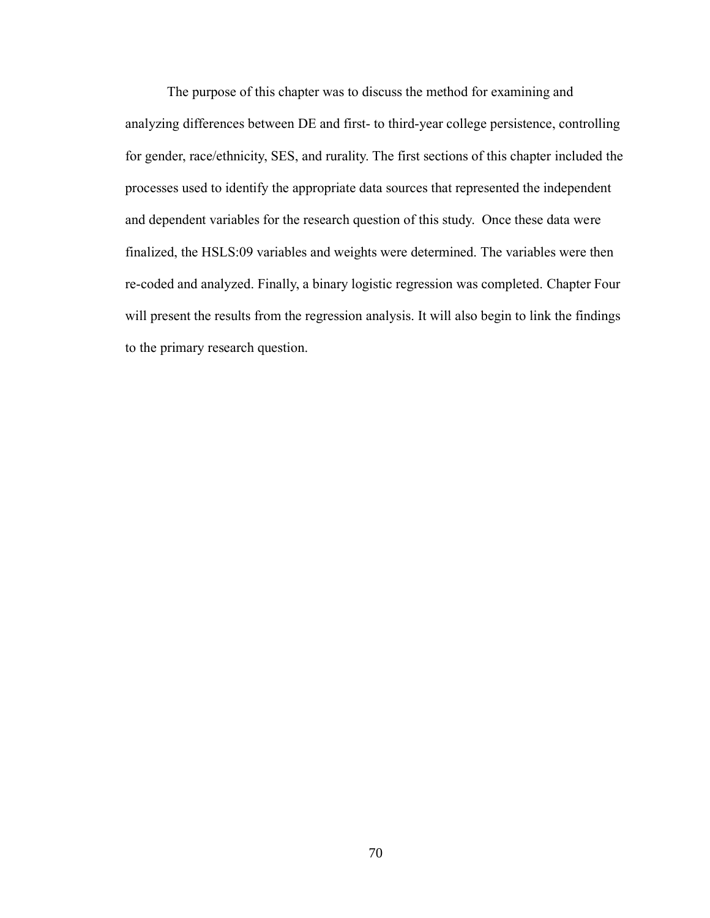The purpose of this chapter was to discuss the method for examining and analyzing differences between DE and first- to third-year college persistence, controlling for gender, race/ethnicity, SES, and rurality. The first sections of this chapter included the processes used to identify the appropriate data sources that represented the independent and dependent variables for the research question of this study. Once these data were finalized, the HSLS:09 variables and weights were determined. The variables were then re-coded and analyzed. Finally, a binary logistic regression was completed. Chapter Four will present the results from the regression analysis. It will also begin to link the findings to the primary research question.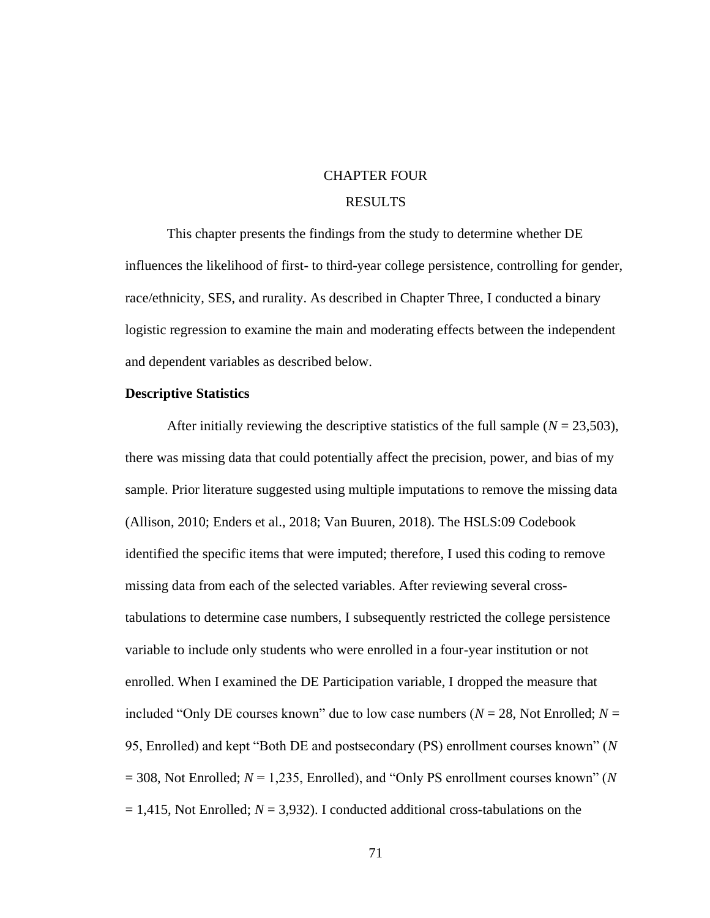## CHAPTER FOUR

### RESULTS

This chapter presents the findings from the study to determine whether DE influences the likelihood of first- to third-year college persistence, controlling for gender, race/ethnicity, SES, and rurality. As described in Chapter Three, I conducted a binary logistic regression to examine the main and moderating effects between the independent and dependent variables as described below.

#### **Descriptive Statistics**

After initially reviewing the descriptive statistics of the full sample ( $N = 23,503$ ), there was missing data that could potentially affect the precision, power, and bias of my sample. Prior literature suggested using multiple imputations to remove the missing data (Allison, 2010; Enders et al., 2018; Van Buuren, 2018). The HSLS:09 Codebook identified the specific items that were imputed; therefore, I used this coding to remove missing data from each of the selected variables. After reviewing several crosstabulations to determine case numbers, I subsequently restricted the college persistence variable to include only students who were enrolled in a four-year institution or not enrolled. When I examined the DE Participation variable, I dropped the measure that included "Only DE courses known" due to low case numbers ( $N = 28$ , Not Enrolled;  $N =$ 95, Enrolled) and kept "Both DE and postsecondary (PS) enrollment courses known" (*N* = 308, Not Enrolled; *N* = 1,235, Enrolled), and "Only PS enrollment courses known" (*N*  $= 1,415$ , Not Enrolled;  $N = 3,932$ ). I conducted additional cross-tabulations on the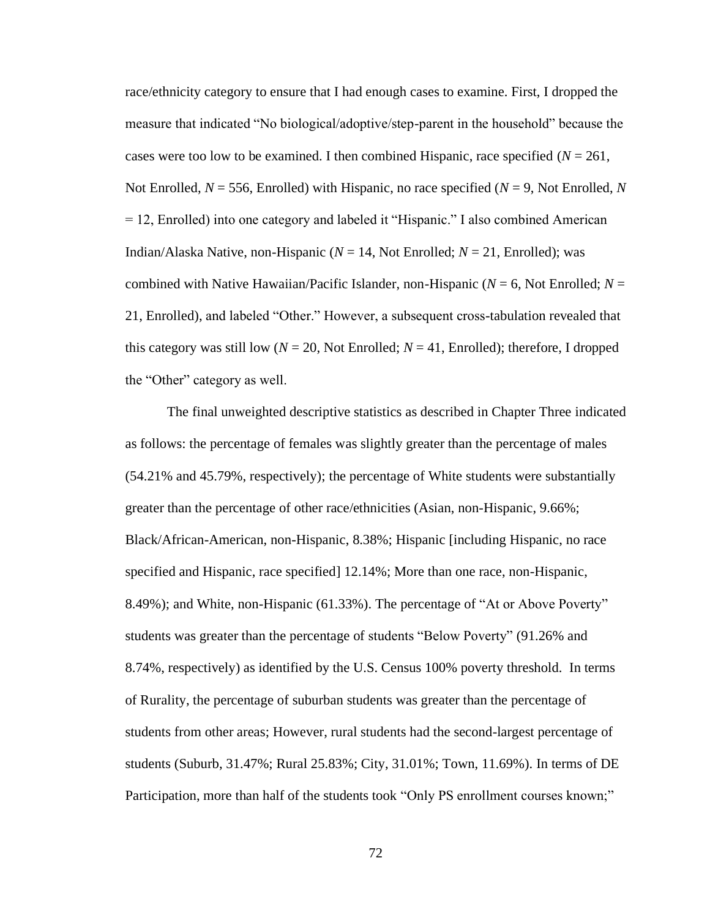race/ethnicity category to ensure that I had enough cases to examine. First, I dropped the measure that indicated "No biological/adoptive/step-parent in the household" because the cases were too low to be examined. I then combined Hispanic, race specified  $(N = 261)$ , Not Enrolled,  $N = 556$ , Enrolled) with Hispanic, no race specified ( $N = 9$ , Not Enrolled, N = 12, Enrolled) into one category and labeled it "Hispanic." I also combined American Indian/Alaska Native, non-Hispanic (*N* = 14, Not Enrolled; *N* = 21, Enrolled); was combined with Native Hawaiian/Pacific Islander, non-Hispanic (*N* = 6, Not Enrolled; *N* = 21, Enrolled), and labeled "Other." However, a subsequent cross-tabulation revealed that this category was still low ( $N = 20$ , Not Enrolled;  $N = 41$ , Enrolled); therefore, I dropped the "Other" category as well.

The final unweighted descriptive statistics as described in Chapter Three indicated as follows: the percentage of females was slightly greater than the percentage of males (54.21% and 45.79%, respectively); the percentage of White students were substantially greater than the percentage of other race/ethnicities (Asian, non-Hispanic, 9.66%; Black/African-American, non-Hispanic, 8.38%; Hispanic [including Hispanic, no race specified and Hispanic, race specified] 12.14%; More than one race, non-Hispanic, 8.49%); and White, non-Hispanic (61.33%). The percentage of "At or Above Poverty" students was greater than the percentage of students "Below Poverty" (91.26% and 8.74%, respectively) as identified by the U.S. Census 100% poverty threshold. In terms of Rurality, the percentage of suburban students was greater than the percentage of students from other areas; However, rural students had the second-largest percentage of students (Suburb, 31.47%; Rural 25.83%; City, 31.01%; Town, 11.69%). In terms of DE Participation, more than half of the students took "Only PS enrollment courses known;"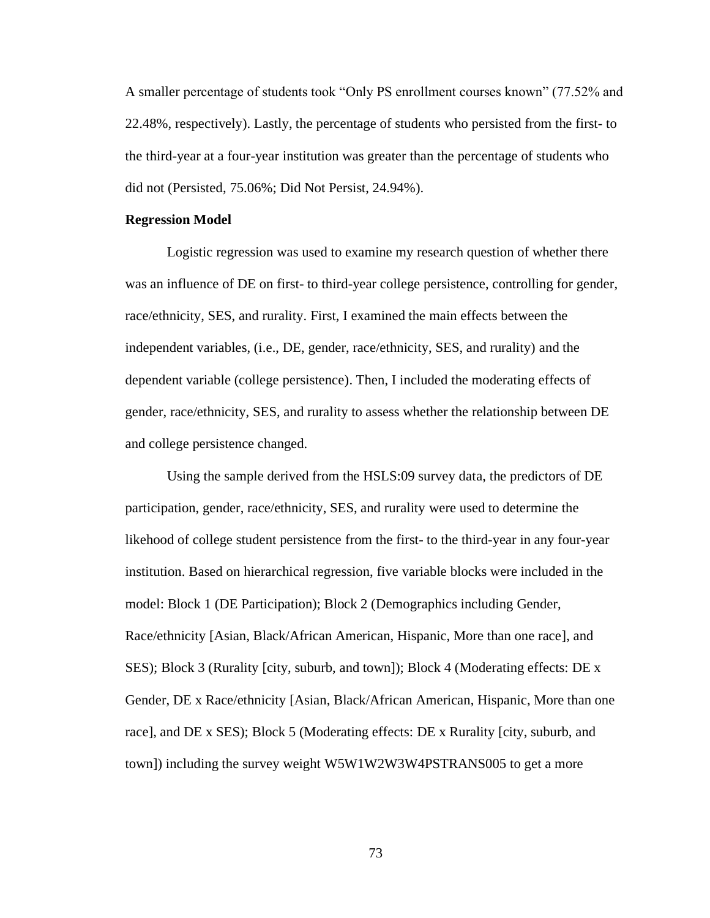A smaller percentage of students took "Only PS enrollment courses known" (77.52% and 22.48%, respectively). Lastly, the percentage of students who persisted from the first- to the third-year at a four-year institution was greater than the percentage of students who did not (Persisted, 75.06%; Did Not Persist, 24.94%).

#### **Regression Model**

Logistic regression was used to examine my research question of whether there was an influence of DE on first- to third-year college persistence, controlling for gender, race/ethnicity, SES, and rurality. First, I examined the main effects between the independent variables, (i.e., DE, gender, race/ethnicity, SES, and rurality) and the dependent variable (college persistence). Then, I included the moderating effects of gender, race/ethnicity, SES, and rurality to assess whether the relationship between DE and college persistence changed.

Using the sample derived from the HSLS:09 survey data, the predictors of DE participation, gender, race/ethnicity, SES, and rurality were used to determine the likehood of college student persistence from the first- to the third-year in any four-year institution. Based on hierarchical regression, five variable blocks were included in the model: Block 1 (DE Participation); Block 2 (Demographics including Gender, Race/ethnicity [Asian, Black/African American, Hispanic, More than one race], and SES); Block 3 (Rurality [city, suburb, and town]); Block 4 (Moderating effects: DE x Gender, DE x Race/ethnicity [Asian, Black/African American, Hispanic, More than one race], and DE x SES); Block 5 (Moderating effects: DE x Rurality [city, suburb, and town]) including the survey weight W5W1W2W3W4PSTRANS005 to get a more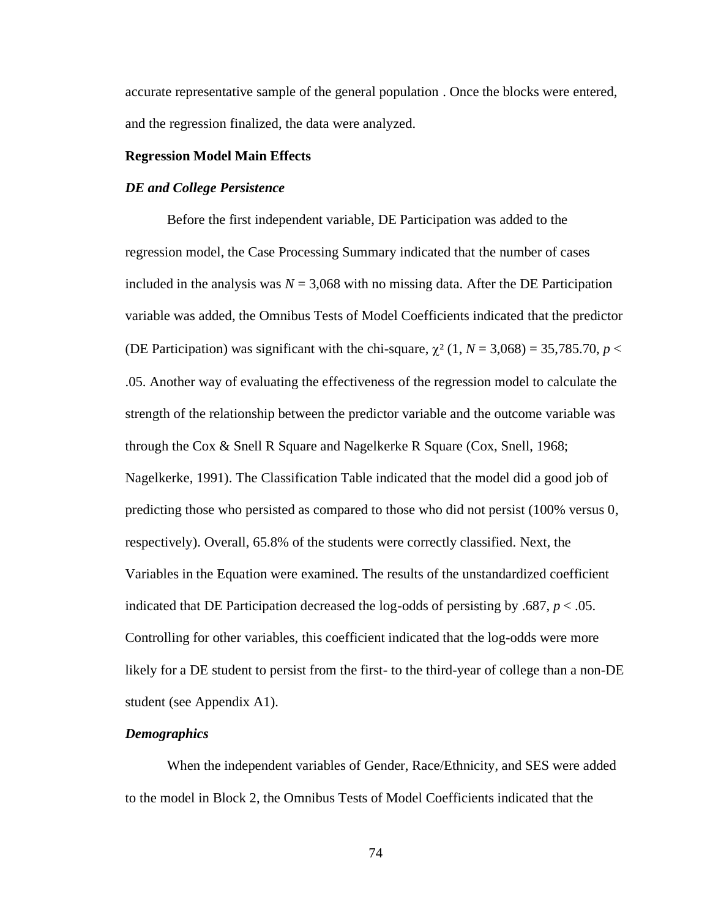accurate representative sample of the general population . Once the blocks were entered, and the regression finalized, the data were analyzed.

#### **Regression Model Main Effects**

#### *DE and College Persistence*

Before the first independent variable, DE Participation was added to the regression model, the Case Processing Summary indicated that the number of cases included in the analysis was  $N = 3,068$  with no missing data. After the DE Participation variable was added, the Omnibus Tests of Model Coefficients indicated that the predictor (DE Participation) was significant with the chi-square,  $\chi^2$  (1, *N* = 3,068) = 35,785.70, *p* < .05. Another way of evaluating the effectiveness of the regression model to calculate the strength of the relationship between the predictor variable and the outcome variable was through the Cox & Snell R Square and Nagelkerke R Square (Cox, Snell, 1968; Nagelkerke, 1991). The Classification Table indicated that the model did a good job of predicting those who persisted as compared to those who did not persist (100% versus 0, respectively). Overall, 65.8% of the students were correctly classified. Next, the Variables in the Equation were examined. The results of the unstandardized coefficient indicated that DE Participation decreased the log-odds of persisting by .687,  $p < .05$ . Controlling for other variables, this coefficient indicated that the log-odds were more likely for a DE student to persist from the first- to the third-year of college than a non-DE student (see Appendix A1).

#### *Demographics*

When the independent variables of Gender, Race/Ethnicity, and SES were added to the model in Block 2, the Omnibus Tests of Model Coefficients indicated that the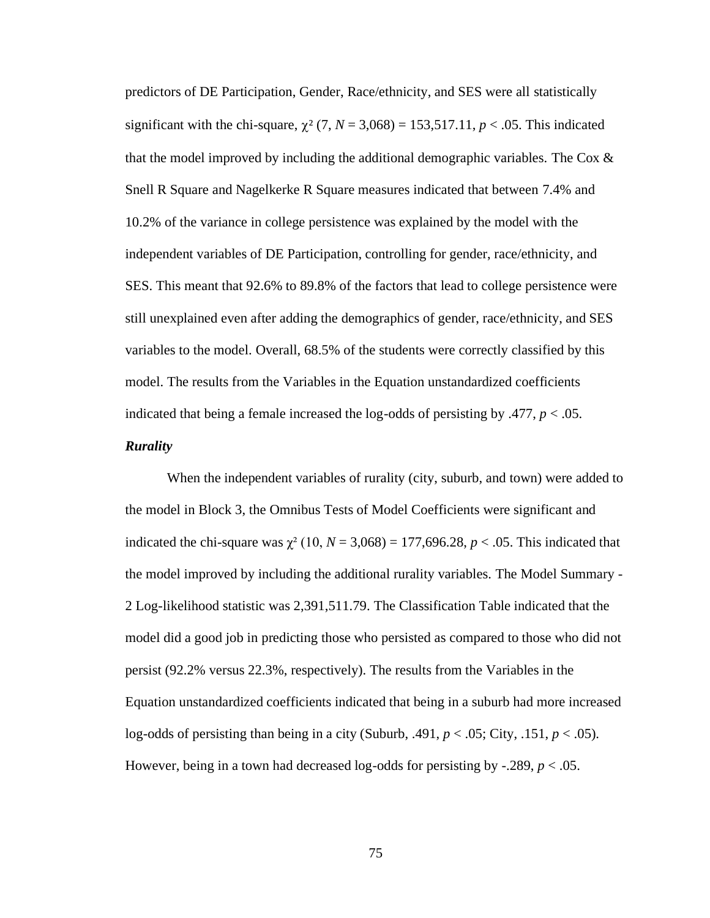predictors of DE Participation, Gender, Race/ethnicity, and SES were all statistically significant with the chi-square,  $\chi^2$  (7, *N* = 3,068) = 153,517.11, *p* < .05. This indicated that the model improved by including the additional demographic variables. The Cox & Snell R Square and Nagelkerke R Square measures indicated that between 7.4% and 10.2% of the variance in college persistence was explained by the model with the independent variables of DE Participation, controlling for gender, race/ethnicity, and SES. This meant that 92.6% to 89.8% of the factors that lead to college persistence were still unexplained even after adding the demographics of gender, race/ethnicity, and SES variables to the model. Overall, 68.5% of the students were correctly classified by this model. The results from the Variables in the Equation unstandardized coefficients indicated that being a female increased the log-odds of persisting by  $.477, p < .05$ .

## *Rurality*

When the independent variables of rurality (city, suburb, and town) were added to the model in Block 3, the Omnibus Tests of Model Coefficients were significant and indicated the chi-square was  $\chi^2$  (10,  $N = 3,068$ ) = 177,696.28,  $p < .05$ . This indicated that the model improved by including the additional rurality variables. The Model Summary - 2 Log-likelihood statistic was 2,391,511.79. The Classification Table indicated that the model did a good job in predicting those who persisted as compared to those who did not persist (92.2% versus 22.3%, respectively). The results from the Variables in the Equation unstandardized coefficients indicated that being in a suburb had more increased log-odds of persisting than being in a city (Suburb, .491,  $p < .05$ ; City, .151,  $p < .05$ ). However, being in a town had decreased log-odds for persisting by  $-.289, p < .05$ .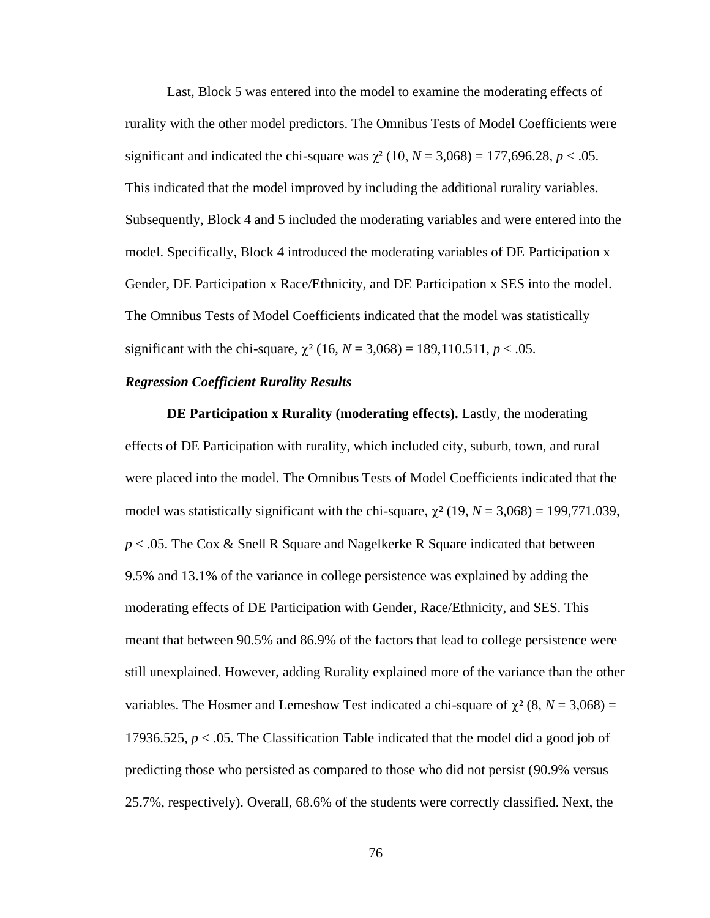Last, Block 5 was entered into the model to examine the moderating effects of rurality with the other model predictors. The Omnibus Tests of Model Coefficients were significant and indicated the chi-square was  $\chi^2$  (10, *N* = 3,068) = 177,696.28, *p* < .05. This indicated that the model improved by including the additional rurality variables. Subsequently, Block 4 and 5 included the moderating variables and were entered into the model. Specifically, Block 4 introduced the moderating variables of DE Participation x Gender, DE Participation x Race/Ethnicity, and DE Participation x SES into the model. The Omnibus Tests of Model Coefficients indicated that the model was statistically significant with the chi-square,  $\chi^2$  (16, *N* = 3,068) = 189,110.511, *p* < .05.

### *Regression Coefficient Rurality Results*

**DE Participation x Rurality (moderating effects).** Lastly, the moderating effects of DE Participation with rurality, which included city, suburb, town, and rural were placed into the model. The Omnibus Tests of Model Coefficients indicated that the model was statistically significant with the chi-square,  $\chi^2$  (19, *N* = 3,068) = 199,771.039, *p* < .05. The Cox & Snell R Square and Nagelkerke R Square indicated that between 9.5% and 13.1% of the variance in college persistence was explained by adding the moderating effects of DE Participation with Gender, Race/Ethnicity, and SES. This meant that between 90.5% and 86.9% of the factors that lead to college persistence were still unexplained. However, adding Rurality explained more of the variance than the other variables. The Hosmer and Lemeshow Test indicated a chi-square of  $\chi^2$  (8, *N* = 3,068) = 17936.525, *p* < .05. The Classification Table indicated that the model did a good job of predicting those who persisted as compared to those who did not persist (90.9% versus 25.7%, respectively). Overall, 68.6% of the students were correctly classified. Next, the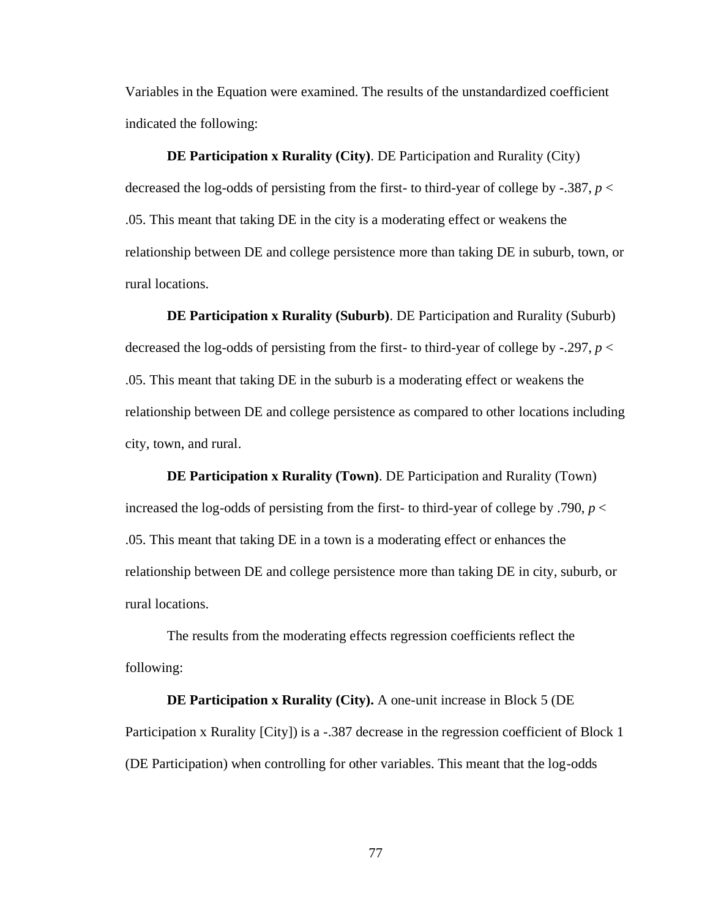Variables in the Equation were examined. The results of the unstandardized coefficient indicated the following:

**DE Participation x Rurality (City)**. DE Participation and Rurality (City) decreased the log-odds of persisting from the first- to third-year of college by -.387,  $p <$ .05. This meant that taking DE in the city is a moderating effect or weakens the relationship between DE and college persistence more than taking DE in suburb, town, or rural locations.

**DE Participation x Rurality (Suburb)**. DE Participation and Rurality (Suburb) decreased the log-odds of persisting from the first- to third-year of college by -.297,  $p <$ .05. This meant that taking DE in the suburb is a moderating effect or weakens the relationship between DE and college persistence as compared to other locations including city, town, and rural.

**DE Participation x Rurality (Town)**. DE Participation and Rurality (Town) increased the log-odds of persisting from the first- to third-year of college by .790, *p* < .05. This meant that taking DE in a town is a moderating effect or enhances the relationship between DE and college persistence more than taking DE in city, suburb, or rural locations.

The results from the moderating effects regression coefficients reflect the following:

**DE Participation x Rurality (City).** A one-unit increase in Block 5 (DE Participation x Rurality [City]) is a -.387 decrease in the regression coefficient of Block 1 (DE Participation) when controlling for other variables. This meant that the log-odds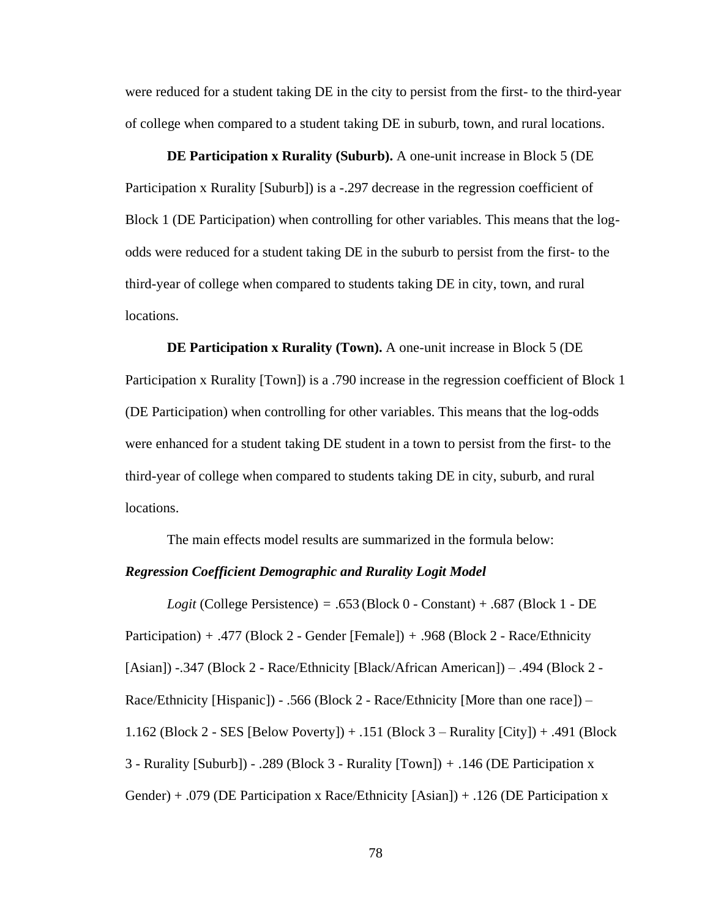were reduced for a student taking DE in the city to persist from the first- to the third-year of college when compared to a student taking DE in suburb, town, and rural locations.

**DE Participation x Rurality (Suburb).** A one-unit increase in Block 5 (DE Participation x Rurality [Suburb]) is a -.297 decrease in the regression coefficient of Block 1 (DE Participation) when controlling for other variables. This means that the logodds were reduced for a student taking DE in the suburb to persist from the first- to the third-year of college when compared to students taking DE in city, town, and rural locations.

**DE Participation x Rurality (Town).** A one-unit increase in Block 5 (DE Participation x Rurality [Town]) is a .790 increase in the regression coefficient of Block 1 (DE Participation) when controlling for other variables. This means that the log-odds were enhanced for a student taking DE student in a town to persist from the first- to the third-year of college when compared to students taking DE in city, suburb, and rural locations.

The main effects model results are summarized in the formula below:

#### *Regression Coefficient Demographic and Rurality Logit Model*

*Logit* (College Persistence) *=* .653 (Block 0 - Constant) + .687 (Block 1 - DE Participation) *+* .477 (Block 2 - Gender [Female]) *+* .968 (Block 2 - Race/Ethnicity [Asian]) -.347 (Block 2 - Race/Ethnicity [Black/African American]) – .494 (Block 2 - Race/Ethnicity [Hispanic]) - .566 (Block 2 - Race/Ethnicity [More than one race]) – 1.162 (Block 2 - SES [Below Poverty]) + .151 (Block 3 – Rurality [City]) + .491 (Block 3 - Rurality [Suburb]) - .289 (Block 3 - Rurality [Town]) *+* .146 (DE Participation x Gender) + .079 (DE Participation x Race/Ethnicity [Asian]) + .126 (DE Participation x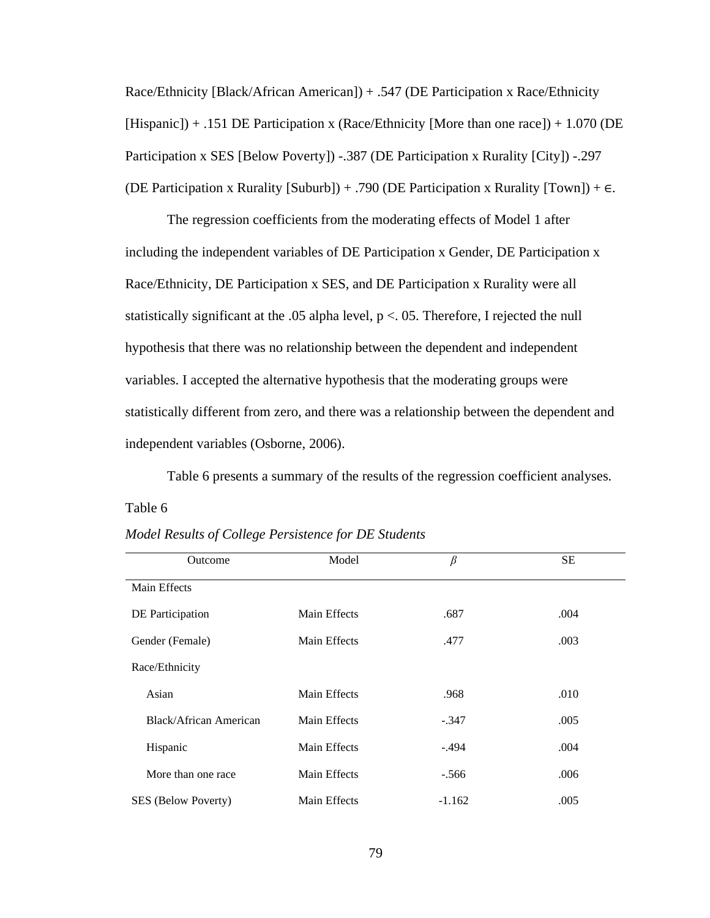Race/Ethnicity [Black/African American]) + .547 (DE Participation x Race/Ethnicity  $[Hispanic]) + .151$  DE Participation x (Race/Ethnicity [More than one race]) + 1.070 (DE Participation x SES [Below Poverty]) -.387 (DE Participation x Rurality [City]) -.297 (DE Participation x Rurality [Suburb]) + .790 (DE Participation x Rurality [Town]) + ∈*.* 

The regression coefficients from the moderating effects of Model 1 after including the independent variables of DE Participation x Gender, DE Participation x Race/Ethnicity, DE Participation x SES, and DE Participation x Rurality were all statistically significant at the .05 alpha level,  $p < 0.05$ . Therefore, I rejected the null hypothesis that there was no relationship between the dependent and independent variables. I accepted the alternative hypothesis that the moderating groups were statistically different from zero, and there was a relationship between the dependent and independent variables (Osborne, 2006).

Table 6 presents a summary of the results of the regression coefficient analyses. Table 6

|  | Model Results of College Persistence for DE Students |
|--|------------------------------------------------------|
|--|------------------------------------------------------|

| Outcome                | Model        | $\beta$  | <b>SE</b> |  |
|------------------------|--------------|----------|-----------|--|
| Main Effects           |              |          |           |  |
| DE Participation       | Main Effects | .687     | .004      |  |
| Gender (Female)        | Main Effects | .477     | .003      |  |
| Race/Ethnicity         |              |          |           |  |
| Asian                  | Main Effects | .968     | .010      |  |
| Black/African American | Main Effects | $-.347$  | .005      |  |
| Hispanic               | Main Effects | $-.494$  | .004      |  |
| More than one race     | Main Effects | $-.566$  | .006      |  |
| SES (Below Poverty)    | Main Effects | $-1.162$ | .005      |  |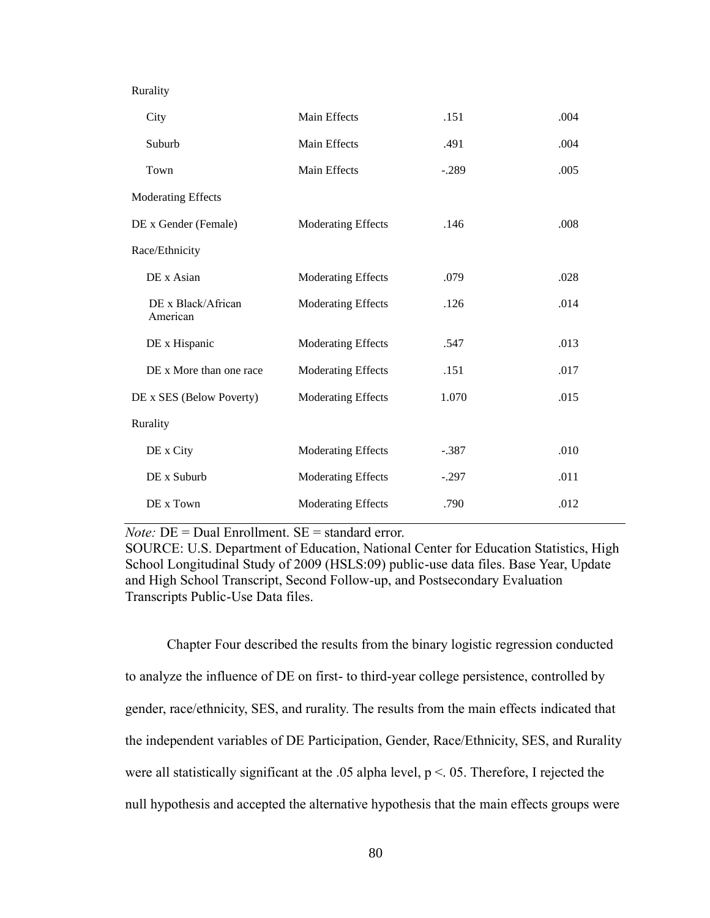| City                           | Main Effects              | .151    | .004 |
|--------------------------------|---------------------------|---------|------|
| Suburb                         | Main Effects              | .491    | .004 |
| Town                           | Main Effects              | $-.289$ | .005 |
| <b>Moderating Effects</b>      |                           |         |      |
| DE x Gender (Female)           | <b>Moderating Effects</b> | .146    | .008 |
| Race/Ethnicity                 |                           |         |      |
| DE x Asian                     | Moderating Effects        | .079    | .028 |
| DE x Black/African<br>American | <b>Moderating Effects</b> | .126    | .014 |
| DE x Hispanic                  | <b>Moderating Effects</b> | .547    | .013 |
| DE x More than one race        | <b>Moderating Effects</b> | .151    | .017 |
| DE x SES (Below Poverty)       | Moderating Effects        | 1.070   | .015 |
| Rurality                       |                           |         |      |
| DE x City                      | Moderating Effects        | $-.387$ | .010 |
| DE x Suburb                    | <b>Moderating Effects</b> | $-.297$ | .011 |
| DE x Town                      | <b>Moderating Effects</b> | .790    | .012 |
|                                |                           |         |      |

*Note:* DE = Dual Enrollment. SE = standard error.

SOURCE: U.S. Department of Education, National Center for Education Statistics, High School Longitudinal Study of 2009 (HSLS:09) public-use data files. Base Year, Update and High School Transcript, Second Follow-up, and Postsecondary Evaluation Transcripts Public-Use Data files.

Chapter Four described the results from the binary logistic regression conducted to analyze the influence of DE on first- to third-year college persistence, controlled by gender, race/ethnicity, SES, and rurality. The results from the main effects indicated that the independent variables of DE Participation, Gender, Race/Ethnicity, SES, and Rurality were all statistically significant at the .05 alpha level,  $p < 0.05$ . Therefore, I rejected the null hypothesis and accepted the alternative hypothesis that the main effects groups were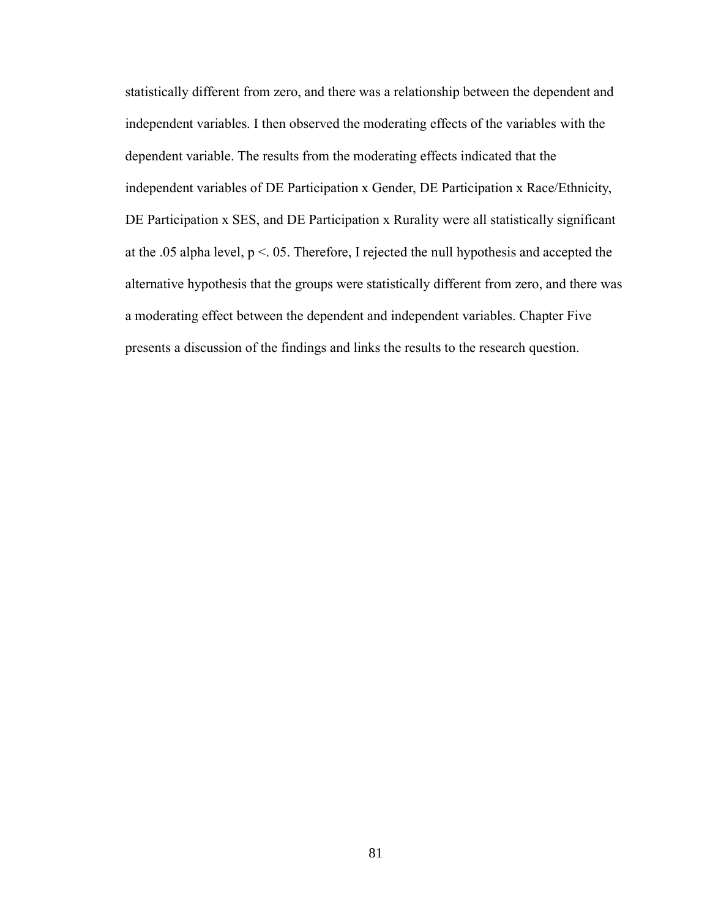statistically different from zero, and there was a relationship between the dependent and independent variables. I then observed the moderating effects of the variables with the dependent variable. The results from the moderating effects indicated that the independent variables of DE Participation x Gender, DE Participation x Race/Ethnicity, DE Participation x SES, and DE Participation x Rurality were all statistically significant at the .05 alpha level, p <. 05. Therefore, I rejected the null hypothesis and accepted the alternative hypothesis that the groups were statistically different from zero, and there was a moderating effect between the dependent and independent variables. Chapter Five presents a discussion of the findings and links the results to the research question.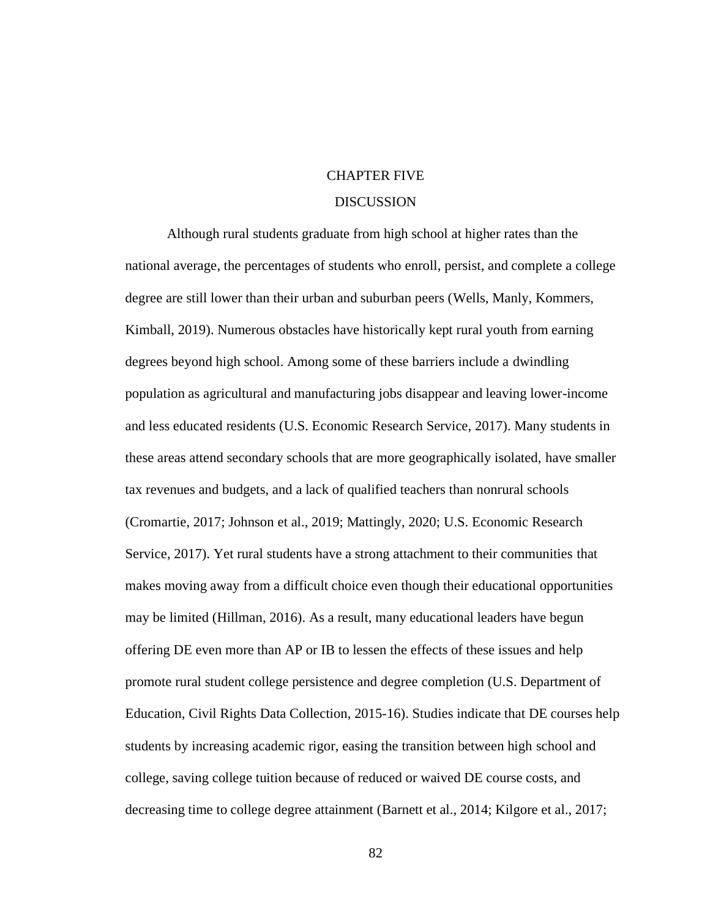# CHAPTER FIVE

## DISCUSSION

Although rural students graduate from high school at higher rates than the national average, the percentages of students who enroll, persist, and complete a college degree are still lower than their urban and suburban peers (Wells, Manly, Kommers, Kimball, 2019). Numerous obstacles have historically kept rural youth from earning degrees beyond high school. Among some of these barriers include a dwindling population as agricultural and manufacturing jobs disappear and leaving lower-income and less educated residents (U.S. Economic Research Service, 2017). Many students in these areas attend secondary schools that are more geographically isolated, have smaller tax revenues and budgets, and a lack of qualified teachers than nonrural schools (Cromartie, 2017; Johnson et al., 2019; Mattingly, 2020; U.S. Economic Research Service, 2017). Yet rural students have a strong attachment to their communities that makes moving away from a difficult choice even though their educational opportunities may be limited (Hillman, 2016). As a result, many educational leaders have begun offering DE even more than AP or IB to lessen the effects of these issues and help promote rural student college persistence and degree completion (U.S. Department of Education, Civil Rights Data Collection, 2015-16). Studies indicate that DE courses help students by increasing academic rigor, easing the transition between high school and college, saving college tuition because of reduced or waived DE course costs, and decreasing time to college degree attainment (Barnett et al., 2014; Kilgore et al., 2017;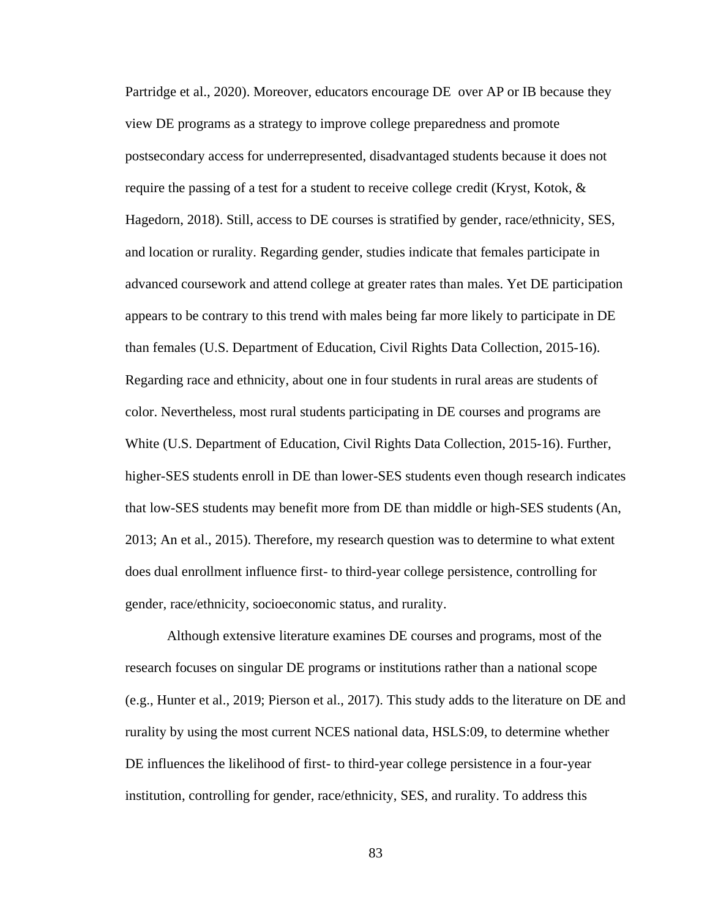Partridge et al., 2020). Moreover, educators encourage DE over AP or IB because they view DE programs as a strategy to improve college preparedness and promote postsecondary access for underrepresented, disadvantaged students because it does not require the passing of a test for a student to receive college credit (Kryst, Kotok,  $\&$ Hagedorn, 2018). Still, access to DE courses is stratified by gender, race/ethnicity, SES, and location or rurality. Regarding gender, studies indicate that females participate in advanced coursework and attend college at greater rates than males. Yet DE participation appears to be contrary to this trend with males being far more likely to participate in DE than females (U.S. Department of Education, Civil Rights Data Collection, 2015-16). Regarding race and ethnicity, about one in four students in rural areas are students of color. Nevertheless, most rural students participating in DE courses and programs are White (U.S. Department of Education, Civil Rights Data Collection, 2015-16). Further, higher-SES students enroll in DE than lower-SES students even though research indicates that low-SES students may benefit more from DE than middle or high-SES students (An, 2013; An et al., 2015). Therefore, my research question was to determine to what extent does dual enrollment influence first- to third-year college persistence, controlling for gender, race/ethnicity, socioeconomic status, and rurality.

Although extensive literature examines DE courses and programs, most of the research focuses on singular DE programs or institutions rather than a national scope (e.g., Hunter et al., 2019; Pierson et al., 2017). This study adds to the literature on DE and rurality by using the most current NCES national data, HSLS:09, to determine whether DE influences the likelihood of first- to third-year college persistence in a four-year institution, controlling for gender, race/ethnicity, SES, and rurality. To address this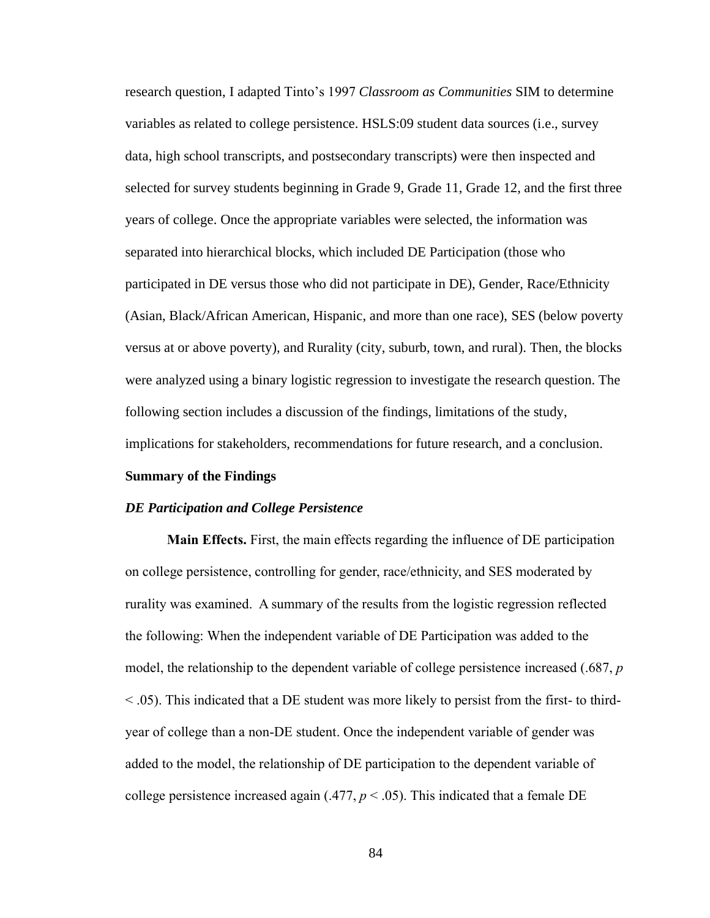research question, I adapted Tinto's 1997 *Classroom as Communities* SIM to determine variables as related to college persistence. HSLS:09 student data sources (i.e., survey data, high school transcripts, and postsecondary transcripts) were then inspected and selected for survey students beginning in Grade 9, Grade 11, Grade 12, and the first three years of college. Once the appropriate variables were selected, the information was separated into hierarchical blocks, which included DE Participation (those who participated in DE versus those who did not participate in DE), Gender, Race/Ethnicity (Asian, Black/African American, Hispanic, and more than one race), SES (below poverty versus at or above poverty), and Rurality (city, suburb, town, and rural). Then, the blocks were analyzed using a binary logistic regression to investigate the research question. The following section includes a discussion of the findings, limitations of the study, implications for stakeholders, recommendations for future research, and a conclusion.

#### **Summary of the Findings**

#### *DE Participation and College Persistence*

**Main Effects.** First, the main effects regarding the influence of DE participation on college persistence, controlling for gender, race/ethnicity, and SES moderated by rurality was examined. A summary of the results from the logistic regression reflected the following: When the independent variable of DE Participation was added to the model, the relationship to the dependent variable of college persistence increased (.687, *p* < .05). This indicated that a DE student was more likely to persist from the first- to thirdyear of college than a non-DE student. Once the independent variable of gender was added to the model, the relationship of DE participation to the dependent variable of college persistence increased again  $(.477, p < .05)$ . This indicated that a female DE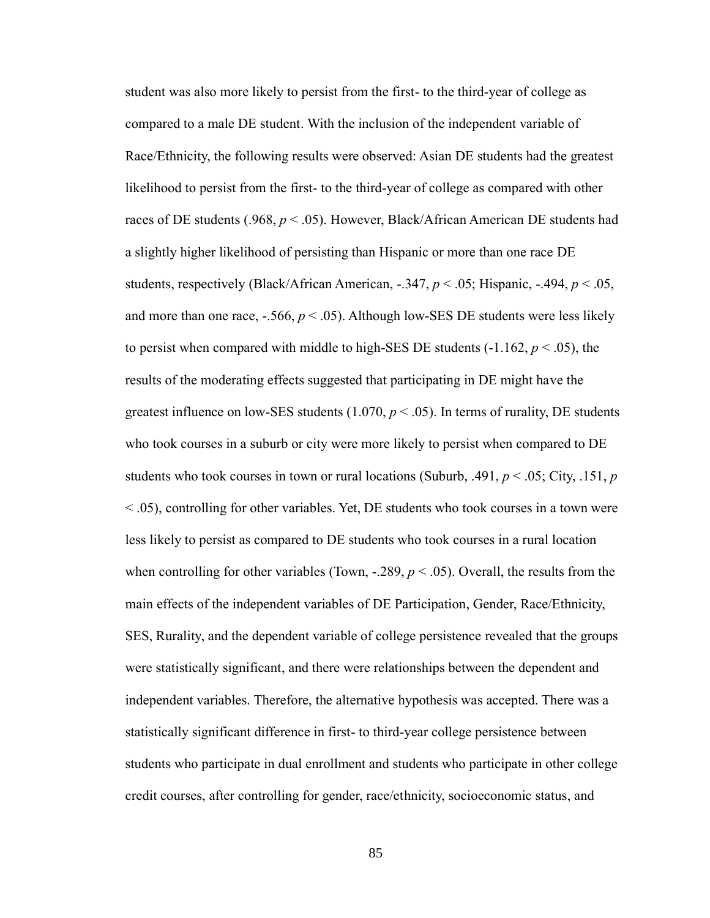student was also more likely to persist from the first- to the third-year of college as compared to a male DE student. With the inclusion of the independent variable of Race/Ethnicity, the following results were observed: Asian DE students had the greatest likelihood to persist from the first- to the third-year of college as compared with other races of DE students (.968,  $p < .05$ ). However, Black/African American DE students had a slightly higher likelihood of persisting than Hispanic or more than one race DE students, respectively (Black/African American,  $-.347, p < .05$ ; Hispanic,  $-.494, p < .05$ , and more than one race,  $-.566$ ,  $p < .05$ ). Although low-SES DE students were less likely to persist when compared with middle to high-SES DE students  $(-1.162, p \le 0.05)$ , the results of the moderating effects suggested that participating in DE might have the greatest influence on low-SES students  $(1.070, p < .05)$ . In terms of rurality, DE students who took courses in a suburb or city were more likely to persist when compared to DE students who took courses in town or rural locations (Suburb, .491, *p* < .05; City, .151, *p* < .05), controlling for other variables. Yet, DE students who took courses in a town were less likely to persist as compared to DE students who took courses in a rural location when controlling for other variables (Town,  $-.289, p < .05$ ). Overall, the results from the main effects of the independent variables of DE Participation, Gender, Race/Ethnicity, SES, Rurality, and the dependent variable of college persistence revealed that the groups were statistically significant, and there were relationships between the dependent and independent variables. Therefore, the alternative hypothesis was accepted. There was a statistically significant difference in first- to third-year college persistence between students who participate in dual enrollment and students who participate in other college credit courses, after controlling for gender, race/ethnicity, socioeconomic status, and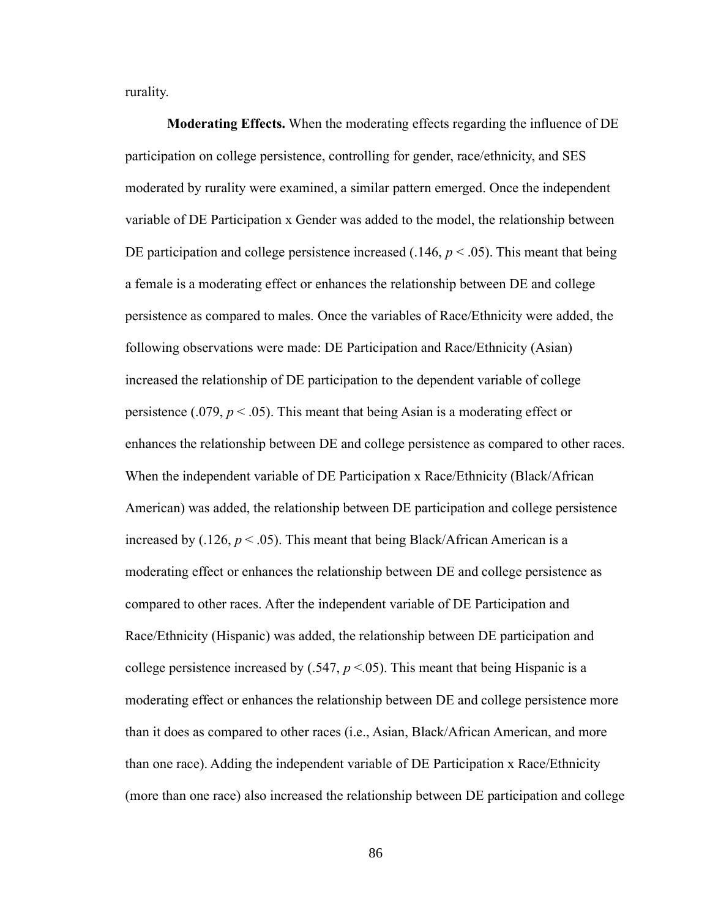rurality.

**Moderating Effects.** When the moderating effects regarding the influence of DE participation on college persistence, controlling for gender, race/ethnicity, and SES moderated by rurality were examined, a similar pattern emerged. Once the independent variable of DE Participation x Gender was added to the model, the relationship between DE participation and college persistence increased  $(.146, p < .05)$ . This meant that being a female is a moderating effect or enhances the relationship between DE and college persistence as compared to males. Once the variables of Race/Ethnicity were added, the following observations were made: DE Participation and Race/Ethnicity (Asian) increased the relationship of DE participation to the dependent variable of college persistence (.079,  $p < .05$ ). This meant that being Asian is a moderating effect or enhances the relationship between DE and college persistence as compared to other races. When the independent variable of DE Participation x Race/Ethnicity (Black/African American) was added, the relationship between DE participation and college persistence increased by  $(.126, p < .05)$ . This meant that being Black/African American is a moderating effect or enhances the relationship between DE and college persistence as compared to other races. After the independent variable of DE Participation and Race/Ethnicity (Hispanic) was added, the relationship between DE participation and college persistence increased by  $(.547, p < 05)$ . This meant that being Hispanic is a moderating effect or enhances the relationship between DE and college persistence more than it does as compared to other races (i.e., Asian, Black/African American, and more than one race). Adding the independent variable of DE Participation x Race/Ethnicity (more than one race) also increased the relationship between DE participation and college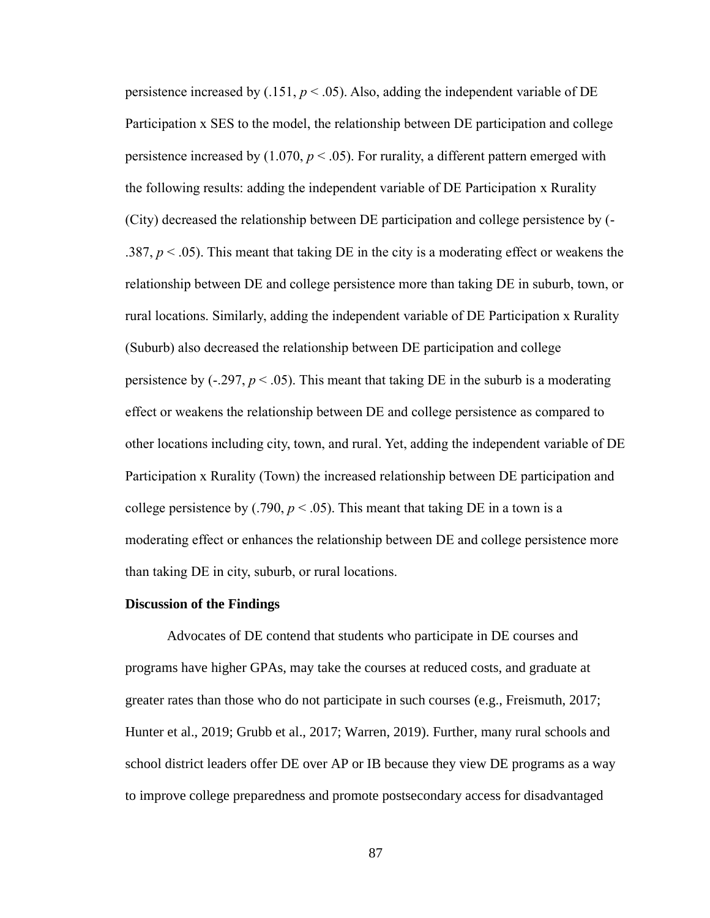persistence increased by  $(.151, p < .05)$ . Also, adding the independent variable of DE Participation x SES to the model, the relationship between DE participation and college persistence increased by  $(1.070, p \le 0.05)$ . For rurality, a different pattern emerged with the following results: adding the independent variable of DE Participation x Rurality (City) decreased the relationship between DE participation and college persistence by (- .387,  $p < .05$ ). This meant that taking DE in the city is a moderating effect or weakens the relationship between DE and college persistence more than taking DE in suburb, town, or rural locations. Similarly, adding the independent variable of DE Participation x Rurality (Suburb) also decreased the relationship between DE participation and college persistence by  $(-.297, p < .05)$ . This meant that taking DE in the suburb is a moderating effect or weakens the relationship between DE and college persistence as compared to other locations including city, town, and rural. Yet, adding the independent variable of DE Participation x Rurality (Town) the increased relationship between DE participation and college persistence by  $(.790, p < .05)$ . This meant that taking DE in a town is a moderating effect or enhances the relationship between DE and college persistence more than taking DE in city, suburb, or rural locations.

#### **Discussion of the Findings**

Advocates of DE contend that students who participate in DE courses and programs have higher GPAs, may take the courses at reduced costs, and graduate at greater rates than those who do not participate in such courses (e.g., Freismuth, 2017; Hunter et al., 2019; Grubb et al., 2017; Warren, 2019). Further, many rural schools and school district leaders offer DE over AP or IB because they view DE programs as a way to improve college preparedness and promote postsecondary access for disadvantaged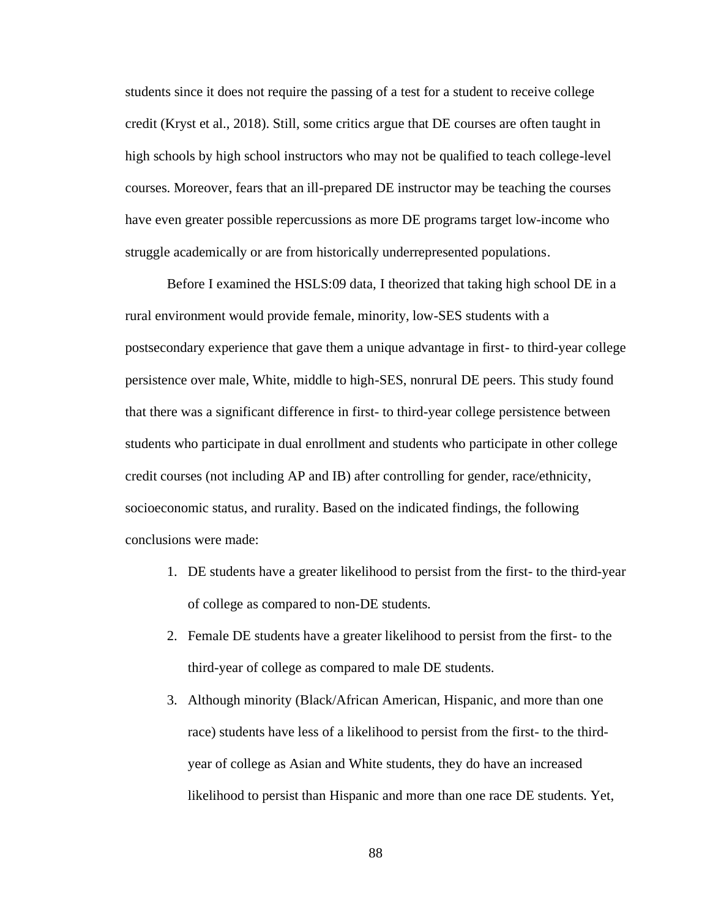students since it does not require the passing of a test for a student to receive college credit (Kryst et al., 2018). Still, some critics argue that DE courses are often taught in high schools by high school instructors who may not be qualified to teach college-level courses. Moreover, fears that an ill-prepared DE instructor may be teaching the courses have even greater possible repercussions as more DE programs target low-income who struggle academically or are from historically underrepresented populations.

Before I examined the HSLS:09 data, I theorized that taking high school DE in a rural environment would provide female, minority, low-SES students with a postsecondary experience that gave them a unique advantage in first- to third-year college persistence over male, White, middle to high-SES, nonrural DE peers. This study found that there was a significant difference in first- to third-year college persistence between students who participate in dual enrollment and students who participate in other college credit courses (not including AP and IB) after controlling for gender, race/ethnicity, socioeconomic status, and rurality. Based on the indicated findings, the following conclusions were made:

- 1. DE students have a greater likelihood to persist from the first- to the third-year of college as compared to non-DE students.
- 2. Female DE students have a greater likelihood to persist from the first- to the third-year of college as compared to male DE students.
- 3. Although minority (Black/African American, Hispanic, and more than one race) students have less of a likelihood to persist from the first- to the thirdyear of college as Asian and White students, they do have an increased likelihood to persist than Hispanic and more than one race DE students. Yet,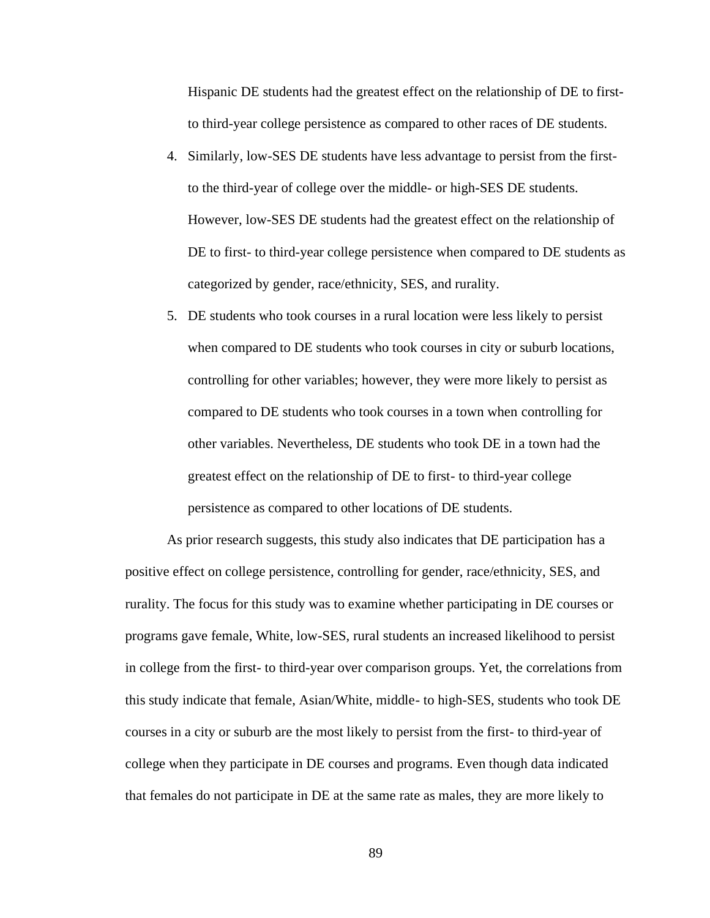Hispanic DE students had the greatest effect on the relationship of DE to firstto third-year college persistence as compared to other races of DE students.

- 4. Similarly, low-SES DE students have less advantage to persist from the firstto the third-year of college over the middle- or high-SES DE students. However, low-SES DE students had the greatest effect on the relationship of DE to first- to third-year college persistence when compared to DE students as categorized by gender, race/ethnicity, SES, and rurality.
- 5. DE students who took courses in a rural location were less likely to persist when compared to DE students who took courses in city or suburb locations, controlling for other variables; however, they were more likely to persist as compared to DE students who took courses in a town when controlling for other variables. Nevertheless, DE students who took DE in a town had the greatest effect on the relationship of DE to first- to third-year college persistence as compared to other locations of DE students.

As prior research suggests, this study also indicates that DE participation has a positive effect on college persistence, controlling for gender, race/ethnicity, SES, and rurality. The focus for this study was to examine whether participating in DE courses or programs gave female, White, low-SES, rural students an increased likelihood to persist in college from the first- to third-year over comparison groups. Yet, the correlations from this study indicate that female, Asian/White, middle- to high-SES, students who took DE courses in a city or suburb are the most likely to persist from the first- to third-year of college when they participate in DE courses and programs. Even though data indicated that females do not participate in DE at the same rate as males, they are more likely to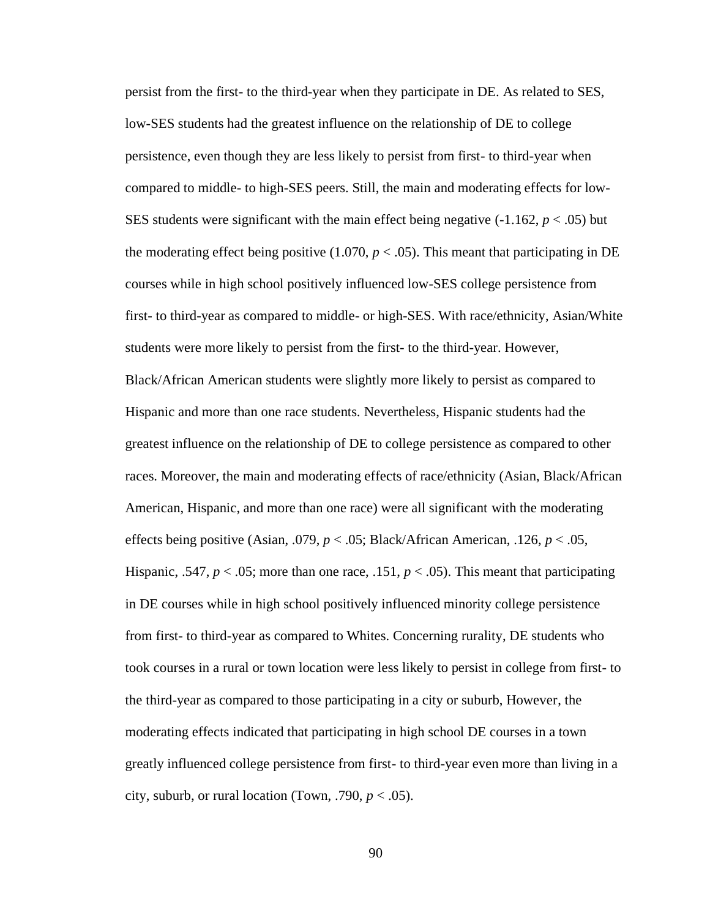persist from the first- to the third-year when they participate in DE. As related to SES, low-SES students had the greatest influence on the relationship of DE to college persistence, even though they are less likely to persist from first- to third-year when compared to middle- to high-SES peers. Still, the main and moderating effects for low-SES students were significant with the main effect being negative  $(-1.162, p < .05)$  but the moderating effect being positive  $(1.070, p < .05)$ . This meant that participating in DE courses while in high school positively influenced low-SES college persistence from first- to third-year as compared to middle- or high-SES. With race/ethnicity, Asian/White students were more likely to persist from the first- to the third-year. However, Black/African American students were slightly more likely to persist as compared to Hispanic and more than one race students. Nevertheless, Hispanic students had the greatest influence on the relationship of DE to college persistence as compared to other races. Moreover, the main and moderating effects of race/ethnicity (Asian, Black/African American, Hispanic, and more than one race) were all significant with the moderating effects being positive (Asian, .079, *p* < .05; Black/African American, .126, *p* < .05, Hispanic, .547,  $p < .05$ ; more than one race, .151,  $p < .05$ ). This meant that participating in DE courses while in high school positively influenced minority college persistence from first- to third-year as compared to Whites. Concerning rurality, DE students who took courses in a rural or town location were less likely to persist in college from first- to the third-year as compared to those participating in a city or suburb, However, the moderating effects indicated that participating in high school DE courses in a town greatly influenced college persistence from first- to third-year even more than living in a city, suburb, or rural location (Town, .790,  $p < .05$ ).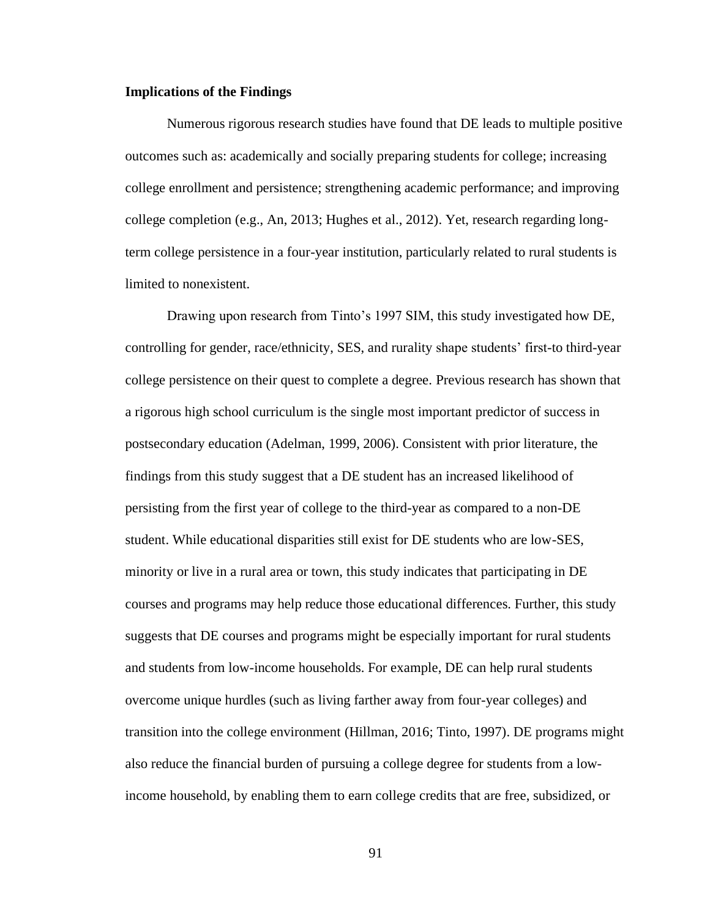#### **Implications of the Findings**

Numerous rigorous research studies have found that DE leads to multiple positive outcomes such as: academically and socially preparing students for college; increasing college enrollment and persistence; strengthening academic performance; and improving college completion (e.g., An, 2013; Hughes et al., 2012). Yet, research regarding longterm college persistence in a four-year institution, particularly related to rural students is limited to nonexistent.

Drawing upon research from Tinto's 1997 SIM, this study investigated how DE, controlling for gender, race/ethnicity, SES, and rurality shape students' first-to third-year college persistence on their quest to complete a degree. Previous research has shown that a rigorous high school curriculum is the single most important predictor of success in postsecondary education (Adelman, 1999, 2006). Consistent with prior literature, the findings from this study suggest that a DE student has an increased likelihood of persisting from the first year of college to the third-year as compared to a non-DE student. While educational disparities still exist for DE students who are low-SES, minority or live in a rural area or town, this study indicates that participating in DE courses and programs may help reduce those educational differences. Further, this study suggests that DE courses and programs might be especially important for rural students and students from low-income households. For example, DE can help rural students overcome unique hurdles (such as living farther away from four-year colleges) and transition into the college environment (Hillman, 2016; Tinto, 1997). DE programs might also reduce the financial burden of pursuing a college degree for students from a lowincome household, by enabling them to earn college credits that are free, subsidized, or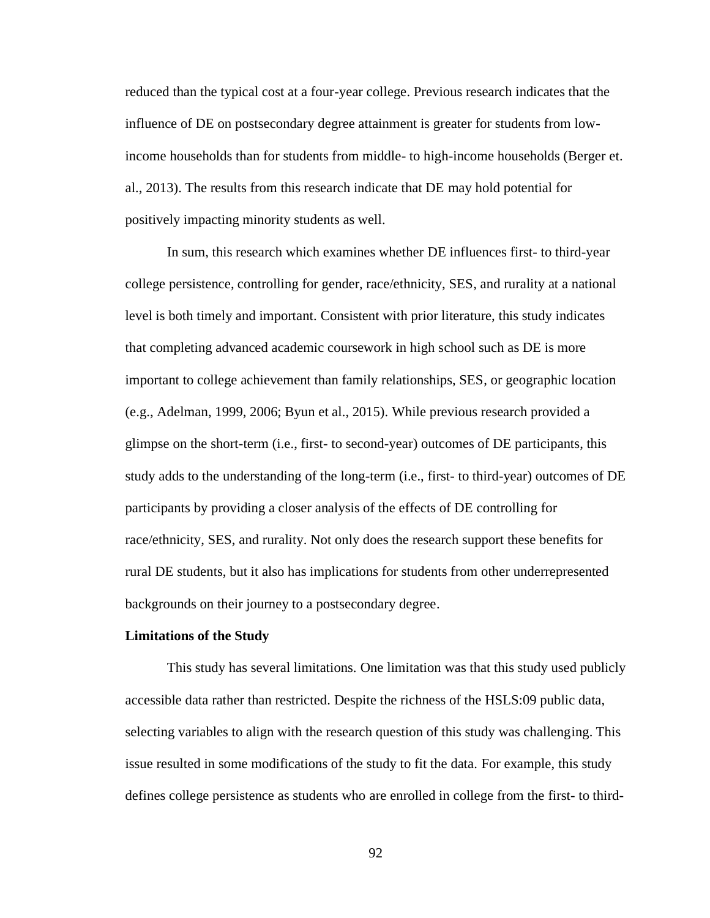reduced than the typical cost at a four-year college. Previous research indicates that the influence of DE on postsecondary degree attainment is greater for students from lowincome households than for students from middle- to high-income households (Berger et. al., 2013). The results from this research indicate that DE may hold potential for positively impacting minority students as well.

In sum, this research which examines whether DE influences first- to third-year college persistence, controlling for gender, race/ethnicity, SES, and rurality at a national level is both timely and important. Consistent with prior literature, this study indicates that completing advanced academic coursework in high school such as DE is more important to college achievement than family relationships, SES, or geographic location (e.g., Adelman, 1999, 2006; Byun et al., 2015). While previous research provided a glimpse on the short-term (i.e., first- to second-year) outcomes of DE participants, this study adds to the understanding of the long-term (i.e., first- to third-year) outcomes of DE participants by providing a closer analysis of the effects of DE controlling for race/ethnicity, SES, and rurality. Not only does the research support these benefits for rural DE students, but it also has implications for students from other underrepresented backgrounds on their journey to a postsecondary degree.

#### **Limitations of the Study**

This study has several limitations. One limitation was that this study used publicly accessible data rather than restricted. Despite the richness of the HSLS:09 public data, selecting variables to align with the research question of this study was challenging. This issue resulted in some modifications of the study to fit the data. For example, this study defines college persistence as students who are enrolled in college from the first- to third-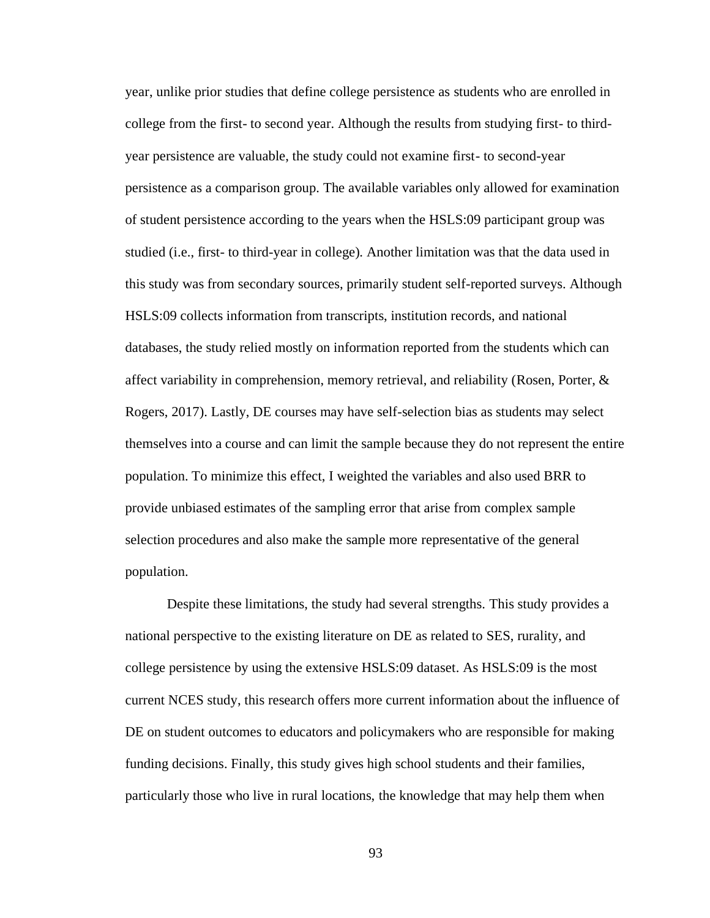year, unlike prior studies that define college persistence as students who are enrolled in college from the first- to second year. Although the results from studying first- to thirdyear persistence are valuable, the study could not examine first- to second-year persistence as a comparison group. The available variables only allowed for examination of student persistence according to the years when the HSLS:09 participant group was studied (i.e., first- to third-year in college). Another limitation was that the data used in this study was from secondary sources, primarily student self-reported surveys. Although HSLS:09 collects information from transcripts, institution records, and national databases, the study relied mostly on information reported from the students which can affect variability in comprehension, memory retrieval, and reliability (Rosen, Porter,  $\&$ Rogers, 2017). Lastly, DE courses may have self-selection bias as students may select themselves into a course and can limit the sample because they do not represent the entire population. To minimize this effect, I weighted the variables and also used BRR to provide unbiased estimates of the sampling error that arise from complex [sample](javascript:sampleThat() selection procedures and also make the sample more representative of the general population.

Despite these limitations, the study had several strengths. This study provides a national perspective to the existing literature on DE as related to SES, rurality, and college persistence by using the extensive HSLS:09 dataset. As HSLS:09 is the most current NCES study, this research offers more current information about the influence of DE on student outcomes to educators and policymakers who are responsible for making funding decisions. Finally, this study gives high school students and their families, particularly those who live in rural locations, the knowledge that may help them when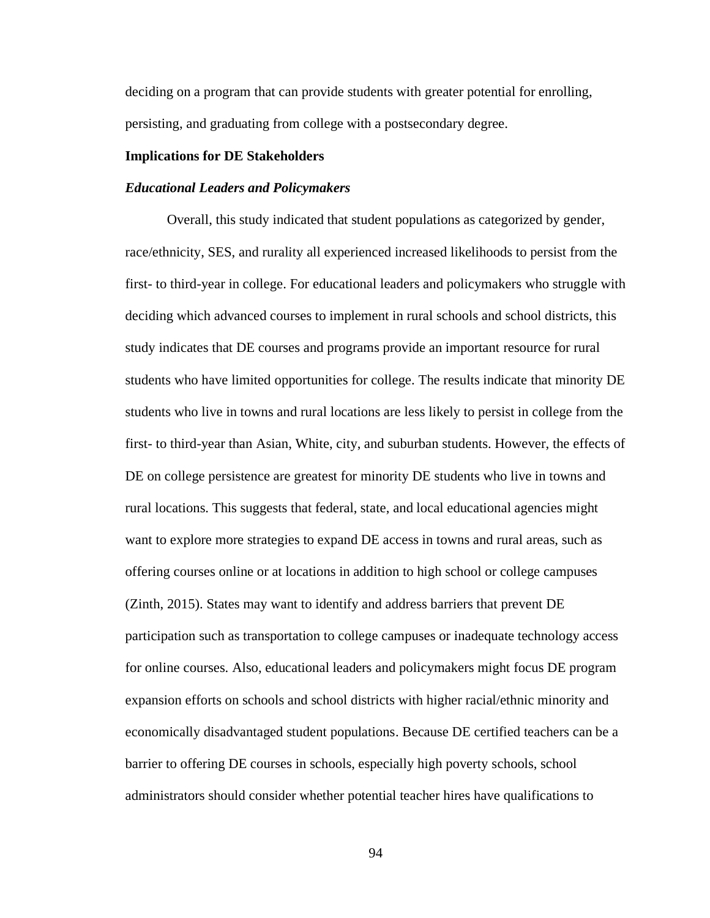deciding on a program that can provide students with greater potential for enrolling, persisting, and graduating from college with a postsecondary degree.

#### **Implications for DE Stakeholders**

#### *Educational Leaders and Policymakers*

Overall, this study indicated that student populations as categorized by gender, race/ethnicity, SES, and rurality all experienced increased likelihoods to persist from the first- to third-year in college. For educational leaders and policymakers who struggle with deciding which advanced courses to implement in rural schools and school districts, this study indicates that DE courses and programs provide an important resource for rural students who have limited opportunities for college. The results indicate that minority DE students who live in towns and rural locations are less likely to persist in college from the first- to third-year than Asian, White, city, and suburban students. However, the effects of DE on college persistence are greatest for minority DE students who live in towns and rural locations. This suggests that federal, state, and local educational agencies might want to explore more strategies to expand DE access in towns and rural areas, such as offering courses online or at locations in addition to high school or college campuses (Zinth, 2015). States may want to identify and address barriers that prevent DE participation such as transportation to college campuses or inadequate technology access for online courses. Also, educational leaders and policymakers might focus DE program expansion efforts on schools and school districts with higher racial/ethnic minority and economically disadvantaged student populations. Because DE certified teachers can be a barrier to offering DE courses in schools, especially high poverty schools, school administrators should consider whether potential teacher hires have qualifications to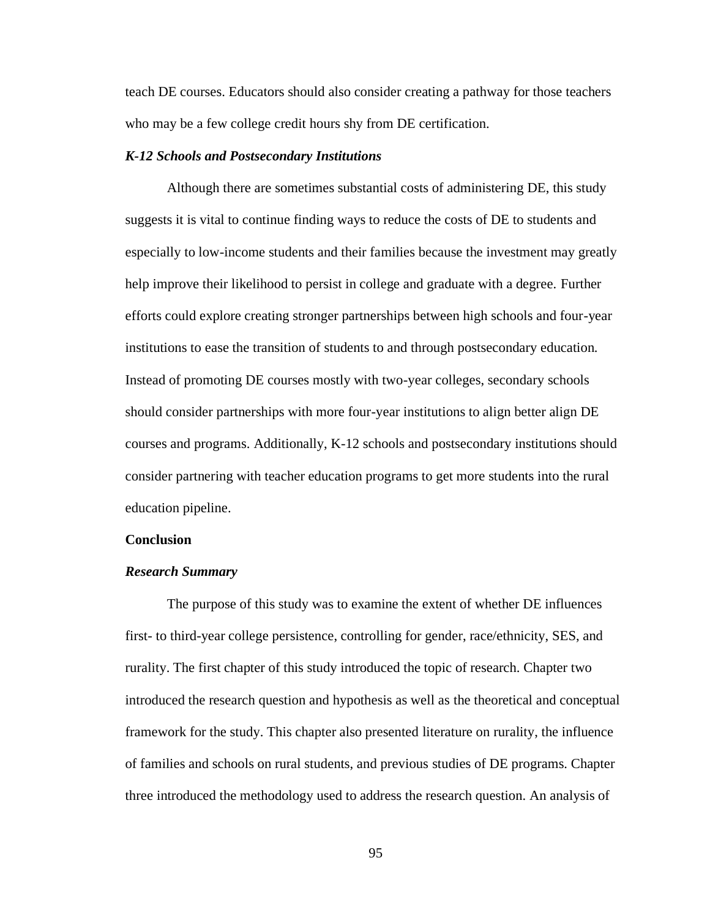teach DE courses. Educators should also consider creating a pathway for those teachers who may be a few college credit hours shy from DE certification.

#### *K-12 Schools and Postsecondary Institutions*

Although there are sometimes substantial costs of administering DE, this study suggests it is vital to continue finding ways to reduce the costs of DE to students and especially to low-income students and their families because the investment may greatly help improve their likelihood to persist in college and graduate with a degree. Further efforts could explore creating stronger partnerships between high schools and four-year institutions to ease the transition of students to and through postsecondary education. Instead of promoting DE courses mostly with two-year colleges, secondary schools should consider partnerships with more four-year institutions to align better align DE courses and programs. Additionally, K-12 schools and postsecondary institutions should consider partnering with teacher education programs to get more students into the rural education pipeline.

#### **Conclusion**

#### *Research Summary*

The purpose of this study was to examine the extent of whether DE influences first- to third-year college persistence, controlling for gender, race/ethnicity, SES, and rurality. The first chapter of this study introduced the topic of research. Chapter two introduced the research question and hypothesis as well as the theoretical and conceptual framework for the study. This chapter also presented literature on rurality, the influence of families and schools on rural students, and previous studies of DE programs. Chapter three introduced the methodology used to address the research question. An analysis of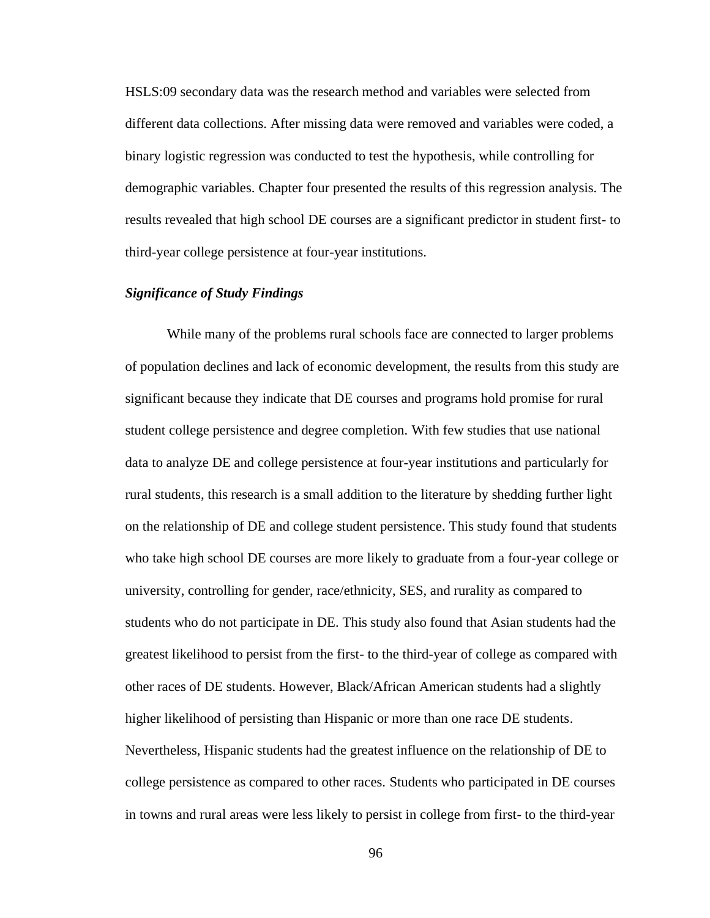HSLS:09 secondary data was the research method and variables were selected from different data collections. After missing data were removed and variables were coded, a binary logistic regression was conducted to test the hypothesis, while controlling for demographic variables. Chapter four presented the results of this regression analysis. The results revealed that high school DE courses are a significant predictor in student first- to third-year college persistence at four-year institutions.

### *Significance of Study Findings*

While many of the problems rural schools face are connected to larger problems of population declines and lack of economic development, the results from this study are significant because they indicate that DE courses and programs hold promise for rural student college persistence and degree completion. With few studies that use national data to analyze DE and college persistence at four-year institutions and particularly for rural students, this research is a small addition to the literature by shedding further light on the relationship of DE and college student persistence. This study found that students who take high school DE courses are more likely to graduate from a four-year college or university, controlling for gender, race/ethnicity, SES, and rurality as compared to students who do not participate in DE. This study also found that Asian students had the greatest likelihood to persist from the first- to the third-year of college as compared with other races of DE students. However, Black/African American students had a slightly higher likelihood of persisting than Hispanic or more than one race DE students. Nevertheless, Hispanic students had the greatest influence on the relationship of DE to college persistence as compared to other races. Students who participated in DE courses in towns and rural areas were less likely to persist in college from first- to the third-year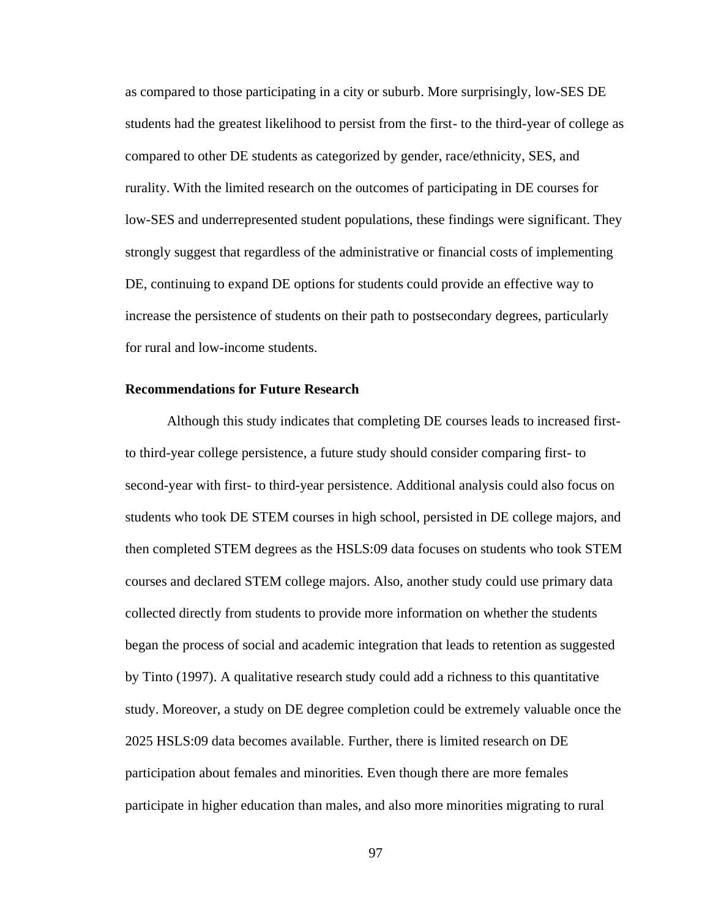as compared to those participating in a city or suburb. More surprisingly, low-SES DE students had the greatest likelihood to persist from the first- to the third-year of college as compared to other DE students as categorized by gender, race/ethnicity, SES, and rurality. With the limited research on the outcomes of participating in DE courses for low-SES and underrepresented student populations, these findings were significant. They strongly suggest that regardless of the administrative or financial costs of implementing DE, continuing to expand DE options for students could provide an effective way to increase the persistence of students on their path to postsecondary degrees, particularly for rural and low-income students.

#### **Recommendations for Future Research**

Although this study indicates that completing DE courses leads to increased firstto third-year college persistence, a future study should consider comparing first- to second-year with first- to third-year persistence. Additional analysis could also focus on students who took DE STEM courses in high school, persisted in DE college majors, and then completed STEM degrees as the HSLS:09 data focuses on students who took STEM courses and declared STEM college majors. Also, another study could use primary data collected directly from students to provide more information on whether the students began the process of social and academic integration that leads to retention as suggested by Tinto (1997). A qualitative research study could add a richness to this quantitative study. Moreover, a study on DE degree completion could be extremely valuable once the 2025 HSLS:09 data becomes available. Further, there is limited research on DE participation about females and minorities. Even though there are more females participate in higher education than males, and also more minorities migrating to rural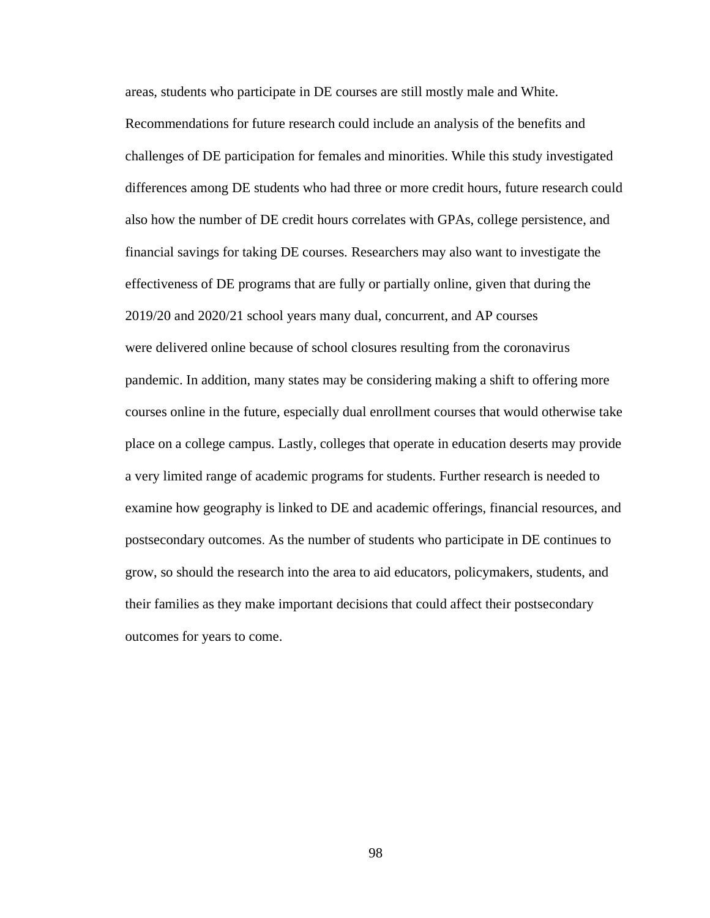areas, students who participate in DE courses are still mostly male and White. Recommendations for future research could include an analysis of the benefits and challenges of DE participation for females and minorities. While this study investigated differences among DE students who had three or more credit hours, future research could also how the number of DE credit hours correlates with GPAs, college persistence, and financial savings for taking DE courses. Researchers may also want to investigate the effectiveness of DE programs that are fully or partially online, given that during the 2019/20 and 2020/21 school years many dual, concurrent, and AP courses were delivered online because of school closures resulting from the coronavirus pandemic. In addition, many states may be considering making a shift to offering more courses online in the future, especially dual enrollment courses that would otherwise take place on a college campus. Lastly, colleges that operate in education deserts may provide a very limited range of academic programs for students. Further research is needed to examine how geography is linked to DE and academic offerings, financial resources, and postsecondary outcomes. As the number of students who participate in DE continues to grow, so should the research into the area to aid educators, policymakers, students, and their families as they make important decisions that could affect their postsecondary outcomes for years to come.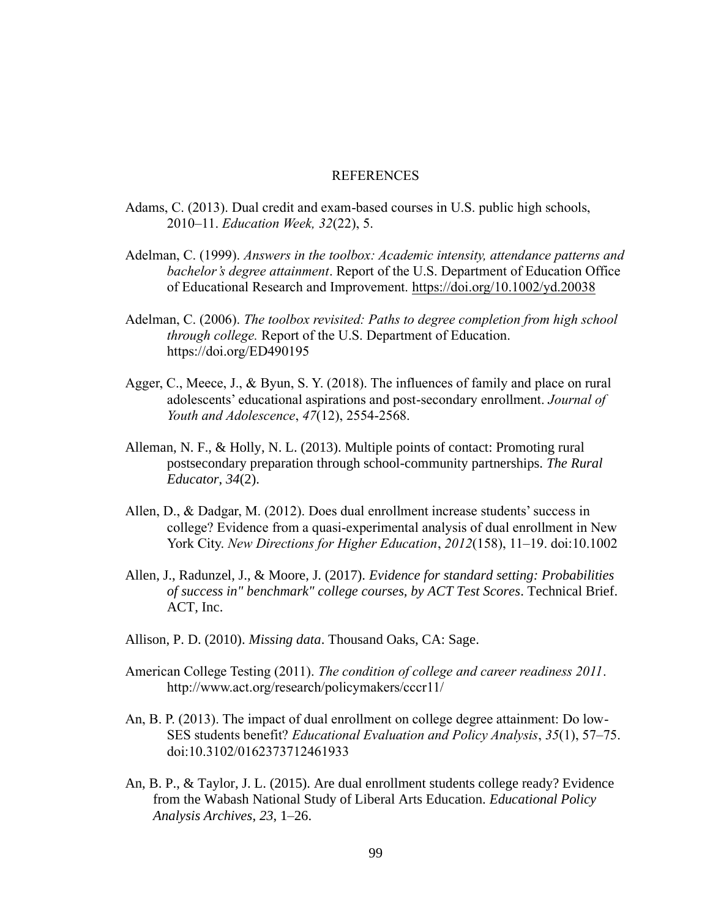#### **REFERENCES**

- Adams, C. (2013). Dual credit and exam-based courses in U.S. public high schools, 2010–11. *Education Week, 32*(22), 5.
- Adelman, C. (1999). *Answers in the toolbox: Academic intensity, attendance patterns and bachelor's degree attainment*. Report of the U.S. Department of Education Office of Educational Research and Improvement.<https://doi.org/10.1002/yd.20038>
- Adelman, C. (2006). *The toolbox revisited: Paths to degree completion from high school through college.* Report of the U.S. Department of Education. <https://doi.org/ED490195>
- Agger, C., Meece, J., & Byun, S. Y. (2018). The influences of family and place on rural adolescents' educational aspirations and post-secondary enrollment. *Journal of Youth and Adolescence*, *47*(12), 2554-2568.
- Alleman, N. F., & Holly, N. L. (2013). Multiple points of contact: Promoting rural postsecondary preparation through school-community partnerships. *The Rural Educator*, *34*(2).
- Allen, D., & Dadgar, M. (2012). Does dual enrollment increase students' success in college? Evidence from a quasi‐experimental analysis of dual enrollment in New York City. *New Directions for Higher Education*, *2012*(158), 11–19. doi:10.1002
- Allen, J., Radunzel, J., & Moore, J. (2017). *Evidence for standard setting: Probabilities of success in" benchmark" college courses, by ACT Test Scores*. Technical Brief. ACT, Inc.
- Allison, P. D. (2010). *Missing data*. Thousand Oaks, CA: Sage.
- American College Testing (2011). *The condition of college and career readiness 2011*. <http://www.act.org/research/policymakers/cccr11/>
- An, B. P. (2013). The impact of dual enrollment on college degree attainment: Do low-SES students benefit? *Educational Evaluation and Policy Analysis*, *35*(1), 57–75. doi:10.3102/0162373712461933
- An, B. P., & Taylor, J. L. (2015). Are dual enrollment students college ready? Evidence from the Wabash National Study of Liberal Arts Education. *Educational Policy Analysis Archives*, *23*, 1–26.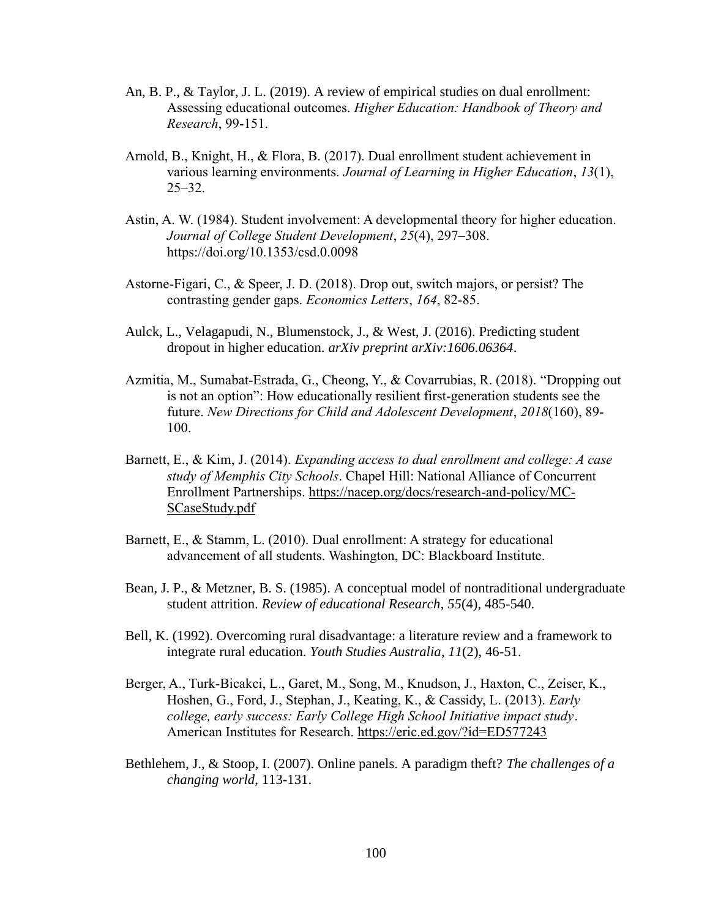- An, B. P., & Taylor, J. L. (2019). A review of empirical studies on dual enrollment: Assessing educational outcomes. *Higher Education: Handbook of Theory and Research*, 99-151.
- Arnold, B., Knight, H., & Flora, B. (2017). Dual enrollment student achievement in various learning environments. *Journal of Learning in Higher Education*, *13*(1),  $25 - 32.$
- Astin, A. W. (1984). Student involvement: A developmental theory for higher education. *Journal of College Student Development*, *25*(4), 297–308. <https://doi.org/10.1353/csd.0.0098>
- Astorne-Figari, C., & Speer, J. D. (2018). Drop out, switch majors, or persist? The contrasting gender gaps. *Economics Letters*, *164*, 82-85.
- Aulck, L., Velagapudi, N., Blumenstock, J., & West, J. (2016). Predicting student dropout in higher education. *arXiv preprint arXiv:1606.06364*.
- Azmitia, M., Sumabat‐Estrada, G., Cheong, Y., & Covarrubias, R. (2018). "Dropping out is not an option": How educationally resilient first-generation students see the future. *New Directions for Child and Adolescent Development*, *2018*(160), 89- 100.
- Barnett, E., & Kim, J. (2014). *Expanding access to dual enrollment and college: A case study of Memphis City Schools*. Chapel Hill: National Alliance of Concurrent Enrollment Partnerships. [https://nacep.org/docs/research-and-policy/MC-](https://nacep.org/docs/research-and-policy/MC-SCaseStudy.pdf)[SCaseStudy.pdf](https://nacep.org/docs/research-and-policy/MC-SCaseStudy.pdf)
- Barnett, E., & Stamm, L. (2010). Dual enrollment: A strategy for educational advancement of all students. Washington, DC: Blackboard Institute.
- Bean, J. P., & Metzner, B. S. (1985). A conceptual model of nontraditional undergraduate student attrition. *Review of educational Research*, *55*(4), 485-540.
- Bell, K. (1992). Overcoming rural disadvantage: a literature review and a framework to integrate rural education. *Youth Studies Australia*, *11*(2), 46-51.
- Berger, A., Turk-Bicakci, L., Garet, M., Song, M., Knudson, J., Haxton, C., Zeiser, K., Hoshen, G., Ford, J., Stephan, J., Keating, K., & Cassidy, L. (2013). *Early college, early success: Early College High School Initiative impact study*. American Institutes for Research.<https://eric.ed.gov/?id=ED577243>
- Bethlehem, J., & Stoop, I. (2007). Online panels. A paradigm theft? *The challenges of a changing world*, 113-131.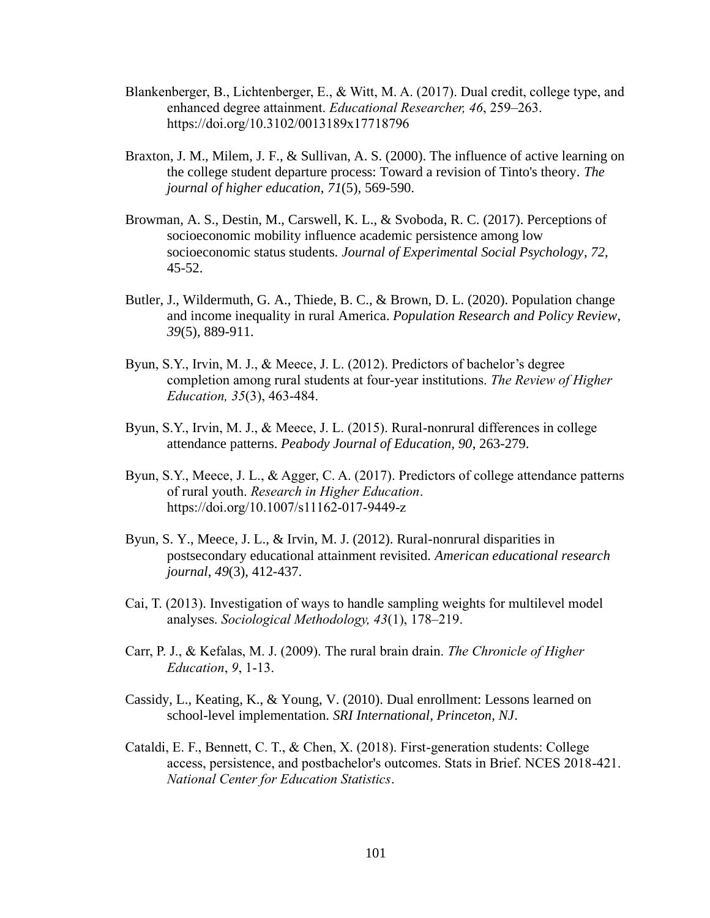- Blankenberger, B., Lichtenberger, E., & Witt, M. A. (2017). Dual credit, college type, and enhanced degree attainment. *Educational Researcher, 46*, 259–263. <https://doi.org/10.3102/0013189x17718796>
- Braxton, J. M., Milem, J. F., & Sullivan, A. S. (2000). The influence of active learning on the college student departure process: Toward a revision of Tinto's theory. *The journal of higher education*, *71*(5), 569-590.
- Browman, A. S., Destin, M., Carswell, K. L., & Svoboda, R. C. (2017). Perceptions of socioeconomic mobility influence academic persistence among low socioeconomic status students. *Journal of Experimental Social Psychology*, *72*, 45-52.
- Butler, J., Wildermuth, G. A., Thiede, B. C., & Brown, D. L. (2020). Population change and income inequality in rural America. *Population Research and Policy Review*, *39*(5), 889-911.
- Byun, S.Y., Irvin, M. J., & Meece, J. L. (2012). Predictors of bachelor's degree completion among rural students at four-year institutions. *The Review of Higher Education, 35*(3), 463-484.
- Byun, S.Y., Irvin, M. J., & Meece, J. L. (2015). Rural-nonrural differences in college attendance patterns. *Peabody Journal of Education, 90*, 263-279.
- Byun, S.Y., Meece, J. L., & Agger, C. A. (2017). Predictors of college attendance patterns of rural youth. *Research in Higher Education*. <https://doi.org/10.1007/s11162-017-9449-z>
- Byun, S. Y., Meece, J. L., & Irvin, M. J. (2012). Rural-nonrural disparities in postsecondary educational attainment revisited. *American educational research journal*, *49*(3), 412-437.
- Cai, T. (2013). Investigation of ways to handle sampling weights for multilevel model analyses. *Sociological Methodology, 43*(1), 178–219.
- Carr, P. J., & Kefalas, M. J. (2009). The rural brain drain. *The Chronicle of Higher Education*, *9*, 1-13.
- Cassidy, L., Keating, K., & Young, V. (2010). Dual enrollment: Lessons learned on school-level implementation. *SRI International, Princeton, NJ*.
- Cataldi, E. F., Bennett, C. T., & Chen, X. (2018). First-generation students: College access, persistence, and postbachelor's outcomes. Stats in Brief. NCES 2018-421. *National Center for Education Statistics*.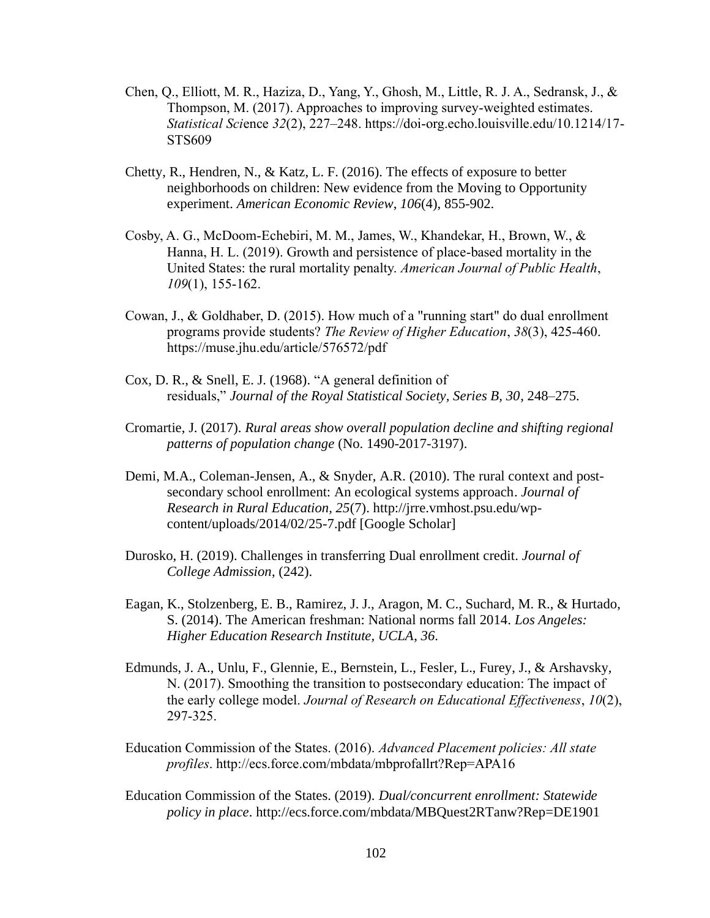- Chen, Q., Elliott, M. R., Haziza, D., Yang, Y., Ghosh, M., Little, R. J. A., Sedransk, J., & Thompson, M. (2017). Approaches to improving survey-weighted estimates. *Statistical Sci*ence *32*(2), 227–248. [https://doi-org.echo.louisville.edu/10.1214/17-](https://doi-org.echo.louisville.edu/10.1214/17-STS609) [STS609](https://doi-org.echo.louisville.edu/10.1214/17-STS609)
- Chetty, R., Hendren, N., & Katz, L. F. (2016). The effects of exposure to better neighborhoods on children: New evidence from the Moving to Opportunity experiment. *American Economic Review*, *106*(4), 855-902.
- Cosby, A. G., McDoom-Echebiri, M. M., James, W., Khandekar, H., Brown, W., & Hanna, H. L. (2019). Growth and persistence of place-based mortality in the United States: the rural mortality penalty. *American Journal of Public Health*, *109*(1), 155-162.
- Cowan, J., & Goldhaber, D. (2015). How much of a "running start" do dual enrollment programs provide students? *The Review of Higher Education*, *38*(3), 425-460. <https://muse.jhu.edu/article/576572/pdf>
- Cox, D. R., & Snell, E. J. (1968). "A general definition of residuals," *Journal of the Royal Statistical Society, Series B, 30*, 248–275.
- Cromartie, J. (2017). *Rural areas show overall population decline and shifting regional patterns of population change* (No. 1490-2017-3197).
- Demi, M.A., Coleman-Jensen, A., & Snyder, A.R. (2010). The rural context and postsecondary school enrollment: An ecological systems approach. *Journal of Research in Rural Education, 25*(7). [http://jrre.vmhost.psu.edu/wp](http://jrre.vmhost.psu.edu/wp-content/uploads/2014/02/25-7.pdf)[content/uploads/2014/02/25-7.pdf](http://jrre.vmhost.psu.edu/wp-content/uploads/2014/02/25-7.pdf) [\[Google Scholar\]](http://scholar.google.com/scholar_lookup?hl=en&publication_year=2010&issue=7&author=M.A.+Demiauthor=A.+Coleman-Jensenauthor=A.R.+Snyder&title=The+rural+context+and+post-secondary+school+enrollment%3A+An+ecological+systems+approach)
- Durosko, H. (2019). Challenges in transferring Dual enrollment credit. *Journal of College Admission*, (242).
- Eagan, K., Stolzenberg, E. B., Ramirez, J. J., Aragon, M. C., Suchard, M. R., & Hurtado, S. (2014). The American freshman: National norms fall 2014. *Los Angeles: Higher Education Research Institute, UCLA*, *36*.
- Edmunds, J. A., Unlu, F., Glennie, E., Bernstein, L., Fesler, L., Furey, J., & Arshavsky, N. (2017). Smoothing the transition to postsecondary education: The impact of the early college model. *Journal of Research on Educational Effectiveness*, *10*(2), 297-325.
- Education Commission of the States. (2016). *Advanced Placement policies: All state profiles*.<http://ecs.force.com/mbdata/mbprofallrt?Rep=APA16>
- Education Commission of the States. (2019). *Dual/concurrent enrollment: Statewide policy in place*. http://ecs.force.com/mbdata/MBQuest2RTanw?Rep=DE1901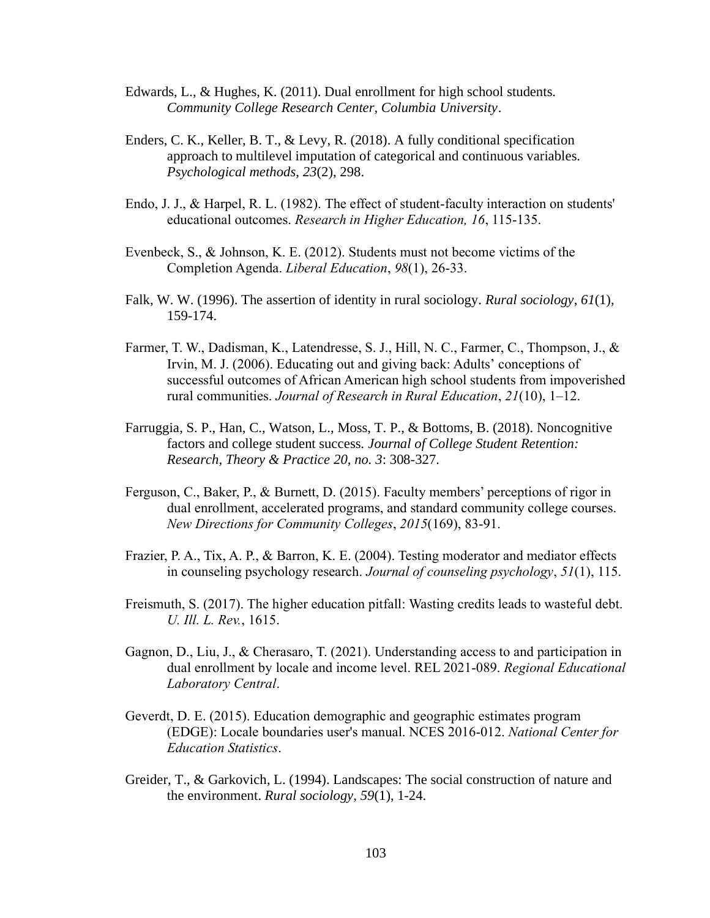- Edwards, L., & Hughes, K. (2011). Dual enrollment for high school students. *Community College Research Center, Columbia University*.
- Enders, C. K., Keller, B. T., & Levy, R. (2018). A fully conditional specification approach to multilevel imputation of categorical and continuous variables. *Psychological methods*, *23*(2), 298.
- Endo, J. J., & Harpel, R. L. (1982). The effect of student-faculty interaction on students' educational outcomes. *Research in Higher Education, 16*, 115-135.
- Evenbeck, S., & Johnson, K. E. (2012). Students must not become victims of the Completion Agenda. *Liberal Education*, *98*(1), 26-33.
- Falk, W. W. (1996). The assertion of identity in rural sociology. *Rural sociology*, *61*(1), 159-174.
- Farmer, T. W., Dadisman, K., Latendresse, S. J., Hill, N. C., Farmer, C., Thompson, J., & Irvin, M. J. (2006). Educating out and giving back: Adults' conceptions of successful outcomes of African American high school students from impoverished rural communities. *Journal of Research in Rural Education*, *21*(10), 1–12.
- Farruggia, S. P., Han, C., Watson, L., Moss, T. P., & Bottoms, B. (2018). Noncognitive factors and college student success. *Journal of College Student Retention: Research, Theory & Practice 20, no. 3*: 308-327.
- Ferguson, C., Baker, P., & Burnett, D. (2015). Faculty members' perceptions of rigor in dual enrollment, accelerated programs, and standard community college courses. *New Directions for Community Colleges*, *2015*(169), 83-91.
- Frazier, P. A., Tix, A. P., & Barron, K. E. (2004). Testing moderator and mediator effects in counseling psychology research. *Journal of counseling psychology*, *51*(1), 115.
- Freismuth, S. (2017). The higher education pitfall: Wasting credits leads to wasteful debt. *U. Ill. L. Rev.*, 1615.
- Gagnon, D., Liu, J., & Cherasaro, T. (2021). Understanding access to and participation in dual enrollment by locale and income level. REL 2021-089. *Regional Educational Laboratory Central*.
- Geverdt, D. E. (2015). Education demographic and geographic estimates program (EDGE): Locale boundaries user's manual. NCES 2016-012. *National Center for Education Statistics*.
- Greider, T., & Garkovich, L. (1994). Landscapes: The social construction of nature and the environment. *Rural sociology*, *59*(1), 1-24.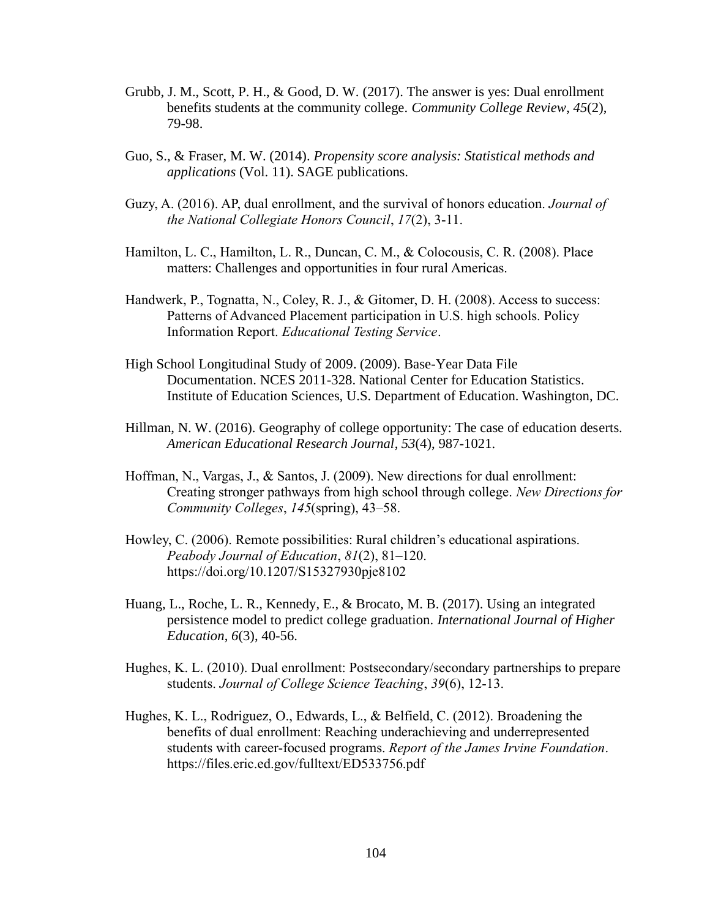- Grubb, J. M., Scott, P. H., & Good, D. W. (2017). The answer is yes: Dual enrollment benefits students at the community college. *Community College Review*, *45*(2), 79-98.
- Guo, S., & Fraser, M. W. (2014). *Propensity score analysis: Statistical methods and applications* (Vol. 11). SAGE publications.
- Guzy, A. (2016). AP, dual enrollment, and the survival of honors education. *Journal of the National Collegiate Honors Council*, *17*(2), 3-11.
- Hamilton, L. C., Hamilton, L. R., Duncan, C. M., & Colocousis, C. R. (2008). Place matters: Challenges and opportunities in four rural Americas.
- Handwerk, P., Tognatta, N., Coley, R. J., & Gitomer, D. H. (2008). Access to success: Patterns of Advanced Placement participation in U.S. high schools. Policy Information Report. *Educational Testing Service*.
- High School Longitudinal Study of 2009. (2009). Base-Year Data File Documentation. NCES 2011-328. National Center for Education Statistics. Institute of Education Sciences, U.S. Department of Education. Washington, DC.
- Hillman, N. W. (2016). Geography of college opportunity: The case of education deserts. *American Educational Research Journal*, *53*(4), 987-1021.
- Hoffman, N., Vargas, J., & Santos, J. (2009). New directions for dual enrollment: Creating stronger pathways from high school through college. *New Directions for Community Colleges*, *145*(spring), 43–58.
- Howley, C. (2006). Remote possibilities: Rural children's educational aspirations. *Peabody Journal of Education*, *81*(2), 81–120. <https://doi.org/10.1207/S15327930pje8102>
- Huang, L., Roche, L. R., Kennedy, E., & Brocato, M. B. (2017). Using an integrated persistence model to predict college graduation. *International Journal of Higher Education*, *6*(3), 40-56.
- Hughes, K. L. (2010). Dual enrollment: Postsecondary/secondary partnerships to prepare students. *Journal of College Science Teaching*, *39*(6), 12-13.
- Hughes, K. L., Rodriguez, O., Edwards, L., & Belfield, C. (2012). Broadening the benefits of dual enrollment: Reaching underachieving and underrepresented students with career-focused programs. *Report of the James Irvine Foundation*. <https://files.eric.ed.gov/fulltext/ED533756.pdf>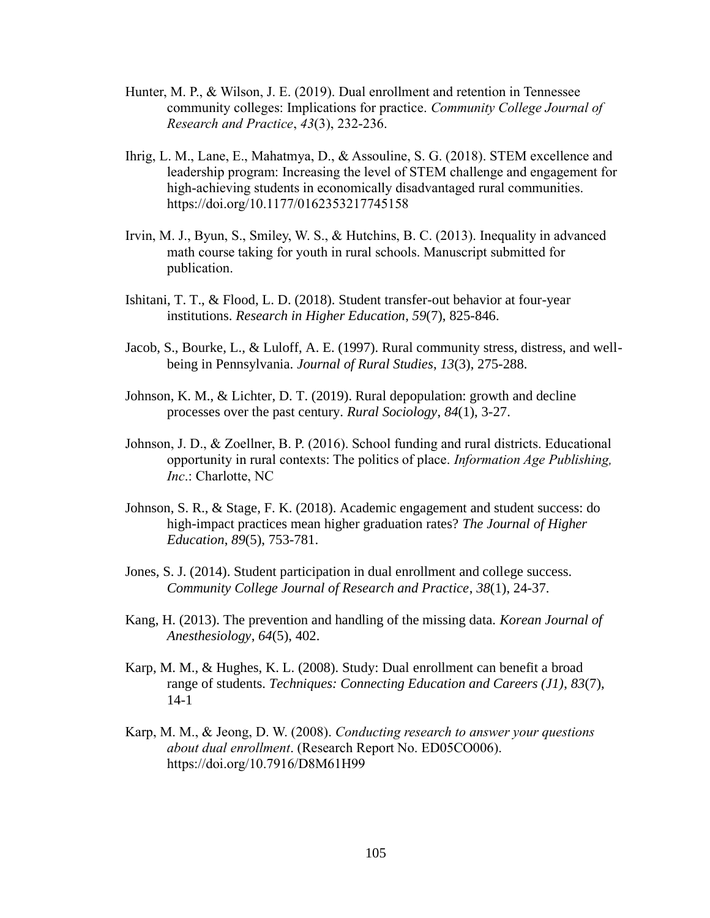- Hunter, M. P., & Wilson, J. E. (2019). Dual enrollment and retention in Tennessee community colleges: Implications for practice. *Community College Journal of Research and Practice*, *43*(3), 232-236.
- Ihrig, L. M., Lane, E., Mahatmya, D., & Assouline, S. G. (2018). STEM excellence and leadership program: Increasing the level of STEM challenge and engagement for high-achieving students in economically disadvantaged rural communities. <https://doi.org/10.1177/0162353217745158>
- Irvin, M. J., Byun, S., Smiley, W. S., & Hutchins, B. C. (2013). Inequality in advanced math course taking for youth in rural schools. Manuscript submitted for publication.
- Ishitani, T. T., & Flood, L. D. (2018). Student transfer-out behavior at four-year institutions. *Research in Higher Education*, *59*(7), 825-846.
- Jacob, S., Bourke, L., & Luloff, A. E. (1997). Rural community stress, distress, and wellbeing in Pennsylvania. *Journal of Rural Studies*, *13*(3), 275-288.
- Johnson, K. M., & Lichter, D. T. (2019). Rural depopulation: growth and decline processes over the past century. *Rural Sociology*, *84*(1), 3-27.
- Johnson, J. D., & Zoellner, B. P. (2016). School funding and rural districts. Educational opportunity in rural contexts: The politics of place. *Information Age Publishing, Inc*.: Charlotte, NC
- Johnson, S. R., & Stage, F. K. (2018). Academic engagement and student success: do high-impact practices mean higher graduation rates? *The Journal of Higher Education*, *89*(5), 753-781.
- Jones, S. J. (2014). Student participation in dual enrollment and college success. *Community College Journal of Research and Practice*, *38*(1), 24-37.
- Kang, H. (2013). The prevention and handling of the missing data. *Korean Journal of Anesthesiology*, *64*(5), 402.
- Karp, M. M., & Hughes, K. L. (2008). Study: Dual enrollment can benefit a broad range of students. *Techniques: Connecting Education and Careers (J1)*, *83*(7), 14-1
- Karp, M. M., & Jeong, D. W. (2008). *Conducting research to answer your questions about dual enrollment*. (Research Report No. ED05CO006). https://doi.org/10.7916/D8M61H99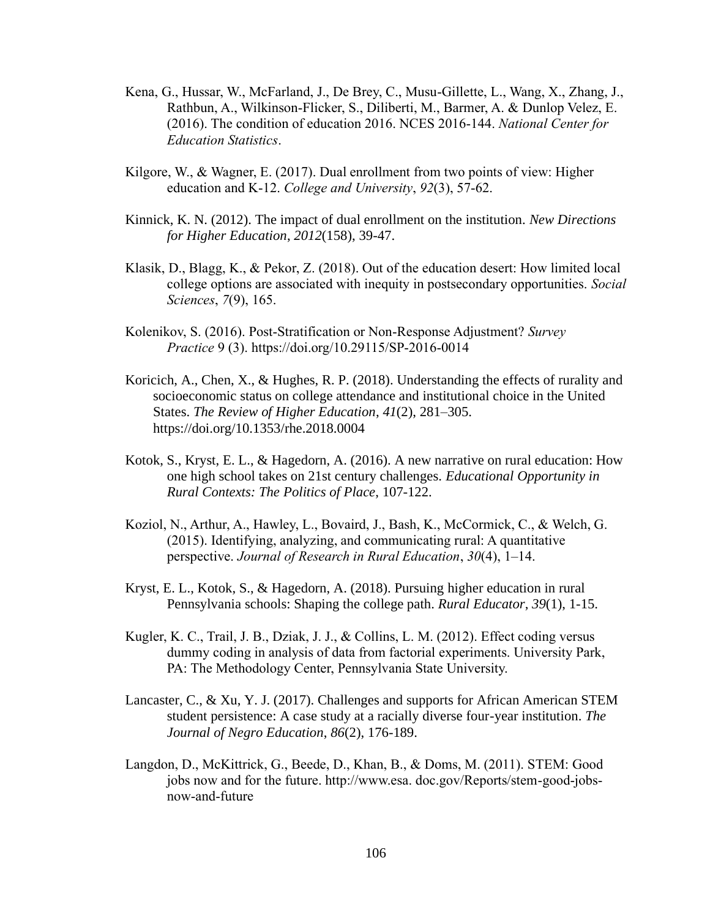- Kena, G., Hussar, W., McFarland, J., De Brey, C., Musu-Gillette, L., Wang, X., Zhang, J., Rathbun, A., Wilkinson-Flicker, S., Diliberti, M., Barmer, A. & Dunlop Velez, E. (2016). The condition of education 2016. NCES 2016-144. *National Center for Education Statistics*.
- Kilgore, W., & Wagner, E. (2017). Dual enrollment from two points of view: Higher education and K-12. *College and University*, *92*(3), 57-62.
- Kinnick, K. N. (2012). The impact of dual enrollment on the institution. *New Directions for Higher Education*, *2012*(158), 39-47.
- Klasik, D., Blagg, K., & Pekor, Z. (2018). Out of the education desert: How limited local college options are associated with inequity in postsecondary opportunities. *Social Sciences*, *7*(9), 165.
- Kolenikov, S. (2016). Post-Stratification or Non-Response Adjustment? *Survey Practice* 9 (3).<https://doi.org/10.29115/SP-2016-0014>
- Koricich, A., Chen, X., & Hughes, R. P. (2018). Understanding the effects of rurality and socioeconomic status on college attendance and institutional choice in the United States. *The Review of Higher Education*, *41*(2), 281–305. https://doi.org/10.1353/rhe.2018.0004
- Kotok, S., Kryst, E. L., & Hagedorn, A. (2016). A new narrative on rural education: How one high school takes on 21st century challenges. *Educational Opportunity in Rural Contexts: The Politics of Place*, 107-122.
- Koziol, N., Arthur, A., Hawley, L., Bovaird, J., Bash, K., McCormick, C., & Welch, G. (2015). Identifying, analyzing, and communicating rural: A quantitative perspective. *Journal of Research in Rural Education*, *30*(4), 1–14.
- Kryst, E. L., Kotok, S., & Hagedorn, A. (2018). Pursuing higher education in rural Pennsylvania schools: Shaping the college path. *Rural Educator*, *39*(1), 1-15.
- Kugler, K. C., Trail, J. B., Dziak, J. J., & Collins, L. M. (2012). Effect coding versus dummy coding in analysis of data from factorial experiments. University Park, PA: The Methodology Center, Pennsylvania State University.
- Lancaster, C., & Xu, Y. J. (2017). Challenges and supports for African American STEM student persistence: A case study at a racially diverse four-year institution. *The Journal of Negro Education*, *86*(2), 176-189.
- Langdon, D., McKittrick, G., Beede, D., Khan, B., & Doms, M. (2011). STEM: Good jobs now and for the future. http://www.esa. doc.gov/Reports/stem-good-jobsnow-and-future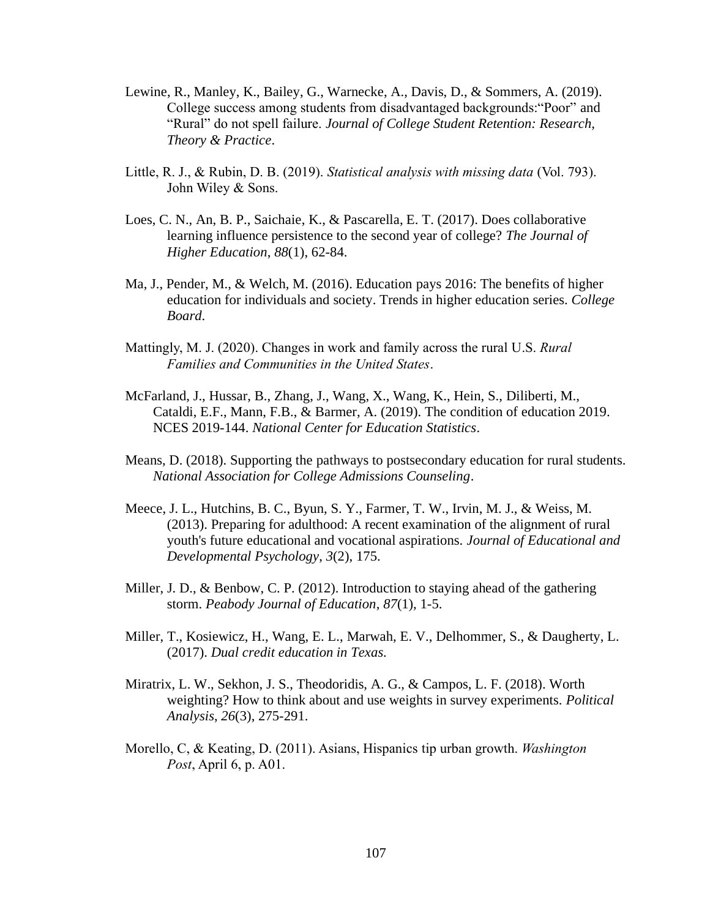- Lewine, R., Manley, K., Bailey, G., Warnecke, A., Davis, D., & Sommers, A. (2019). College success among students from disadvantaged backgrounds:"Poor" and "Rural" do not spell failure. *Journal of College Student Retention: Research, Theory & Practice*.
- Little, R. J., & Rubin, D. B. (2019). *Statistical analysis with missing data* (Vol. 793). John Wiley & Sons.
- Loes, C. N., An, B. P., Saichaie, K., & Pascarella, E. T. (2017). Does collaborative learning influence persistence to the second year of college? *The Journal of Higher Education*, *88*(1), 62-84.
- Ma, J., Pender, M., & Welch, M. (2016). Education pays 2016: The benefits of higher education for individuals and society. Trends in higher education series. *College Board*.
- Mattingly, M. J. (2020). Changes in work and family across the rural U.S. *Rural Families and Communities in the United States*.
- McFarland, J., Hussar, B., Zhang, J., Wang, X., Wang, K., Hein, S., Diliberti, M., Cataldi, E.F., Mann, F.B., & Barmer, A. (2019). The condition of education 2019. NCES 2019-144. *National Center for Education Statistics*.
- Means, D. (2018). Supporting the pathways to postsecondary education for rural students. *National Association for College Admissions Counseling*.
- Meece, J. L., Hutchins, B. C., Byun, S. Y., Farmer, T. W., Irvin, M. J., & Weiss, M. (2013). Preparing for adulthood: A recent examination of the alignment of rural youth's future educational and vocational aspirations. *Journal of Educational and Developmental Psychology*, *3*(2), 175.
- Miller, J. D., & Benbow, C. P. (2012). Introduction to staying ahead of the gathering storm. *Peabody Journal of Education*, *87*(1), 1-5.
- Miller, T., Kosiewicz, H., Wang, E. L., Marwah, E. V., Delhommer, S., & Daugherty, L. (2017). *Dual credit education in Texas.*
- Miratrix, L. W., Sekhon, J. S., Theodoridis, A. G., & Campos, L. F. (2018). Worth weighting? How to think about and use weights in survey experiments. *Political Analysis*, *26*(3), 275-291.
- Morello, C, & Keating, D. (2011). Asians, Hispanics tip urban growth. *Washington Post*, April 6, p. A01.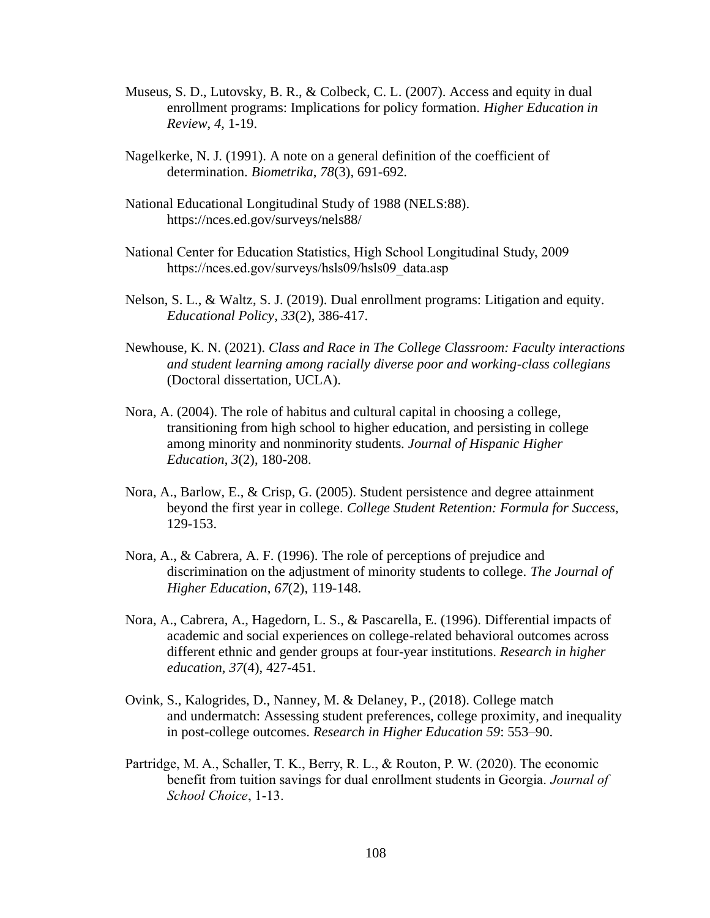- Museus, S. D., Lutovsky, B. R., & Colbeck, C. L. (2007). Access and equity in dual enrollment programs: Implications for policy formation. *Higher Education in Review*, *4*, 1-19.
- Nagelkerke, N. J. (1991). A note on a general definition of the coefficient of determination. *Biometrika*, *78*(3), 691-692.
- National Educational Longitudinal Study of 1988 (NELS:88). https://nces.ed.gov/surveys/nels88/
- National Center for Education Statistics, High School Longitudinal Study, 2009 [https://nces.ed.gov/surveys/hsls09/hsls09\\_data.asp](https://nces.ed.gov/surveys/hsls09/hsls09_data.asp)
- Nelson, S. L., & Waltz, S. J. (2019). Dual enrollment programs: Litigation and equity. *Educational Policy*, *33*(2), 386-417.
- Newhouse, K. N. (2021). *Class and Race in The College Classroom: Faculty interactions and student learning among racially diverse poor and working-class collegians* (Doctoral dissertation, UCLA).
- Nora, A. (2004). The role of habitus and cultural capital in choosing a college, transitioning from high school to higher education, and persisting in college among minority and nonminority students. *Journal of Hispanic Higher Education*, *3*(2), 180-208.
- Nora, A., Barlow, E., & Crisp, G. (2005). Student persistence and degree attainment beyond the first year in college. *College Student Retention: Formula for Success*, 129-153.
- Nora, A., & Cabrera, A. F. (1996). The role of perceptions of prejudice and discrimination on the adjustment of minority students to college. *The Journal of Higher Education*, *67*(2), 119-148.
- Nora, A., Cabrera, A., Hagedorn, L. S., & Pascarella, E. (1996). Differential impacts of academic and social experiences on college-related behavioral outcomes across different ethnic and gender groups at four-year institutions. *Research in higher education*, *37*(4), 427-451.
- Ovink, S., Kalogrides, D., Nanney, M. & Delaney, P., (2018). College match and undermatch: Assessing student preferences, college proximity, and inequality in post-college outcomes. *Research in Higher Education 59*: 553–90.
- Partridge, M. A., Schaller, T. K., Berry, R. L., & Routon, P. W. (2020). The economic benefit from tuition savings for dual enrollment students in Georgia. *Journal of School Choice*, 1-13.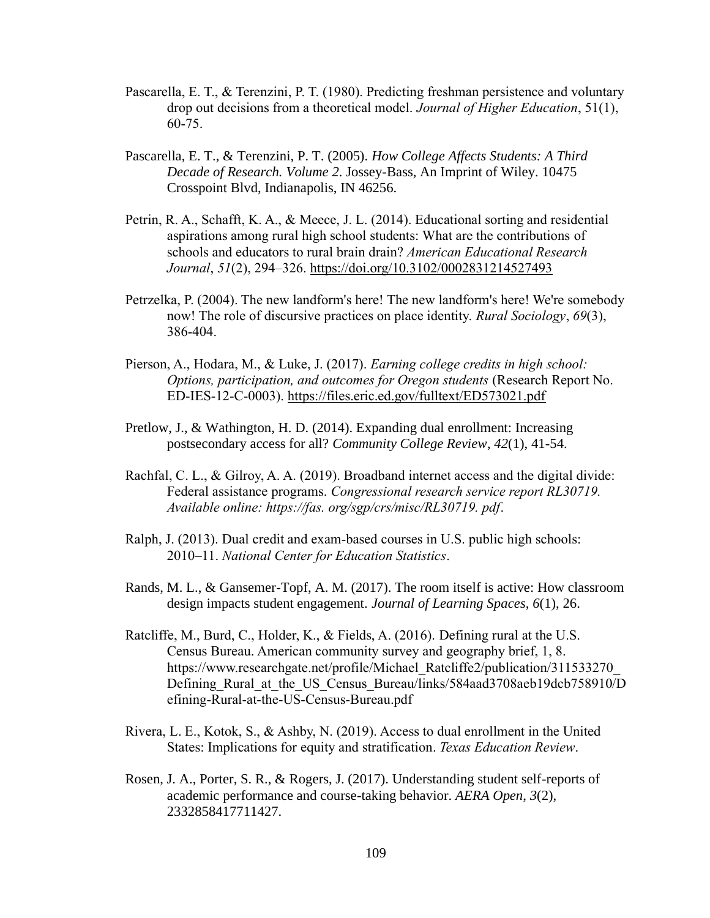- Pascarella, E. T., & Terenzini, P. T. (1980). Predicting freshman persistence and voluntary drop out decisions from a theoretical model. *Journal of Higher Education*, 51(1), 60-75.
- Pascarella, E. T., & Terenzini, P. T. (2005). *How College Affects Students: A Third Decade of Research. Volume 2*. Jossey-Bass, An Imprint of Wiley. 10475 Crosspoint Blvd, Indianapolis, IN 46256.
- Petrin, R. A., Schafft, K. A., & Meece, J. L. (2014). Educational sorting and residential aspirations among rural high school students: What are the contributions of schools and educators to rural brain drain? *American Educational Research Journal*, *51*(2), 294–326.<https://doi.org/10.3102/0002831214527493>
- Petrzelka, P. (2004). The new landform's here! The new landform's here! We're somebody now! The role of discursive practices on place identity. *Rural Sociology*, *69*(3), 386-404.
- Pierson, A., Hodara, M., & Luke, J. (2017). *Earning college credits in high school: Options, participation, and outcomes for Oregon students* (Research Report No. ED-IES-12-C-0003).<https://files.eric.ed.gov/fulltext/ED573021.pdf>
- Pretlow, J., & Wathington, H. D. (2014). Expanding dual enrollment: Increasing postsecondary access for all? *Community College Review*, *42*(1), 41-54.
- Rachfal, C. L., & Gilroy, A. A. (2019). Broadband internet access and the digital divide: Federal assistance programs. *Congressional research service report RL30719. Available online: https://fas. org/sgp/crs/misc/RL30719. pdf*.
- Ralph, J. (2013). Dual credit and exam-based courses in U.S. public high schools: 2010–11. *National Center for Education Statistics*.
- Rands, M. L., & Gansemer-Topf, A. M. (2017). The room itself is active: How classroom design impacts student engagement. *Journal of Learning Spaces*, *6*(1), 26.
- Ratcliffe, M., Burd, C., Holder, K., & Fields, A. (2016). Defining rural at the U.S. Census Bureau. American community survey and geography brief, 1, 8. https://www.researchgate.net/profile/Michael\_Ratcliffe2/publication/311533270 Defining Rural at the US Census Bureau/links/584aad3708aeb19dcb758910/D [efining-Rural-at-the-US-Census-Bureau.pdf](https://www.researchgate.net/profile/Michael_Ratcliffe2/publication/311533270_Defining_Rural_at_the_US_Census_Bureau/links/584aad3708aeb19dcb758910/Defining-Rural-at-the-US-Census-Bureau.pdf)
- Rivera, L. E., Kotok, S., & Ashby, N. (2019). Access to dual enrollment in the United States: Implications for equity and stratification. *Texas Education Review*.
- Rosen, J. A., Porter, S. R., & Rogers, J. (2017). Understanding student self-reports of academic performance and course-taking behavior. *AERA Open*, *3*(2), 2332858417711427.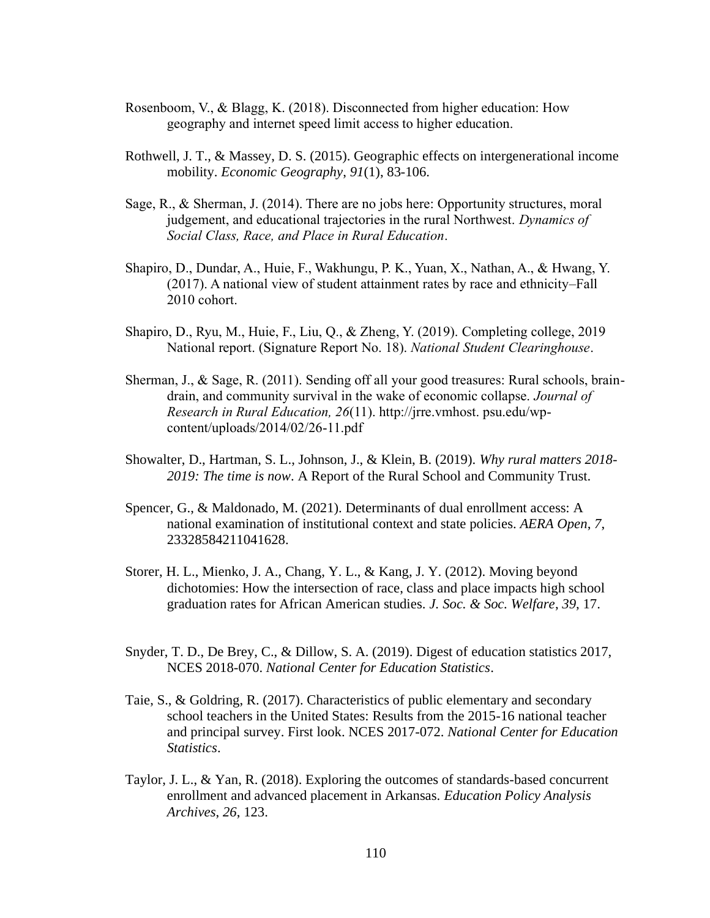- Rosenboom, V., & Blagg, K. (2018). Disconnected from higher education: How geography and internet speed limit access to higher education.
- Rothwell, J. T., & Massey, D. S. (2015). Geographic effects on intergenerational income mobility. *Economic Geography*, *91*(1), 83-106.
- Sage, R., & Sherman, J. (2014). There are no jobs here: Opportunity structures, moral judgement, and educational trajectories in the rural Northwest. *Dynamics of Social Class, Race, and Place in Rural Education*.
- Shapiro, D., Dundar, A., Huie, F., Wakhungu, P. K., Yuan, X., Nathan, A., & Hwang, Y. (2017). A national view of student attainment rates by race and ethnicity–Fall 2010 cohort.
- Shapiro, D., Ryu, M., Huie, F., Liu, Q., & Zheng, Y. (2019). Completing college, 2019 National report. (Signature Report No. 18). *National Student Clearinghouse*.
- Sherman, J., & Sage, R. (2011). Sending off all your good treasures: Rural schools, braindrain, and community survival in the wake of economic collapse. *Journal of Research in Rural Education, 26*(11). http://jrre.vmhost. psu.edu/wpcontent/uploads/2014/02/26-11.pdf
- Showalter, D., Hartman, S. L., Johnson, J., & Klein, B. (2019). *Why rural matters 2018- 2019: The time is now*. A Report of the Rural School and Community Trust.
- Spencer, G., & Maldonado, M. (2021). Determinants of dual enrollment access: A national examination of institutional context and state policies. *AERA Open*, *7*, 23328584211041628.
- Storer, H. L., Mienko, J. A., Chang, Y. L., & Kang, J. Y. (2012). Moving beyond dichotomies: How the intersection of race, class and place impacts high school graduation rates for African American studies. *J. Soc. & Soc. Welfare*, *39*, 17.
- Snyder, T. D., De Brey, C., & Dillow, S. A. (2019). Digest of education statistics 2017, NCES 2018-070. *National Center for Education Statistics*.
- Taie, S., & Goldring, R. (2017). Characteristics of public elementary and secondary school teachers in the United States: Results from the 2015-16 national teacher and principal survey. First look. NCES 2017-072. *National Center for Education Statistics*.
- Taylor, J. L., & Yan, R. (2018). Exploring the outcomes of standards-based concurrent enrollment and advanced placement in Arkansas. *Education Policy Analysis Archives*, *26*, 123.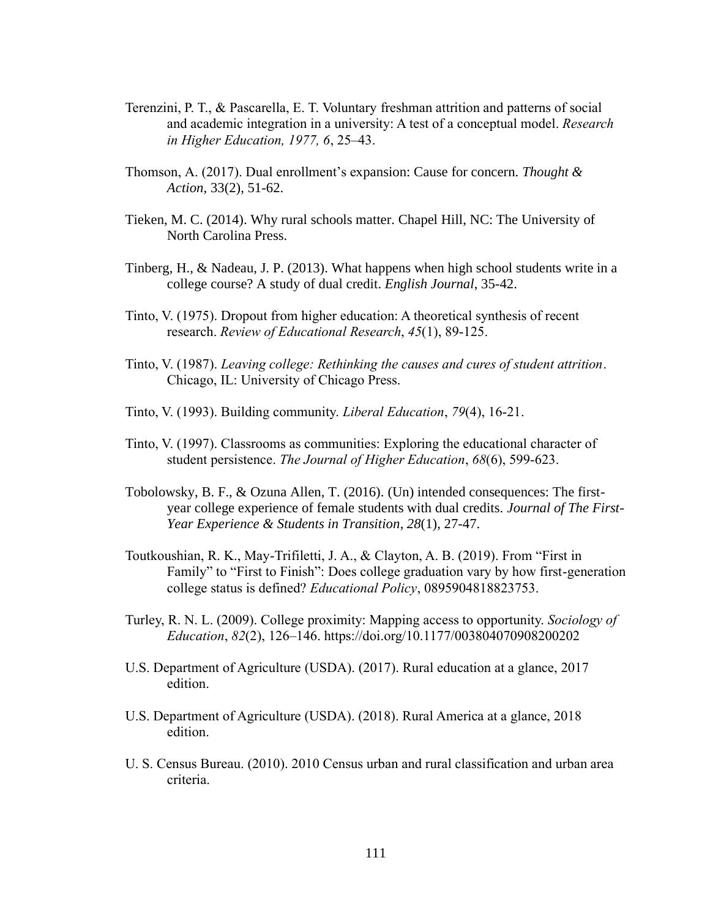- Terenzini, P. T., & Pascarella, E. T. Voluntary freshman attrition and patterns of social and academic integration in a university: A test of a conceptual model. *Research in Higher Education, 1977, 6*, 25–43.
- Thomson, A. (2017). Dual enrollment's expansion: Cause for concern. *Thought & Action*, 33(2), 51-62.
- Tieken, M. C. (2014). Why rural schools matter. Chapel Hill, NC: The University of North Carolina Press.
- Tinberg, H., & Nadeau, J. P. (2013). What happens when high school students write in a college course? A study of dual credit. *English Journal*, 35-42.
- Tinto, V. (1975). Dropout from higher education: A theoretical synthesis of recent research. *Review of Educational Research*, *45*(1), 89-125.
- Tinto, V. (1987). *Leaving college: Rethinking the causes and cures of student attrition*. Chicago, IL: University of Chicago Press.
- Tinto, V. (1993). Building community. *Liberal Education*, *79*(4), 16-21.
- Tinto, V. (1997). Classrooms as communities: Exploring the educational character of student persistence. *The Journal of Higher Education*, *68*(6), 599-623.
- Tobolowsky, B. F., & Ozuna Allen, T. (2016). (Un) intended consequences: The firstyear college experience of female students with dual credits. *Journal of The First-Year Experience & Students in Transition*, *28*(1), 27-47.
- Toutkoushian, R. K., May-Trifiletti, J. A., & Clayton, A. B. (2019). From "First in Family" to "First to Finish": Does college graduation vary by how first-generation college status is defined? *Educational Policy*, 0895904818823753.
- Turley, R. N. L. (2009). College proximity: Mapping access to opportunity. *Sociology of Education*, *82*(2), 126–146.<https://doi.org/10.1177/003804070908200202>
- U.S. Department of Agriculture (USDA). (2017). Rural education at a glance, 2017 edition.
- U.S. Department of Agriculture (USDA). (2018). Rural America at a glance, 2018 edition.
- U. S. Census Bureau. (2010). 2010 Census urban and rural classification and urban area criteria.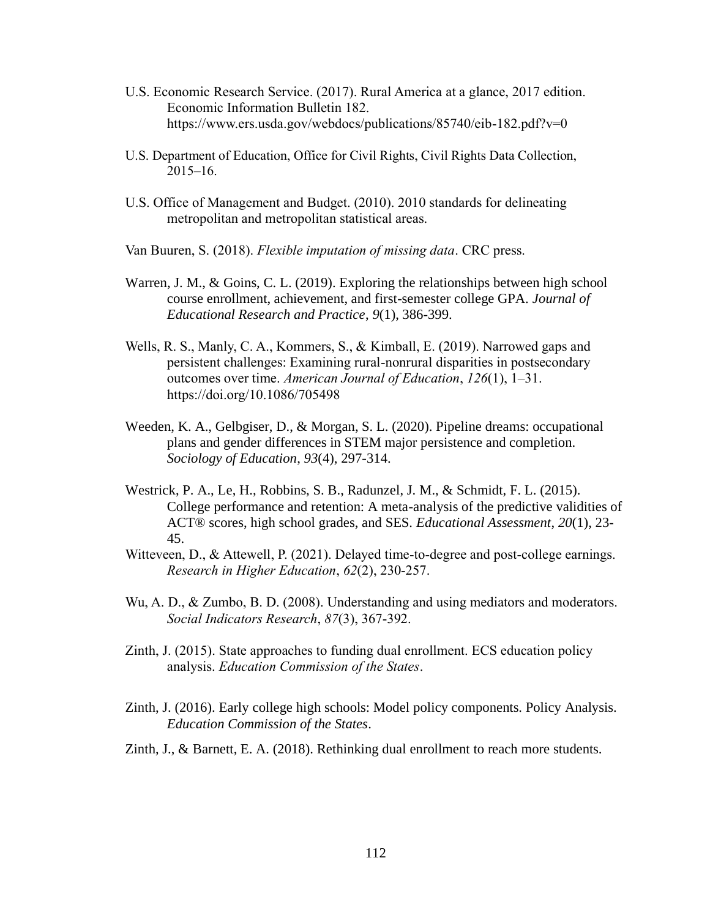- U.S. Economic Research Service. (2017). Rural America at a glance, 2017 edition. Economic Information Bulletin 182. <https://www.ers.usda.gov/webdocs/publications/85740/eib-182.pdf?v=0>
- U.S. Department of Education, Office for Civil Rights, Civil Rights Data Collection, 2015–16.
- U.S. Office of Management and Budget. (2010). 2010 standards for delineating metropolitan and metropolitan statistical areas.
- Van Buuren, S. (2018). *Flexible imputation of missing data*. CRC press.
- Warren, J. M., & Goins, C. L. (2019). Exploring the relationships between high school course enrollment, achievement, and first-semester college GPA. *Journal of Educational Research and Practice*, *9*(1), 386-399.
- Wells, R. S., Manly, C. A., Kommers, S., & Kimball, E. (2019). Narrowed gaps and persistent challenges: Examining rural-nonrural disparities in postsecondary outcomes over time. *American Journal of Education*, *126*(1), 1–31. <https://doi.org/10.1086/705498>
- Weeden, K. A., Gelbgiser, D., & Morgan, S. L. (2020). Pipeline dreams: occupational plans and gender differences in STEM major persistence and completion. *Sociology of Education*, *93*(4), 297-314.
- Westrick, P. A., Le, H., Robbins, S. B., Radunzel, J. M., & Schmidt, F. L. (2015). College performance and retention: A meta-analysis of the predictive validities of ACT® scores, high school grades, and SES. *Educational Assessment*, *20*(1), 23- 45.
- Witteveen, D., & Attewell, P. (2021). Delayed time-to-degree and post-college earnings. *Research in Higher Education*, *62*(2), 230-257.
- Wu, A. D., & Zumbo, B. D. (2008). Understanding and using mediators and moderators. *Social Indicators Research*, *87*(3), 367-392.
- Zinth, J. (2015). State approaches to funding dual enrollment. ECS education policy analysis. *Education Commission of the States*.
- Zinth, J. (2016). Early college high schools: Model policy components. Policy Analysis. *Education Commission of the States*.
- Zinth, J., & Barnett, E. A. (2018). Rethinking dual enrollment to reach more students.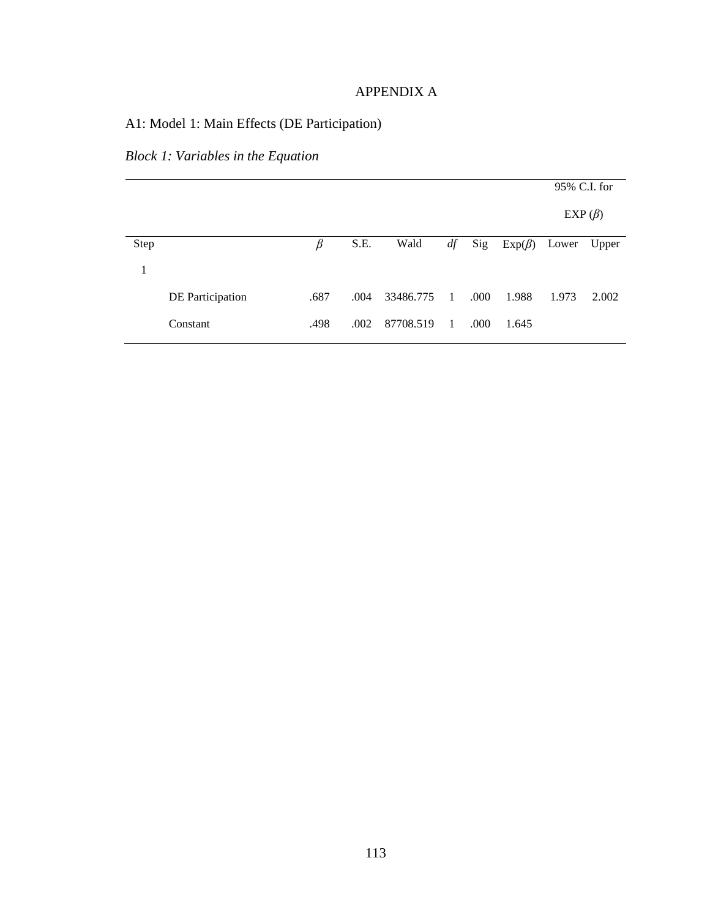### APPENDIX A

# A1: Model 1: Main Effects (DE Participation)

# *Block 1: Variables in the Equation*

|      |                  |      |      |           |                |      |              | 95% C.I. for  |       |
|------|------------------|------|------|-----------|----------------|------|--------------|---------------|-------|
|      |                  |      |      |           |                |      |              | EXP $(\beta)$ |       |
| Step |                  | β    | S.E. | Wald      | df             | Sig  | $Exp(\beta)$ | Lower         | Upper |
| 1    |                  |      |      |           |                |      |              |               |       |
|      | DE Participation | .687 | .004 | 33486.775 | $\sim$ 1       | .000 | 1.988        | 1.973         | 2.002 |
|      | Constant         | .498 | .002 | 87708.519 | $\overline{1}$ | .000 | 1.645        |               |       |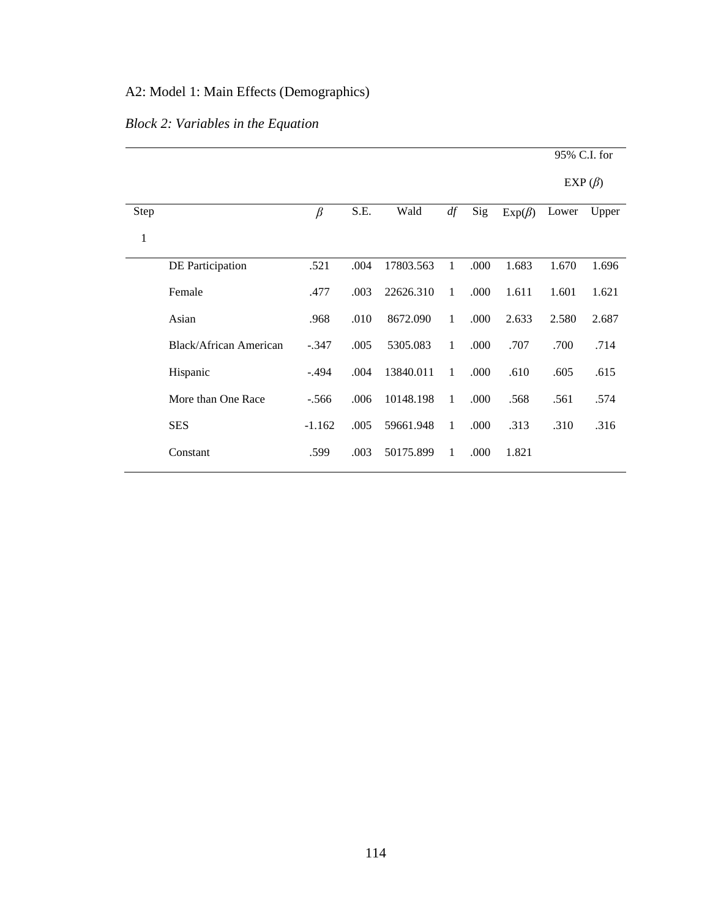# A2: Model 1: Main Effects (Demographics)

# *Block 2: Variables in the Equation*

|              |                               |          |      |           |              |      |              | 95% C.I. for |       |
|--------------|-------------------------------|----------|------|-----------|--------------|------|--------------|--------------|-------|
|              |                               |          |      |           |              |      |              | $EXP(\beta)$ |       |
| Step         |                               | $\beta$  | S.E. | Wald      | df           | Sig  | $Exp(\beta)$ | Lower        | Upper |
| $\mathbf{1}$ |                               |          |      |           |              |      |              |              |       |
|              | DE Participation              | .521     | .004 | 17803.563 | $\mathbf{1}$ | .000 | 1.683        | 1.670        | 1.696 |
|              | Female                        | .477     | .003 | 22626.310 | $\mathbf{1}$ | .000 | 1.611        | 1.601        | 1.621 |
|              | Asian                         | .968     | .010 | 8672.090  | $\mathbf{1}$ | .000 | 2.633        | 2.580        | 2.687 |
|              | <b>Black/African American</b> | $-.347$  | .005 | 5305.083  | 1            | .000 | .707         | .700         | .714  |
|              | Hispanic                      | $-.494$  | .004 | 13840.011 | 1            | .000 | .610         | .605         | .615  |
|              | More than One Race            | $-.566$  | .006 | 10148.198 | 1            | .000 | .568         | .561         | .574  |
|              | <b>SES</b>                    | $-1.162$ | .005 | 59661.948 | $\mathbf{1}$ | .000 | .313         | .310         | .316  |
|              | Constant                      | .599     | .003 | 50175.899 | $\mathbf{1}$ | .000 | 1.821        |              |       |
|              |                               |          |      |           |              |      |              |              |       |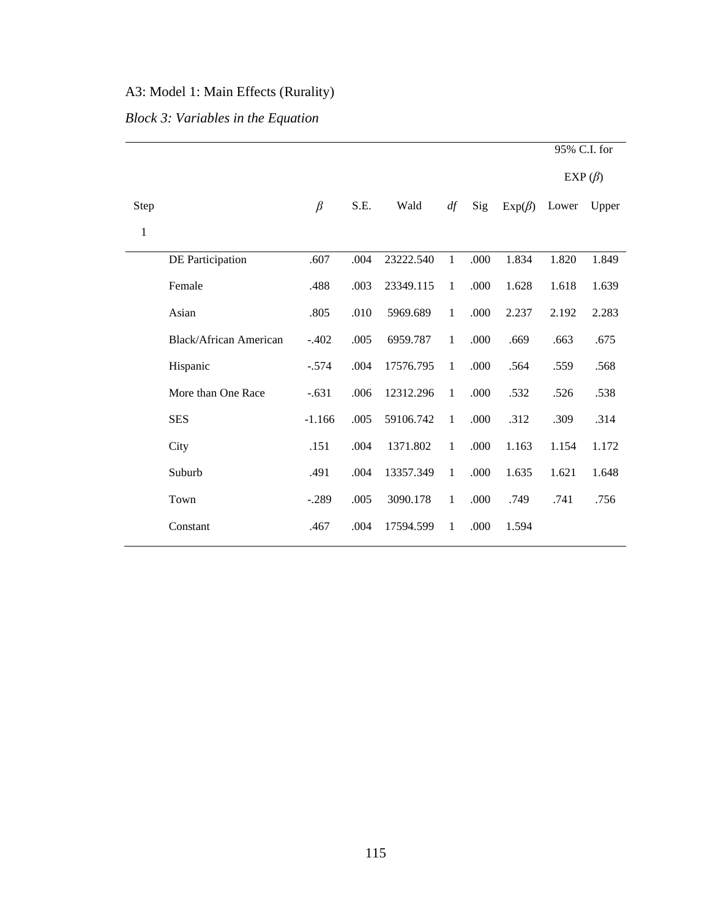# A3: Model 1: Main Effects (Rurality)

# *Block 3: Variables in the Equation*

|                               |          |      |           |              |      |              | 95% C.I. for  |       |
|-------------------------------|----------|------|-----------|--------------|------|--------------|---------------|-------|
|                               |          |      |           |              |      |              | EXP $(\beta)$ |       |
|                               | $\beta$  | S.E. | Wald      | df           | Sig  | $Exp(\beta)$ | Lower         | Upper |
|                               |          |      |           |              |      |              |               |       |
| DE Participation              | .607     | .004 | 23222.540 | $\mathbf{1}$ | .000 | 1.834        | 1.820         | 1.849 |
| Female                        | .488     | .003 | 23349.115 | $\mathbf{1}$ | .000 | 1.628        | 1.618         | 1.639 |
| Asian                         | .805     | .010 | 5969.689  | $\mathbf{1}$ | .000 | 2.237        | 2.192         | 2.283 |
| <b>Black/African American</b> | $-.402$  | .005 | 6959.787  | $\mathbf{1}$ | .000 | .669         | .663          | .675  |
| Hispanic                      | $-.574$  | .004 | 17576.795 | $\mathbf{1}$ | .000 | .564         | .559          | .568  |
| More than One Race            | $-.631$  | .006 | 12312.296 | $\mathbf{1}$ | .000 | .532         | .526          | .538  |
| <b>SES</b>                    | $-1.166$ | .005 | 59106.742 | $\mathbf{1}$ | .000 | .312         | .309          | .314  |
| City                          | .151     | .004 | 1371.802  | $\mathbf{1}$ | .000 | 1.163        | 1.154         | 1.172 |
| Suburb                        | .491     | .004 | 13357.349 | $\mathbf{1}$ | .000 | 1.635        | 1.621         | 1.648 |
| Town                          | $-.289$  | .005 | 3090.178  | $\mathbf{1}$ | .000 | .749         | .741          | .756  |
| Constant                      | .467     | .004 | 17594.599 | $\mathbf{1}$ | .000 | 1.594        |               |       |
|                               |          |      |           |              |      |              |               |       |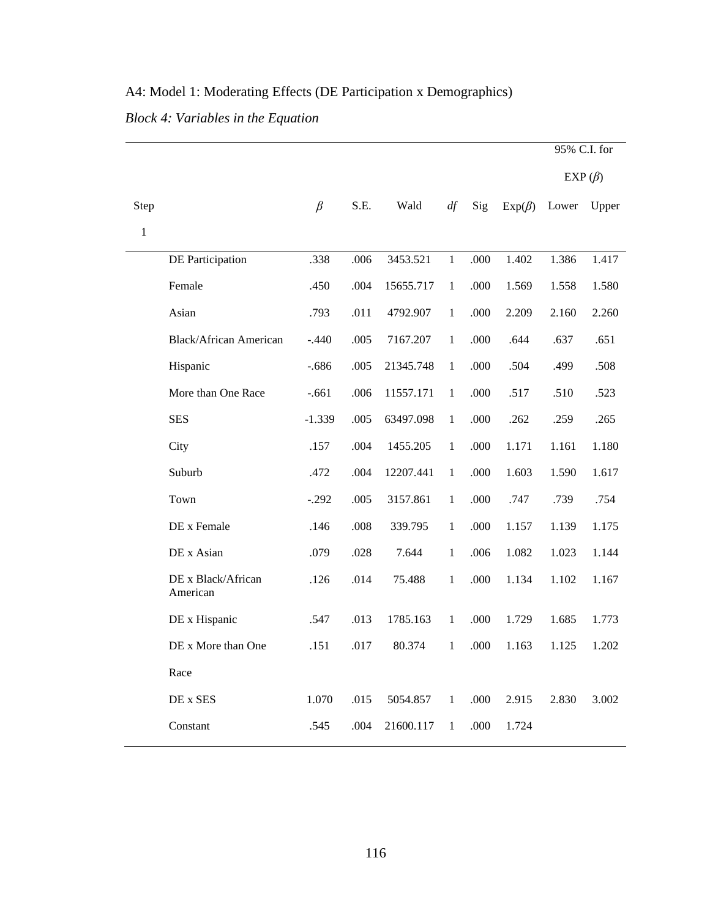|              |                                |          |      |           |              |      |              | 95% C.I. for  |       |
|--------------|--------------------------------|----------|------|-----------|--------------|------|--------------|---------------|-------|
|              |                                |          |      |           |              |      |              | EXP $(\beta)$ |       |
| Step         |                                | $\beta$  | S.E. | Wald      | df           | Sig  | $Exp(\beta)$ | Lower         | Upper |
| $\mathbf{1}$ |                                |          |      |           |              |      |              |               |       |
|              | <b>DE Participation</b>        | .338     | .006 | 3453.521  | $\mathbf{1}$ | .000 | 1.402        | 1.386         | 1.417 |
|              | Female                         | .450     | .004 | 15655.717 | $\mathbf{1}$ | .000 | 1.569        | 1.558         | 1.580 |
|              | Asian                          | .793     | .011 | 4792.907  | $\mathbf{1}$ | .000 | 2.209        | 2.160         | 2.260 |
|              | <b>Black/African American</b>  | $-.440$  | .005 | 7167.207  | $\mathbf{1}$ | .000 | .644         | .637          | .651  |
|              | Hispanic                       | $-.686$  | .005 | 21345.748 | $\mathbf{1}$ | .000 | .504         | .499          | .508  |
|              | More than One Race             | $-.661$  | .006 | 11557.171 | $\mathbf{1}$ | .000 | .517         | .510          | .523  |
|              | <b>SES</b>                     | $-1.339$ | .005 | 63497.098 | $\mathbf{1}$ | .000 | .262         | .259          | .265  |
|              | City                           | .157     | .004 | 1455.205  | $\mathbf{1}$ | .000 | 1.171        | 1.161         | 1.180 |
|              | Suburb                         | .472     | .004 | 12207.441 | $\mathbf{1}$ | .000 | 1.603        | 1.590         | 1.617 |
|              | Town                           | $-.292$  | .005 | 3157.861  | $\mathbf{1}$ | .000 | .747         | .739          | .754  |
|              | DE x Female                    | .146     | .008 | 339.795   | $\mathbf{1}$ | .000 | 1.157        | 1.139         | 1.175 |
|              | DE x Asian                     | .079     | .028 | 7.644     | $\mathbf{1}$ | .006 | 1.082        | 1.023         | 1.144 |
|              | DE x Black/African<br>American | .126     | .014 | 75.488    | $\mathbf{1}$ | .000 | 1.134        | 1.102         | 1.167 |
|              | DE x Hispanic                  | .547     | .013 | 1785.163  | $\mathbf{1}$ | .000 | 1.729        | 1.685         | 1.773 |
|              | DE x More than One             | .151     | .017 | 80.374    | $\mathbf{1}$ | .000 | 1.163        | 1.125         | 1.202 |
|              | Race                           |          |      |           |              |      |              |               |       |
|              | DE x SES                       | 1.070    | .015 | 5054.857  | $\mathbf{1}$ | .000 | 2.915        | 2.830         | 3.002 |
|              | Constant                       | .545     | .004 | 21600.117 | $\mathbf{1}$ | .000 | 1.724        |               |       |

# A4: Model 1: Moderating Effects (DE Participation x Demographics)

*Block 4: Variables in the Equation*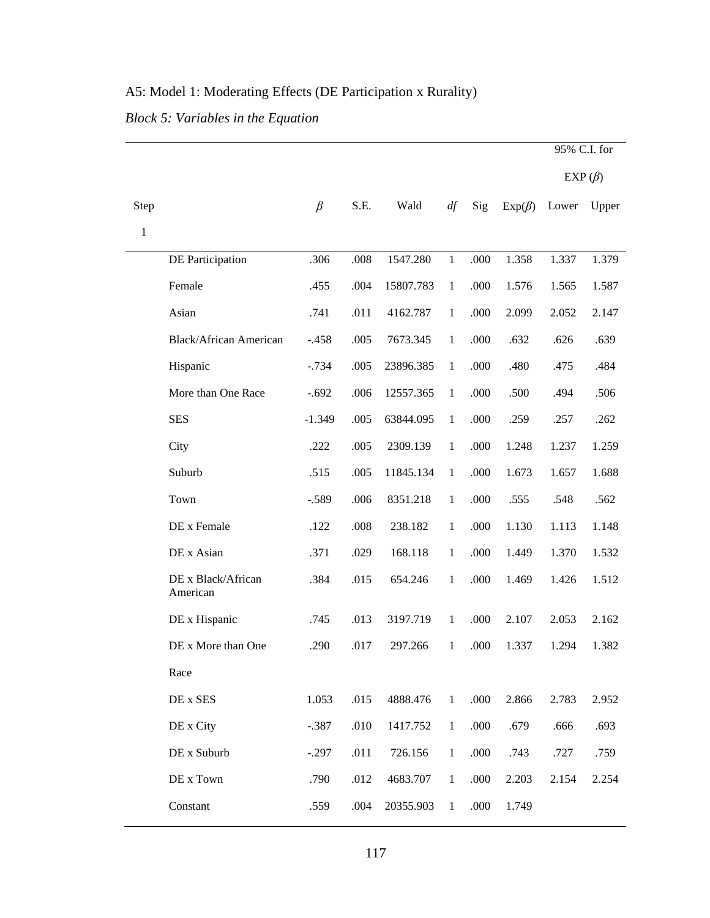# A5: Model 1: Moderating Effects (DE Participation x Rurality)

*Block 5: Variables in the Equation* 

|              |                                |          |      |           |              |      |              | 95% C.I. for |       |
|--------------|--------------------------------|----------|------|-----------|--------------|------|--------------|--------------|-------|
|              |                                |          |      |           |              |      |              | $EXP(\beta)$ |       |
| Step         |                                | $\beta$  | S.E. | Wald      | df           | Sig  | $Exp(\beta)$ | Lower        | Upper |
| $\mathbf{1}$ |                                |          |      |           |              |      |              |              |       |
|              | DE Participation               | .306     | .008 | 1547.280  | $\mathbf{1}$ | .000 | 1.358        | 1.337        | 1.379 |
|              | Female                         | .455     | .004 | 15807.783 | $\mathbf{1}$ | .000 | 1.576        | 1.565        | 1.587 |
|              | Asian                          | .741     | .011 | 4162.787  | $\mathbf{1}$ | .000 | 2.099        | 2.052        | 2.147 |
|              | <b>Black/African American</b>  | $-.458$  | .005 | 7673.345  | $\mathbf{1}$ | .000 | .632         | .626         | .639  |
|              | Hispanic                       | $-0.734$ | .005 | 23896.385 | $\mathbf{1}$ | .000 | .480         | .475         | .484  |
|              | More than One Race             | $-.692$  | .006 | 12557.365 | $\mathbf{1}$ | .000 | .500         | .494         | .506  |
|              | <b>SES</b>                     | $-1.349$ | .005 | 63844.095 | $\mathbf{1}$ | .000 | .259         | .257         | .262  |
|              | City                           | .222     | .005 | 2309.139  | $\mathbf{1}$ | .000 | 1.248        | 1.237        | 1.259 |
|              | Suburb                         | .515     | .005 | 11845.134 | $\mathbf{1}$ | .000 | 1.673        | 1.657        | 1.688 |
|              | Town                           | $-.589$  | .006 | 8351.218  | $\mathbf{1}$ | .000 | .555         | .548         | .562  |
|              | DE x Female                    | .122     | .008 | 238.182   | $\mathbf{1}$ | .000 | 1.130        | 1.113        | 1.148 |
|              | DE x Asian                     | .371     | .029 | 168.118   | $\mathbf{1}$ | .000 | 1.449        | 1.370        | 1.532 |
|              | DE x Black/African<br>American | .384     | .015 | 654.246   | $\mathbf{1}$ | .000 | 1.469        | 1.426        | 1.512 |
|              | DE x Hispanic                  | .745     | .013 | 3197.719  | $\mathbf{1}$ | .000 | 2.107        | 2.053        | 2.162 |
|              | DE x More than One             | .290     | .017 | 297.266   | 1            | .000 | 1.337        | 1.294        | 1.382 |
|              | Race                           |          |      |           |              |      |              |              |       |
|              | DE x SES                       | 1.053    | .015 | 4888.476  | $\mathbf{1}$ | .000 | 2.866        | 2.783        | 2.952 |
|              | DE x City                      | $-.387$  | .010 | 1417.752  | $\mathbf{1}$ | .000 | .679         | .666         | .693  |
|              | DE x Suburb                    | $-.297$  | .011 | 726.156   | $\mathbf{1}$ | .000 | .743         | .727         | .759  |
|              | DE x Town                      | .790     | .012 | 4683.707  | $\mathbf{1}$ | .000 | 2.203        | 2.154        | 2.254 |
|              | Constant                       | .559     | .004 | 20355.903 | $\mathbf{1}$ | .000 | 1.749        |              |       |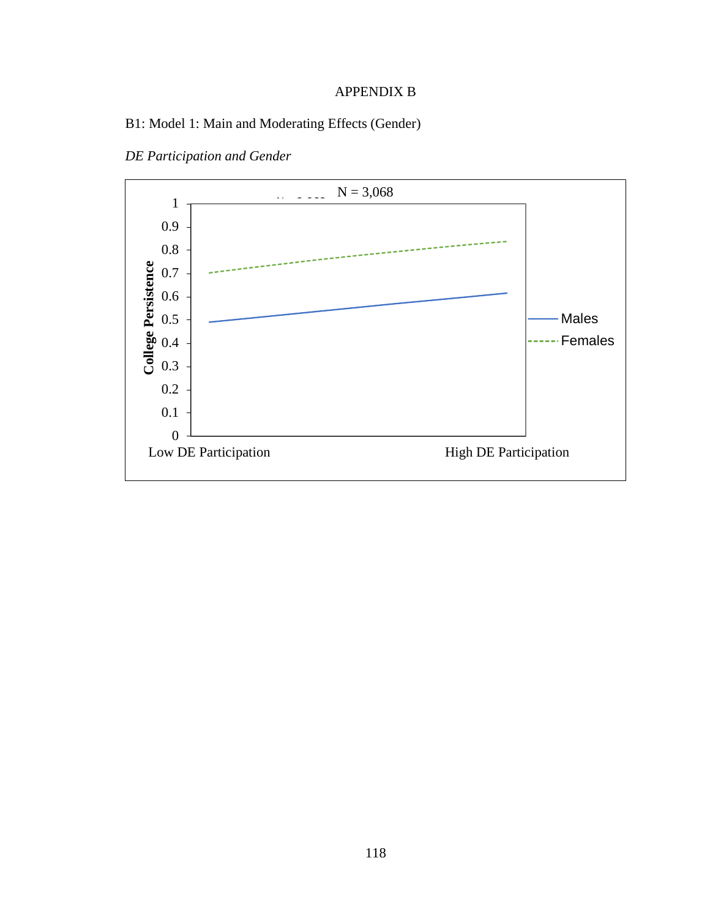### APPENDIX B

### B1: Model 1: Main and Moderating Effects (Gender)



*DE Participation and Gender*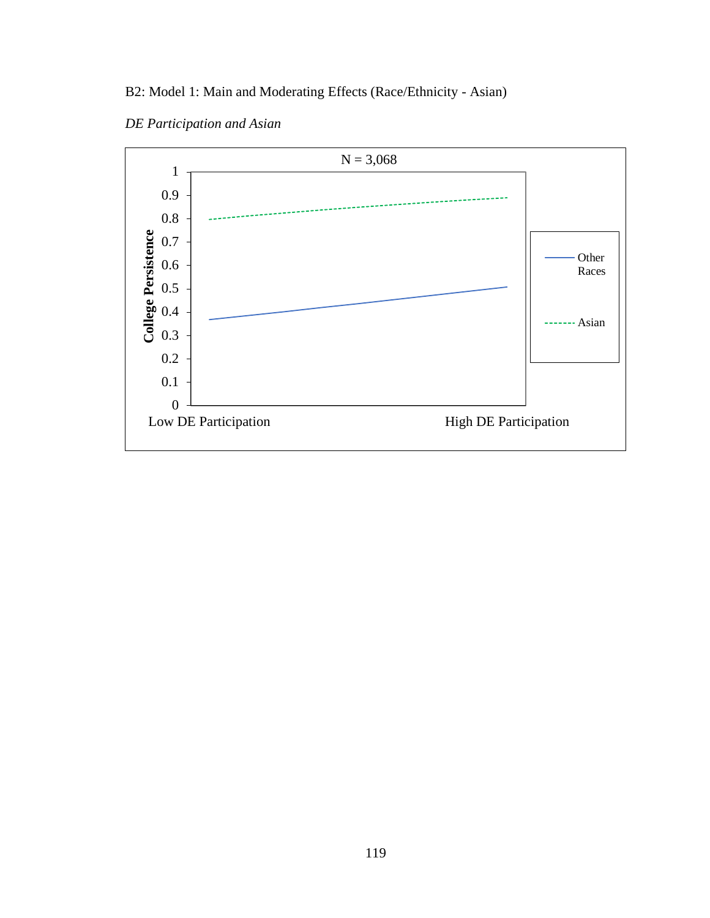# B2: Model 1: Main and Moderating Effects (Race/Ethnicity - Asian)



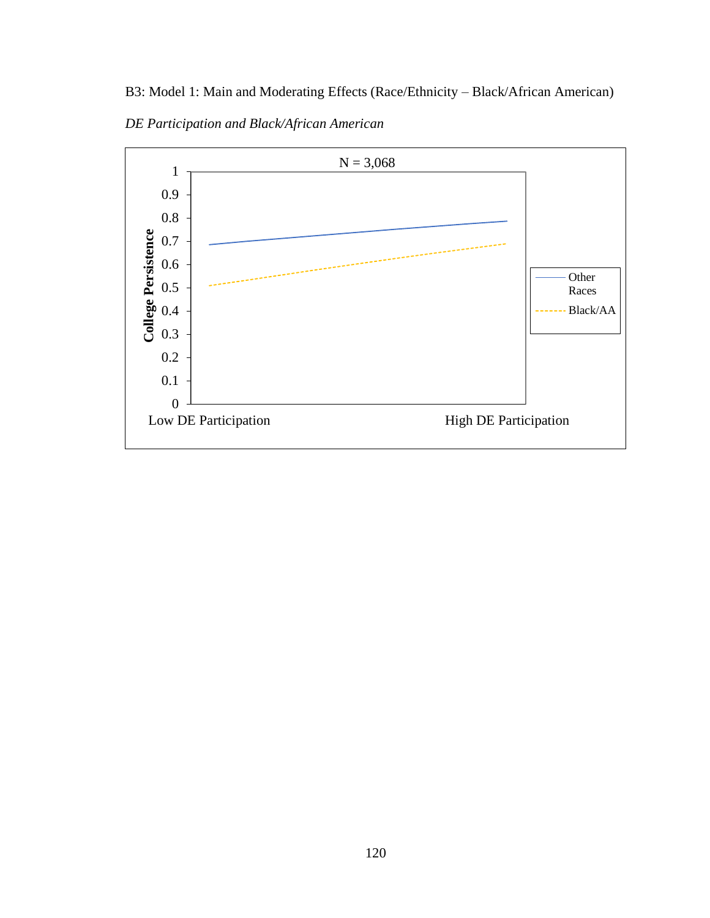B3: Model 1: Main and Moderating Effects (Race/Ethnicity – Black/African American)

*DE Participation and Black/African American*

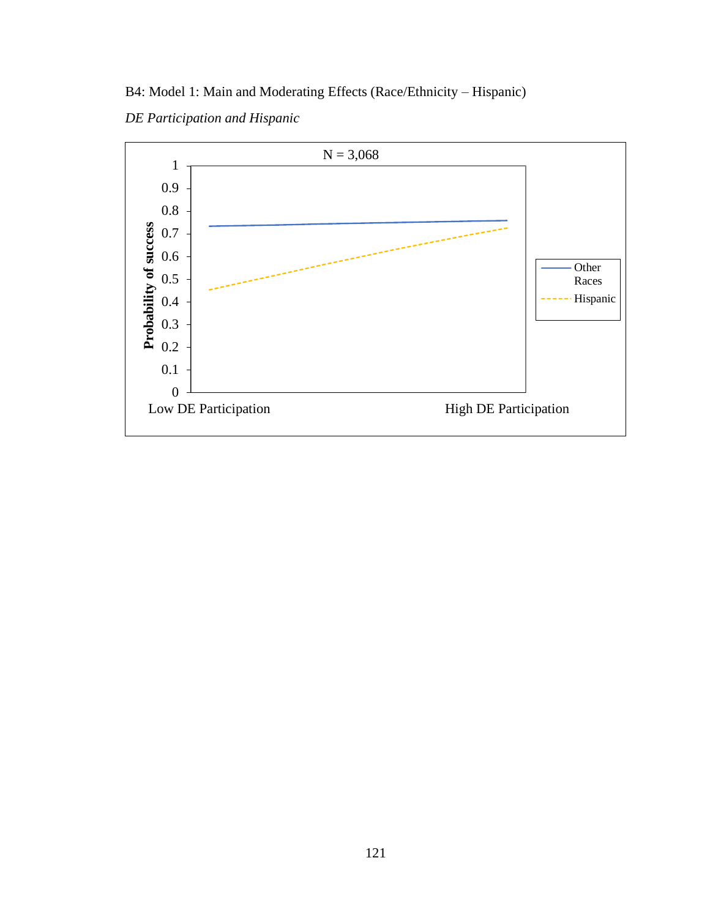B4: Model 1: Main and Moderating Effects (Race/Ethnicity – Hispanic)

*DE Participation and Hispanic*

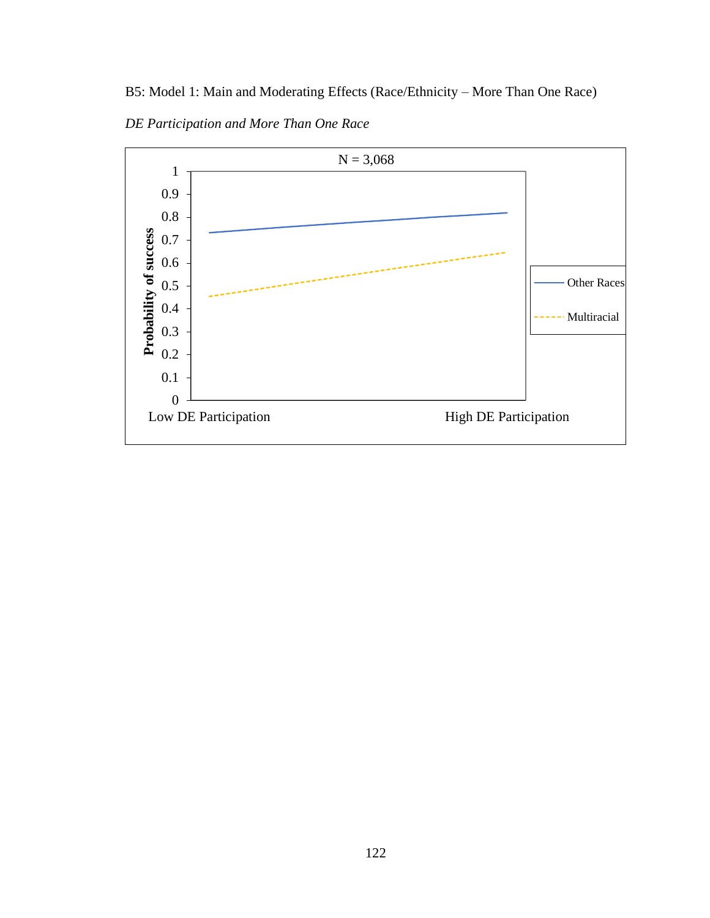B5: Model 1: Main and Moderating Effects (Race/Ethnicity – More Than One Race)



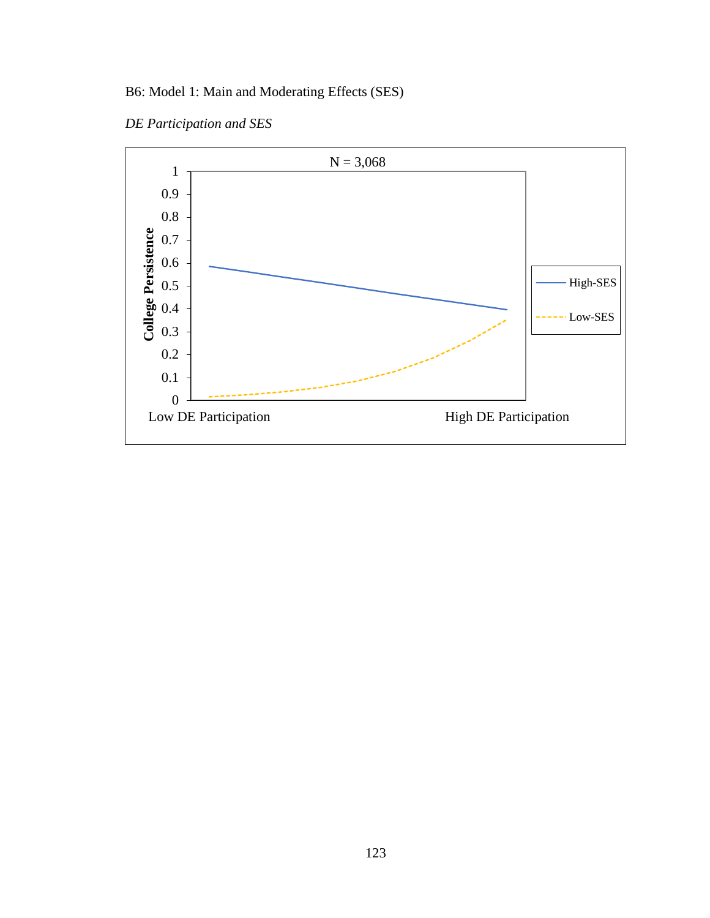# B6: Model 1: Main and Moderating Effects (SES)

*DE Participation and SES*

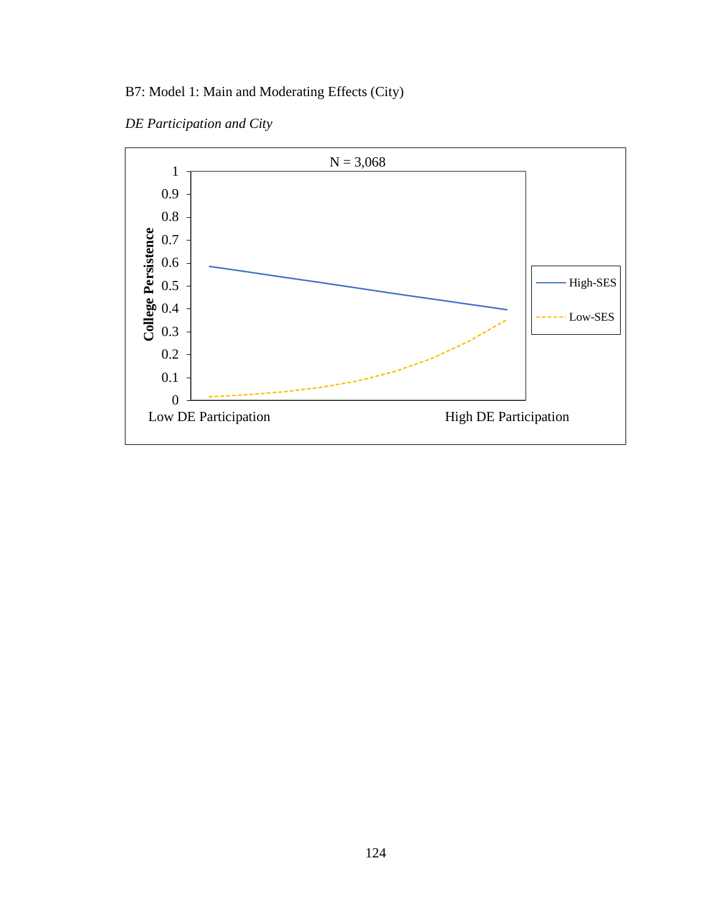# B7: Model 1: Main and Moderating Effects (City)

*DE Participation and City*

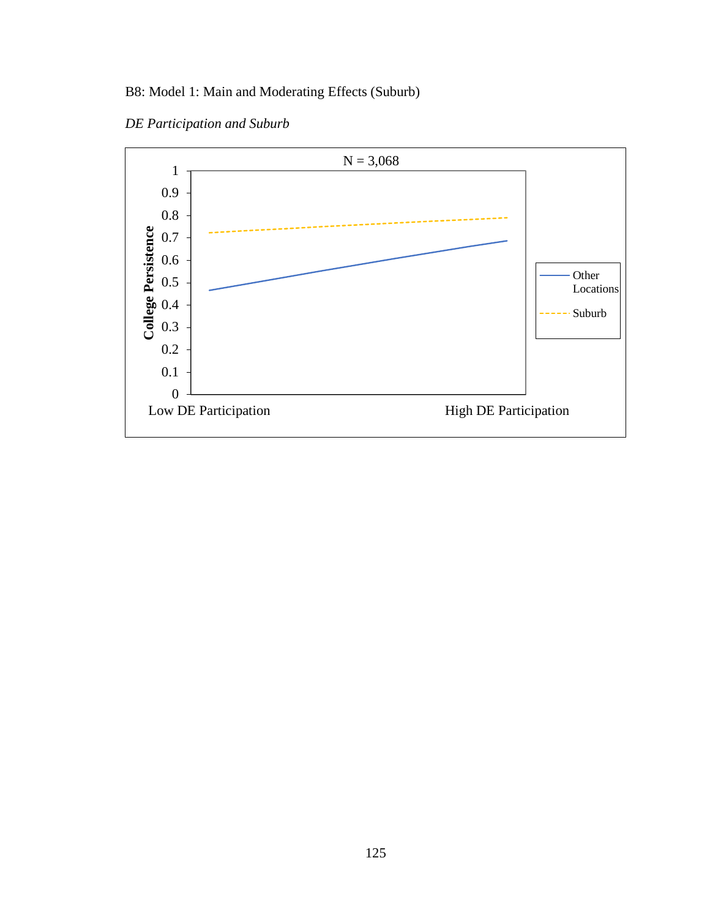# B8: Model 1: Main and Moderating Effects (Suburb)



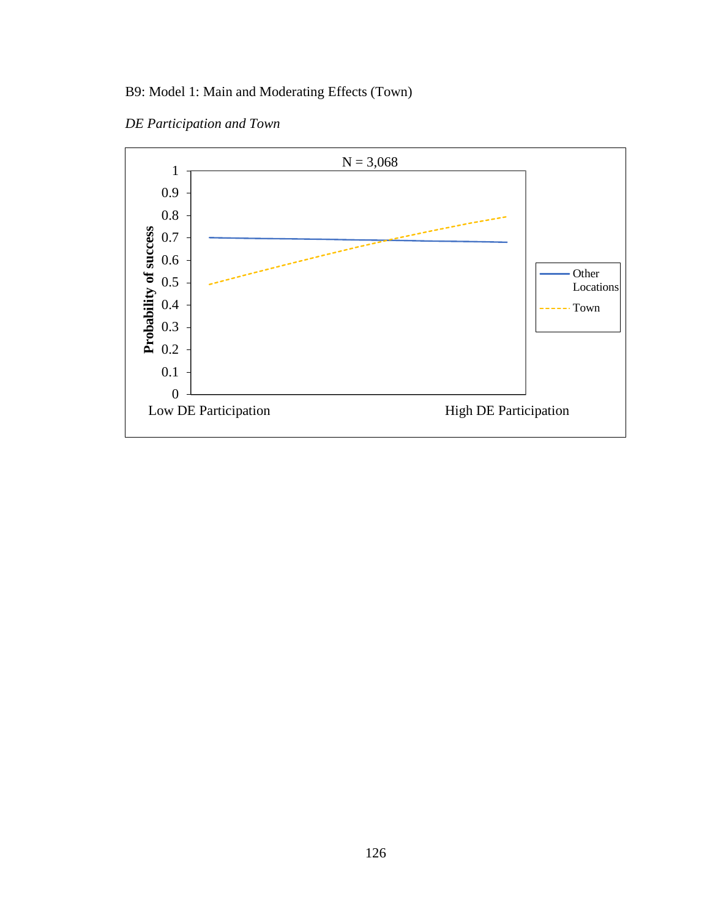# B9: Model 1: Main and Moderating Effects (Town)

*DE Participation and Town*

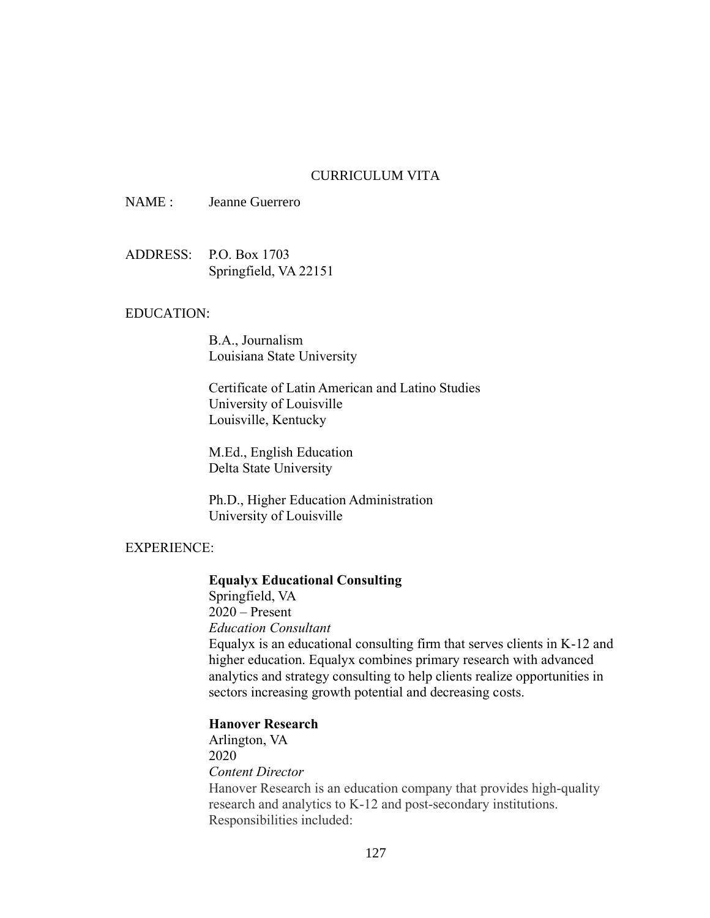### CURRICULUM VITA

NAME : Jeanne Guerrero

ADDRESS: P.O. Box 1703 Springfield, VA 22151

### EDUCATION:

B.A., Journalism Louisiana State University

Certificate of Latin American and Latino Studies University of Louisville Louisville, Kentucky

M.Ed., English Education Delta State University

Ph.D., Higher Education Administration University of Louisville

### EXPERIENCE:

#### **Equalyx Educational Consulting**

Springfield, VA 2020 – Present *Education Consultant* Equalyx is an educational consulting firm that serves clients in K-12 and higher education. Equalyx combines primary research with advanced analytics and strategy consulting to help clients realize opportunities in sectors increasing growth potential and decreasing costs.

#### **Hanover Research**

Arlington, VA 2020 *Content Director* Hanover Research is an education company that provides high-quality research and analytics to K-12 and post-secondary institutions. Responsibilities included: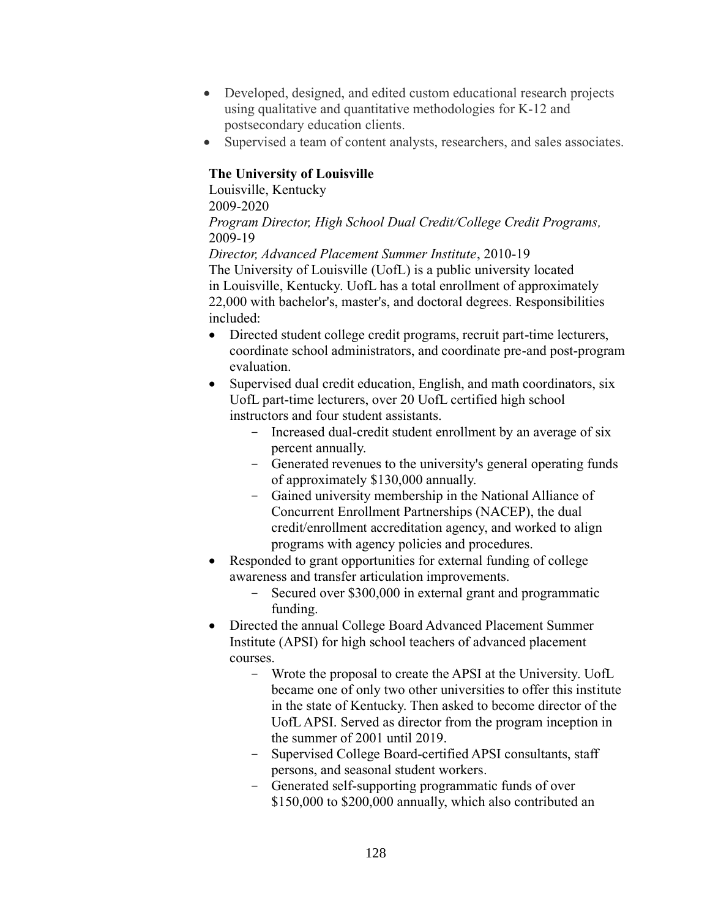- Developed, designed, and edited custom educational research projects using qualitative and quantitative methodologies for K-12 and postsecondary education clients.
- Supervised a team of content analysts, researchers, and sales associates.

### **The University of Louisville**

Louisville, Kentucky 2009-2020 *Program Director, High School Dual Credit/College Credit Programs,* 2009-19

*Director, Advanced Placement Summer Institute*, 2010-19 The University of Louisville (UofL) is a public university located in Louisville, Kentucky. UofL has a total enrollment of approximately 22,000 with bachelor's, master's, and doctoral degrees. Responsibilities included:

- Directed student college credit programs, recruit part-time lecturers, coordinate school administrators, and coordinate pre-and post-program evaluation.
- Supervised dual credit education, English, and math coordinators, six UofL part-time lecturers, over 20 UofL certified high school instructors and four student assistants.
	- Increased dual-credit student enrollment by an average of six percent annually.
	- Generated revenues to the university's general operating funds of approximately \$130,000 annually.
	- Gained university membership in the National Alliance of Concurrent Enrollment Partnerships (NACEP), the dual credit/enrollment accreditation agency, and worked to align programs with agency policies and procedures.
- Responded to grant opportunities for external funding of college awareness and transfer articulation improvements.
	- Secured over \$300,000 in external grant and programmatic funding.
- Directed the annual College Board Advanced Placement Summer Institute (APSI) for high school teachers of advanced placement courses.
	- Wrote the proposal to create the APSI at the University. UofL became one of only two other universities to offer this institute in the state of Kentucky. Then asked to become director of the UofL APSI. Served as director from the program inception in the summer of 2001 until 2019.
	- Supervised College Board-certified APSI consultants, staff persons, and seasonal student workers.
	- Generated self-supporting programmatic funds of over \$150,000 to \$200,000 annually, which also contributed an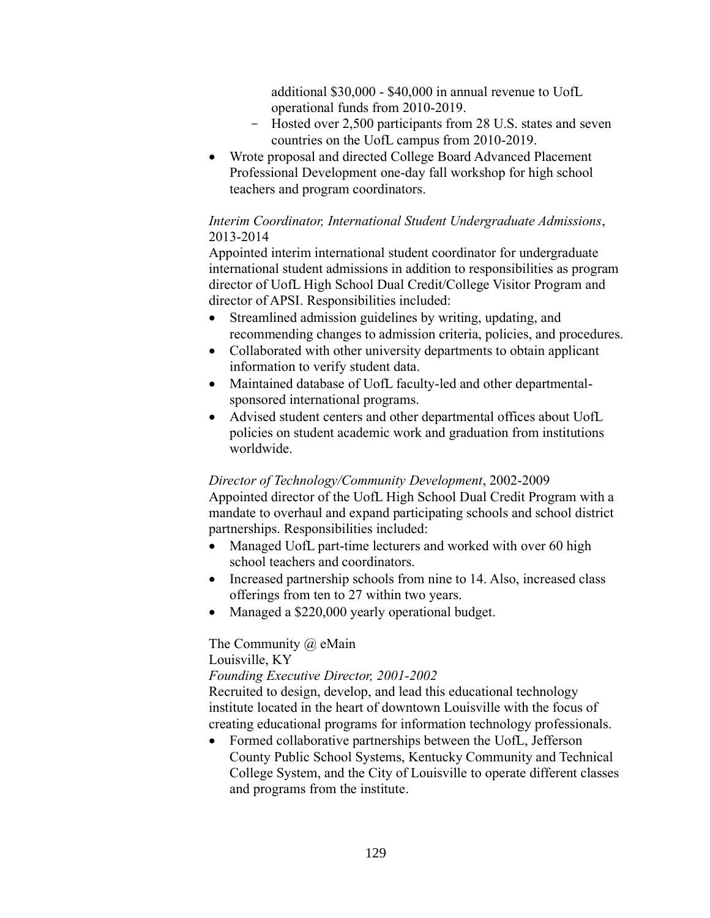additional \$30,000 - \$40,000 in annual revenue to UofL operational funds from 2010-2019.

- Hosted over 2,500 participants from 28 U.S. states and seven countries on the UofL campus from 2010-2019.
- Wrote proposal and directed College Board Advanced Placement Professional Development one-day fall workshop for high school teachers and program coordinators.

### *Interim Coordinator, International Student Undergraduate Admissions*, 2013-2014

Appointed interim international student coordinator for undergraduate international student admissions in addition to responsibilities as program director of UofL High School Dual Credit/College Visitor Program and director of APSI. Responsibilities included:

- Streamlined admission guidelines by writing, updating, and recommending changes to admission criteria, policies, and procedures.
- Collaborated with other university departments to obtain applicant information to verify student data.
- Maintained database of UofL faculty-led and other departmentalsponsored international programs.
- Advised student centers and other departmental offices about UofL policies on student academic work and graduation from institutions worldwide.

### *Director of Technology/Community Development*, 2002-2009

Appointed director of the UofL High School Dual Credit Program with a mandate to overhaul and expand participating schools and school district partnerships. Responsibilities included:

- Managed UofL part-time lecturers and worked with over 60 high school teachers and coordinators.
- Increased partnership schools from nine to 14. Also, increased class offerings from ten to 27 within two years.
- Managed a \$220,000 yearly operational budget.

The Community @ eMain

Louisville, KY

*Founding Executive Director, 2001-2002*

Recruited to design, develop, and lead this educational technology institute located in the heart of downtown Louisville with the focus of creating educational programs for information technology professionals.

• Formed collaborative partnerships between the UofL, Jefferson County Public School Systems, Kentucky Community and Technical College System, and the City of Louisville to operate different classes and programs from the institute.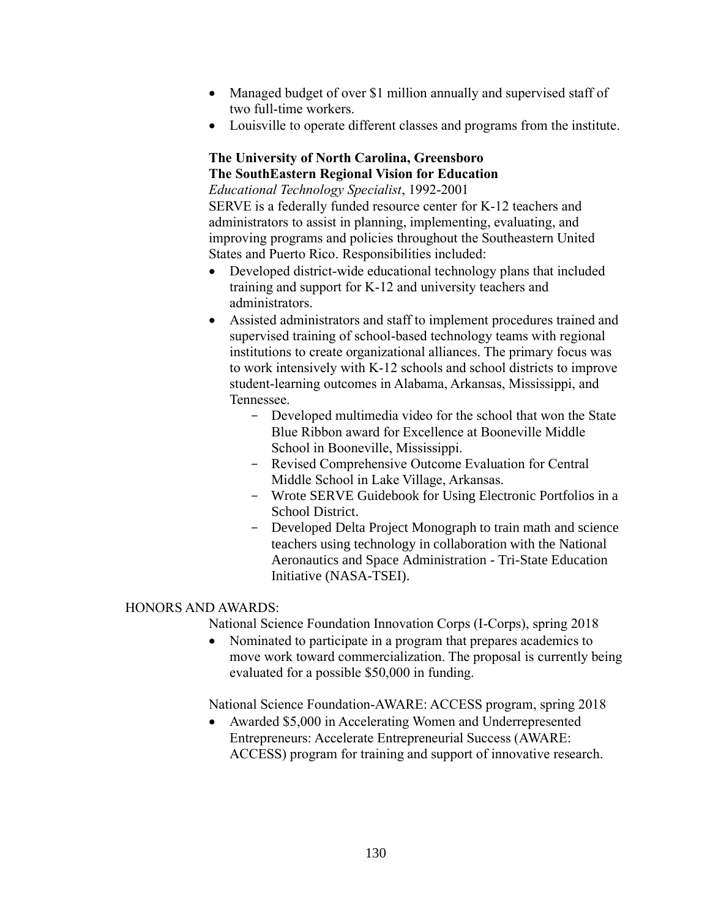- Managed budget of over \$1 million annually and supervised staff of two full-time workers.
- Louisville to operate different classes and programs from the institute.

### **The University of North Carolina, Greensboro The SouthEastern Regional Vision for Education**

*Educational Technology Specialist*, 1992-2001 SERVE is a federally funded resource center for K-12 teachers and administrators to assist in planning, implementing, evaluating, and improving programs and policies throughout the Southeastern United States and Puerto Rico. Responsibilities included:

- Developed district-wide educational technology plans that included training and support for K-12 and university teachers and administrators.
- Assisted administrators and staff to implement procedures trained and supervised training of school-based technology teams with regional institutions to create organizational alliances. The primary focus was to work intensively with K-12 schools and school districts to improve student-learning outcomes in Alabama, Arkansas, Mississippi, and Tennessee.
	- Developed multimedia video for the school that won the State Blue Ribbon award for Excellence at Booneville Middle School in Booneville, Mississippi.
	- Revised Comprehensive Outcome Evaluation for Central Middle School in Lake Village, Arkansas.
	- Wrote SERVE Guidebook for Using Electronic Portfolios in a School District.
	- Developed Delta Project Monograph to train math and science teachers using technology in collaboration with the National Aeronautics and Space Administration - Tri-State Education Initiative (NASA-TSEI).

### HONORS AND AWARDS:

National Science Foundation Innovation Corps (I-Corps), spring 2018

• Nominated to participate in a program that prepares academics to move work toward commercialization. The proposal is currently being evaluated for a possible \$50,000 in funding.

National Science Foundation-AWARE: ACCESS program, spring 2018

• Awarded \$5,000 in Accelerating Women and Underrepresented Entrepreneurs: Accelerate Entrepreneurial Success (AWARE: ACCESS) program for training and support of innovative research.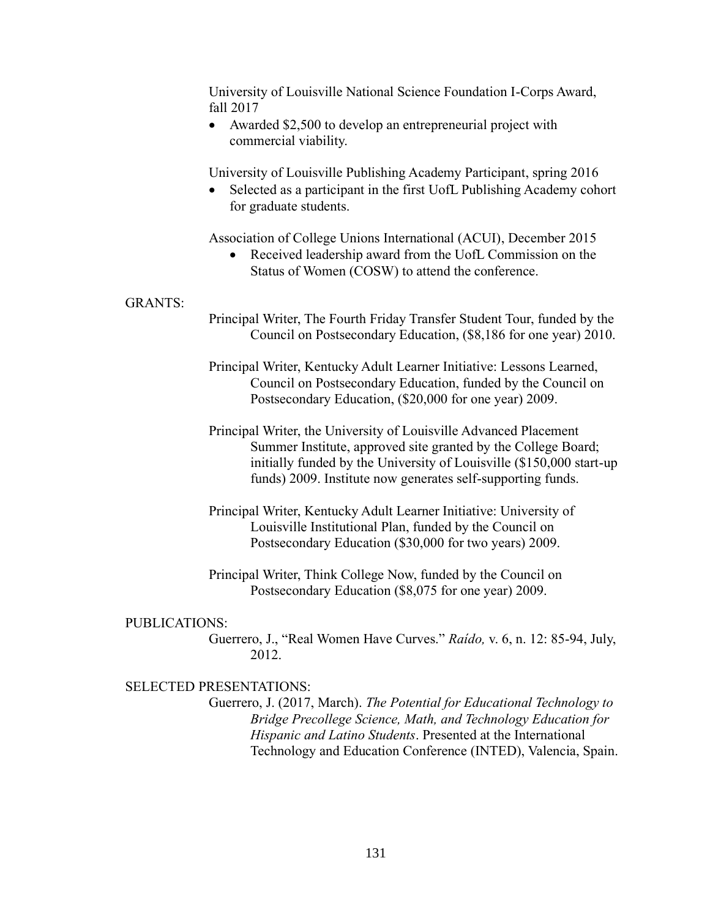University of Louisville National Science Foundation I-Corps Award, fall 2017

• Awarded \$2,500 to develop an entrepreneurial project with commercial viability.

University of Louisville Publishing Academy Participant, spring 2016

Selected as a participant in the first UofL Publishing Academy cohort for graduate students.

Association of College Unions International (ACUI), December 2015

Received leadership award from the UofL Commission on the Status of Women (COSW) to attend the conference.

## GRANTS:

- Principal Writer, The Fourth Friday Transfer Student Tour, funded by the Council on Postsecondary Education, (\$8,186 for one year) 2010.
- Principal Writer, Kentucky Adult Learner Initiative: Lessons Learned, Council on Postsecondary Education, funded by the Council on Postsecondary Education, (\$20,000 for one year) 2009.
- Principal Writer, the University of Louisville Advanced Placement Summer Institute, approved site granted by the College Board; initially funded by the University of Louisville (\$150,000 start-up funds) 2009. Institute now generates self-supporting funds.
- Principal Writer, Kentucky Adult Learner Initiative: University of Louisville Institutional Plan, funded by the Council on Postsecondary Education (\$30,000 for two years) 2009.
- Principal Writer, Think College Now, funded by the Council on Postsecondary Education (\$8,075 for one year) 2009.

#### PUBLICATIONS:

Guerrero, J., "Real Women Have Curves." *Raído,* v. 6, n. 12: 85-94, July, 2012.

## SELECTED PRESENTATIONS:

Guerrero, J. (2017, March). *The Potential for Educational Technology to Bridge Precollege Science, Math, and Technology Education for Hispanic and Latino Students*. Presented at the International Technology and Education Conference (INTED), Valencia, Spain.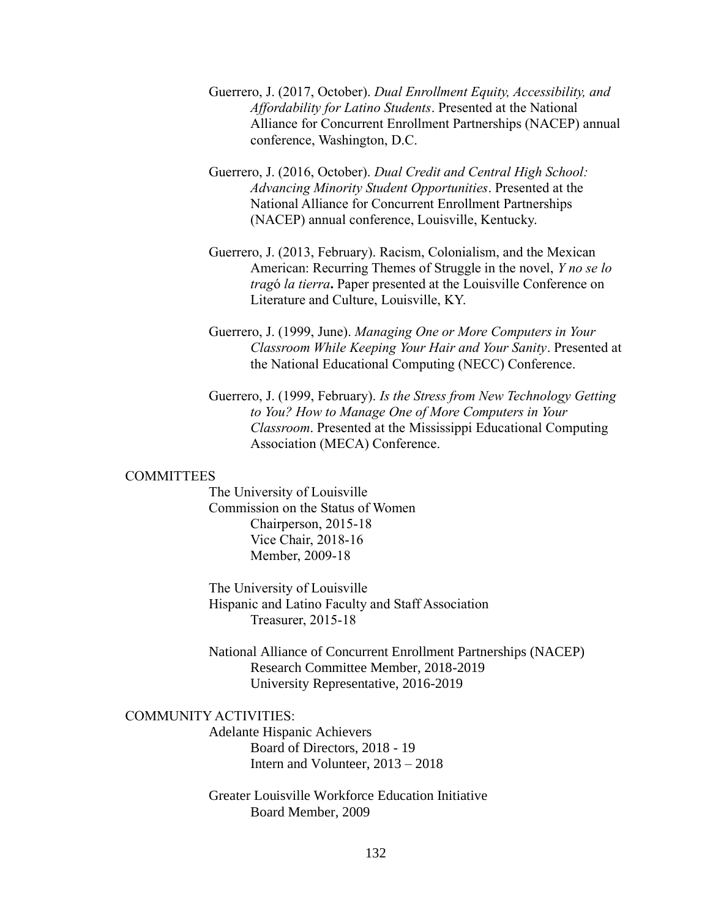- Guerrero, J. (2017, October). *Dual Enrollment Equity, Accessibility, and Affordability for Latino Students*. Presented at the National Alliance for Concurrent Enrollment Partnerships (NACEP) annual conference, Washington, D.C.
- Guerrero, J. (2016, October). *Dual Credit and Central High School: Advancing Minority Student Opportunities*. Presented at the National Alliance for Concurrent Enrollment Partnerships (NACEP) annual conference, Louisville, Kentucky.
- Guerrero, J. (2013, February). Racism, Colonialism, and the Mexican American: Recurring Themes of Struggle in the novel, *Y no se lo trag*ó *la tierra***.** Paper presented at the Louisville Conference on Literature and Culture, Louisville, KY.
- Guerrero, J. (1999, June). *Managing One or More Computers in Your Classroom While Keeping Your Hair and Your Sanity*. Presented at the National Educational Computing (NECC) Conference.
- Guerrero, J. (1999, February). *Is the Stress from New Technology Getting to You? How to Manage One of More Computers in Your Classroom*. Presented at the Mississippi Educational Computing Association (MECA) Conference.

#### COMMITTEES

The University of Louisville Commission on the Status of Women Chairperson, 2015-18 Vice Chair, 2018-16 Member, 2009-18

The University of Louisville Hispanic and Latino Faculty and Staff Association Treasurer, 2015-18

National Alliance of Concurrent Enrollment Partnerships (NACEP) Research Committee Member, 2018-2019 University Representative, 2016-2019

# COMMUNITY ACTIVITIES:

Adelante Hispanic Achievers Board of Directors, 2018 - 19 Intern and Volunteer, 2013 – 2018

Greater Louisville Workforce Education Initiative Board Member, 2009